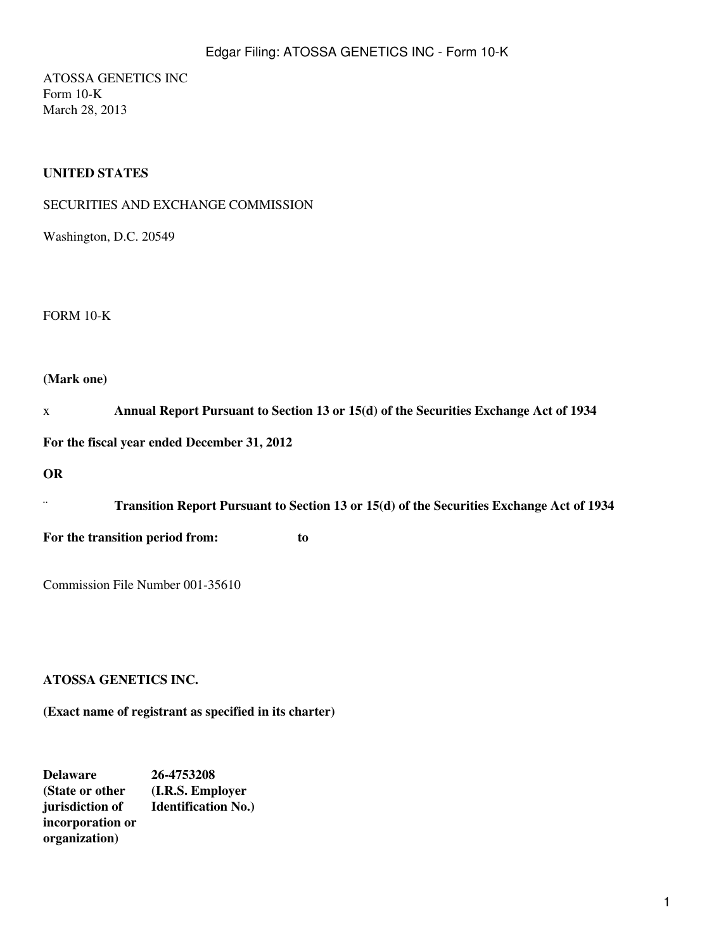ATOSSA GENETICS INC Form 10-K March 28, 2013

## **UNITED STATES**

Washington, D.C. 20549

FORM 10-K

## **(Mark one)**

| X                                           |                                                                                          | Annual Report Pursuant to Section 13 or 15(d) of the Securities Exchange Act of 1934 |  |  |
|---------------------------------------------|------------------------------------------------------------------------------------------|--------------------------------------------------------------------------------------|--|--|
| For the fiscal year ended December 31, 2012 |                                                                                          |                                                                                      |  |  |
| <b>OR</b>                                   |                                                                                          |                                                                                      |  |  |
| $\cdot\cdot$                                | Transition Report Pursuant to Section 13 or 15(d) of the Securities Exchange Act of 1934 |                                                                                      |  |  |
|                                             | For the transition period from:                                                          | to                                                                                   |  |  |
|                                             | Commission File Number 001-35610                                                         |                                                                                      |  |  |
|                                             |                                                                                          |                                                                                      |  |  |

## **ATOSSA GENETICS INC.**

**(Exact name of registrant as specified in its charter)**

**Delaware 26-4753208 (State or other (I.R.S. Employer jurisdiction of Identification No.) incorporation or organization)**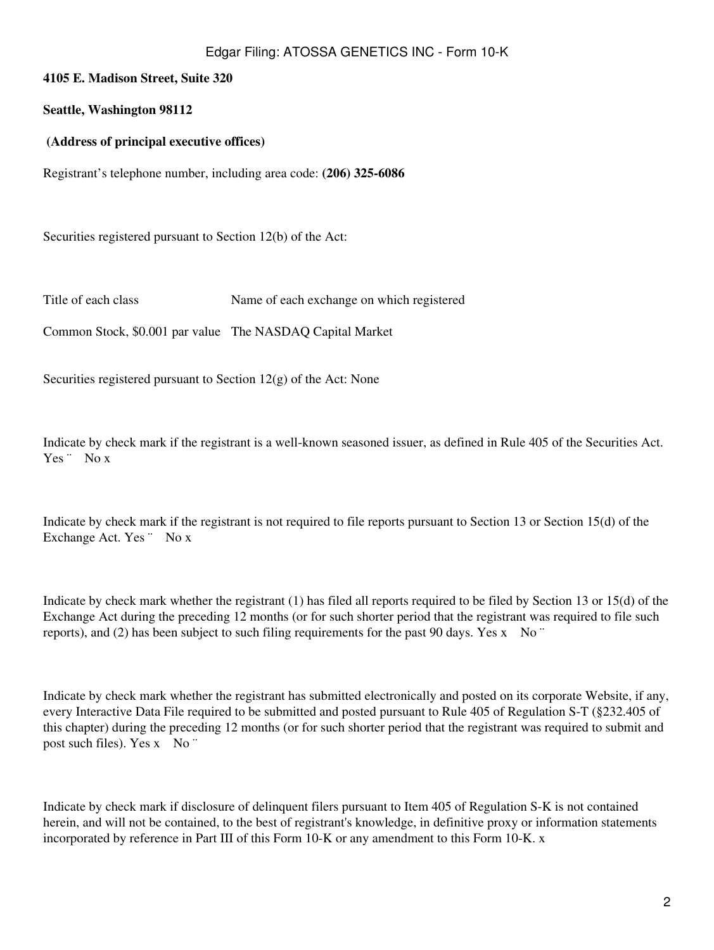## **4105 E. Madison Street, Suite 320**

### **Seattle, Washington 98112**

### **(Address of principal executive offices)**

Registrant's telephone number, including area code: **(206) 325-6086**

Securities registered pursuant to Section 12(b) of the Act:

Title of each class Name of each exchange on which registered

Common Stock, \$0.001 par value The NASDAQ Capital Market

Securities registered pursuant to Section  $12(g)$  of the Act: None

Indicate by check mark if the registrant is a well-known seasoned issuer, as defined in Rule 405 of the Securities Act. Yes <sup>"</sup> No x

Indicate by check mark if the registrant is not required to file reports pursuant to Section 13 or Section 15(d) of the Exchange Act. Yes " No x

Indicate by check mark whether the registrant (1) has filed all reports required to be filed by Section 13 or 15(d) of the Exchange Act during the preceding 12 months (or for such shorter period that the registrant was required to file such reports), and (2) has been subject to such filing requirements for the past 90 days. Yes x No  $\degree$ 

Indicate by check mark whether the registrant has submitted electronically and posted on its corporate Website, if any, every Interactive Data File required to be submitted and posted pursuant to Rule 405 of Regulation S-T (§232.405 of this chapter) during the preceding 12 months (or for such shorter period that the registrant was required to submit and post such files). Yes x No "

Indicate by check mark if disclosure of delinquent filers pursuant to Item 405 of Regulation S-K is not contained herein, and will not be contained, to the best of registrant's knowledge, in definitive proxy or information statements incorporated by reference in Part III of this Form 10-K or any amendment to this Form 10-K. x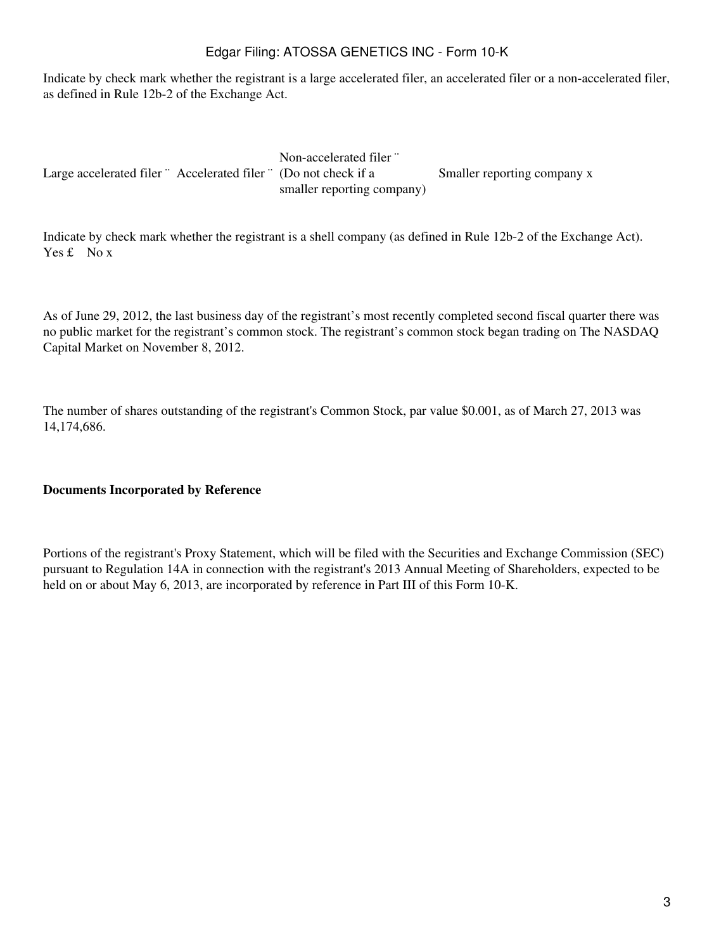Indicate by check mark whether the registrant is a large accelerated filer, an accelerated filer or a non-accelerated filer, as defined in Rule 12b-2 of the Exchange Act.

Large accelerated filer " Accelerated filer " (Do not check if a Non-accelerated filer ¨ smaller reporting company) Smaller reporting company x

Indicate by check mark whether the registrant is a shell company (as defined in Rule 12b-2 of the Exchange Act). Yes £ No x

As of June 29, 2012, the last business day of the registrant's most recently completed second fiscal quarter there was no public market for the registrant's common stock. The registrant's common stock began trading on The NASDAQ Capital Market on November 8, 2012.

The number of shares outstanding of the registrant's Common Stock, par value \$0.001, as of March 27, 2013 was 14,174,686.

### **Documents Incorporated by Reference**

Portions of the registrant's Proxy Statement, which will be filed with the Securities and Exchange Commission (SEC) pursuant to Regulation 14A in connection with the registrant's 2013 Annual Meeting of Shareholders, expected to be held on or about May 6, 2013, are incorporated by reference in Part III of this Form 10-K.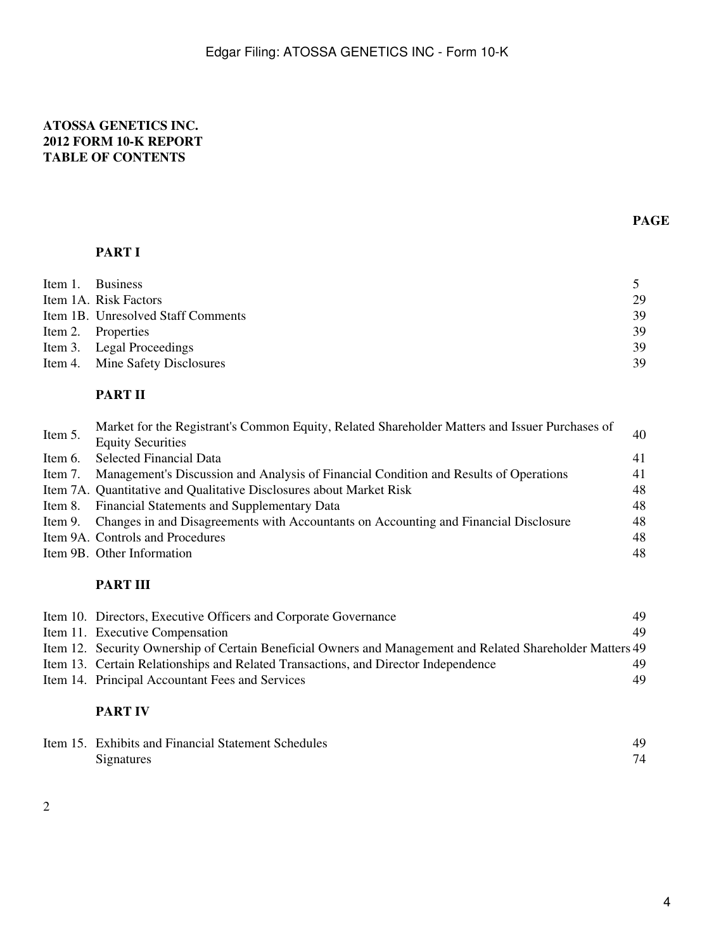## **ATOSSA GENETICS INC. 2012 FORM 10-K REPORT TABLE OF CONTENTS**

# **PART I**

| Item 1. Business                   |    |
|------------------------------------|----|
| Item 1A. Risk Factors              | 29 |
| Item 1B. Unresolved Staff Comments | 39 |
| Item 2. Properties                 | 39 |
| Item 3. Legal Proceedings          | 39 |
| Item 4. Mine Safety Disclosures    | 39 |

## **PART II**

| Item 5. | Market for the Registrant's Common Equity, Related Shareholder Matters and Issuer Purchases of |    |  |
|---------|------------------------------------------------------------------------------------------------|----|--|
|         | <b>Equity Securities</b>                                                                       |    |  |
| Item 6. | <b>Selected Financial Data</b>                                                                 | 41 |  |
| Item 7. | Management's Discussion and Analysis of Financial Condition and Results of Operations          | 41 |  |
|         | Item 7A. Quantitative and Qualitative Disclosures about Market Risk                            | 48 |  |
|         | Item 8. Financial Statements and Supplementary Data                                            | 48 |  |
|         | Item 9. Changes in and Disagreements with Accountants on Accounting and Financial Disclosure   | 48 |  |
|         | Item 9A. Controls and Procedures                                                               | 48 |  |
|         | Item 9B. Other Information                                                                     | 48 |  |

## **PART III**

| Item 10. Directors, Executive Officers and Corporate Governance                                            | 49 |
|------------------------------------------------------------------------------------------------------------|----|
| Item 11. Executive Compensation                                                                            | 49 |
| Item 12. Security Ownership of Certain Beneficial Owners and Management and Related Shareholder Matters 49 |    |
| Item 13. Certain Relationships and Related Transactions, and Director Independence                         | 49 |
| Item 14. Principal Accountant Fees and Services                                                            | 49 |

# **PART IV**

| Item 15. Exhibits and Financial Statement Schedules |  |
|-----------------------------------------------------|--|
| Signatures                                          |  |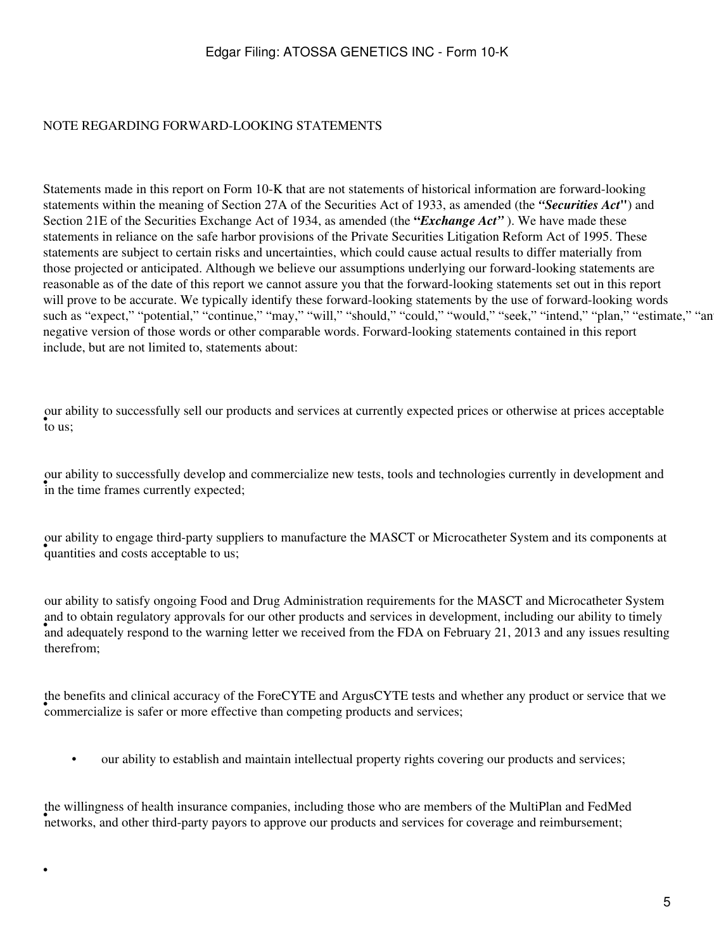### NOTE REGARDING FORWARD-LOOKING STATEMENTS

Statements made in this report on Form 10-K that are not statements of historical information are forward-looking statements within the meaning of Section 27A of the Securities Act of 1933, as amended (the *"Securities Act***"**) and Section 21E of the Securities Exchange Act of 1934, as amended (the **"***Exchange Act"* ). We have made these statements in reliance on the safe harbor provisions of the Private Securities Litigation Reform Act of 1995. These statements are subject to certain risks and uncertainties, which could cause actual results to differ materially from those projected or anticipated. Although we believe our assumptions underlying our forward-looking statements are reasonable as of the date of this report we cannot assure you that the forward-looking statements set out in this report will prove to be accurate. We typically identify these forward-looking statements by the use of forward-looking words such as "expect," "potential," "continue," "may," "will," "should," "could," "would," "seek," "intend," "plan," "estimate," "an negative version of those words or other comparable words. Forward-looking statements contained in this report include, but are not limited to, statements about:

• to us; our ability to successfully sell our products and services at currently expected prices or otherwise at prices acceptable

in the time frames currently expected; our ability to successfully develop and commercialize new tests, tools and technologies currently in development and

our domy to engage time party suppose. our ability to engage third-party suppliers to manufacture the MASCT or Microcatheter System and its components at

and adequately respond to the warning letter we received from the FDA on February 21, 2013 and any issues resulting and adequately respond to the warning letter we received from the FDA on February 21, 2013 and any issues our ability to satisfy ongoing Food and Drug Administration requirements for the MASCT and Microcatheter System and to obtain regulatory approvals for our other products and services in development, including our ability to timely therefrom;

commercialize is safer or more effective than competing products and services; the benefits and clinical accuracy of the ForeCYTE and ArgusCYTE tests and whether any product or service that we

• our ability to establish and maintain intellectual property rights covering our products and services;

networks, and other third-party payors to approve our products and services for coverage and reimbursement; the willingness of health insurance companies, including those who are members of the MultiPlan and FedMed

•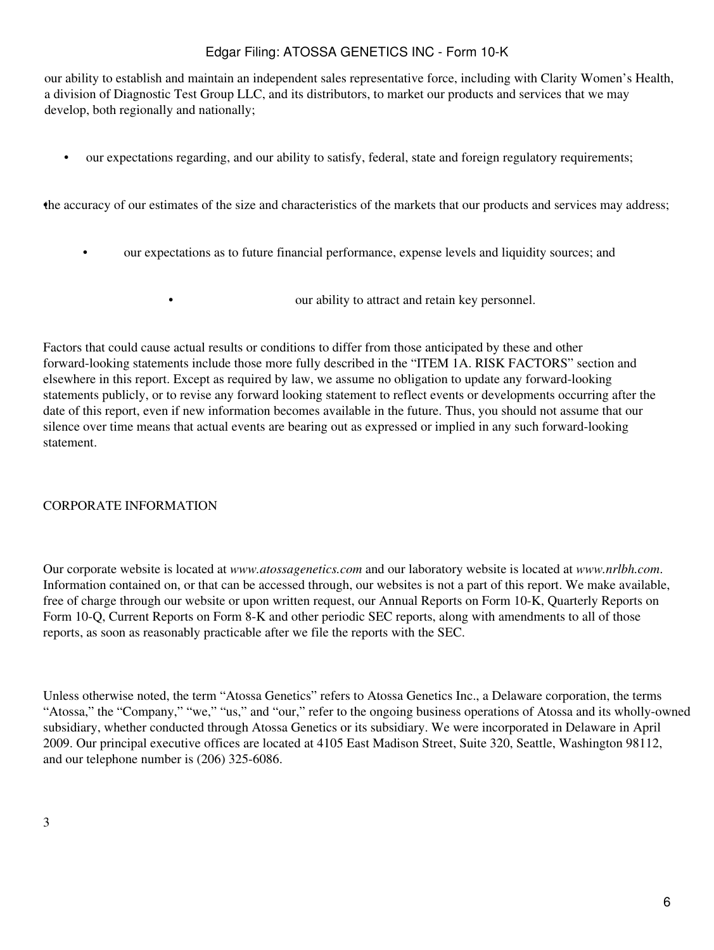our ability to establish and maintain an independent sales representative force, including with Clarity Women's Health, a division of Diagnostic Test Group LLC, and its distributors, to market our products and services that we may develop, both regionally and nationally;

• our expectations regarding, and our ability to satisfy, federal, state and foreign regulatory requirements;

•the accuracy of our estimates of the size and characteristics of the markets that our products and services may address;

• our expectations as to future financial performance, expense levels and liquidity sources; and

• **our ability to attract and retain key personnel.** 

Factors that could cause actual results or conditions to differ from those anticipated by these and other forward-looking statements include those more fully described in the "ITEM 1A. RISK FACTORS" section and elsewhere in this report. Except as required by law, we assume no obligation to update any forward-looking statements publicly, or to revise any forward looking statement to reflect events or developments occurring after the date of this report, even if new information becomes available in the future. Thus, you should not assume that our silence over time means that actual events are bearing out as expressed or implied in any such forward-looking statement.

### CORPORATE INFORMATION

Our corporate website is located at *www.atossagenetics.com* and our laboratory website is located at *www.nrlbh.com*. Information contained on, or that can be accessed through, our websites is not a part of this report. We make available, free of charge through our website or upon written request, our Annual Reports on Form 10-K, Quarterly Reports on Form 10-Q, Current Reports on Form 8-K and other periodic SEC reports, along with amendments to all of those reports, as soon as reasonably practicable after we file the reports with the SEC.

Unless otherwise noted, the term "Atossa Genetics" refers to Atossa Genetics Inc., a Delaware corporation, the terms "Atossa," the "Company," "we," "us," and "our," refer to the ongoing business operations of Atossa and its wholly-owned subsidiary, whether conducted through Atossa Genetics or its subsidiary. We were incorporated in Delaware in April 2009. Our principal executive offices are located at 4105 East Madison Street, Suite 320, Seattle, Washington 98112, and our telephone number is (206) 325-6086.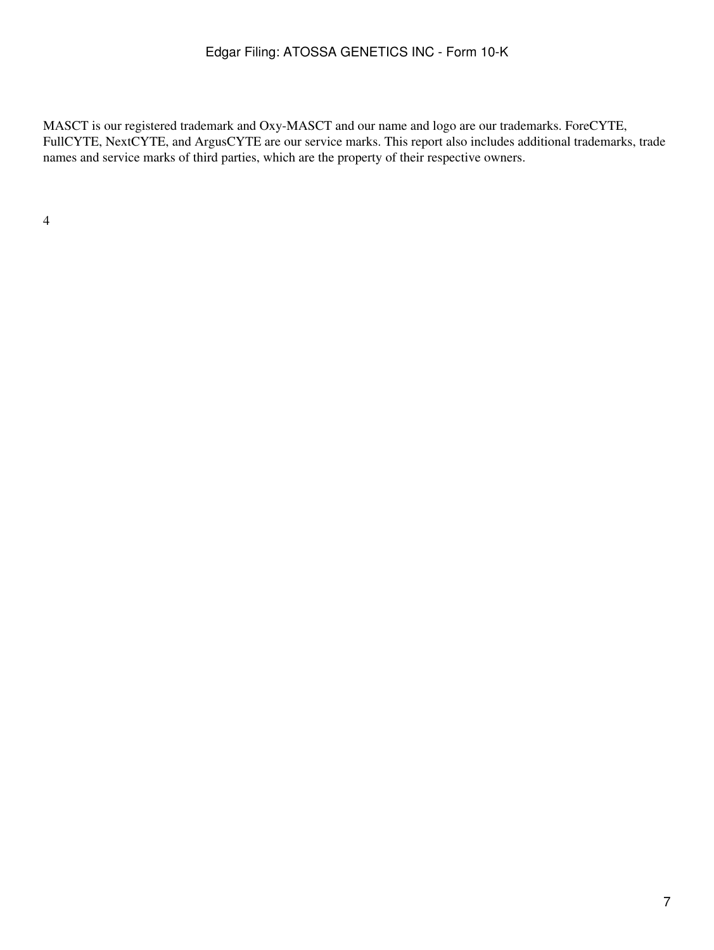MASCT is our registered trademark and Oxy-MASCT and our name and logo are our trademarks. ForeCYTE, FullCYTE, NextCYTE, and ArgusCYTE are our service marks. This report also includes additional trademarks, trade names and service marks of third parties, which are the property of their respective owners.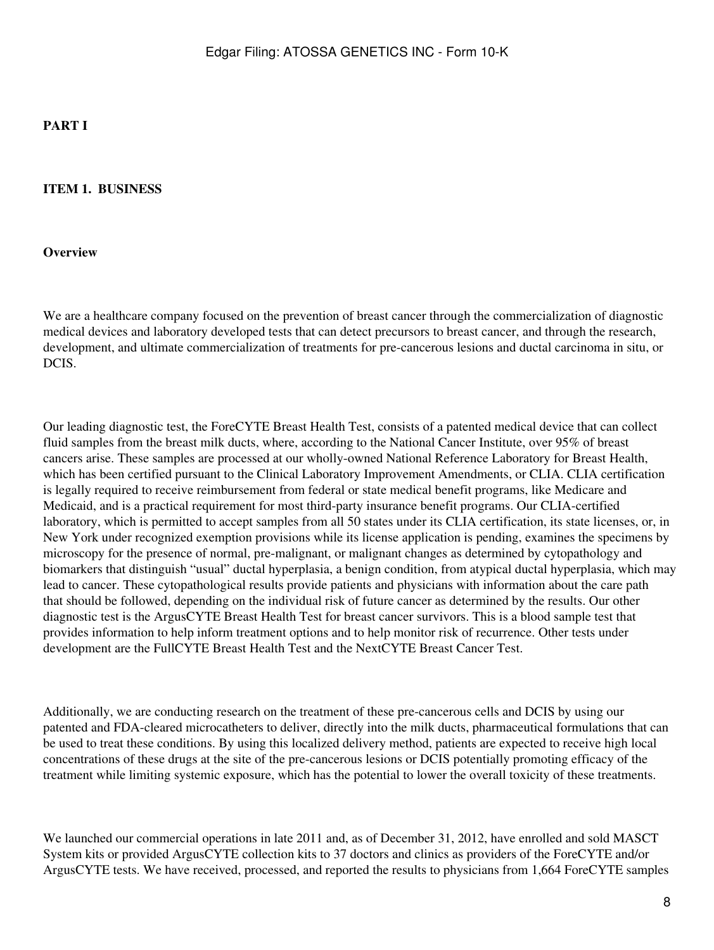## **PART I**

#### **ITEM 1. BUSINESS**

#### **Overview**

We are a healthcare company focused on the prevention of breast cancer through the commercialization of diagnostic medical devices and laboratory developed tests that can detect precursors to breast cancer, and through the research, development, and ultimate commercialization of treatments for pre-cancerous lesions and ductal carcinoma in situ, or DCIS.

Our leading diagnostic test, the ForeCYTE Breast Health Test, consists of a patented medical device that can collect fluid samples from the breast milk ducts, where, according to the National Cancer Institute, over 95% of breast cancers arise. These samples are processed at our wholly-owned National Reference Laboratory for Breast Health, which has been certified pursuant to the Clinical Laboratory Improvement Amendments, or CLIA. CLIA certification is legally required to receive reimbursement from federal or state medical benefit programs, like Medicare and Medicaid, and is a practical requirement for most third-party insurance benefit programs. Our CLIA-certified laboratory, which is permitted to accept samples from all 50 states under its CLIA certification, its state licenses, or, in New York under recognized exemption provisions while its license application is pending, examines the specimens by microscopy for the presence of normal, pre-malignant, or malignant changes as determined by cytopathology and biomarkers that distinguish "usual" ductal hyperplasia, a benign condition, from atypical ductal hyperplasia, which may lead to cancer. These cytopathological results provide patients and physicians with information about the care path that should be followed, depending on the individual risk of future cancer as determined by the results. Our other diagnostic test is the ArgusCYTE Breast Health Test for breast cancer survivors. This is a blood sample test that provides information to help inform treatment options and to help monitor risk of recurrence. Other tests under development are the FullCYTE Breast Health Test and the NextCYTE Breast Cancer Test.

Additionally, we are conducting research on the treatment of these pre-cancerous cells and DCIS by using our patented and FDA-cleared microcatheters to deliver, directly into the milk ducts, pharmaceutical formulations that can be used to treat these conditions. By using this localized delivery method, patients are expected to receive high local concentrations of these drugs at the site of the pre-cancerous lesions or DCIS potentially promoting efficacy of the treatment while limiting systemic exposure, which has the potential to lower the overall toxicity of these treatments.

We launched our commercial operations in late 2011 and, as of December 31, 2012, have enrolled and sold MASCT System kits or provided ArgusCYTE collection kits to 37 doctors and clinics as providers of the ForeCYTE and/or ArgusCYTE tests. We have received, processed, and reported the results to physicians from 1,664 ForeCYTE samples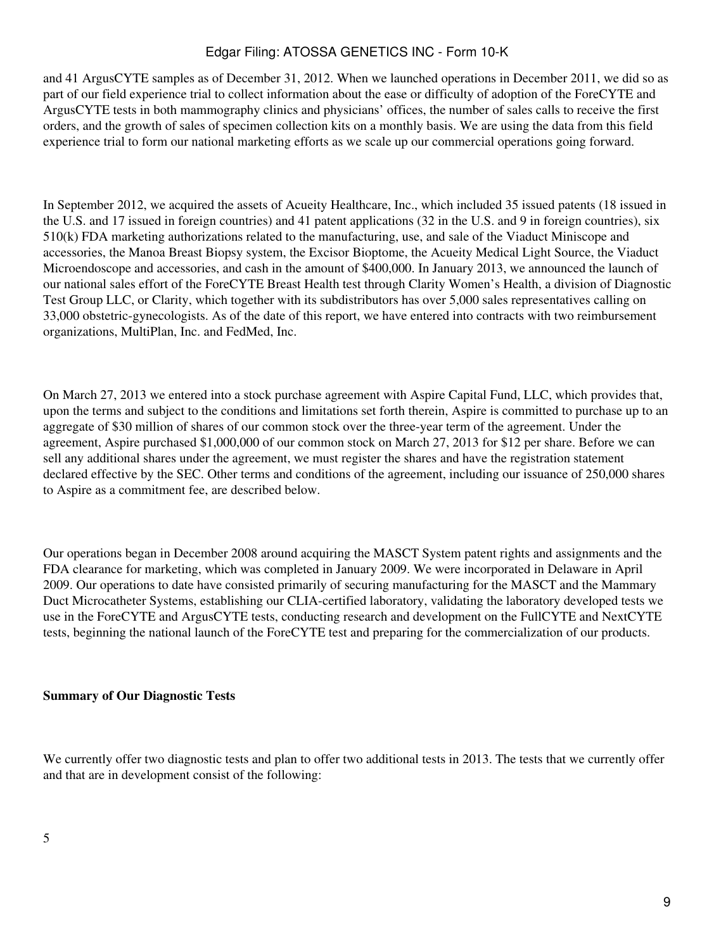and 41 ArgusCYTE samples as of December 31, 2012. When we launched operations in December 2011, we did so as part of our field experience trial to collect information about the ease or difficulty of adoption of the ForeCYTE and ArgusCYTE tests in both mammography clinics and physicians' offices, the number of sales calls to receive the first orders, and the growth of sales of specimen collection kits on a monthly basis. We are using the data from this field experience trial to form our national marketing efforts as we scale up our commercial operations going forward.

In September 2012, we acquired the assets of Acueity Healthcare, Inc., which included 35 issued patents (18 issued in the U.S. and 17 issued in foreign countries) and 41 patent applications (32 in the U.S. and 9 in foreign countries), six 510(k) FDA marketing authorizations related to the manufacturing, use, and sale of the Viaduct Miniscope and accessories, the Manoa Breast Biopsy system, the Excisor Bioptome, the Acueity Medical Light Source, the Viaduct Microendoscope and accessories, and cash in the amount of \$400,000. In January 2013, we announced the launch of our national sales effort of the ForeCYTE Breast Health test through Clarity Women's Health, a division of Diagnostic Test Group LLC, or Clarity, which together with its subdistributors has over 5,000 sales representatives calling on 33,000 obstetric-gynecologists. As of the date of this report, we have entered into contracts with two reimbursement organizations, MultiPlan, Inc. and FedMed, Inc.

On March 27, 2013 we entered into a stock purchase agreement with Aspire Capital Fund, LLC, which provides that, upon the terms and subject to the conditions and limitations set forth therein, Aspire is committed to purchase up to an aggregate of \$30 million of shares of our common stock over the three-year term of the agreement. Under the agreement, Aspire purchased \$1,000,000 of our common stock on March 27, 2013 for \$12 per share. Before we can sell any additional shares under the agreement, we must register the shares and have the registration statement declared effective by the SEC. Other terms and conditions of the agreement, including our issuance of 250,000 shares to Aspire as a commitment fee, are described below.

Our operations began in December 2008 around acquiring the MASCT System patent rights and assignments and the FDA clearance for marketing, which was completed in January 2009. We were incorporated in Delaware in April 2009. Our operations to date have consisted primarily of securing manufacturing for the MASCT and the Mammary Duct Microcatheter Systems, establishing our CLIA-certified laboratory, validating the laboratory developed tests we use in the ForeCYTE and ArgusCYTE tests, conducting research and development on the FullCYTE and NextCYTE tests, beginning the national launch of the ForeCYTE test and preparing for the commercialization of our products.

### **Summary of Our Diagnostic Tests**

We currently offer two diagnostic tests and plan to offer two additional tests in 2013. The tests that we currently offer and that are in development consist of the following: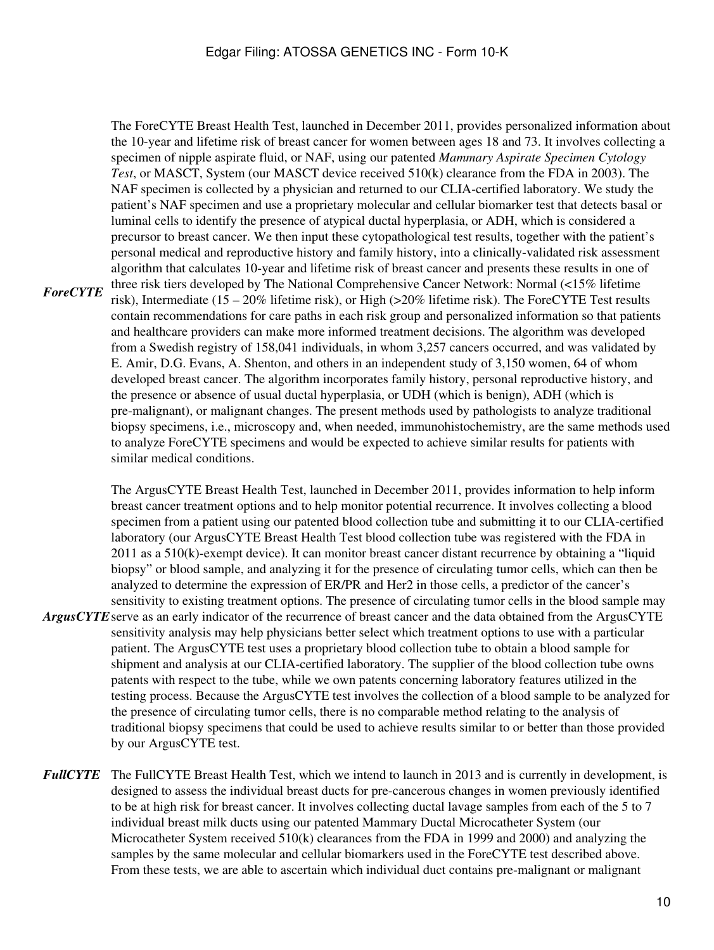*ForeCYTE*  The ForeCYTE Breast Health Test, launched in December 2011, provides personalized information about the 10-year and lifetime risk of breast cancer for women between ages 18 and 73. It involves collecting a specimen of nipple aspirate fluid, or NAF, using our patented *Mammary Aspirate Specimen Cytology Test*, or MASCT, System (our MASCT device received 510(k) clearance from the FDA in 2003). The NAF specimen is collected by a physician and returned to our CLIA-certified laboratory. We study the patient's NAF specimen and use a proprietary molecular and cellular biomarker test that detects basal or luminal cells to identify the presence of atypical ductal hyperplasia, or ADH, which is considered a precursor to breast cancer. We then input these cytopathological test results, together with the patient's personal medical and reproductive history and family history, into a clinically-validated risk assessment algorithm that calculates 10-year and lifetime risk of breast cancer and presents these results in one of three risk tiers developed by The National Comprehensive Cancer Network: Normal (<15% lifetime risk), Intermediate (15 – 20% lifetime risk), or High (>20% lifetime risk). The ForeCYTE Test results contain recommendations for care paths in each risk group and personalized information so that patients and healthcare providers can make more informed treatment decisions. The algorithm was developed from a Swedish registry of 158,041 individuals, in whom 3,257 cancers occurred, and was validated by E. Amir, D.G. Evans, A. Shenton, and others in an independent study of 3,150 women, 64 of whom

developed breast cancer. The algorithm incorporates family history, personal reproductive history, and the presence or absence of usual ductal hyperplasia, or UDH (which is benign), ADH (which is pre-malignant), or malignant changes. The present methods used by pathologists to analyze traditional biopsy specimens, i.e., microscopy and, when needed, immunohistochemistry, are the same methods used to analyze ForeCYTE specimens and would be expected to achieve similar results for patients with similar medical conditions.

*ArgusCYTE* serve as an early indicator of the recurrence of breast cancer and the data obtained from the ArgusCYTE The ArgusCYTE Breast Health Test, launched in December 2011, provides information to help inform breast cancer treatment options and to help monitor potential recurrence. It involves collecting a blood specimen from a patient using our patented blood collection tube and submitting it to our CLIA-certified laboratory (our ArgusCYTE Breast Health Test blood collection tube was registered with the FDA in 2011 as a 510(k)-exempt device). It can monitor breast cancer distant recurrence by obtaining a "liquid biopsy" or blood sample, and analyzing it for the presence of circulating tumor cells, which can then be analyzed to determine the expression of ER/PR and Her2 in those cells, a predictor of the cancer's sensitivity to existing treatment options. The presence of circulating tumor cells in the blood sample may sensitivity analysis may help physicians better select which treatment options to use with a particular patient. The ArgusCYTE test uses a proprietary blood collection tube to obtain a blood sample for shipment and analysis at our CLIA-certified laboratory. The supplier of the blood collection tube owns patents with respect to the tube, while we own patents concerning laboratory features utilized in the testing process. Because the ArgusCYTE test involves the collection of a blood sample to be analyzed for the presence of circulating tumor cells, there is no comparable method relating to the analysis of traditional biopsy specimens that could be used to achieve results similar to or better than those provided by our ArgusCYTE test.

*FullCYTE* The FullCYTE Breast Health Test, which we intend to launch in 2013 and is currently in development, is designed to assess the individual breast ducts for pre-cancerous changes in women previously identified to be at high risk for breast cancer. It involves collecting ductal lavage samples from each of the 5 to 7 individual breast milk ducts using our patented Mammary Ductal Microcatheter System (our Microcatheter System received 510(k) clearances from the FDA in 1999 and 2000) and analyzing the samples by the same molecular and cellular biomarkers used in the ForeCYTE test described above. From these tests, we are able to ascertain which individual duct contains pre-malignant or malignant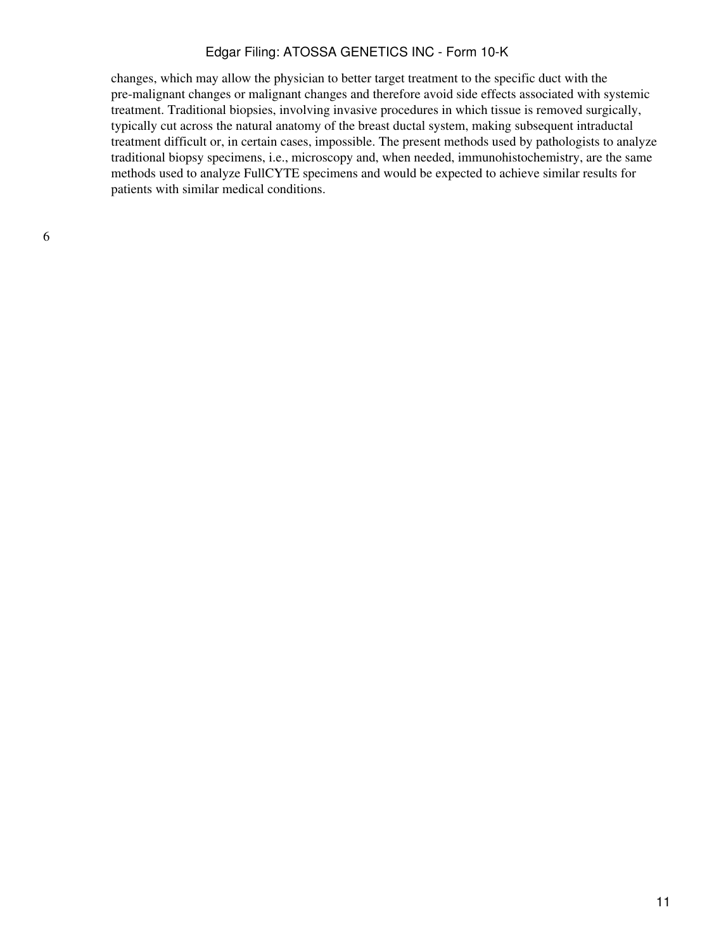changes, which may allow the physician to better target treatment to the specific duct with the pre-malignant changes or malignant changes and therefore avoid side effects associated with systemic treatment. Traditional biopsies, involving invasive procedures in which tissue is removed surgically, typically cut across the natural anatomy of the breast ductal system, making subsequent intraductal treatment difficult or, in certain cases, impossible. The present methods used by pathologists to analyze traditional biopsy specimens, i.e., microscopy and, when needed, immunohistochemistry, are the same methods used to analyze FullCYTE specimens and would be expected to achieve similar results for patients with similar medical conditions.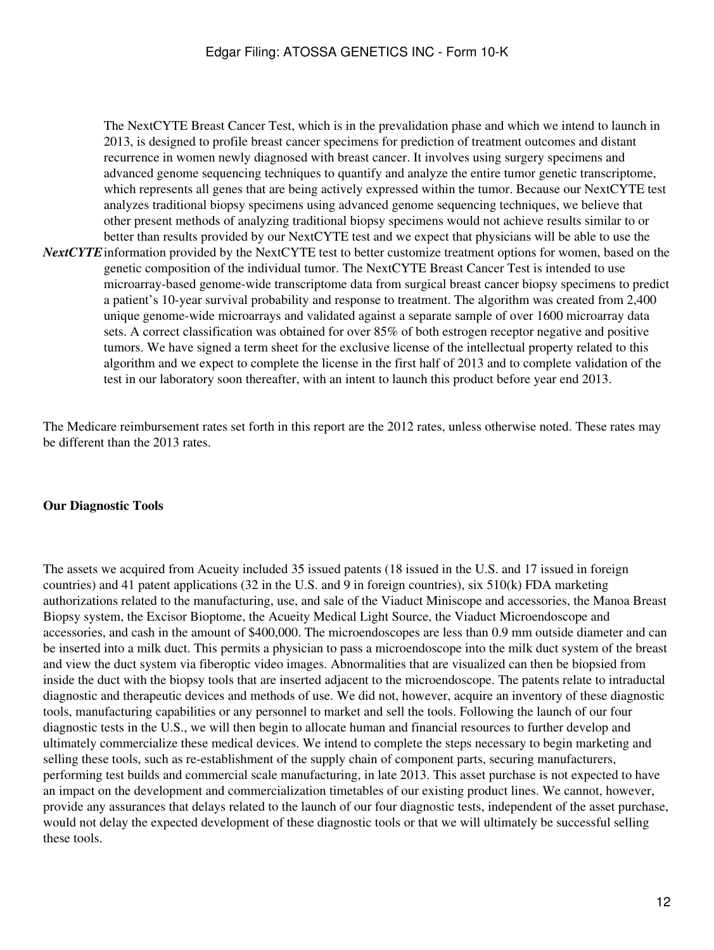*NextCYTE* information provided by the NextCYTE test to better customize treatment options for women, based on the The NextCYTE Breast Cancer Test, which is in the prevalidation phase and which we intend to launch in 2013, is designed to profile breast cancer specimens for prediction of treatment outcomes and distant recurrence in women newly diagnosed with breast cancer. It involves using surgery specimens and advanced genome sequencing techniques to quantify and analyze the entire tumor genetic transcriptome, which represents all genes that are being actively expressed within the tumor. Because our NextCYTE test analyzes traditional biopsy specimens using advanced genome sequencing techniques, we believe that other present methods of analyzing traditional biopsy specimens would not achieve results similar to or better than results provided by our NextCYTE test and we expect that physicians will be able to use the genetic composition of the individual tumor. The NextCYTE Breast Cancer Test is intended to use microarray-based genome-wide transcriptome data from surgical breast cancer biopsy specimens to predict a patient's 10-year survival probability and response to treatment. The algorithm was created from 2,400 unique genome-wide microarrays and validated against a separate sample of over 1600 microarray data sets. A correct classification was obtained for over 85% of both estrogen receptor negative and positive tumors. We have signed a term sheet for the exclusive license of the intellectual property related to this algorithm and we expect to complete the license in the first half of 2013 and to complete validation of the test in our laboratory soon thereafter, with an intent to launch this product before year end 2013.

The Medicare reimbursement rates set forth in this report are the 2012 rates, unless otherwise noted. These rates may be different than the 2013 rates.

### **Our Diagnostic Tools**

The assets we acquired from Acueity included 35 issued patents (18 issued in the U.S. and 17 issued in foreign countries) and 41 patent applications (32 in the U.S. and 9 in foreign countries), six 510(k) FDA marketing authorizations related to the manufacturing, use, and sale of the Viaduct Miniscope and accessories, the Manoa Breast Biopsy system, the Excisor Bioptome, the Acueity Medical Light Source, the Viaduct Microendoscope and accessories, and cash in the amount of \$400,000. The microendoscopes are less than 0.9 mm outside diameter and can be inserted into a milk duct. This permits a physician to pass a microendoscope into the milk duct system of the breast and view the duct system via fiberoptic video images. Abnormalities that are visualized can then be biopsied from inside the duct with the biopsy tools that are inserted adjacent to the microendoscope. The patents relate to intraductal diagnostic and therapeutic devices and methods of use. We did not, however, acquire an inventory of these diagnostic tools, manufacturing capabilities or any personnel to market and sell the tools. Following the launch of our four diagnostic tests in the U.S., we will then begin to allocate human and financial resources to further develop and ultimately commercialize these medical devices. We intend to complete the steps necessary to begin marketing and selling these tools, such as re-establishment of the supply chain of component parts, securing manufacturers, performing test builds and commercial scale manufacturing, in late 2013. This asset purchase is not expected to have an impact on the development and commercialization timetables of our existing product lines. We cannot, however, provide any assurances that delays related to the launch of our four diagnostic tests, independent of the asset purchase, would not delay the expected development of these diagnostic tools or that we will ultimately be successful selling these tools.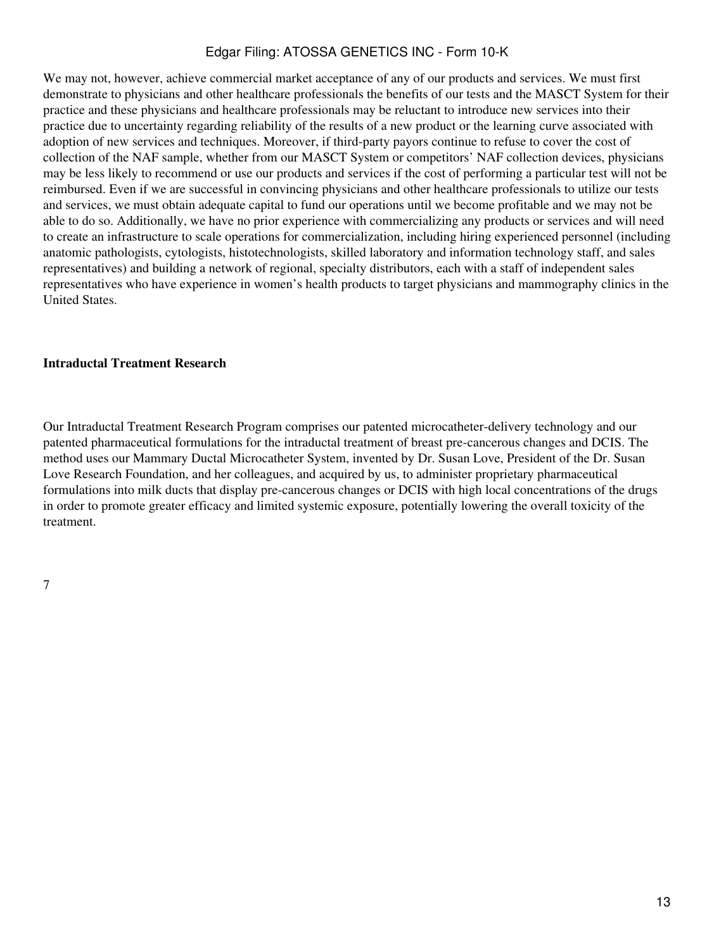We may not, however, achieve commercial market acceptance of any of our products and services. We must first demonstrate to physicians and other healthcare professionals the benefits of our tests and the MASCT System for their practice and these physicians and healthcare professionals may be reluctant to introduce new services into their practice due to uncertainty regarding reliability of the results of a new product or the learning curve associated with adoption of new services and techniques. Moreover, if third-party payors continue to refuse to cover the cost of collection of the NAF sample, whether from our MASCT System or competitors' NAF collection devices, physicians may be less likely to recommend or use our products and services if the cost of performing a particular test will not be reimbursed. Even if we are successful in convincing physicians and other healthcare professionals to utilize our tests and services, we must obtain adequate capital to fund our operations until we become profitable and we may not be able to do so. Additionally, we have no prior experience with commercializing any products or services and will need to create an infrastructure to scale operations for commercialization, including hiring experienced personnel (including anatomic pathologists, cytologists, histotechnologists, skilled laboratory and information technology staff, and sales representatives) and building a network of regional, specialty distributors, each with a staff of independent sales representatives who have experience in women's health products to target physicians and mammography clinics in the United States.

### **Intraductal Treatment Research**

Our Intraductal Treatment Research Program comprises our patented microcatheter-delivery technology and our patented pharmaceutical formulations for the intraductal treatment of breast pre-cancerous changes and DCIS. The method uses our Mammary Ductal Microcatheter System, invented by Dr. Susan Love, President of the Dr. Susan Love Research Foundation, and her colleagues, and acquired by us, to administer proprietary pharmaceutical formulations into milk ducts that display pre-cancerous changes or DCIS with high local concentrations of the drugs in order to promote greater efficacy and limited systemic exposure, potentially lowering the overall toxicity of the treatment.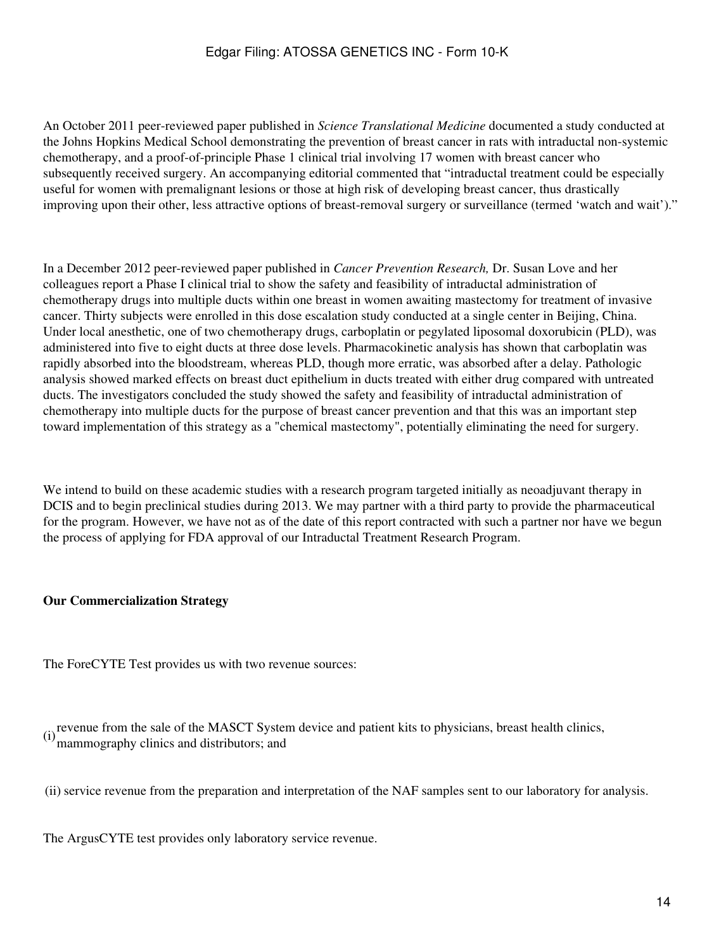An October 2011 peer-reviewed paper published in *Science Translational Medicine* documented a study conducted at the Johns Hopkins Medical School demonstrating the prevention of breast cancer in rats with intraductal non-systemic chemotherapy, and a proof-of-principle Phase 1 clinical trial involving 17 women with breast cancer who subsequently received surgery. An accompanying editorial commented that "intraductal treatment could be especially useful for women with premalignant lesions or those at high risk of developing breast cancer, thus drastically improving upon their other, less attractive options of breast-removal surgery or surveillance (termed 'watch and wait')."

In a December 2012 peer-reviewed paper published in *Cancer Prevention Research,* Dr. Susan Love and her colleagues report a Phase I clinical trial to show the safety and feasibility of intraductal administration of chemotherapy drugs into multiple ducts within one breast in women awaiting mastectomy for treatment of invasive cancer. Thirty subjects were enrolled in this dose escalation study conducted at a single center in Beijing, China. Under local anesthetic, one of two chemotherapy drugs, carboplatin or pegylated liposomal doxorubicin (PLD), was administered into five to eight ducts at three dose levels. Pharmacokinetic analysis has shown that carboplatin was rapidly absorbed into the bloodstream, whereas PLD, though more erratic, was absorbed after a delay. Pathologic analysis showed marked effects on breast duct epithelium in ducts treated with either drug compared with untreated ducts. The investigators concluded the study showed the safety and feasibility of intraductal administration of chemotherapy into multiple ducts for the purpose of breast cancer prevention and that this was an important step toward implementation of this strategy as a "chemical mastectomy", potentially eliminating the need for surgery.

We intend to build on these academic studies with a research program targeted initially as neoadjuvant therapy in DCIS and to begin preclinical studies during 2013. We may partner with a third party to provide the pharmaceutical for the program. However, we have not as of the date of this report contracted with such a partner nor have we begun the process of applying for FDA approval of our Intraductal Treatment Research Program.

## **Our Commercialization Strategy**

The ForeCYTE Test provides us with two revenue sources:

(i) revenue from the sale of the MASCT System device and patient kits to physicians, breast health clinics, mammography clinics and distributors; and

(ii) service revenue from the preparation and interpretation of the NAF samples sent to our laboratory for analysis.

The ArgusCYTE test provides only laboratory service revenue.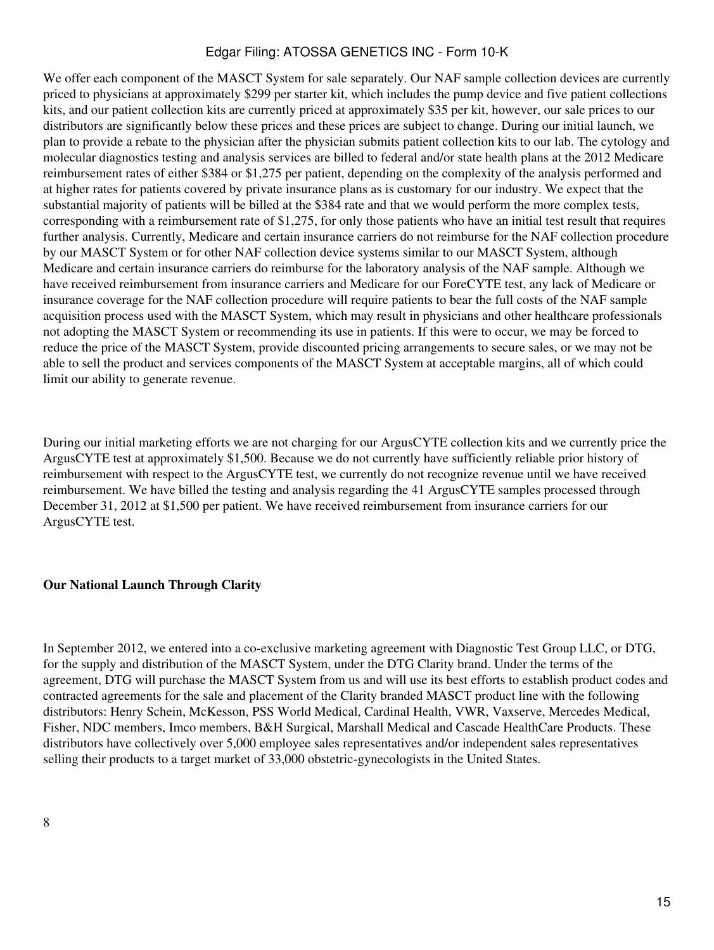We offer each component of the MASCT System for sale separately. Our NAF sample collection devices are currently priced to physicians at approximately \$299 per starter kit, which includes the pump device and five patient collections kits, and our patient collection kits are currently priced at approximately \$35 per kit, however, our sale prices to our distributors are significantly below these prices and these prices are subject to change. During our initial launch, we plan to provide a rebate to the physician after the physician submits patient collection kits to our lab. The cytology and molecular diagnostics testing and analysis services are billed to federal and/or state health plans at the 2012 Medicare reimbursement rates of either \$384 or \$1,275 per patient, depending on the complexity of the analysis performed and at higher rates for patients covered by private insurance plans as is customary for our industry. We expect that the substantial majority of patients will be billed at the \$384 rate and that we would perform the more complex tests, corresponding with a reimbursement rate of \$1,275, for only those patients who have an initial test result that requires further analysis. Currently, Medicare and certain insurance carriers do not reimburse for the NAF collection procedure by our MASCT System or for other NAF collection device systems similar to our MASCT System, although Medicare and certain insurance carriers do reimburse for the laboratory analysis of the NAF sample. Although we have received reimbursement from insurance carriers and Medicare for our ForeCYTE test, any lack of Medicare or insurance coverage for the NAF collection procedure will require patients to bear the full costs of the NAF sample acquisition process used with the MASCT System, which may result in physicians and other healthcare professionals not adopting the MASCT System or recommending its use in patients. If this were to occur, we may be forced to reduce the price of the MASCT System, provide discounted pricing arrangements to secure sales, or we may not be able to sell the product and services components of the MASCT System at acceptable margins, all of which could limit our ability to generate revenue.

During our initial marketing efforts we are not charging for our ArgusCYTE collection kits and we currently price the ArgusCYTE test at approximately \$1,500. Because we do not currently have sufficiently reliable prior history of reimbursement with respect to the ArgusCYTE test, we currently do not recognize revenue until we have received reimbursement. We have billed the testing and analysis regarding the 41 ArgusCYTE samples processed through December 31, 2012 at \$1,500 per patient. We have received reimbursement from insurance carriers for our ArgusCYTE test.

## **Our National Launch Through Clarity**

In September 2012, we entered into a co-exclusive marketing agreement with Diagnostic Test Group LLC, or DTG, for the supply and distribution of the MASCT System, under the DTG Clarity brand. Under the terms of the agreement, DTG will purchase the MASCT System from us and will use its best efforts to establish product codes and contracted agreements for the sale and placement of the Clarity branded MASCT product line with the following distributors: Henry Schein, McKesson, PSS World Medical, Cardinal Health, VWR, Vaxserve, Mercedes Medical, Fisher, NDC members, Imco members, B&H Surgical, Marshall Medical and Cascade HealthCare Products. These distributors have collectively over 5,000 employee sales representatives and/or independent sales representatives selling their products to a target market of 33,000 obstetric-gynecologists in the United States.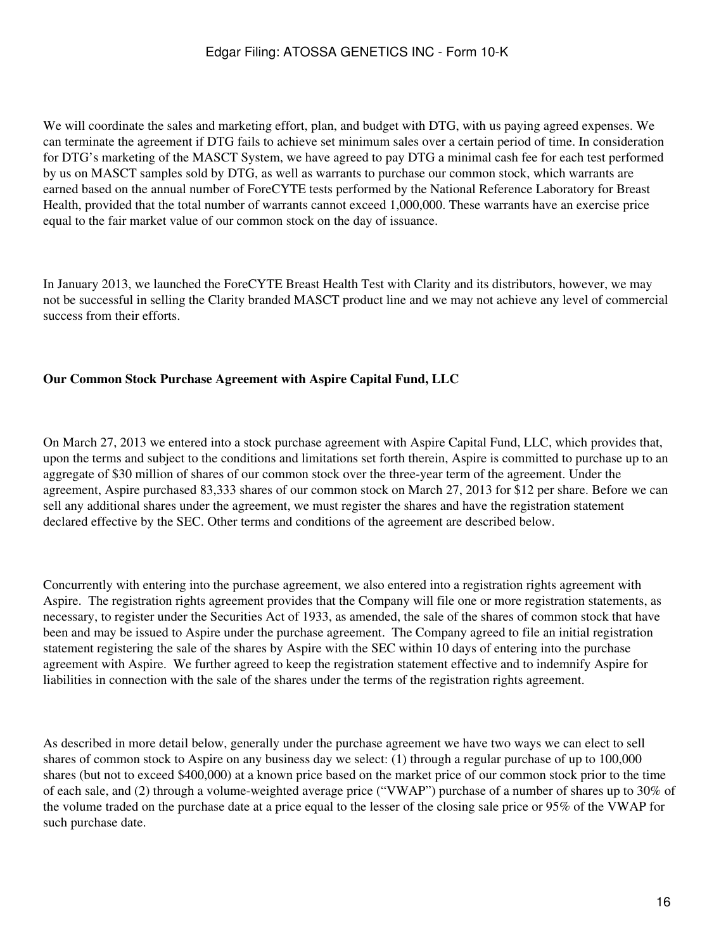We will coordinate the sales and marketing effort, plan, and budget with DTG, with us paying agreed expenses. We can terminate the agreement if DTG fails to achieve set minimum sales over a certain period of time. In consideration for DTG's marketing of the MASCT System, we have agreed to pay DTG a minimal cash fee for each test performed by us on MASCT samples sold by DTG, as well as warrants to purchase our common stock, which warrants are earned based on the annual number of ForeCYTE tests performed by the National Reference Laboratory for Breast Health, provided that the total number of warrants cannot exceed 1,000,000. These warrants have an exercise price equal to the fair market value of our common stock on the day of issuance.

In January 2013, we launched the ForeCYTE Breast Health Test with Clarity and its distributors, however, we may not be successful in selling the Clarity branded MASCT product line and we may not achieve any level of commercial success from their efforts.

## **Our Common Stock Purchase Agreement with Aspire Capital Fund, LLC**

On March 27, 2013 we entered into a stock purchase agreement with Aspire Capital Fund, LLC, which provides that, upon the terms and subject to the conditions and limitations set forth therein, Aspire is committed to purchase up to an aggregate of \$30 million of shares of our common stock over the three-year term of the agreement. Under the agreement, Aspire purchased 83,333 shares of our common stock on March 27, 2013 for \$12 per share. Before we can sell any additional shares under the agreement, we must register the shares and have the registration statement declared effective by the SEC. Other terms and conditions of the agreement are described below.

Concurrently with entering into the purchase agreement, we also entered into a registration rights agreement with Aspire. The registration rights agreement provides that the Company will file one or more registration statements, as necessary, to register under the Securities Act of 1933, as amended, the sale of the shares of common stock that have been and may be issued to Aspire under the purchase agreement. The Company agreed to file an initial registration statement registering the sale of the shares by Aspire with the SEC within 10 days of entering into the purchase agreement with Aspire. We further agreed to keep the registration statement effective and to indemnify Aspire for liabilities in connection with the sale of the shares under the terms of the registration rights agreement.

As described in more detail below, generally under the purchase agreement we have two ways we can elect to sell shares of common stock to Aspire on any business day we select: (1) through a regular purchase of up to 100,000 shares (but not to exceed \$400,000) at a known price based on the market price of our common stock prior to the time of each sale, and (2) through a volume-weighted average price ("VWAP") purchase of a number of shares up to 30% of the volume traded on the purchase date at a price equal to the lesser of the closing sale price or 95% of the VWAP for such purchase date.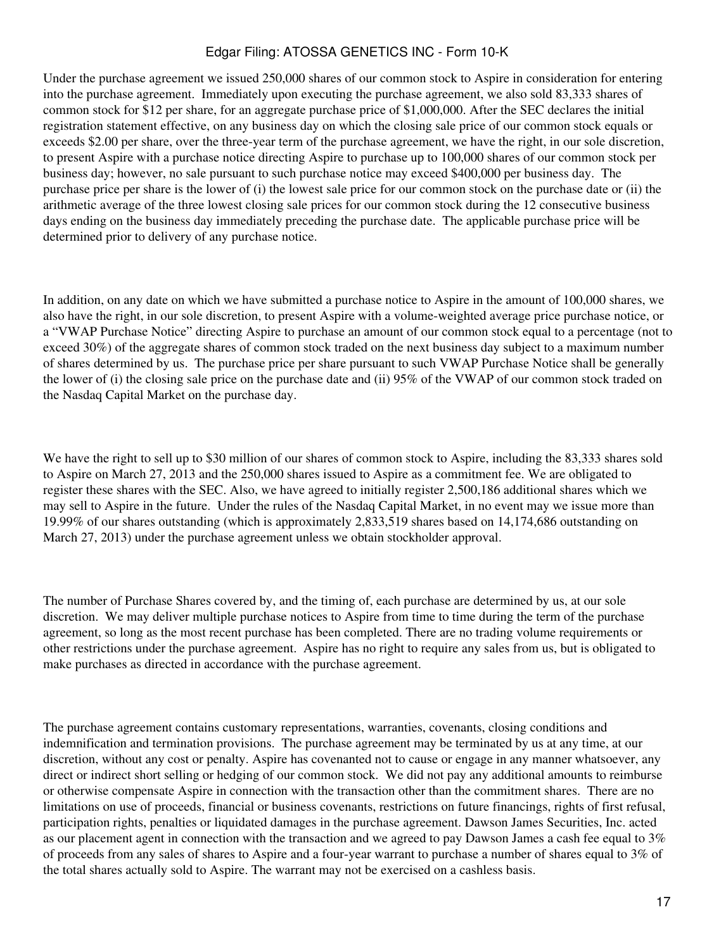Under the purchase agreement we issued 250,000 shares of our common stock to Aspire in consideration for entering into the purchase agreement. Immediately upon executing the purchase agreement, we also sold 83,333 shares of common stock for \$12 per share, for an aggregate purchase price of \$1,000,000. After the SEC declares the initial registration statement effective, on any business day on which the closing sale price of our common stock equals or exceeds \$2.00 per share, over the three-year term of the purchase agreement, we have the right, in our sole discretion, to present Aspire with a purchase notice directing Aspire to purchase up to 100,000 shares of our common stock per business day; however, no sale pursuant to such purchase notice may exceed \$400,000 per business day. The purchase price per share is the lower of (i) the lowest sale price for our common stock on the purchase date or (ii) the arithmetic average of the three lowest closing sale prices for our common stock during the 12 consecutive business days ending on the business day immediately preceding the purchase date. The applicable purchase price will be determined prior to delivery of any purchase notice.

In addition, on any date on which we have submitted a purchase notice to Aspire in the amount of 100,000 shares, we also have the right, in our sole discretion, to present Aspire with a volume-weighted average price purchase notice, or a "VWAP Purchase Notice" directing Aspire to purchase an amount of our common stock equal to a percentage (not to exceed 30%) of the aggregate shares of common stock traded on the next business day subject to a maximum number of shares determined by us. The purchase price per share pursuant to such VWAP Purchase Notice shall be generally the lower of (i) the closing sale price on the purchase date and (ii) 95% of the VWAP of our common stock traded on the Nasdaq Capital Market on the purchase day.

We have the right to sell up to \$30 million of our shares of common stock to Aspire, including the 83,333 shares sold to Aspire on March 27, 2013 and the 250,000 shares issued to Aspire as a commitment fee. We are obligated to register these shares with the SEC. Also, we have agreed to initially register 2,500,186 additional shares which we may sell to Aspire in the future. Under the rules of the Nasdaq Capital Market, in no event may we issue more than 19.99% of our shares outstanding (which is approximately 2,833,519 shares based on 14,174,686 outstanding on March 27, 2013) under the purchase agreement unless we obtain stockholder approval.

The number of Purchase Shares covered by, and the timing of, each purchase are determined by us, at our sole discretion. We may deliver multiple purchase notices to Aspire from time to time during the term of the purchase agreement, so long as the most recent purchase has been completed. There are no trading volume requirements or other restrictions under the purchase agreement. Aspire has no right to require any sales from us, but is obligated to make purchases as directed in accordance with the purchase agreement.

The purchase agreement contains customary representations, warranties, covenants, closing conditions and indemnification and termination provisions. The purchase agreement may be terminated by us at any time, at our discretion, without any cost or penalty. Aspire has covenanted not to cause or engage in any manner whatsoever, any direct or indirect short selling or hedging of our common stock. We did not pay any additional amounts to reimburse or otherwise compensate Aspire in connection with the transaction other than the commitment shares. There are no limitations on use of proceeds, financial or business covenants, restrictions on future financings, rights of first refusal, participation rights, penalties or liquidated damages in the purchase agreement. Dawson James Securities, Inc. acted as our placement agent in connection with the transaction and we agreed to pay Dawson James a cash fee equal to 3% of proceeds from any sales of shares to Aspire and a four-year warrant to purchase a number of shares equal to 3% of the total shares actually sold to Aspire. The warrant may not be exercised on a cashless basis.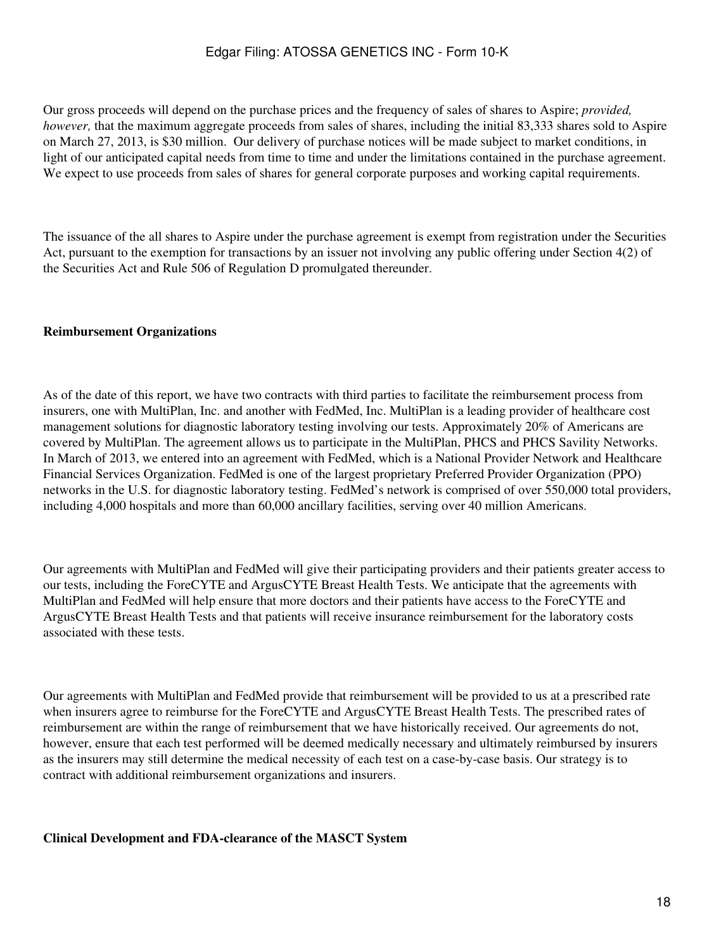Our gross proceeds will depend on the purchase prices and the frequency of sales of shares to Aspire; *provided, however,* that the maximum aggregate proceeds from sales of shares, including the initial 83,333 shares sold to Aspire on March 27, 2013, is \$30 million. Our delivery of purchase notices will be made subject to market conditions, in light of our anticipated capital needs from time to time and under the limitations contained in the purchase agreement. We expect to use proceeds from sales of shares for general corporate purposes and working capital requirements.

The issuance of the all shares to Aspire under the purchase agreement is exempt from registration under the Securities Act, pursuant to the exemption for transactions by an issuer not involving any public offering under Section 4(2) of the Securities Act and Rule 506 of Regulation D promulgated thereunder.

### **Reimbursement Organizations**

As of the date of this report, we have two contracts with third parties to facilitate the reimbursement process from insurers, one with MultiPlan, Inc. and another with FedMed, Inc. MultiPlan is a leading provider of healthcare cost management solutions for diagnostic laboratory testing involving our tests. Approximately 20% of Americans are covered by MultiPlan. The agreement allows us to participate in the MultiPlan, PHCS and PHCS Savility Networks. In March of 2013, we entered into an agreement with FedMed, which is a National Provider Network and Healthcare Financial Services Organization. FedMed is one of the largest proprietary Preferred Provider Organization (PPO) networks in the U.S. for diagnostic laboratory testing. FedMed's network is comprised of over 550,000 total providers, including 4,000 hospitals and more than 60,000 ancillary facilities, serving over 40 million Americans.

Our agreements with MultiPlan and FedMed will give their participating providers and their patients greater access to our tests, including the ForeCYTE and ArgusCYTE Breast Health Tests. We anticipate that the agreements with MultiPlan and FedMed will help ensure that more doctors and their patients have access to the ForeCYTE and ArgusCYTE Breast Health Tests and that patients will receive insurance reimbursement for the laboratory costs associated with these tests.

Our agreements with MultiPlan and FedMed provide that reimbursement will be provided to us at a prescribed rate when insurers agree to reimburse for the ForeCYTE and ArgusCYTE Breast Health Tests. The prescribed rates of reimbursement are within the range of reimbursement that we have historically received. Our agreements do not, however, ensure that each test performed will be deemed medically necessary and ultimately reimbursed by insurers as the insurers may still determine the medical necessity of each test on a case-by-case basis. Our strategy is to contract with additional reimbursement organizations and insurers.

### **Clinical Development and FDA-clearance of the MASCT System**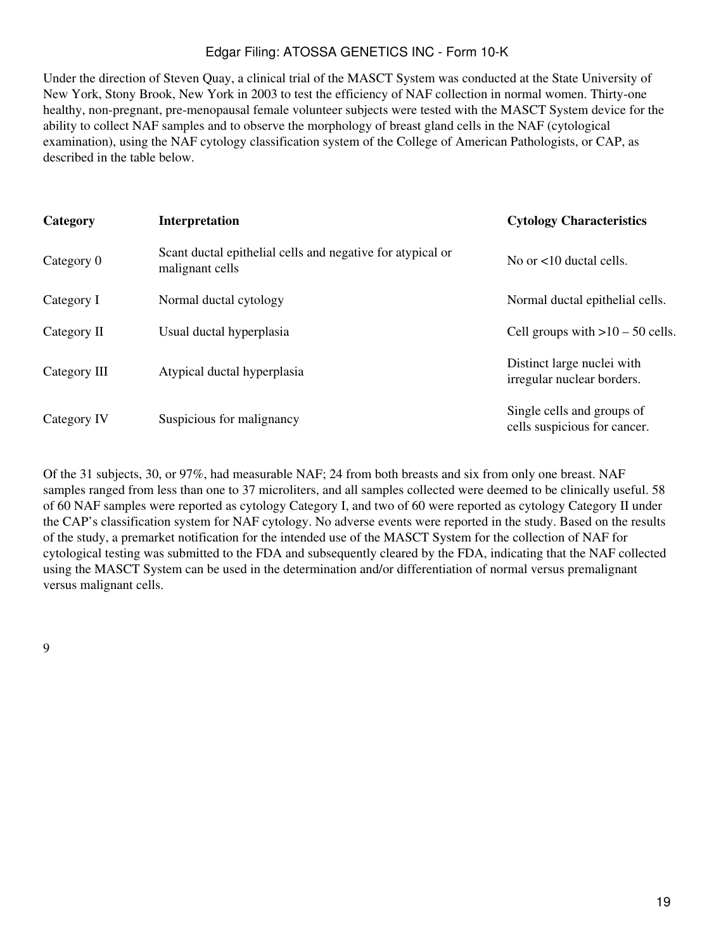Under the direction of Steven Quay, a clinical trial of the MASCT System was conducted at the State University of New York, Stony Brook, New York in 2003 to test the efficiency of NAF collection in normal women. Thirty-one healthy, non-pregnant, pre-menopausal female volunteer subjects were tested with the MASCT System device for the ability to collect NAF samples and to observe the morphology of breast gland cells in the NAF (cytological examination), using the NAF cytology classification system of the College of American Pathologists, or CAP, as described in the table below.

| Category     | Interpretation                                                                | <b>Cytology Characteristics</b>                            |
|--------------|-------------------------------------------------------------------------------|------------------------------------------------------------|
| Category 0   | Scant ductal epithelial cells and negative for atypical or<br>malignant cells | No or $\lt 10$ ductal cells.                               |
| Category I   | Normal ductal cytology                                                        | Normal ductal epithelial cells.                            |
| Category II  | Usual ductal hyperplasia                                                      | Cell groups with $>10-50$ cells.                           |
| Category III | Atypical ductal hyperplasia                                                   | Distinct large nuclei with<br>irregular nuclear borders.   |
| Category IV  | Suspicious for malignancy                                                     | Single cells and groups of<br>cells suspicious for cancer. |

Of the 31 subjects, 30, or 97%, had measurable NAF; 24 from both breasts and six from only one breast. NAF samples ranged from less than one to 37 microliters, and all samples collected were deemed to be clinically useful. 58 of 60 NAF samples were reported as cytology Category I, and two of 60 were reported as cytology Category II under the CAP's classification system for NAF cytology. No adverse events were reported in the study. Based on the results of the study, a premarket notification for the intended use of the MASCT System for the collection of NAF for cytological testing was submitted to the FDA and subsequently cleared by the FDA, indicating that the NAF collected using the MASCT System can be used in the determination and/or differentiation of normal versus premalignant versus malignant cells.

9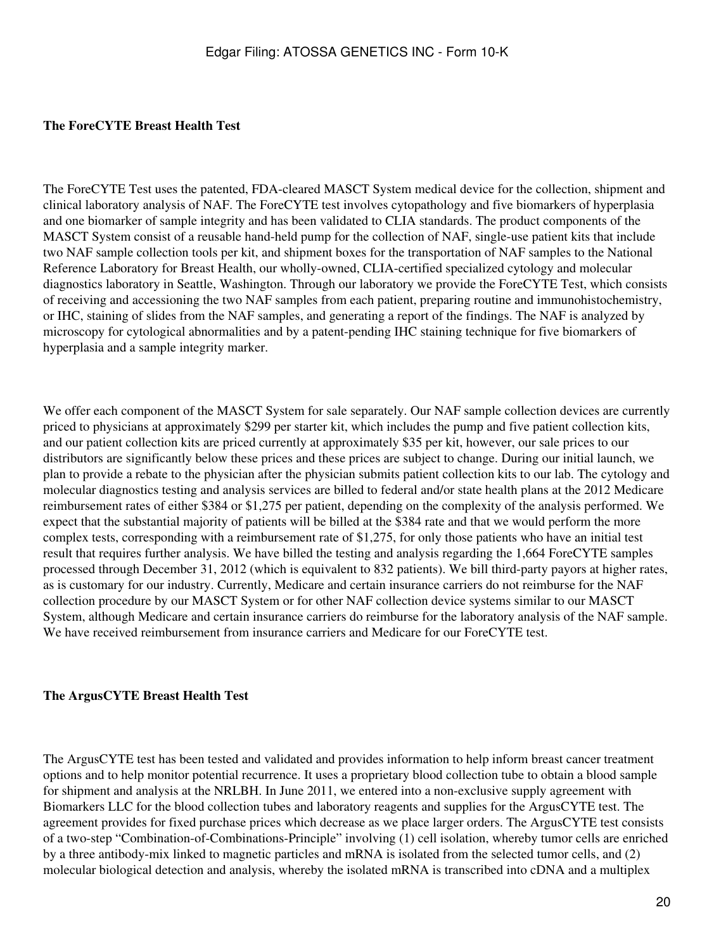### **The ForeCYTE Breast Health Test**

The ForeCYTE Test uses the patented, FDA-cleared MASCT System medical device for the collection, shipment and clinical laboratory analysis of NAF. The ForeCYTE test involves cytopathology and five biomarkers of hyperplasia and one biomarker of sample integrity and has been validated to CLIA standards. The product components of the MASCT System consist of a reusable hand-held pump for the collection of NAF, single-use patient kits that include two NAF sample collection tools per kit, and shipment boxes for the transportation of NAF samples to the National Reference Laboratory for Breast Health, our wholly-owned, CLIA-certified specialized cytology and molecular diagnostics laboratory in Seattle, Washington. Through our laboratory we provide the ForeCYTE Test, which consists of receiving and accessioning the two NAF samples from each patient, preparing routine and immunohistochemistry, or IHC, staining of slides from the NAF samples, and generating a report of the findings. The NAF is analyzed by microscopy for cytological abnormalities and by a patent-pending IHC staining technique for five biomarkers of hyperplasia and a sample integrity marker.

We offer each component of the MASCT System for sale separately. Our NAF sample collection devices are currently priced to physicians at approximately \$299 per starter kit, which includes the pump and five patient collection kits, and our patient collection kits are priced currently at approximately \$35 per kit, however, our sale prices to our distributors are significantly below these prices and these prices are subject to change. During our initial launch, we plan to provide a rebate to the physician after the physician submits patient collection kits to our lab. The cytology and molecular diagnostics testing and analysis services are billed to federal and/or state health plans at the 2012 Medicare reimbursement rates of either \$384 or \$1,275 per patient, depending on the complexity of the analysis performed. We expect that the substantial majority of patients will be billed at the \$384 rate and that we would perform the more complex tests, corresponding with a reimbursement rate of \$1,275, for only those patients who have an initial test result that requires further analysis. We have billed the testing and analysis regarding the 1,664 ForeCYTE samples processed through December 31, 2012 (which is equivalent to 832 patients). We bill third-party payors at higher rates, as is customary for our industry. Currently, Medicare and certain insurance carriers do not reimburse for the NAF collection procedure by our MASCT System or for other NAF collection device systems similar to our MASCT System, although Medicare and certain insurance carriers do reimburse for the laboratory analysis of the NAF sample. We have received reimbursement from insurance carriers and Medicare for our ForeCYTE test.

### **The ArgusCYTE Breast Health Test**

The ArgusCYTE test has been tested and validated and provides information to help inform breast cancer treatment options and to help monitor potential recurrence. It uses a proprietary blood collection tube to obtain a blood sample for shipment and analysis at the NRLBH. In June 2011, we entered into a non-exclusive supply agreement with Biomarkers LLC for the blood collection tubes and laboratory reagents and supplies for the ArgusCYTE test. The agreement provides for fixed purchase prices which decrease as we place larger orders. The ArgusCYTE test consists of a two-step "Combination-of-Combinations-Principle" involving (1) cell isolation, whereby tumor cells are enriched by a three antibody-mix linked to magnetic particles and mRNA is isolated from the selected tumor cells, and (2) molecular biological detection and analysis, whereby the isolated mRNA is transcribed into cDNA and a multiplex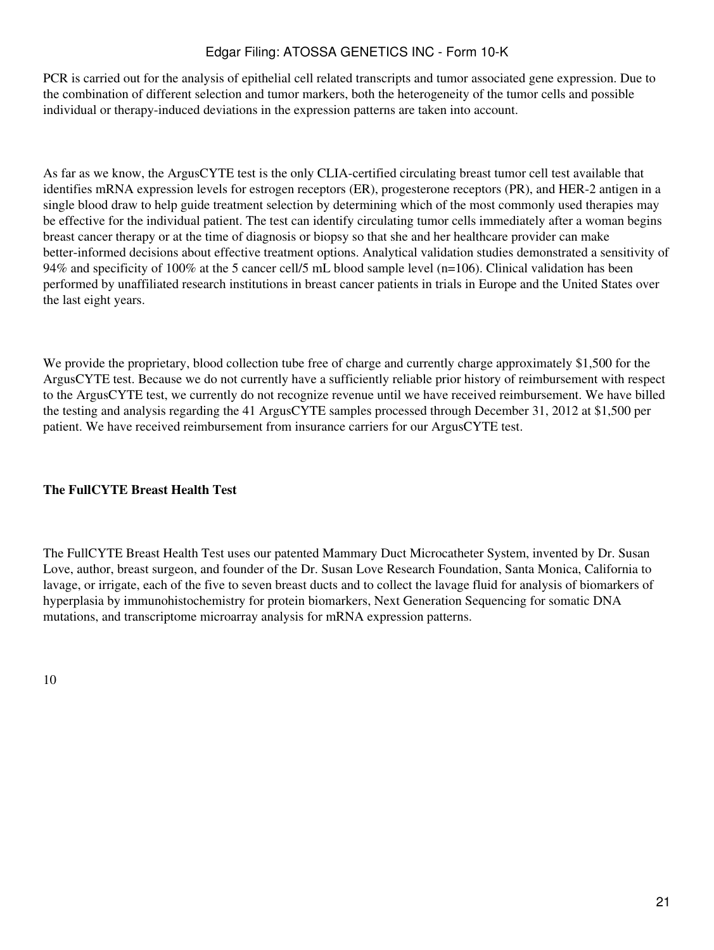PCR is carried out for the analysis of epithelial cell related transcripts and tumor associated gene expression. Due to the combination of different selection and tumor markers, both the heterogeneity of the tumor cells and possible individual or therapy-induced deviations in the expression patterns are taken into account.

As far as we know, the ArgusCYTE test is the only CLIA-certified circulating breast tumor cell test available that identifies mRNA expression levels for estrogen receptors (ER), progesterone receptors (PR), and HER-2 antigen in a single blood draw to help guide treatment selection by determining which of the most commonly used therapies may be effective for the individual patient. The test can identify circulating tumor cells immediately after a woman begins breast cancer therapy or at the time of diagnosis or biopsy so that she and her healthcare provider can make better-informed decisions about effective treatment options. Analytical validation studies demonstrated a sensitivity of 94% and specificity of 100% at the 5 cancer cell/5 mL blood sample level (n=106). Clinical validation has been performed by unaffiliated research institutions in breast cancer patients in trials in Europe and the United States over the last eight years.

We provide the proprietary, blood collection tube free of charge and currently charge approximately \$1,500 for the ArgusCYTE test. Because we do not currently have a sufficiently reliable prior history of reimbursement with respect to the ArgusCYTE test, we currently do not recognize revenue until we have received reimbursement. We have billed the testing and analysis regarding the 41 ArgusCYTE samples processed through December 31, 2012 at \$1,500 per patient. We have received reimbursement from insurance carriers for our ArgusCYTE test.

## **The FullCYTE Breast Health Test**

The FullCYTE Breast Health Test uses our patented Mammary Duct Microcatheter System, invented by Dr. Susan Love, author, breast surgeon, and founder of the Dr. Susan Love Research Foundation, Santa Monica, California to lavage, or irrigate, each of the five to seven breast ducts and to collect the lavage fluid for analysis of biomarkers of hyperplasia by immunohistochemistry for protein biomarkers, Next Generation Sequencing for somatic DNA mutations, and transcriptome microarray analysis for mRNA expression patterns.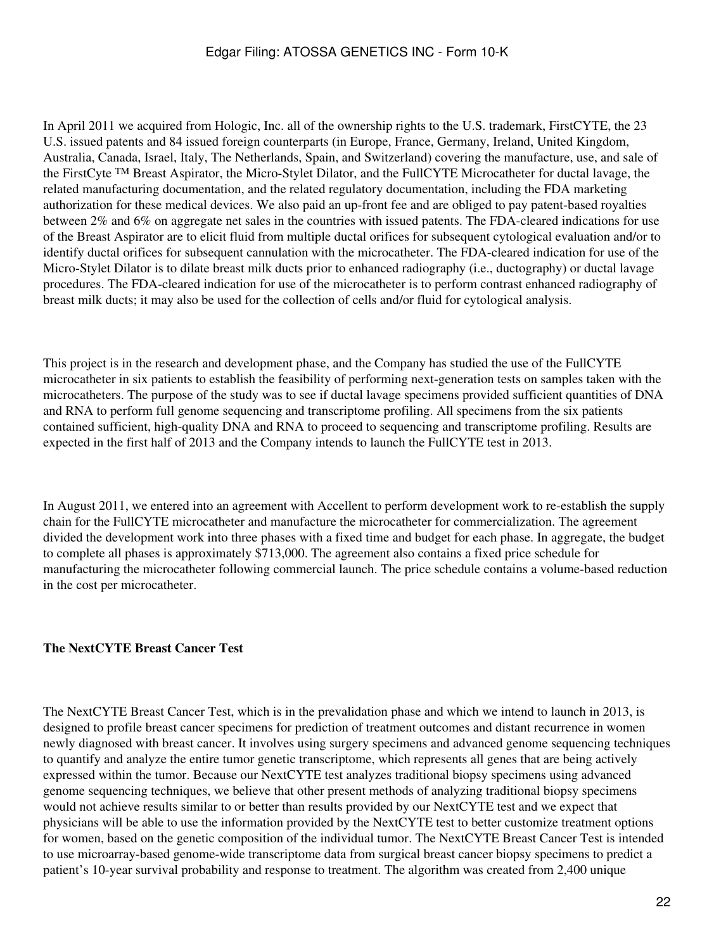In April 2011 we acquired from Hologic, Inc. all of the ownership rights to the U.S. trademark, FirstCYTE, the 23 U.S. issued patents and 84 issued foreign counterparts (in Europe, France, Germany, Ireland, United Kingdom, Australia, Canada, Israel, Italy, The Netherlands, Spain, and Switzerland) covering the manufacture, use, and sale of the FirstCyte TM Breast Aspirator, the Micro-Stylet Dilator, and the FullCYTE Microcatheter for ductal lavage, the related manufacturing documentation, and the related regulatory documentation, including the FDA marketing authorization for these medical devices. We also paid an up-front fee and are obliged to pay patent-based royalties between 2% and 6% on aggregate net sales in the countries with issued patents. The FDA-cleared indications for use of the Breast Aspirator are to elicit fluid from multiple ductal orifices for subsequent cytological evaluation and/or to identify ductal orifices for subsequent cannulation with the microcatheter. The FDA-cleared indication for use of the Micro-Stylet Dilator is to dilate breast milk ducts prior to enhanced radiography (i.e., ductography) or ductal lavage procedures. The FDA-cleared indication for use of the microcatheter is to perform contrast enhanced radiography of breast milk ducts; it may also be used for the collection of cells and/or fluid for cytological analysis.

This project is in the research and development phase, and the Company has studied the use of the FullCYTE microcatheter in six patients to establish the feasibility of performing next-generation tests on samples taken with the microcatheters. The purpose of the study was to see if ductal lavage specimens provided sufficient quantities of DNA and RNA to perform full genome sequencing and transcriptome profiling. All specimens from the six patients contained sufficient, high-quality DNA and RNA to proceed to sequencing and transcriptome profiling. Results are expected in the first half of 2013 and the Company intends to launch the FullCYTE test in 2013.

In August 2011, we entered into an agreement with Accellent to perform development work to re-establish the supply chain for the FullCYTE microcatheter and manufacture the microcatheter for commercialization. The agreement divided the development work into three phases with a fixed time and budget for each phase. In aggregate, the budget to complete all phases is approximately \$713,000. The agreement also contains a fixed price schedule for manufacturing the microcatheter following commercial launch. The price schedule contains a volume-based reduction in the cost per microcatheter.

### **The NextCYTE Breast Cancer Test**

The NextCYTE Breast Cancer Test, which is in the prevalidation phase and which we intend to launch in 2013, is designed to profile breast cancer specimens for prediction of treatment outcomes and distant recurrence in women newly diagnosed with breast cancer. It involves using surgery specimens and advanced genome sequencing techniques to quantify and analyze the entire tumor genetic transcriptome, which represents all genes that are being actively expressed within the tumor. Because our NextCYTE test analyzes traditional biopsy specimens using advanced genome sequencing techniques, we believe that other present methods of analyzing traditional biopsy specimens would not achieve results similar to or better than results provided by our NextCYTE test and we expect that physicians will be able to use the information provided by the NextCYTE test to better customize treatment options for women, based on the genetic composition of the individual tumor. The NextCYTE Breast Cancer Test is intended to use microarray-based genome-wide transcriptome data from surgical breast cancer biopsy specimens to predict a patient's 10-year survival probability and response to treatment. The algorithm was created from 2,400 unique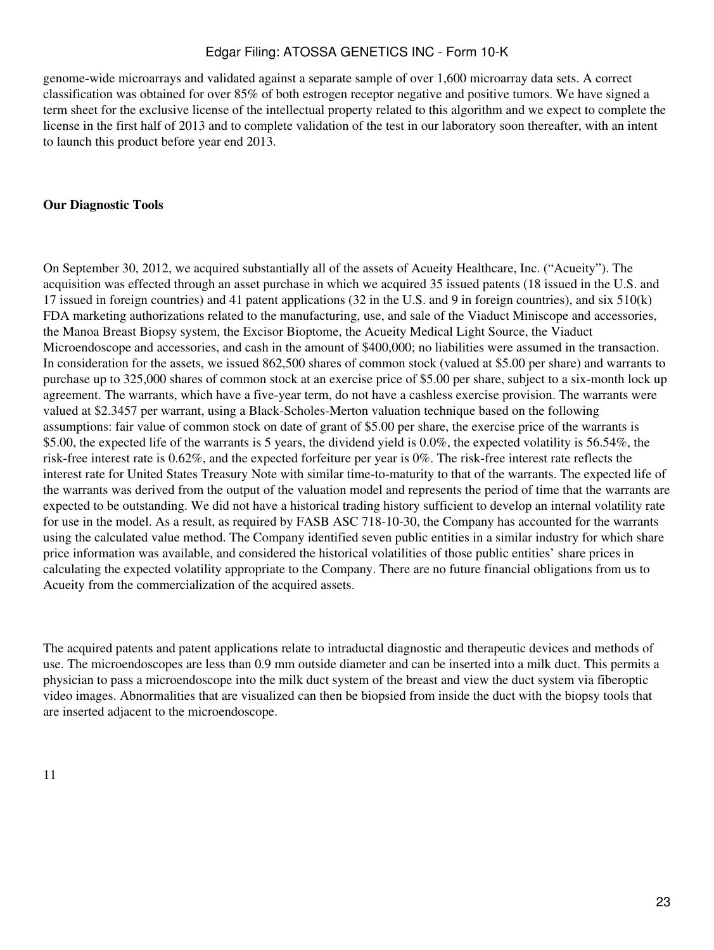genome-wide microarrays and validated against a separate sample of over 1,600 microarray data sets. A correct classification was obtained for over 85% of both estrogen receptor negative and positive tumors. We have signed a term sheet for the exclusive license of the intellectual property related to this algorithm and we expect to complete the license in the first half of 2013 and to complete validation of the test in our laboratory soon thereafter, with an intent to launch this product before year end 2013.

#### **Our Diagnostic Tools**

On September 30, 2012, we acquired substantially all of the assets of Acueity Healthcare, Inc. ("Acueity"). The acquisition was effected through an asset purchase in which we acquired 35 issued patents (18 issued in the U.S. and 17 issued in foreign countries) and 41 patent applications (32 in the U.S. and 9 in foreign countries), and six 510(k) FDA marketing authorizations related to the manufacturing, use, and sale of the Viaduct Miniscope and accessories, the Manoa Breast Biopsy system, the Excisor Bioptome, the Acueity Medical Light Source, the Viaduct Microendoscope and accessories, and cash in the amount of \$400,000; no liabilities were assumed in the transaction. In consideration for the assets, we issued 862,500 shares of common stock (valued at \$5.00 per share) and warrants to purchase up to 325,000 shares of common stock at an exercise price of \$5.00 per share, subject to a six-month lock up agreement. The warrants, which have a five-year term, do not have a cashless exercise provision. The warrants were valued at \$2.3457 per warrant, using a Black-Scholes-Merton valuation technique based on the following assumptions: fair value of common stock on date of grant of \$5.00 per share, the exercise price of the warrants is \$5.00, the expected life of the warrants is 5 years, the dividend yield is 0.0%, the expected volatility is 56.54%, the risk-free interest rate is 0.62%, and the expected forfeiture per year is 0%. The risk-free interest rate reflects the interest rate for United States Treasury Note with similar time-to-maturity to that of the warrants. The expected life of the warrants was derived from the output of the valuation model and represents the period of time that the warrants are expected to be outstanding. We did not have a historical trading history sufficient to develop an internal volatility rate for use in the model. As a result, as required by FASB ASC 718-10-30, the Company has accounted for the warrants using the calculated value method. The Company identified seven public entities in a similar industry for which share price information was available, and considered the historical volatilities of those public entities' share prices in calculating the expected volatility appropriate to the Company. There are no future financial obligations from us to Acueity from the commercialization of the acquired assets.

The acquired patents and patent applications relate to intraductal diagnostic and therapeutic devices and methods of use. The microendoscopes are less than 0.9 mm outside diameter and can be inserted into a milk duct. This permits a physician to pass a microendoscope into the milk duct system of the breast and view the duct system via fiberoptic video images. Abnormalities that are visualized can then be biopsied from inside the duct with the biopsy tools that are inserted adjacent to the microendoscope.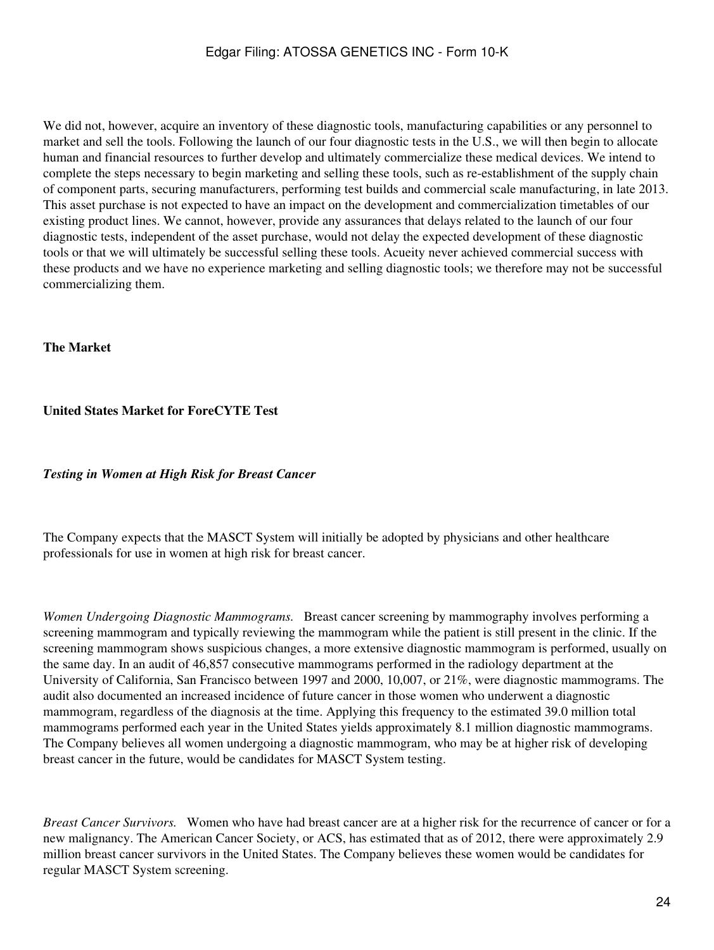We did not, however, acquire an inventory of these diagnostic tools, manufacturing capabilities or any personnel to market and sell the tools. Following the launch of our four diagnostic tests in the U.S., we will then begin to allocate human and financial resources to further develop and ultimately commercialize these medical devices. We intend to complete the steps necessary to begin marketing and selling these tools, such as re-establishment of the supply chain of component parts, securing manufacturers, performing test builds and commercial scale manufacturing, in late 2013. This asset purchase is not expected to have an impact on the development and commercialization timetables of our existing product lines. We cannot, however, provide any assurances that delays related to the launch of our four diagnostic tests, independent of the asset purchase, would not delay the expected development of these diagnostic tools or that we will ultimately be successful selling these tools. Acueity never achieved commercial success with these products and we have no experience marketing and selling diagnostic tools; we therefore may not be successful commercializing them.

### **The Market**

### **United States Market for ForeCYTE Test**

#### *Testing in Women at High Risk for Breast Cancer*

The Company expects that the MASCT System will initially be adopted by physicians and other healthcare professionals for use in women at high risk for breast cancer.

*Women Undergoing Diagnostic Mammograms.* Breast cancer screening by mammography involves performing a screening mammogram and typically reviewing the mammogram while the patient is still present in the clinic. If the screening mammogram shows suspicious changes, a more extensive diagnostic mammogram is performed, usually on the same day. In an audit of 46,857 consecutive mammograms performed in the radiology department at the University of California, San Francisco between 1997 and 2000, 10,007, or 21%, were diagnostic mammograms. The audit also documented an increased incidence of future cancer in those women who underwent a diagnostic mammogram, regardless of the diagnosis at the time. Applying this frequency to the estimated 39.0 million total mammograms performed each year in the United States yields approximately 8.1 million diagnostic mammograms. The Company believes all women undergoing a diagnostic mammogram, who may be at higher risk of developing breast cancer in the future, would be candidates for MASCT System testing.

*Breast Cancer Survivors.* Women who have had breast cancer are at a higher risk for the recurrence of cancer or for a new malignancy. The American Cancer Society, or ACS, has estimated that as of 2012, there were approximately 2.9 million breast cancer survivors in the United States. The Company believes these women would be candidates for regular MASCT System screening.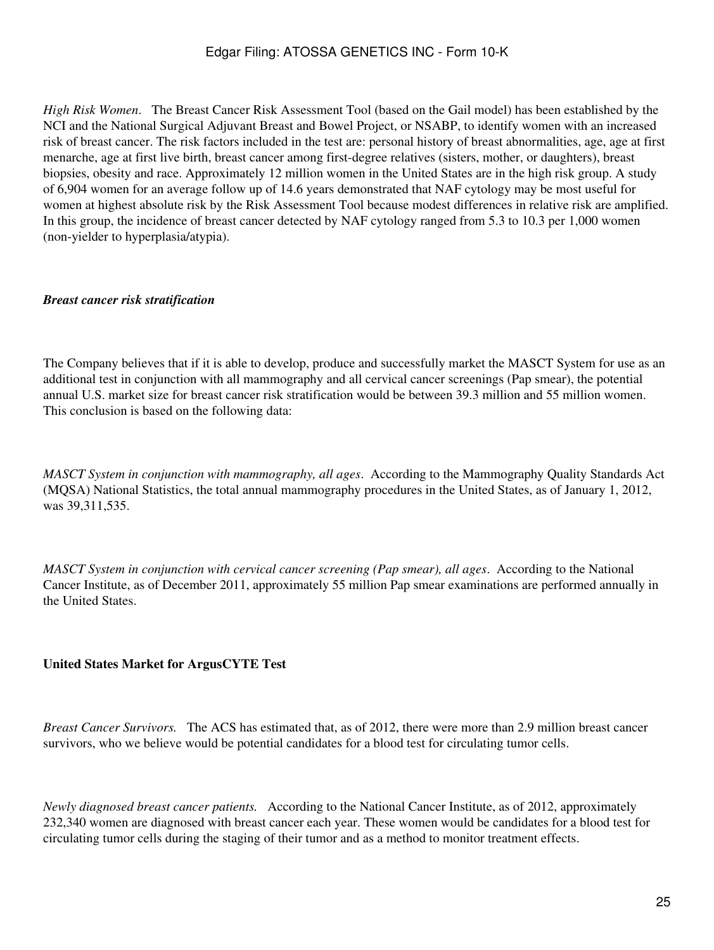*High Risk Women*. The Breast Cancer Risk Assessment Tool (based on the Gail model) has been established by the NCI and the National Surgical Adjuvant Breast and Bowel Project, or NSABP, to identify women with an increased risk of breast cancer. The risk factors included in the test are: personal history of breast abnormalities, age, age at first menarche, age at first live birth, breast cancer among first-degree relatives (sisters, mother, or daughters), breast biopsies, obesity and race. Approximately 12 million women in the United States are in the high risk group. A study of 6,904 women for an average follow up of 14.6 years demonstrated that NAF cytology may be most useful for women at highest absolute risk by the Risk Assessment Tool because modest differences in relative risk are amplified. In this group, the incidence of breast cancer detected by NAF cytology ranged from 5.3 to 10.3 per 1,000 women (non-yielder to hyperplasia/atypia).

### *Breast cancer risk stratification*

The Company believes that if it is able to develop, produce and successfully market the MASCT System for use as an additional test in conjunction with all mammography and all cervical cancer screenings (Pap smear), the potential annual U.S. market size for breast cancer risk stratification would be between 39.3 million and 55 million women. This conclusion is based on the following data:

*MASCT System in conjunction with mammography, all ages*. According to the Mammography Quality Standards Act (MQSA) National Statistics, the total annual mammography procedures in the United States, as of January 1, 2012, was 39,311,535.

*MASCT System in conjunction with cervical cancer screening (Pap smear), all ages*. According to the National Cancer Institute, as of December 2011, approximately 55 million Pap smear examinations are performed annually in the United States.

## **United States Market for ArgusCYTE Test**

*Breast Cancer Survivors.* The ACS has estimated that, as of 2012, there were more than 2.9 million breast cancer survivors, who we believe would be potential candidates for a blood test for circulating tumor cells.

*Newly diagnosed breast cancer patients.* According to the National Cancer Institute, as of 2012, approximately 232,340 women are diagnosed with breast cancer each year. These women would be candidates for a blood test for circulating tumor cells during the staging of their tumor and as a method to monitor treatment effects.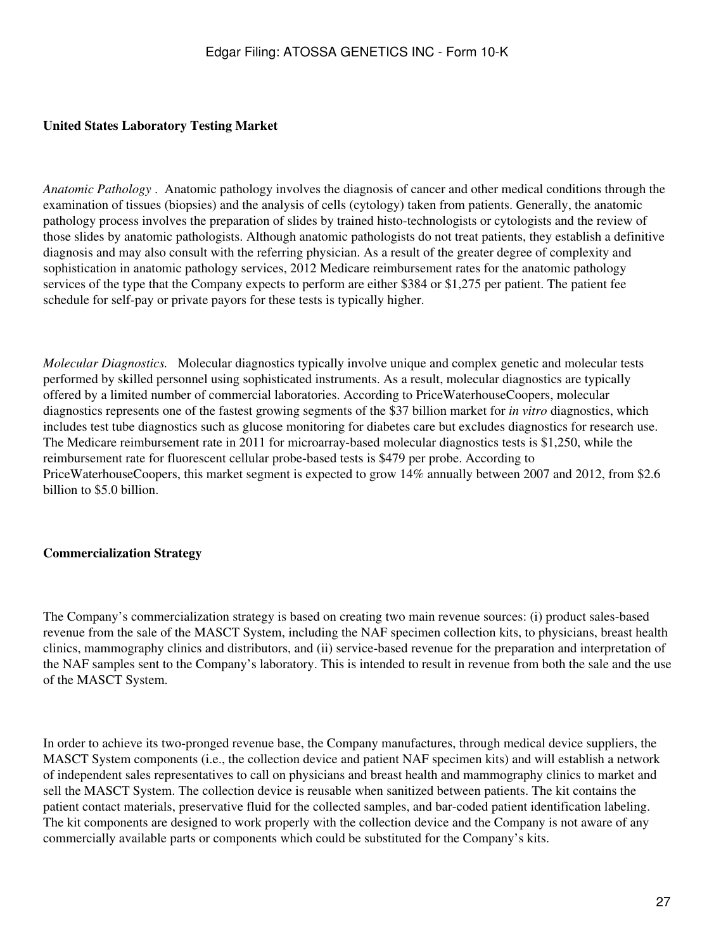## **United States Laboratory Testing Market**

*Anatomic Pathology* . Anatomic pathology involves the diagnosis of cancer and other medical conditions through the examination of tissues (biopsies) and the analysis of cells (cytology) taken from patients. Generally, the anatomic pathology process involves the preparation of slides by trained histo-technologists or cytologists and the review of those slides by anatomic pathologists. Although anatomic pathologists do not treat patients, they establish a definitive diagnosis and may also consult with the referring physician. As a result of the greater degree of complexity and sophistication in anatomic pathology services, 2012 Medicare reimbursement rates for the anatomic pathology services of the type that the Company expects to perform are either \$384 or \$1,275 per patient. The patient fee schedule for self-pay or private payors for these tests is typically higher.

*Molecular Diagnostics.* Molecular diagnostics typically involve unique and complex genetic and molecular tests performed by skilled personnel using sophisticated instruments. As a result, molecular diagnostics are typically offered by a limited number of commercial laboratories. According to PriceWaterhouseCoopers, molecular diagnostics represents one of the fastest growing segments of the \$37 billion market for *in vitro* diagnostics, which includes test tube diagnostics such as glucose monitoring for diabetes care but excludes diagnostics for research use. The Medicare reimbursement rate in 2011 for microarray-based molecular diagnostics tests is \$1,250, while the reimbursement rate for fluorescent cellular probe-based tests is \$479 per probe. According to PriceWaterhouseCoopers, this market segment is expected to grow 14% annually between 2007 and 2012, from \$2.6 billion to \$5.0 billion.

### **Commercialization Strategy**

The Company's commercialization strategy is based on creating two main revenue sources: (i) product sales-based revenue from the sale of the MASCT System, including the NAF specimen collection kits, to physicians, breast health clinics, mammography clinics and distributors, and (ii) service-based revenue for the preparation and interpretation of the NAF samples sent to the Company's laboratory. This is intended to result in revenue from both the sale and the use of the MASCT System.

In order to achieve its two-pronged revenue base, the Company manufactures, through medical device suppliers, the MASCT System components (i.e., the collection device and patient NAF specimen kits) and will establish a network of independent sales representatives to call on physicians and breast health and mammography clinics to market and sell the MASCT System. The collection device is reusable when sanitized between patients. The kit contains the patient contact materials, preservative fluid for the collected samples, and bar-coded patient identification labeling. The kit components are designed to work properly with the collection device and the Company is not aware of any commercially available parts or components which could be substituted for the Company's kits.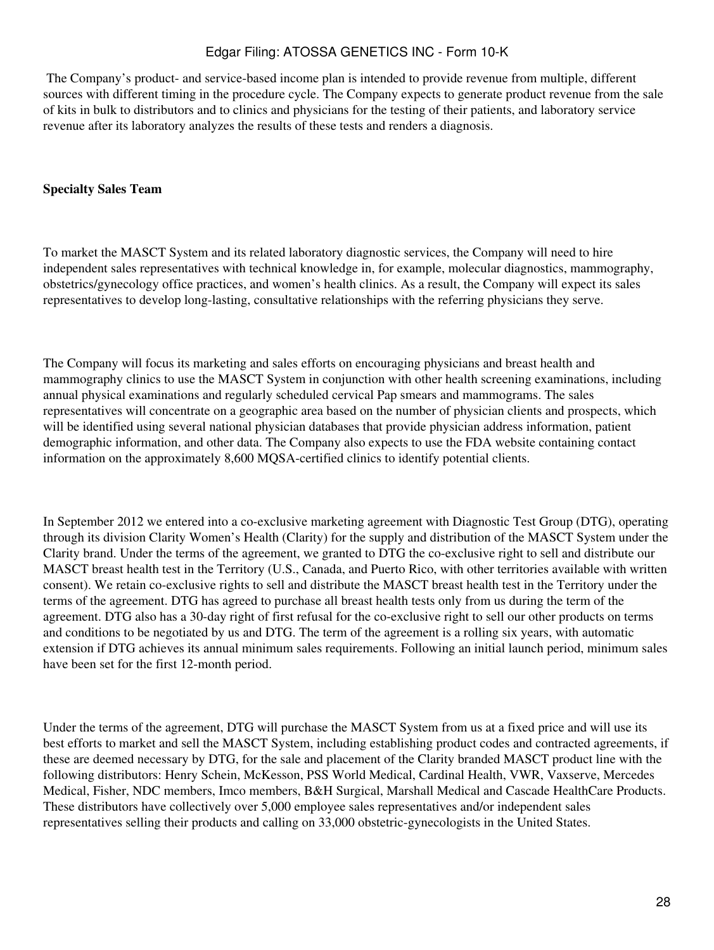The Company's product- and service-based income plan is intended to provide revenue from multiple, different sources with different timing in the procedure cycle. The Company expects to generate product revenue from the sale of kits in bulk to distributors and to clinics and physicians for the testing of their patients, and laboratory service revenue after its laboratory analyzes the results of these tests and renders a diagnosis.

### **Specialty Sales Team**

To market the MASCT System and its related laboratory diagnostic services, the Company will need to hire independent sales representatives with technical knowledge in, for example, molecular diagnostics, mammography, obstetrics/gynecology office practices, and women's health clinics. As a result, the Company will expect its sales representatives to develop long-lasting, consultative relationships with the referring physicians they serve.

The Company will focus its marketing and sales efforts on encouraging physicians and breast health and mammography clinics to use the MASCT System in conjunction with other health screening examinations, including annual physical examinations and regularly scheduled cervical Pap smears and mammograms. The sales representatives will concentrate on a geographic area based on the number of physician clients and prospects, which will be identified using several national physician databases that provide physician address information, patient demographic information, and other data. The Company also expects to use the FDA website containing contact information on the approximately 8,600 MQSA-certified clinics to identify potential clients.

In September 2012 we entered into a co-exclusive marketing agreement with Diagnostic Test Group (DTG), operating through its division Clarity Women's Health (Clarity) for the supply and distribution of the MASCT System under the Clarity brand. Under the terms of the agreement, we granted to DTG the co-exclusive right to sell and distribute our MASCT breast health test in the Territory (U.S., Canada, and Puerto Rico, with other territories available with written consent). We retain co-exclusive rights to sell and distribute the MASCT breast health test in the Territory under the terms of the agreement. DTG has agreed to purchase all breast health tests only from us during the term of the agreement. DTG also has a 30-day right of first refusal for the co-exclusive right to sell our other products on terms and conditions to be negotiated by us and DTG. The term of the agreement is a rolling six years, with automatic extension if DTG achieves its annual minimum sales requirements. Following an initial launch period, minimum sales have been set for the first 12-month period.

Under the terms of the agreement, DTG will purchase the MASCT System from us at a fixed price and will use its best efforts to market and sell the MASCT System, including establishing product codes and contracted agreements, if these are deemed necessary by DTG, for the sale and placement of the Clarity branded MASCT product line with the following distributors: Henry Schein, McKesson, PSS World Medical, Cardinal Health, VWR, Vaxserve, Mercedes Medical, Fisher, NDC members, Imco members, B&H Surgical, Marshall Medical and Cascade HealthCare Products. These distributors have collectively over 5,000 employee sales representatives and/or independent sales representatives selling their products and calling on 33,000 obstetric-gynecologists in the United States.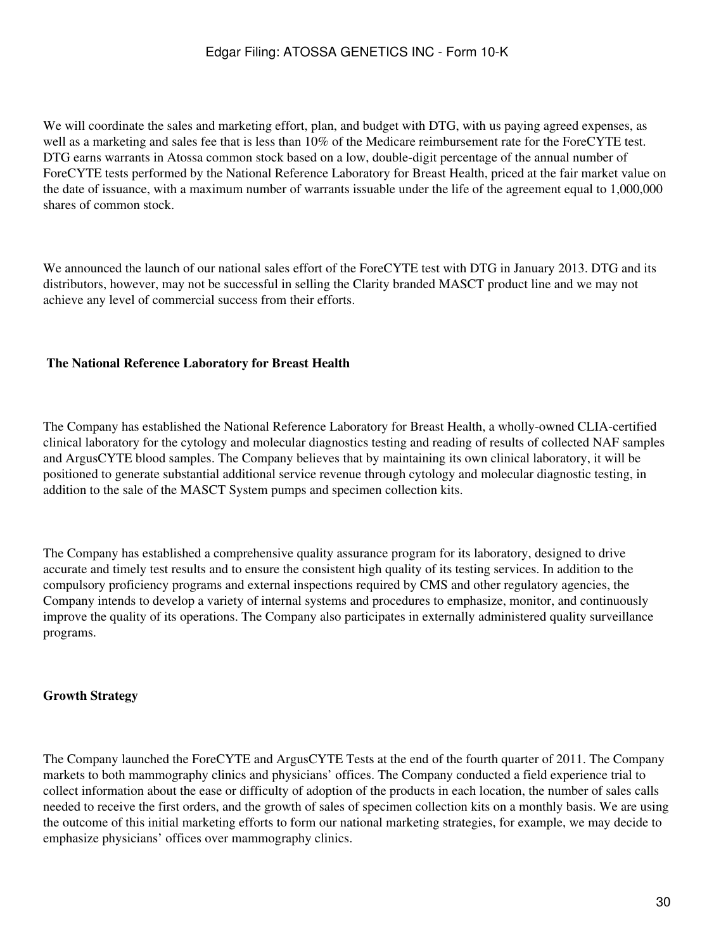We will coordinate the sales and marketing effort, plan, and budget with DTG, with us paying agreed expenses, as well as a marketing and sales fee that is less than 10% of the Medicare reimbursement rate for the ForeCYTE test. DTG earns warrants in Atossa common stock based on a low, double-digit percentage of the annual number of ForeCYTE tests performed by the National Reference Laboratory for Breast Health, priced at the fair market value on the date of issuance, with a maximum number of warrants issuable under the life of the agreement equal to 1,000,000 shares of common stock.

We announced the launch of our national sales effort of the ForeCYTE test with DTG in January 2013. DTG and its distributors, however, may not be successful in selling the Clarity branded MASCT product line and we may not achieve any level of commercial success from their efforts.

### **The National Reference Laboratory for Breast Health**

The Company has established the National Reference Laboratory for Breast Health, a wholly-owned CLIA-certified clinical laboratory for the cytology and molecular diagnostics testing and reading of results of collected NAF samples and ArgusCYTE blood samples. The Company believes that by maintaining its own clinical laboratory, it will be positioned to generate substantial additional service revenue through cytology and molecular diagnostic testing, in addition to the sale of the MASCT System pumps and specimen collection kits.

The Company has established a comprehensive quality assurance program for its laboratory, designed to drive accurate and timely test results and to ensure the consistent high quality of its testing services. In addition to the compulsory proficiency programs and external inspections required by CMS and other regulatory agencies, the Company intends to develop a variety of internal systems and procedures to emphasize, monitor, and continuously improve the quality of its operations. The Company also participates in externally administered quality surveillance programs.

## **Growth Strategy**

The Company launched the ForeCYTE and ArgusCYTE Tests at the end of the fourth quarter of 2011. The Company markets to both mammography clinics and physicians' offices. The Company conducted a field experience trial to collect information about the ease or difficulty of adoption of the products in each location, the number of sales calls needed to receive the first orders, and the growth of sales of specimen collection kits on a monthly basis. We are using the outcome of this initial marketing efforts to form our national marketing strategies, for example, we may decide to emphasize physicians' offices over mammography clinics.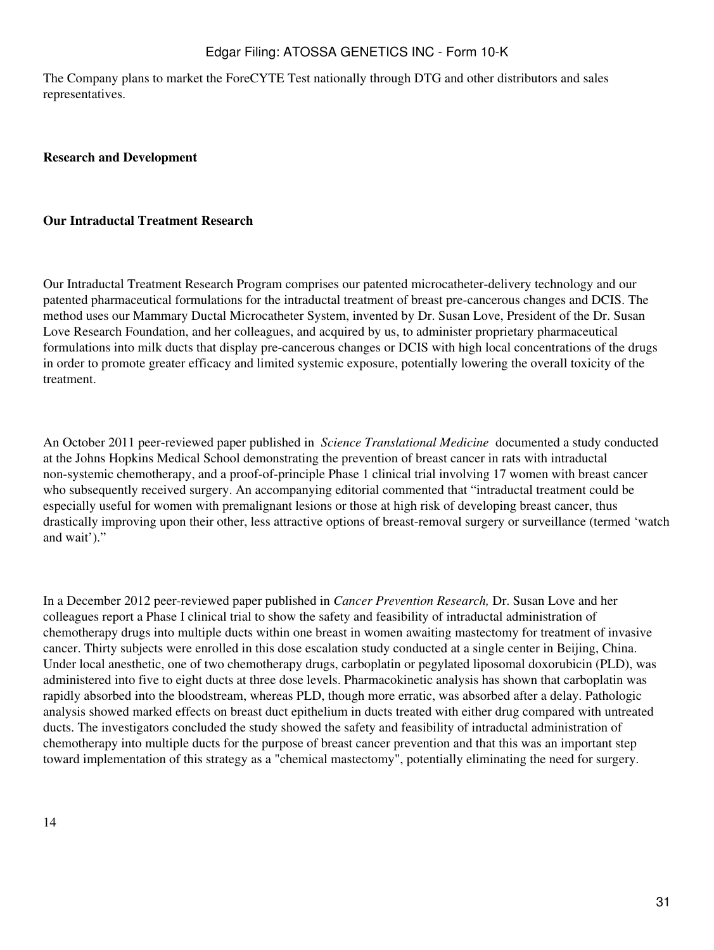The Company plans to market the ForeCYTE Test nationally through DTG and other distributors and sales representatives.

#### **Research and Development**

#### **Our Intraductal Treatment Research**

Our Intraductal Treatment Research Program comprises our patented microcatheter-delivery technology and our patented pharmaceutical formulations for the intraductal treatment of breast pre-cancerous changes and DCIS. The method uses our Mammary Ductal Microcatheter System, invented by Dr. Susan Love, President of the Dr. Susan Love Research Foundation, and her colleagues, and acquired by us, to administer proprietary pharmaceutical formulations into milk ducts that display pre-cancerous changes or DCIS with high local concentrations of the drugs in order to promote greater efficacy and limited systemic exposure, potentially lowering the overall toxicity of the treatment.

An October 2011 peer-reviewed paper published in *Science Translational Medicine* documented a study conducted at the Johns Hopkins Medical School demonstrating the prevention of breast cancer in rats with intraductal non-systemic chemotherapy, and a proof-of-principle Phase 1 clinical trial involving 17 women with breast cancer who subsequently received surgery. An accompanying editorial commented that "intraductal treatment could be especially useful for women with premalignant lesions or those at high risk of developing breast cancer, thus drastically improving upon their other, less attractive options of breast-removal surgery or surveillance (termed 'watch and wait')."

In a December 2012 peer-reviewed paper published in *Cancer Prevention Research,* Dr. Susan Love and her colleagues report a Phase I clinical trial to show the safety and feasibility of intraductal administration of chemotherapy drugs into multiple ducts within one breast in women awaiting mastectomy for treatment of invasive cancer. Thirty subjects were enrolled in this dose escalation study conducted at a single center in Beijing, China. Under local anesthetic, one of two chemotherapy drugs, carboplatin or pegylated liposomal doxorubicin (PLD), was administered into five to eight ducts at three dose levels. Pharmacokinetic analysis has shown that carboplatin was rapidly absorbed into the bloodstream, whereas PLD, though more erratic, was absorbed after a delay. Pathologic analysis showed marked effects on breast duct epithelium in ducts treated with either drug compared with untreated ducts. The investigators concluded the study showed the safety and feasibility of intraductal administration of chemotherapy into multiple ducts for the purpose of breast cancer prevention and that this was an important step toward implementation of this strategy as a "chemical mastectomy", potentially eliminating the need for surgery.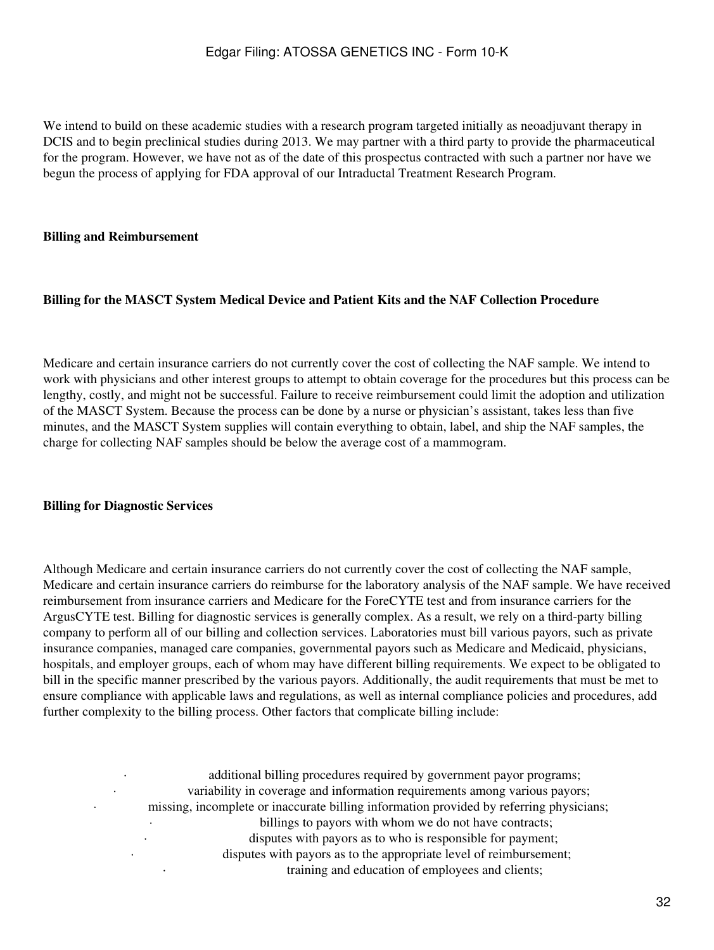We intend to build on these academic studies with a research program targeted initially as neoadjuvant therapy in DCIS and to begin preclinical studies during 2013. We may partner with a third party to provide the pharmaceutical for the program. However, we have not as of the date of this prospectus contracted with such a partner nor have we begun the process of applying for FDA approval of our Intraductal Treatment Research Program.

### **Billing and Reimbursement**

#### **Billing for the MASCT System Medical Device and Patient Kits and the NAF Collection Procedure**

Medicare and certain insurance carriers do not currently cover the cost of collecting the NAF sample. We intend to work with physicians and other interest groups to attempt to obtain coverage for the procedures but this process can be lengthy, costly, and might not be successful. Failure to receive reimbursement could limit the adoption and utilization of the MASCT System. Because the process can be done by a nurse or physician's assistant, takes less than five minutes, and the MASCT System supplies will contain everything to obtain, label, and ship the NAF samples, the charge for collecting NAF samples should be below the average cost of a mammogram.

#### **Billing for Diagnostic Services**

Although Medicare and certain insurance carriers do not currently cover the cost of collecting the NAF sample, Medicare and certain insurance carriers do reimburse for the laboratory analysis of the NAF sample. We have received reimbursement from insurance carriers and Medicare for the ForeCYTE test and from insurance carriers for the ArgusCYTE test. Billing for diagnostic services is generally complex. As a result, we rely on a third-party billing company to perform all of our billing and collection services. Laboratories must bill various payors, such as private insurance companies, managed care companies, governmental payors such as Medicare and Medicaid, physicians, hospitals, and employer groups, each of whom may have different billing requirements. We expect to be obligated to bill in the specific manner prescribed by the various payors. Additionally, the audit requirements that must be met to ensure compliance with applicable laws and regulations, as well as internal compliance policies and procedures, add further complexity to the billing process. Other factors that complicate billing include:

additional billing procedures required by government payor programs; variability in coverage and information requirements among various payors; · missing, incomplete or inaccurate billing information provided by referring physicians; billings to payors with whom we do not have contracts; disputes with payors as to who is responsible for payment; disputes with payors as to the appropriate level of reimbursement; training and education of employees and clients;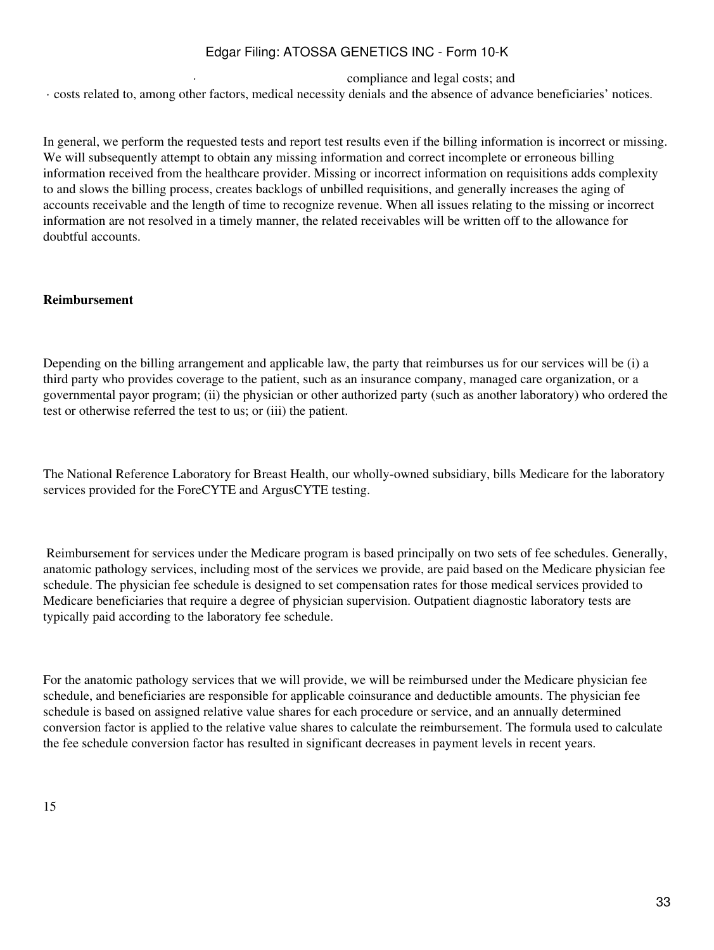compliance and legal costs; and

· costs related to, among other factors, medical necessity denials and the absence of advance beneficiaries' notices.

In general, we perform the requested tests and report test results even if the billing information is incorrect or missing. We will subsequently attempt to obtain any missing information and correct incomplete or erroneous billing information received from the healthcare provider. Missing or incorrect information on requisitions adds complexity to and slows the billing process, creates backlogs of unbilled requisitions, and generally increases the aging of accounts receivable and the length of time to recognize revenue. When all issues relating to the missing or incorrect information are not resolved in a timely manner, the related receivables will be written off to the allowance for doubtful accounts.

### **Reimbursement**

Depending on the billing arrangement and applicable law, the party that reimburses us for our services will be (i) a third party who provides coverage to the patient, such as an insurance company, managed care organization, or a governmental payor program; (ii) the physician or other authorized party (such as another laboratory) who ordered the test or otherwise referred the test to us; or (iii) the patient.

The National Reference Laboratory for Breast Health, our wholly-owned subsidiary, bills Medicare for the laboratory services provided for the ForeCYTE and ArgusCYTE testing.

 Reimbursement for services under the Medicare program is based principally on two sets of fee schedules. Generally, anatomic pathology services, including most of the services we provide, are paid based on the Medicare physician fee schedule. The physician fee schedule is designed to set compensation rates for those medical services provided to Medicare beneficiaries that require a degree of physician supervision. Outpatient diagnostic laboratory tests are typically paid according to the laboratory fee schedule.

For the anatomic pathology services that we will provide, we will be reimbursed under the Medicare physician fee schedule, and beneficiaries are responsible for applicable coinsurance and deductible amounts. The physician fee schedule is based on assigned relative value shares for each procedure or service, and an annually determined conversion factor is applied to the relative value shares to calculate the reimbursement. The formula used to calculate the fee schedule conversion factor has resulted in significant decreases in payment levels in recent years.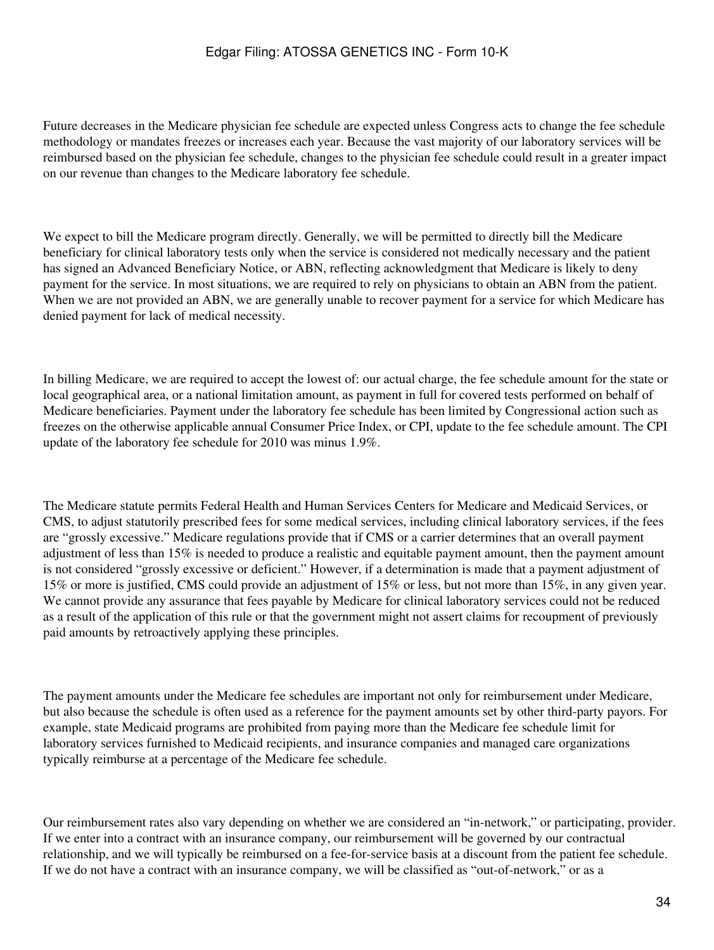Future decreases in the Medicare physician fee schedule are expected unless Congress acts to change the fee schedule methodology or mandates freezes or increases each year. Because the vast majority of our laboratory services will be reimbursed based on the physician fee schedule, changes to the physician fee schedule could result in a greater impact on our revenue than changes to the Medicare laboratory fee schedule.

We expect to bill the Medicare program directly. Generally, we will be permitted to directly bill the Medicare beneficiary for clinical laboratory tests only when the service is considered not medically necessary and the patient has signed an Advanced Beneficiary Notice, or ABN, reflecting acknowledgment that Medicare is likely to deny payment for the service. In most situations, we are required to rely on physicians to obtain an ABN from the patient. When we are not provided an ABN, we are generally unable to recover payment for a service for which Medicare has denied payment for lack of medical necessity.

In billing Medicare, we are required to accept the lowest of: our actual charge, the fee schedule amount for the state or local geographical area, or a national limitation amount, as payment in full for covered tests performed on behalf of Medicare beneficiaries. Payment under the laboratory fee schedule has been limited by Congressional action such as freezes on the otherwise applicable annual Consumer Price Index, or CPI, update to the fee schedule amount. The CPI update of the laboratory fee schedule for 2010 was minus 1.9%.

The Medicare statute permits Federal Health and Human Services Centers for Medicare and Medicaid Services, or CMS, to adjust statutorily prescribed fees for some medical services, including clinical laboratory services, if the fees are "grossly excessive." Medicare regulations provide that if CMS or a carrier determines that an overall payment adjustment of less than 15% is needed to produce a realistic and equitable payment amount, then the payment amount is not considered "grossly excessive or deficient." However, if a determination is made that a payment adjustment of 15% or more is justified, CMS could provide an adjustment of 15% or less, but not more than 15%, in any given year. We cannot provide any assurance that fees payable by Medicare for clinical laboratory services could not be reduced as a result of the application of this rule or that the government might not assert claims for recoupment of previously paid amounts by retroactively applying these principles.

The payment amounts under the Medicare fee schedules are important not only for reimbursement under Medicare, but also because the schedule is often used as a reference for the payment amounts set by other third-party payors. For example, state Medicaid programs are prohibited from paying more than the Medicare fee schedule limit for laboratory services furnished to Medicaid recipients, and insurance companies and managed care organizations typically reimburse at a percentage of the Medicare fee schedule.

Our reimbursement rates also vary depending on whether we are considered an "in-network," or participating, provider. If we enter into a contract with an insurance company, our reimbursement will be governed by our contractual relationship, and we will typically be reimbursed on a fee-for-service basis at a discount from the patient fee schedule. If we do not have a contract with an insurance company, we will be classified as "out-of-network," or as a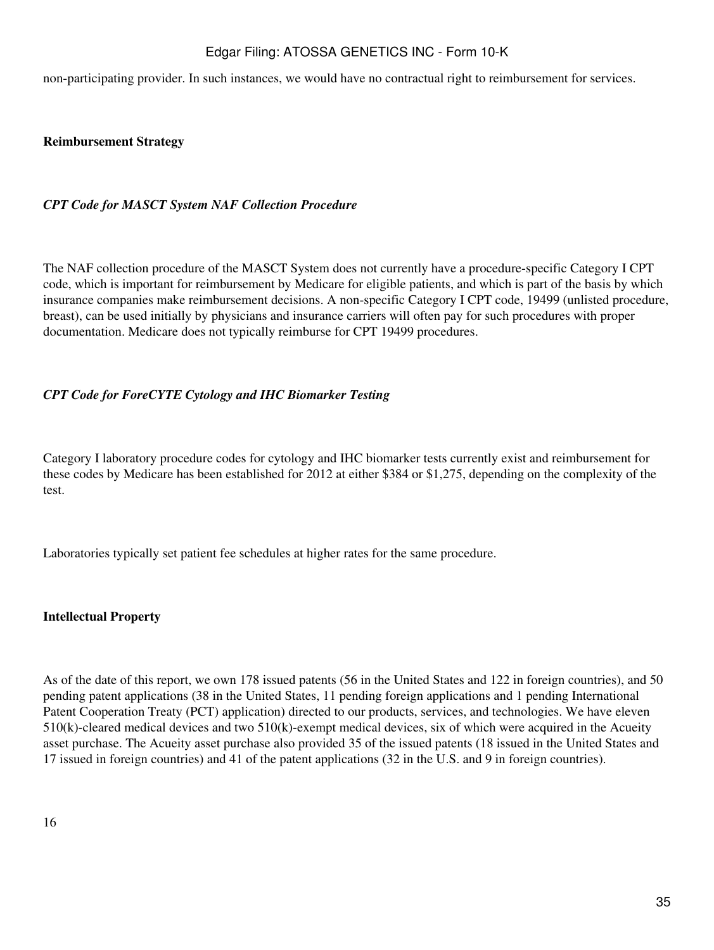non-participating provider. In such instances, we would have no contractual right to reimbursement for services.

## **Reimbursement Strategy**

### *CPT Code for MASCT System NAF Collection Procedure*

The NAF collection procedure of the MASCT System does not currently have a procedure-specific Category I CPT code, which is important for reimbursement by Medicare for eligible patients, and which is part of the basis by which insurance companies make reimbursement decisions. A non-specific Category I CPT code, 19499 (unlisted procedure, breast), can be used initially by physicians and insurance carriers will often pay for such procedures with proper documentation. Medicare does not typically reimburse for CPT 19499 procedures.

## *CPT Code for ForeCYTE Cytology and IHC Biomarker Testing*

Category I laboratory procedure codes for cytology and IHC biomarker tests currently exist and reimbursement for these codes by Medicare has been established for 2012 at either \$384 or \$1,275, depending on the complexity of the test.

Laboratories typically set patient fee schedules at higher rates for the same procedure.

### **Intellectual Property**

As of the date of this report, we own 178 issued patents (56 in the United States and 122 in foreign countries), and 50 pending patent applications (38 in the United States, 11 pending foreign applications and 1 pending International Patent Cooperation Treaty (PCT) application) directed to our products, services, and technologies. We have eleven 510(k)-cleared medical devices and two 510(k)-exempt medical devices, six of which were acquired in the Acueity asset purchase. The Acueity asset purchase also provided 35 of the issued patents (18 issued in the United States and 17 issued in foreign countries) and 41 of the patent applications (32 in the U.S. and 9 in foreign countries).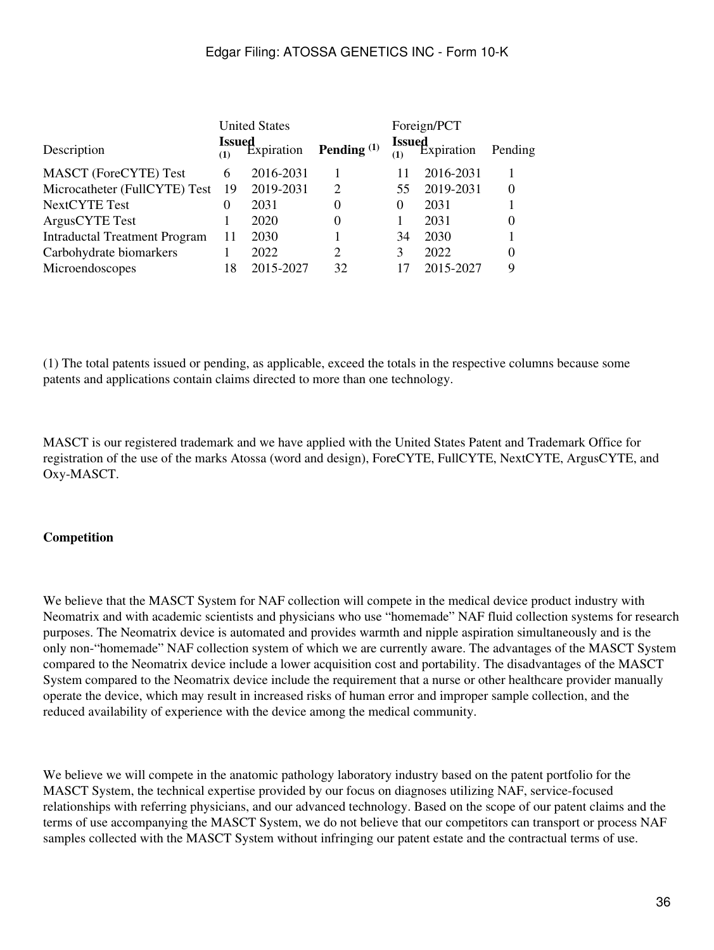|                                      | <b>United States</b> |                                 |                | Foreign/PCT          |            |          |
|--------------------------------------|----------------------|---------------------------------|----------------|----------------------|------------|----------|
| Description                          | (1)                  | <b>Issued</b><br>(1) Expiration | Pending $(1)$  | <b>Issued</b><br>(1) | Expiration | Pending  |
| <b>MASCT</b> (ForeCYTE) Test         | 6                    | 2016-2031                       |                | 11                   | 2016-2031  |          |
| Microcatheter (FullCYTE) Test        | -19                  | 2019-2031                       | 2              | 55                   | 2019-2031  | $\theta$ |
| <b>NextCYTE Test</b>                 | $\Omega$             | 2031                            | 0              | $\Omega$             | 2031       |          |
| Argus CYTE Test                      |                      | 2020                            | 0              |                      | 2031       |          |
| <b>Intraductal Treatment Program</b> | 11                   | 2030                            |                | 34                   | 2030       |          |
| Carbohydrate biomarkers              |                      | 2022                            | $\overline{2}$ | $\mathcal{F}$        | 2022       | $\theta$ |
| Microendoscopes                      | 18                   | 2015-2027                       | 32             | 17                   | 2015-2027  | 9        |

(1) The total patents issued or pending, as applicable, exceed the totals in the respective columns because some patents and applications contain claims directed to more than one technology.

MASCT is our registered trademark and we have applied with the United States Patent and Trademark Office for registration of the use of the marks Atossa (word and design), ForeCYTE, FullCYTE, NextCYTE, ArgusCYTE, and Oxy-MASCT.

### **Competition**

We believe that the MASCT System for NAF collection will compete in the medical device product industry with Neomatrix and with academic scientists and physicians who use "homemade" NAF fluid collection systems for research purposes. The Neomatrix device is automated and provides warmth and nipple aspiration simultaneously and is the only non-"homemade" NAF collection system of which we are currently aware. The advantages of the MASCT System compared to the Neomatrix device include a lower acquisition cost and portability. The disadvantages of the MASCT System compared to the Neomatrix device include the requirement that a nurse or other healthcare provider manually operate the device, which may result in increased risks of human error and improper sample collection, and the reduced availability of experience with the device among the medical community.

We believe we will compete in the anatomic pathology laboratory industry based on the patent portfolio for the MASCT System, the technical expertise provided by our focus on diagnoses utilizing NAF, service-focused relationships with referring physicians, and our advanced technology. Based on the scope of our patent claims and the terms of use accompanying the MASCT System, we do not believe that our competitors can transport or process NAF samples collected with the MASCT System without infringing our patent estate and the contractual terms of use.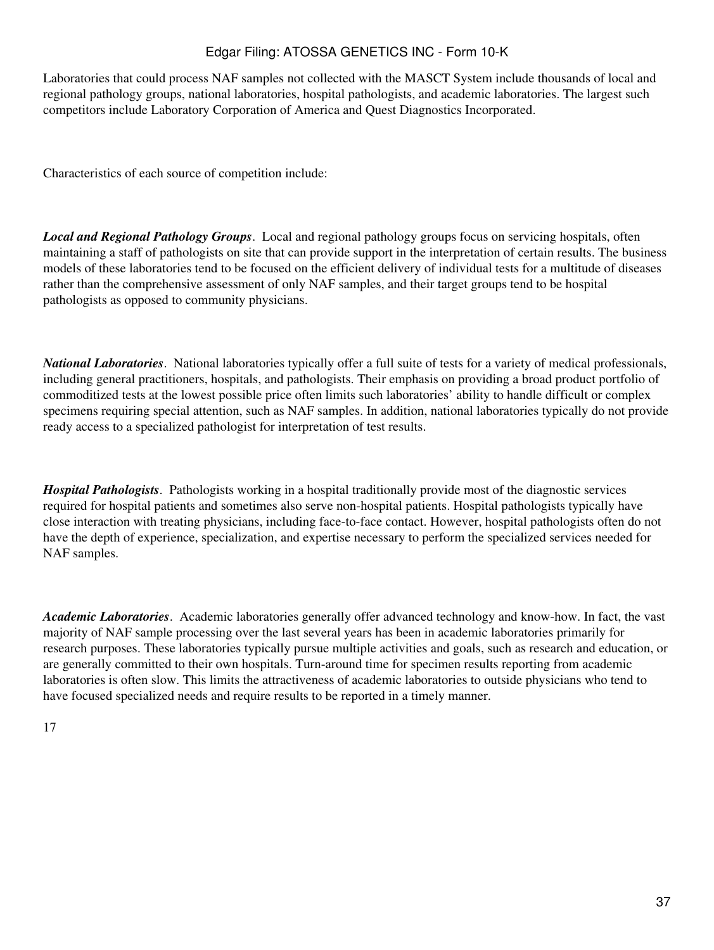Laboratories that could process NAF samples not collected with the MASCT System include thousands of local and regional pathology groups, national laboratories, hospital pathologists, and academic laboratories. The largest such competitors include Laboratory Corporation of America and Quest Diagnostics Incorporated.

Characteristics of each source of competition include:

*Local and Regional Pathology Groups*. Local and regional pathology groups focus on servicing hospitals, often maintaining a staff of pathologists on site that can provide support in the interpretation of certain results. The business models of these laboratories tend to be focused on the efficient delivery of individual tests for a multitude of diseases rather than the comprehensive assessment of only NAF samples, and their target groups tend to be hospital pathologists as opposed to community physicians.

*National Laboratories*. National laboratories typically offer a full suite of tests for a variety of medical professionals, including general practitioners, hospitals, and pathologists. Their emphasis on providing a broad product portfolio of commoditized tests at the lowest possible price often limits such laboratories' ability to handle difficult or complex specimens requiring special attention, such as NAF samples. In addition, national laboratories typically do not provide ready access to a specialized pathologist for interpretation of test results.

*Hospital Pathologists*. Pathologists working in a hospital traditionally provide most of the diagnostic services required for hospital patients and sometimes also serve non-hospital patients. Hospital pathologists typically have close interaction with treating physicians, including face-to-face contact. However, hospital pathologists often do not have the depth of experience, specialization, and expertise necessary to perform the specialized services needed for NAF samples.

*Academic Laboratories*. Academic laboratories generally offer advanced technology and know-how. In fact, the vast majority of NAF sample processing over the last several years has been in academic laboratories primarily for research purposes. These laboratories typically pursue multiple activities and goals, such as research and education, or are generally committed to their own hospitals. Turn-around time for specimen results reporting from academic laboratories is often slow. This limits the attractiveness of academic laboratories to outside physicians who tend to have focused specialized needs and require results to be reported in a timely manner.

17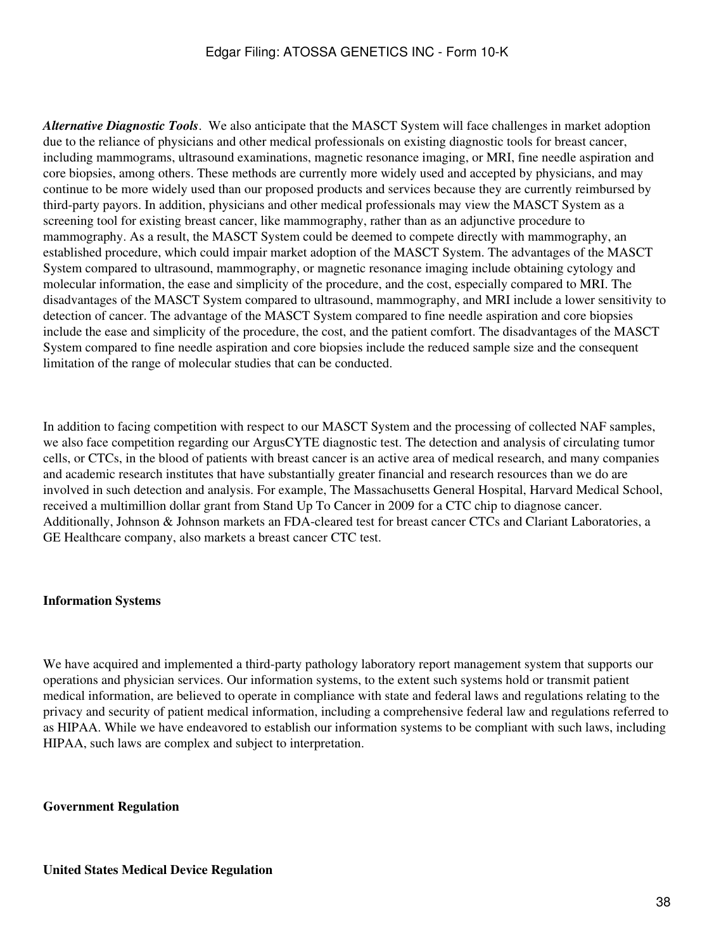*Alternative Diagnostic Tools*. We also anticipate that the MASCT System will face challenges in market adoption due to the reliance of physicians and other medical professionals on existing diagnostic tools for breast cancer, including mammograms, ultrasound examinations, magnetic resonance imaging, or MRI, fine needle aspiration and core biopsies, among others. These methods are currently more widely used and accepted by physicians, and may continue to be more widely used than our proposed products and services because they are currently reimbursed by third-party payors. In addition, physicians and other medical professionals may view the MASCT System as a screening tool for existing breast cancer, like mammography, rather than as an adjunctive procedure to mammography. As a result, the MASCT System could be deemed to compete directly with mammography, an established procedure, which could impair market adoption of the MASCT System. The advantages of the MASCT System compared to ultrasound, mammography, or magnetic resonance imaging include obtaining cytology and molecular information, the ease and simplicity of the procedure, and the cost, especially compared to MRI. The disadvantages of the MASCT System compared to ultrasound, mammography, and MRI include a lower sensitivity to detection of cancer. The advantage of the MASCT System compared to fine needle aspiration and core biopsies include the ease and simplicity of the procedure, the cost, and the patient comfort. The disadvantages of the MASCT System compared to fine needle aspiration and core biopsies include the reduced sample size and the consequent limitation of the range of molecular studies that can be conducted.

In addition to facing competition with respect to our MASCT System and the processing of collected NAF samples, we also face competition regarding our ArgusCYTE diagnostic test. The detection and analysis of circulating tumor cells, or CTCs, in the blood of patients with breast cancer is an active area of medical research, and many companies and academic research institutes that have substantially greater financial and research resources than we do are involved in such detection and analysis. For example, The Massachusetts General Hospital, Harvard Medical School, received a multimillion dollar grant from Stand Up To Cancer in 2009 for a CTC chip to diagnose cancer. Additionally, Johnson & Johnson markets an FDA-cleared test for breast cancer CTCs and Clariant Laboratories, a GE Healthcare company, also markets a breast cancer CTC test.

#### **Information Systems**

We have acquired and implemented a third-party pathology laboratory report management system that supports our operations and physician services. Our information systems, to the extent such systems hold or transmit patient medical information, are believed to operate in compliance with state and federal laws and regulations relating to the privacy and security of patient medical information, including a comprehensive federal law and regulations referred to as HIPAA. While we have endeavored to establish our information systems to be compliant with such laws, including HIPAA, such laws are complex and subject to interpretation.

#### **Government Regulation**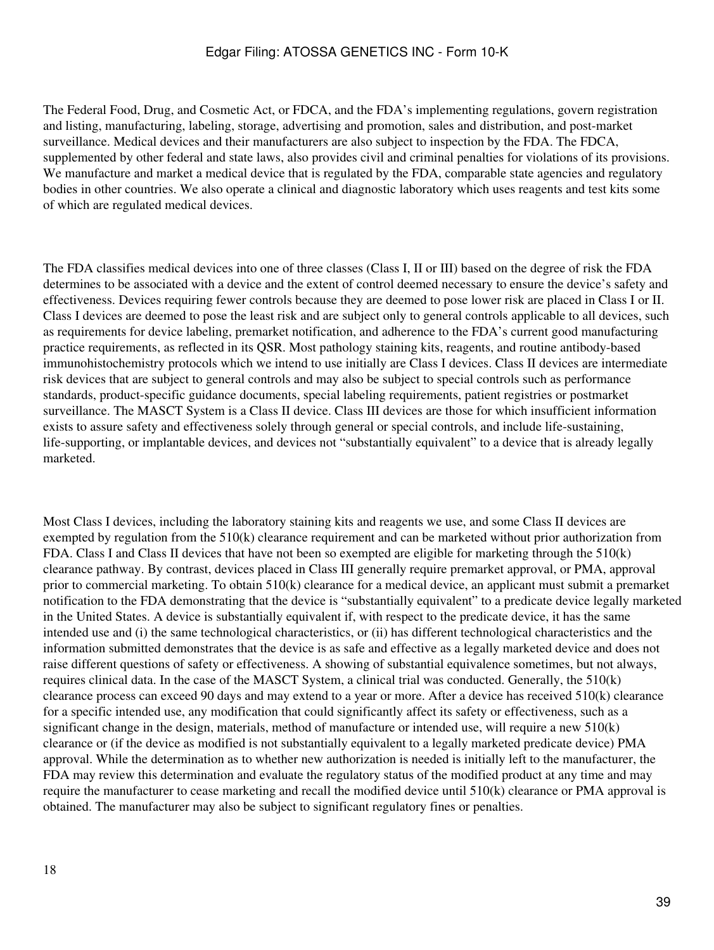The Federal Food, Drug, and Cosmetic Act, or FDCA, and the FDA's implementing regulations, govern registration and listing, manufacturing, labeling, storage, advertising and promotion, sales and distribution, and post-market surveillance. Medical devices and their manufacturers are also subject to inspection by the FDA. The FDCA, supplemented by other federal and state laws, also provides civil and criminal penalties for violations of its provisions. We manufacture and market a medical device that is regulated by the FDA, comparable state agencies and regulatory bodies in other countries. We also operate a clinical and diagnostic laboratory which uses reagents and test kits some of which are regulated medical devices.

The FDA classifies medical devices into one of three classes (Class I, II or III) based on the degree of risk the FDA determines to be associated with a device and the extent of control deemed necessary to ensure the device's safety and effectiveness. Devices requiring fewer controls because they are deemed to pose lower risk are placed in Class I or II. Class I devices are deemed to pose the least risk and are subject only to general controls applicable to all devices, such as requirements for device labeling, premarket notification, and adherence to the FDA's current good manufacturing practice requirements, as reflected in its QSR. Most pathology staining kits, reagents, and routine antibody-based immunohistochemistry protocols which we intend to use initially are Class I devices. Class II devices are intermediate risk devices that are subject to general controls and may also be subject to special controls such as performance standards, product-specific guidance documents, special labeling requirements, patient registries or postmarket surveillance. The MASCT System is a Class II device. Class III devices are those for which insufficient information exists to assure safety and effectiveness solely through general or special controls, and include life-sustaining, life-supporting, or implantable devices, and devices not "substantially equivalent" to a device that is already legally marketed.

Most Class I devices, including the laboratory staining kits and reagents we use, and some Class II devices are exempted by regulation from the 510(k) clearance requirement and can be marketed without prior authorization from FDA. Class I and Class II devices that have not been so exempted are eligible for marketing through the 510(k) clearance pathway. By contrast, devices placed in Class III generally require premarket approval, or PMA, approval prior to commercial marketing. To obtain 510(k) clearance for a medical device, an applicant must submit a premarket notification to the FDA demonstrating that the device is "substantially equivalent" to a predicate device legally marketed in the United States. A device is substantially equivalent if, with respect to the predicate device, it has the same intended use and (i) the same technological characteristics, or (ii) has different technological characteristics and the information submitted demonstrates that the device is as safe and effective as a legally marketed device and does not raise different questions of safety or effectiveness. A showing of substantial equivalence sometimes, but not always, requires clinical data. In the case of the MASCT System, a clinical trial was conducted. Generally, the 510(k) clearance process can exceed 90 days and may extend to a year or more. After a device has received 510(k) clearance for a specific intended use, any modification that could significantly affect its safety or effectiveness, such as a significant change in the design, materials, method of manufacture or intended use, will require a new 510(k) clearance or (if the device as modified is not substantially equivalent to a legally marketed predicate device) PMA approval. While the determination as to whether new authorization is needed is initially left to the manufacturer, the FDA may review this determination and evaluate the regulatory status of the modified product at any time and may require the manufacturer to cease marketing and recall the modified device until 510(k) clearance or PMA approval is obtained. The manufacturer may also be subject to significant regulatory fines or penalties.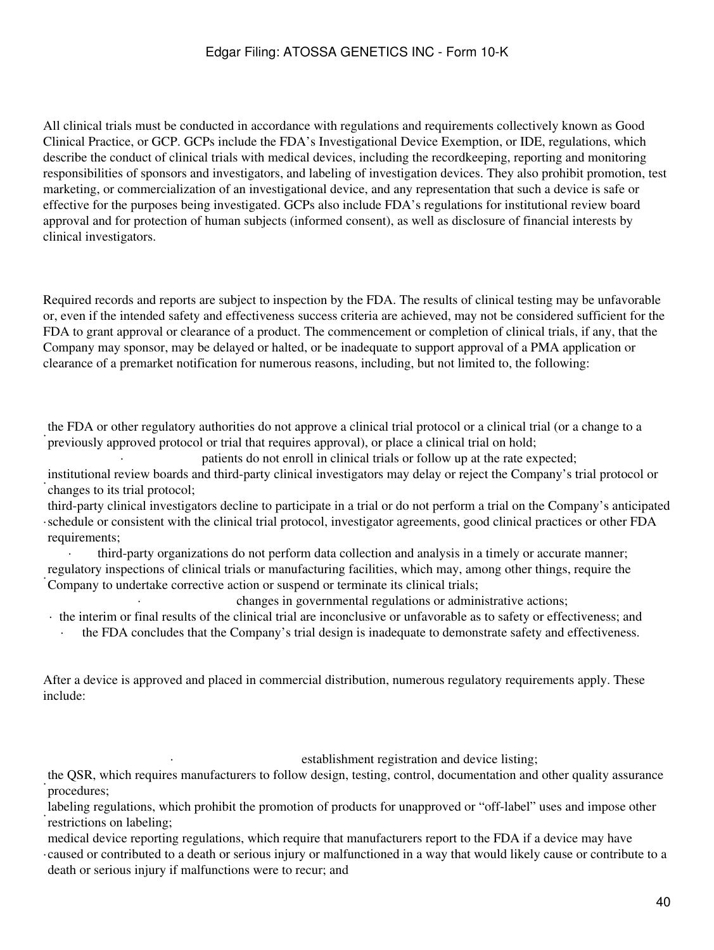All clinical trials must be conducted in accordance with regulations and requirements collectively known as Good Clinical Practice, or GCP. GCPs include the FDA's Investigational Device Exemption, or IDE, regulations, which describe the conduct of clinical trials with medical devices, including the recordkeeping, reporting and monitoring responsibilities of sponsors and investigators, and labeling of investigation devices. They also prohibit promotion, test marketing, or commercialization of an investigational device, and any representation that such a device is safe or effective for the purposes being investigated. GCPs also include FDA's regulations for institutional review board approval and for protection of human subjects (informed consent), as well as disclosure of financial interests by clinical investigators.

Required records and reports are subject to inspection by the FDA. The results of clinical testing may be unfavorable or, even if the intended safety and effectiveness success criteria are achieved, may not be considered sufficient for the FDA to grant approval or clearance of a product. The commencement or completion of clinical trials, if any, that the Company may sponsor, may be delayed or halted, or be inadequate to support approval of a PMA application or clearance of a premarket notification for numerous reasons, including, but not limited to, the following:

previously approved protocol or trial that requires approval), or place a clinical trial on hold; the FDA or other regulatory authorities do not approve a clinical trial protocol or a clinical trial (or a change to a

patients do not enroll in clinical trials or follow up at the rate expected;

· changes to its trial protocol; institutional review boards and third-party clinical investigators may delay or reject the Company's trial protocol or

· schedule or consistent with the clinical trial protocol, investigator agreements, good clinical practices or other FDA third-party clinical investigators decline to participate in a trial or do not perform a trial on the Company's anticipated requirements;

· third-party organizations do not perform data collection and analysis in a timely or accurate manner; regulatory inspections of clinical trials or manufacturing facilities, which may, among other things, require the Company to undertake corrective action or suspend or terminate its clinical trials;

· changes in governmental regulations or administrative actions;

· the interim or final results of the clinical trial are inconclusive or unfavorable as to safety or effectiveness; and

· the FDA concludes that the Company's trial design is inadequate to demonstrate safety and effectiveness.

After a device is approved and placed in commercial distribution, numerous regulatory requirements apply. These include:

establishment registration and device listing;

· the QSR, which requires manufacturers to follow design, testing, control, documentation and other quality assurance procedures;

labeling regulations, which prohibit the promotion of products for unapproved or "off-label" uses and impose other restrictions on labeling;

· caused or contributed to a death or serious injury or malfunctioned in a way that would likely cause or contribute to a medical device reporting regulations, which require that manufacturers report to the FDA if a device may have death or serious injury if malfunctions were to recur; and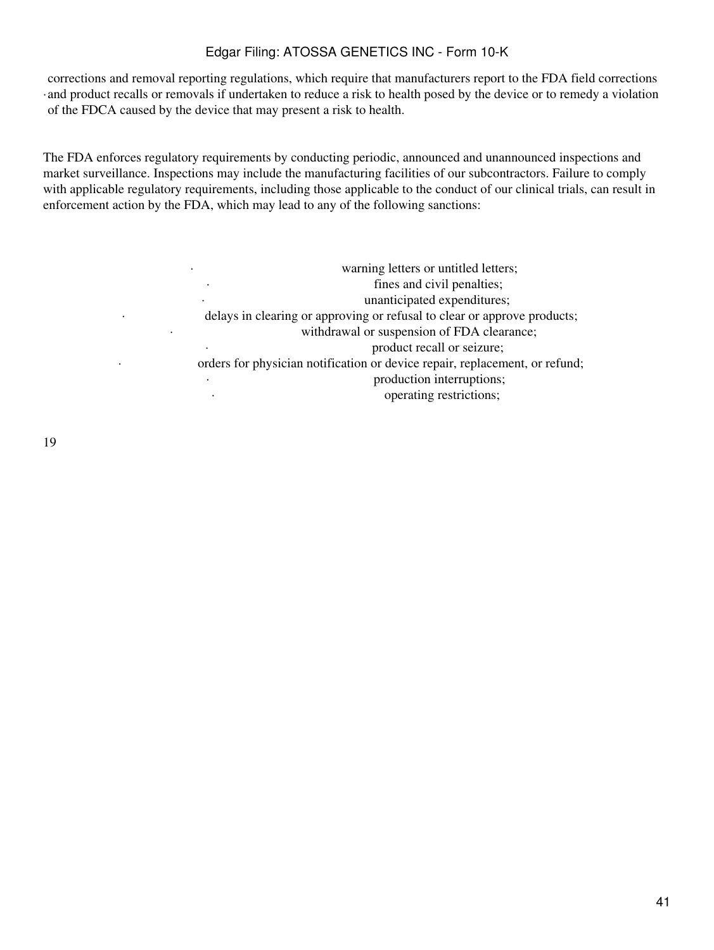· and product recalls or removals if undertaken to reduce a risk to health posed by the device or to remedy a violation corrections and removal reporting regulations, which require that manufacturers report to the FDA field corrections of the FDCA caused by the device that may present a risk to health.

The FDA enforces regulatory requirements by conducting periodic, announced and unannounced inspections and market surveillance. Inspections may include the manufacturing facilities of our subcontractors. Failure to comply with applicable regulatory requirements, including those applicable to the conduct of our clinical trials, can result in enforcement action by the FDA, which may lead to any of the following sanctions:

| warning letters or untitled letters;<br>$\bullet$                           |
|-----------------------------------------------------------------------------|
| fines and civil penalties;<br>$\bullet$                                     |
| unanticipated expenditures;<br>$\bullet$                                    |
| delays in clearing or approving or refusal to clear or approve products;    |
| withdrawal or suspension of FDA clearance;<br>٠                             |
| product recall or seizure;<br>$\bullet$                                     |
| orders for physician notification or device repair, replacement, or refund; |
| production interruptions;<br>٠                                              |
| operating restrictions;<br>$\bullet$                                        |
|                                                                             |

19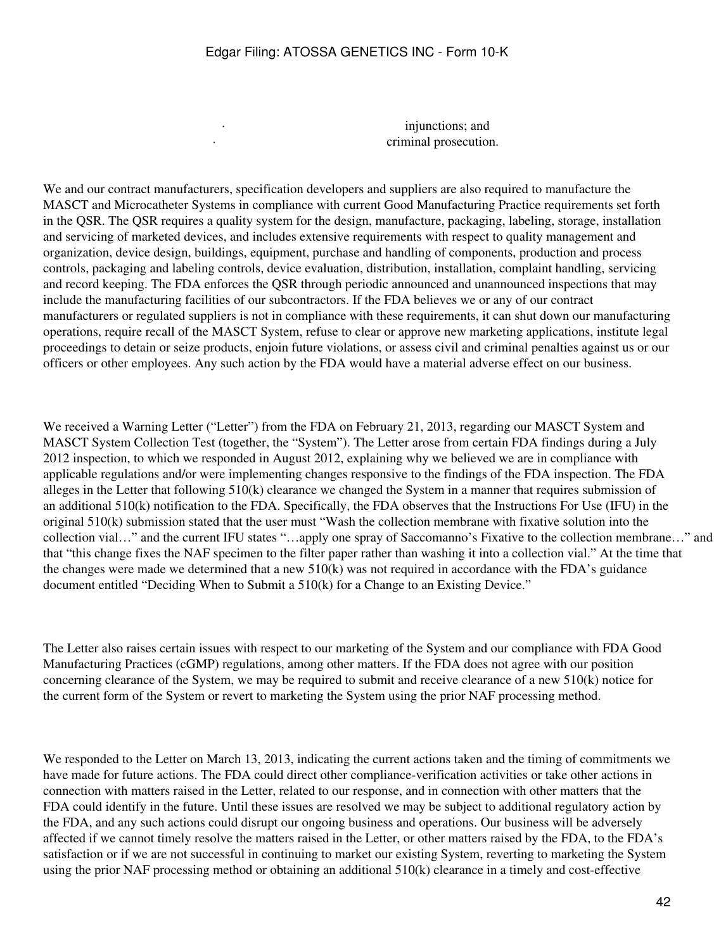injunctions; and criminal prosecution.

We and our contract manufacturers, specification developers and suppliers are also required to manufacture the MASCT and Microcatheter Systems in compliance with current Good Manufacturing Practice requirements set forth in the QSR. The QSR requires a quality system for the design, manufacture, packaging, labeling, storage, installation and servicing of marketed devices, and includes extensive requirements with respect to quality management and organization, device design, buildings, equipment, purchase and handling of components, production and process controls, packaging and labeling controls, device evaluation, distribution, installation, complaint handling, servicing and record keeping. The FDA enforces the QSR through periodic announced and unannounced inspections that may include the manufacturing facilities of our subcontractors. If the FDA believes we or any of our contract manufacturers or regulated suppliers is not in compliance with these requirements, it can shut down our manufacturing operations, require recall of the MASCT System, refuse to clear or approve new marketing applications, institute legal proceedings to detain or seize products, enjoin future violations, or assess civil and criminal penalties against us or our officers or other employees. Any such action by the FDA would have a material adverse effect on our business.

We received a Warning Letter ("Letter") from the FDA on February 21, 2013, regarding our MASCT System and MASCT System Collection Test (together, the "System"). The Letter arose from certain FDA findings during a July 2012 inspection, to which we responded in August 2012, explaining why we believed we are in compliance with applicable regulations and/or were implementing changes responsive to the findings of the FDA inspection. The FDA alleges in the Letter that following 510(k) clearance we changed the System in a manner that requires submission of an additional 510(k) notification to the FDA. Specifically, the FDA observes that the Instructions For Use (IFU) in the original 510(k) submission stated that the user must "Wash the collection membrane with fixative solution into the collection vial…" and the current IFU states "…apply one spray of Saccomanno's Fixative to the collection membrane…" and that "this change fixes the NAF specimen to the filter paper rather than washing it into a collection vial." At the time that the changes were made we determined that a new  $510(k)$  was not required in accordance with the FDA's guidance document entitled "Deciding When to Submit a 510(k) for a Change to an Existing Device."

The Letter also raises certain issues with respect to our marketing of the System and our compliance with FDA Good Manufacturing Practices (cGMP) regulations, among other matters. If the FDA does not agree with our position concerning clearance of the System, we may be required to submit and receive clearance of a new 510(k) notice for the current form of the System or revert to marketing the System using the prior NAF processing method.

We responded to the Letter on March 13, 2013, indicating the current actions taken and the timing of commitments we have made for future actions. The FDA could direct other compliance-verification activities or take other actions in connection with matters raised in the Letter, related to our response, and in connection with other matters that the FDA could identify in the future. Until these issues are resolved we may be subject to additional regulatory action by the FDA, and any such actions could disrupt our ongoing business and operations. Our business will be adversely affected if we cannot timely resolve the matters raised in the Letter, or other matters raised by the FDA, to the FDA's satisfaction or if we are not successful in continuing to market our existing System, reverting to marketing the System using the prior NAF processing method or obtaining an additional 510(k) clearance in a timely and cost-effective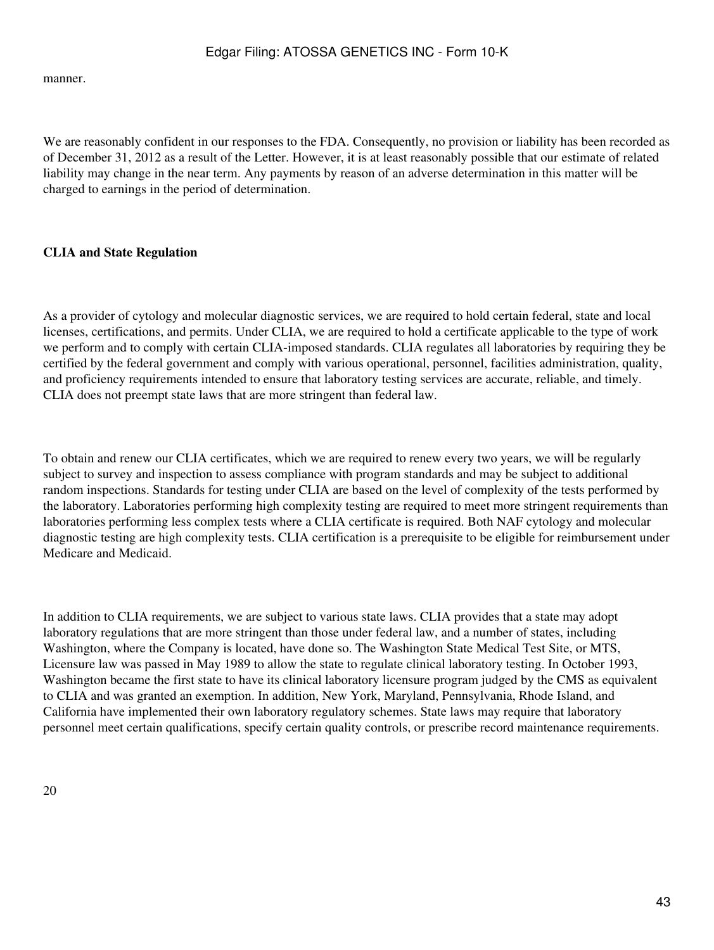manner.

We are reasonably confident in our responses to the FDA. Consequently, no provision or liability has been recorded as of December 31, 2012 as a result of the Letter. However, it is at least reasonably possible that our estimate of related liability may change in the near term. Any payments by reason of an adverse determination in this matter will be charged to earnings in the period of determination.

## **CLIA and State Regulation**

As a provider of cytology and molecular diagnostic services, we are required to hold certain federal, state and local licenses, certifications, and permits. Under CLIA, we are required to hold a certificate applicable to the type of work we perform and to comply with certain CLIA-imposed standards. CLIA regulates all laboratories by requiring they be certified by the federal government and comply with various operational, personnel, facilities administration, quality, and proficiency requirements intended to ensure that laboratory testing services are accurate, reliable, and timely. CLIA does not preempt state laws that are more stringent than federal law.

To obtain and renew our CLIA certificates, which we are required to renew every two years, we will be regularly subject to survey and inspection to assess compliance with program standards and may be subject to additional random inspections. Standards for testing under CLIA are based on the level of complexity of the tests performed by the laboratory. Laboratories performing high complexity testing are required to meet more stringent requirements than laboratories performing less complex tests where a CLIA certificate is required. Both NAF cytology and molecular diagnostic testing are high complexity tests. CLIA certification is a prerequisite to be eligible for reimbursement under Medicare and Medicaid.

In addition to CLIA requirements, we are subject to various state laws. CLIA provides that a state may adopt laboratory regulations that are more stringent than those under federal law, and a number of states, including Washington, where the Company is located, have done so. The Washington State Medical Test Site, or MTS, Licensure law was passed in May 1989 to allow the state to regulate clinical laboratory testing. In October 1993, Washington became the first state to have its clinical laboratory licensure program judged by the CMS as equivalent to CLIA and was granted an exemption. In addition, New York, Maryland, Pennsylvania, Rhode Island, and California have implemented their own laboratory regulatory schemes. State laws may require that laboratory personnel meet certain qualifications, specify certain quality controls, or prescribe record maintenance requirements.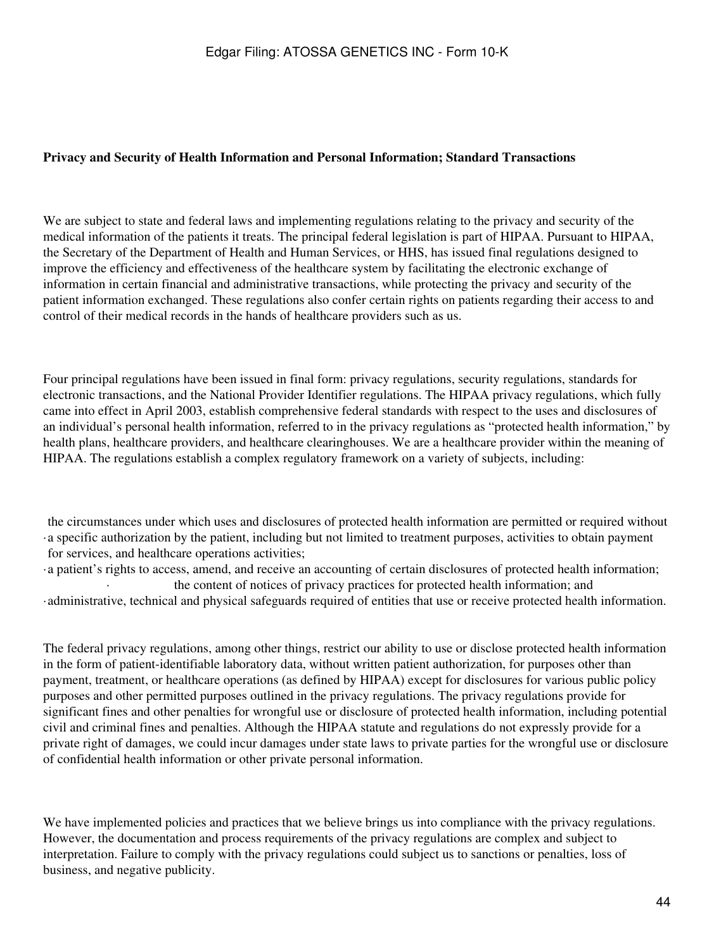### **Privacy and Security of Health Information and Personal Information; Standard Transactions**

We are subject to state and federal laws and implementing regulations relating to the privacy and security of the medical information of the patients it treats. The principal federal legislation is part of HIPAA. Pursuant to HIPAA, the Secretary of the Department of Health and Human Services, or HHS, has issued final regulations designed to improve the efficiency and effectiveness of the healthcare system by facilitating the electronic exchange of information in certain financial and administrative transactions, while protecting the privacy and security of the patient information exchanged. These regulations also confer certain rights on patients regarding their access to and control of their medical records in the hands of healthcare providers such as us.

Four principal regulations have been issued in final form: privacy regulations, security regulations, standards for electronic transactions, and the National Provider Identifier regulations. The HIPAA privacy regulations, which fully came into effect in April 2003, establish comprehensive federal standards with respect to the uses and disclosures of an individual's personal health information, referred to in the privacy regulations as "protected health information," by health plans, healthcare providers, and healthcare clearinghouses. We are a healthcare provider within the meaning of HIPAA. The regulations establish a complex regulatory framework on a variety of subjects, including:

· a specific authorization by the patient, including but not limited to treatment purposes, activities to obtain payment the circumstances under which uses and disclosures of protected health information are permitted or required without for services, and healthcare operations activities;

·a patient's rights to access, amend, and receive an accounting of certain disclosures of protected health information; · the content of notices of privacy practices for protected health information; and ·administrative, technical and physical safeguards required of entities that use or receive protected health information.

The federal privacy regulations, among other things, restrict our ability to use or disclose protected health information in the form of patient-identifiable laboratory data, without written patient authorization, for purposes other than payment, treatment, or healthcare operations (as defined by HIPAA) except for disclosures for various public policy purposes and other permitted purposes outlined in the privacy regulations. The privacy regulations provide for significant fines and other penalties for wrongful use or disclosure of protected health information, including potential civil and criminal fines and penalties. Although the HIPAA statute and regulations do not expressly provide for a private right of damages, we could incur damages under state laws to private parties for the wrongful use or disclosure of confidential health information or other private personal information.

We have implemented policies and practices that we believe brings us into compliance with the privacy regulations. However, the documentation and process requirements of the privacy regulations are complex and subject to interpretation. Failure to comply with the privacy regulations could subject us to sanctions or penalties, loss of business, and negative publicity.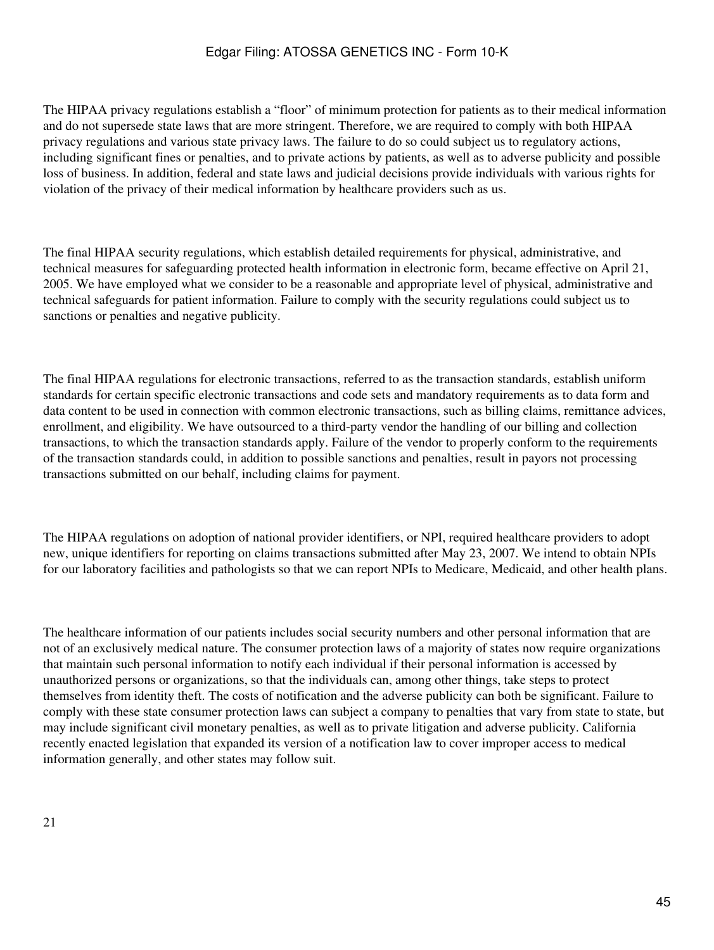The HIPAA privacy regulations establish a "floor" of minimum protection for patients as to their medical information and do not supersede state laws that are more stringent. Therefore, we are required to comply with both HIPAA privacy regulations and various state privacy laws. The failure to do so could subject us to regulatory actions, including significant fines or penalties, and to private actions by patients, as well as to adverse publicity and possible loss of business. In addition, federal and state laws and judicial decisions provide individuals with various rights for violation of the privacy of their medical information by healthcare providers such as us.

The final HIPAA security regulations, which establish detailed requirements for physical, administrative, and technical measures for safeguarding protected health information in electronic form, became effective on April 21, 2005. We have employed what we consider to be a reasonable and appropriate level of physical, administrative and technical safeguards for patient information. Failure to comply with the security regulations could subject us to sanctions or penalties and negative publicity.

The final HIPAA regulations for electronic transactions, referred to as the transaction standards, establish uniform standards for certain specific electronic transactions and code sets and mandatory requirements as to data form and data content to be used in connection with common electronic transactions, such as billing claims, remittance advices, enrollment, and eligibility. We have outsourced to a third-party vendor the handling of our billing and collection transactions, to which the transaction standards apply. Failure of the vendor to properly conform to the requirements of the transaction standards could, in addition to possible sanctions and penalties, result in payors not processing transactions submitted on our behalf, including claims for payment.

The HIPAA regulations on adoption of national provider identifiers, or NPI, required healthcare providers to adopt new, unique identifiers for reporting on claims transactions submitted after May 23, 2007. We intend to obtain NPIs for our laboratory facilities and pathologists so that we can report NPIs to Medicare, Medicaid, and other health plans.

The healthcare information of our patients includes social security numbers and other personal information that are not of an exclusively medical nature. The consumer protection laws of a majority of states now require organizations that maintain such personal information to notify each individual if their personal information is accessed by unauthorized persons or organizations, so that the individuals can, among other things, take steps to protect themselves from identity theft. The costs of notification and the adverse publicity can both be significant. Failure to comply with these state consumer protection laws can subject a company to penalties that vary from state to state, but may include significant civil monetary penalties, as well as to private litigation and adverse publicity. California recently enacted legislation that expanded its version of a notification law to cover improper access to medical information generally, and other states may follow suit.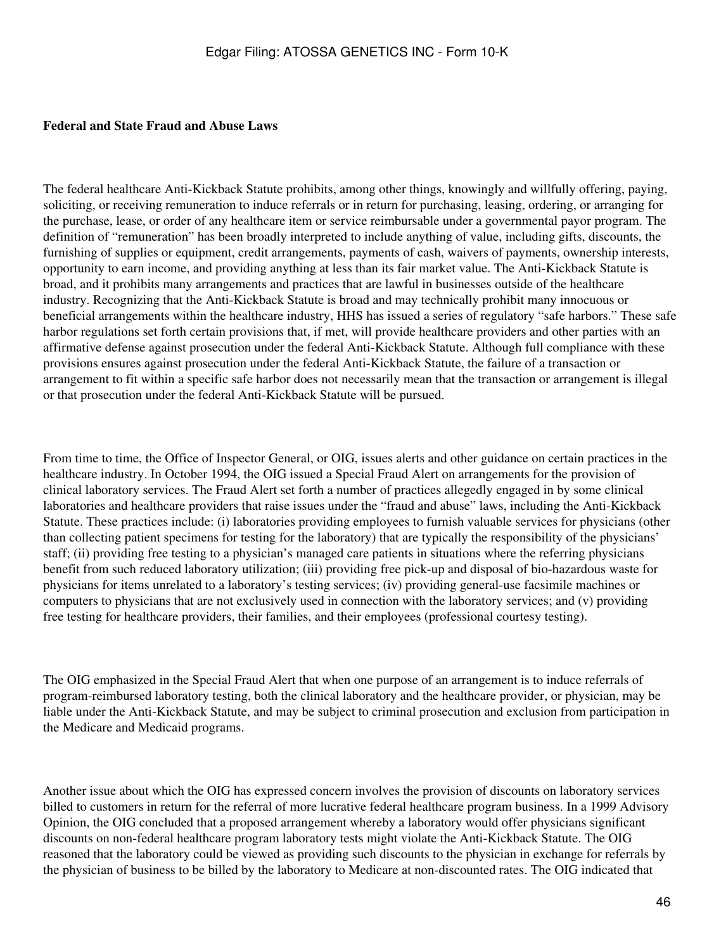#### **Federal and State Fraud and Abuse Laws**

The federal healthcare Anti-Kickback Statute prohibits, among other things, knowingly and willfully offering, paying, soliciting, or receiving remuneration to induce referrals or in return for purchasing, leasing, ordering, or arranging for the purchase, lease, or order of any healthcare item or service reimbursable under a governmental payor program. The definition of "remuneration" has been broadly interpreted to include anything of value, including gifts, discounts, the furnishing of supplies or equipment, credit arrangements, payments of cash, waivers of payments, ownership interests, opportunity to earn income, and providing anything at less than its fair market value. The Anti-Kickback Statute is broad, and it prohibits many arrangements and practices that are lawful in businesses outside of the healthcare industry. Recognizing that the Anti-Kickback Statute is broad and may technically prohibit many innocuous or beneficial arrangements within the healthcare industry, HHS has issued a series of regulatory "safe harbors." These safe harbor regulations set forth certain provisions that, if met, will provide healthcare providers and other parties with an affirmative defense against prosecution under the federal Anti-Kickback Statute. Although full compliance with these provisions ensures against prosecution under the federal Anti-Kickback Statute, the failure of a transaction or arrangement to fit within a specific safe harbor does not necessarily mean that the transaction or arrangement is illegal or that prosecution under the federal Anti-Kickback Statute will be pursued.

From time to time, the Office of Inspector General, or OIG, issues alerts and other guidance on certain practices in the healthcare industry. In October 1994, the OIG issued a Special Fraud Alert on arrangements for the provision of clinical laboratory services. The Fraud Alert set forth a number of practices allegedly engaged in by some clinical laboratories and healthcare providers that raise issues under the "fraud and abuse" laws, including the Anti-Kickback Statute. These practices include: (i) laboratories providing employees to furnish valuable services for physicians (other than collecting patient specimens for testing for the laboratory) that are typically the responsibility of the physicians' staff; (ii) providing free testing to a physician's managed care patients in situations where the referring physicians benefit from such reduced laboratory utilization; (iii) providing free pick-up and disposal of bio-hazardous waste for physicians for items unrelated to a laboratory's testing services; (iv) providing general-use facsimile machines or computers to physicians that are not exclusively used in connection with the laboratory services; and (v) providing free testing for healthcare providers, their families, and their employees (professional courtesy testing).

The OIG emphasized in the Special Fraud Alert that when one purpose of an arrangement is to induce referrals of program-reimbursed laboratory testing, both the clinical laboratory and the healthcare provider, or physician, may be liable under the Anti-Kickback Statute, and may be subject to criminal prosecution and exclusion from participation in the Medicare and Medicaid programs.

Another issue about which the OIG has expressed concern involves the provision of discounts on laboratory services billed to customers in return for the referral of more lucrative federal healthcare program business. In a 1999 Advisory Opinion, the OIG concluded that a proposed arrangement whereby a laboratory would offer physicians significant discounts on non-federal healthcare program laboratory tests might violate the Anti-Kickback Statute. The OIG reasoned that the laboratory could be viewed as providing such discounts to the physician in exchange for referrals by the physician of business to be billed by the laboratory to Medicare at non-discounted rates. The OIG indicated that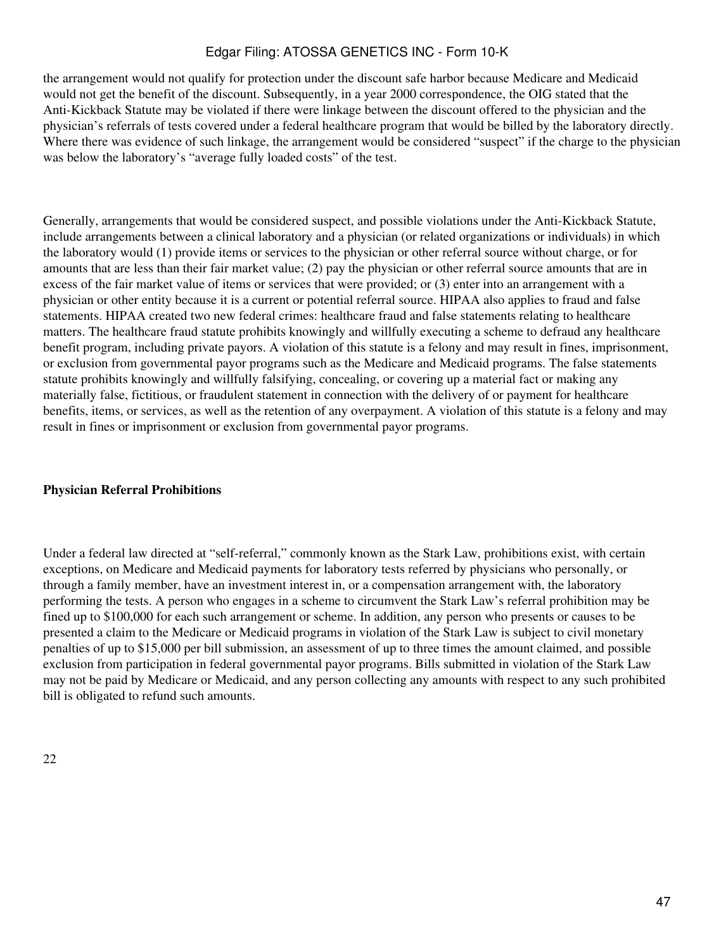the arrangement would not qualify for protection under the discount safe harbor because Medicare and Medicaid would not get the benefit of the discount. Subsequently, in a year 2000 correspondence, the OIG stated that the Anti-Kickback Statute may be violated if there were linkage between the discount offered to the physician and the physician's referrals of tests covered under a federal healthcare program that would be billed by the laboratory directly. Where there was evidence of such linkage, the arrangement would be considered "suspect" if the charge to the physician was below the laboratory's "average fully loaded costs" of the test.

Generally, arrangements that would be considered suspect, and possible violations under the Anti-Kickback Statute, include arrangements between a clinical laboratory and a physician (or related organizations or individuals) in which the laboratory would (1) provide items or services to the physician or other referral source without charge, or for amounts that are less than their fair market value; (2) pay the physician or other referral source amounts that are in excess of the fair market value of items or services that were provided; or (3) enter into an arrangement with a physician or other entity because it is a current or potential referral source. HIPAA also applies to fraud and false statements. HIPAA created two new federal crimes: healthcare fraud and false statements relating to healthcare matters. The healthcare fraud statute prohibits knowingly and willfully executing a scheme to defraud any healthcare benefit program, including private payors. A violation of this statute is a felony and may result in fines, imprisonment, or exclusion from governmental payor programs such as the Medicare and Medicaid programs. The false statements statute prohibits knowingly and willfully falsifying, concealing, or covering up a material fact or making any materially false, fictitious, or fraudulent statement in connection with the delivery of or payment for healthcare benefits, items, or services, as well as the retention of any overpayment. A violation of this statute is a felony and may result in fines or imprisonment or exclusion from governmental payor programs.

#### **Physician Referral Prohibitions**

Under a federal law directed at "self-referral," commonly known as the Stark Law, prohibitions exist, with certain exceptions, on Medicare and Medicaid payments for laboratory tests referred by physicians who personally, or through a family member, have an investment interest in, or a compensation arrangement with, the laboratory performing the tests. A person who engages in a scheme to circumvent the Stark Law's referral prohibition may be fined up to \$100,000 for each such arrangement or scheme. In addition, any person who presents or causes to be presented a claim to the Medicare or Medicaid programs in violation of the Stark Law is subject to civil monetary penalties of up to \$15,000 per bill submission, an assessment of up to three times the amount claimed, and possible exclusion from participation in federal governmental payor programs. Bills submitted in violation of the Stark Law may not be paid by Medicare or Medicaid, and any person collecting any amounts with respect to any such prohibited bill is obligated to refund such amounts.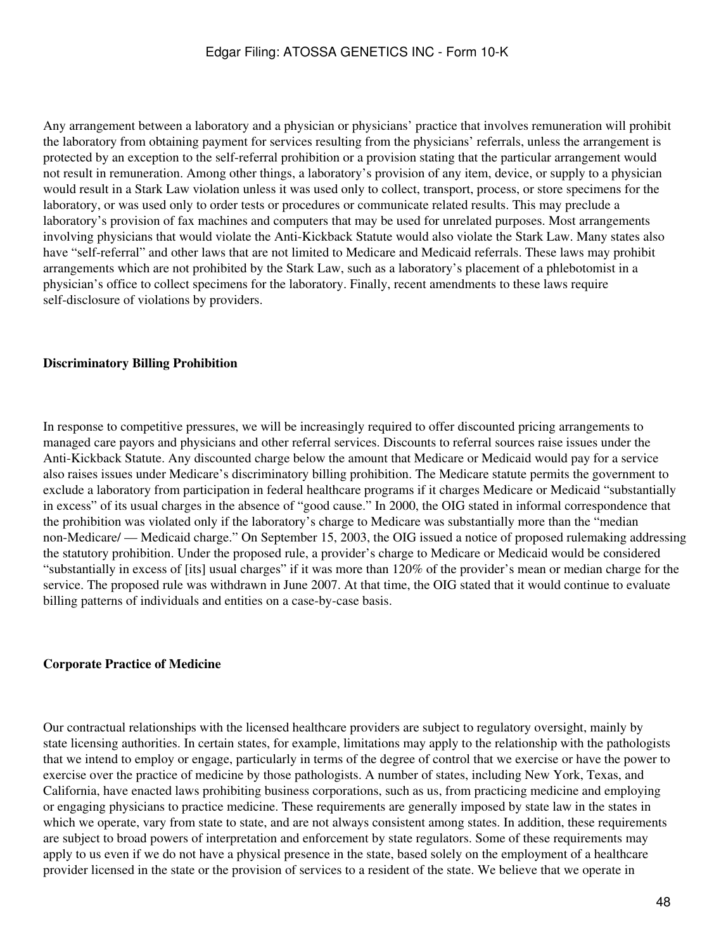Any arrangement between a laboratory and a physician or physicians' practice that involves remuneration will prohibit the laboratory from obtaining payment for services resulting from the physicians' referrals, unless the arrangement is protected by an exception to the self-referral prohibition or a provision stating that the particular arrangement would not result in remuneration. Among other things, a laboratory's provision of any item, device, or supply to a physician would result in a Stark Law violation unless it was used only to collect, transport, process, or store specimens for the laboratory, or was used only to order tests or procedures or communicate related results. This may preclude a laboratory's provision of fax machines and computers that may be used for unrelated purposes. Most arrangements involving physicians that would violate the Anti-Kickback Statute would also violate the Stark Law. Many states also have "self-referral" and other laws that are not limited to Medicare and Medicaid referrals. These laws may prohibit arrangements which are not prohibited by the Stark Law, such as a laboratory's placement of a phlebotomist in a physician's office to collect specimens for the laboratory. Finally, recent amendments to these laws require self-disclosure of violations by providers.

#### **Discriminatory Billing Prohibition**

In response to competitive pressures, we will be increasingly required to offer discounted pricing arrangements to managed care payors and physicians and other referral services. Discounts to referral sources raise issues under the Anti-Kickback Statute. Any discounted charge below the amount that Medicare or Medicaid would pay for a service also raises issues under Medicare's discriminatory billing prohibition. The Medicare statute permits the government to exclude a laboratory from participation in federal healthcare programs if it charges Medicare or Medicaid "substantially in excess" of its usual charges in the absence of "good cause." In 2000, the OIG stated in informal correspondence that the prohibition was violated only if the laboratory's charge to Medicare was substantially more than the "median non-Medicare/ — Medicaid charge." On September 15, 2003, the OIG issued a notice of proposed rulemaking addressing the statutory prohibition. Under the proposed rule, a provider's charge to Medicare or Medicaid would be considered "substantially in excess of [its] usual charges" if it was more than 120% of the provider's mean or median charge for the service. The proposed rule was withdrawn in June 2007. At that time, the OIG stated that it would continue to evaluate billing patterns of individuals and entities on a case-by-case basis.

#### **Corporate Practice of Medicine**

Our contractual relationships with the licensed healthcare providers are subject to regulatory oversight, mainly by state licensing authorities. In certain states, for example, limitations may apply to the relationship with the pathologists that we intend to employ or engage, particularly in terms of the degree of control that we exercise or have the power to exercise over the practice of medicine by those pathologists. A number of states, including New York, Texas, and California, have enacted laws prohibiting business corporations, such as us, from practicing medicine and employing or engaging physicians to practice medicine. These requirements are generally imposed by state law in the states in which we operate, vary from state to state, and are not always consistent among states. In addition, these requirements are subject to broad powers of interpretation and enforcement by state regulators. Some of these requirements may apply to us even if we do not have a physical presence in the state, based solely on the employment of a healthcare provider licensed in the state or the provision of services to a resident of the state. We believe that we operate in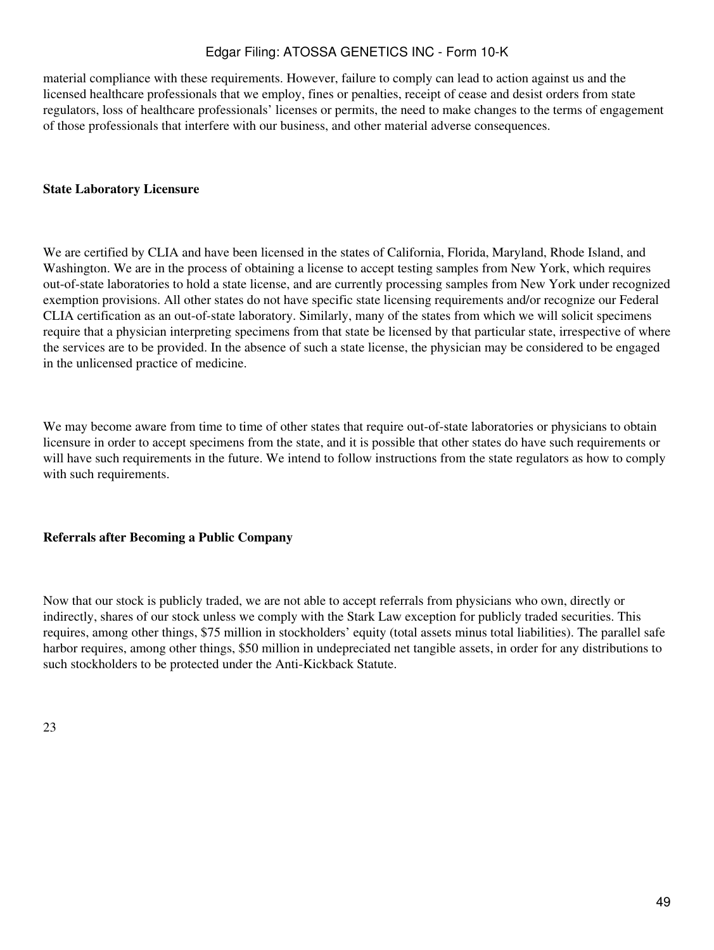material compliance with these requirements. However, failure to comply can lead to action against us and the licensed healthcare professionals that we employ, fines or penalties, receipt of cease and desist orders from state regulators, loss of healthcare professionals' licenses or permits, the need to make changes to the terms of engagement of those professionals that interfere with our business, and other material adverse consequences.

#### **State Laboratory Licensure**

We are certified by CLIA and have been licensed in the states of California, Florida, Maryland, Rhode Island, and Washington. We are in the process of obtaining a license to accept testing samples from New York, which requires out-of-state laboratories to hold a state license, and are currently processing samples from New York under recognized exemption provisions. All other states do not have specific state licensing requirements and/or recognize our Federal CLIA certification as an out-of-state laboratory. Similarly, many of the states from which we will solicit specimens require that a physician interpreting specimens from that state be licensed by that particular state, irrespective of where the services are to be provided. In the absence of such a state license, the physician may be considered to be engaged in the unlicensed practice of medicine.

We may become aware from time to time of other states that require out-of-state laboratories or physicians to obtain licensure in order to accept specimens from the state, and it is possible that other states do have such requirements or will have such requirements in the future. We intend to follow instructions from the state regulators as how to comply with such requirements.

### **Referrals after Becoming a Public Company**

Now that our stock is publicly traded, we are not able to accept referrals from physicians who own, directly or indirectly, shares of our stock unless we comply with the Stark Law exception for publicly traded securities. This requires, among other things, \$75 million in stockholders' equity (total assets minus total liabilities). The parallel safe harbor requires, among other things, \$50 million in undepreciated net tangible assets, in order for any distributions to such stockholders to be protected under the Anti-Kickback Statute.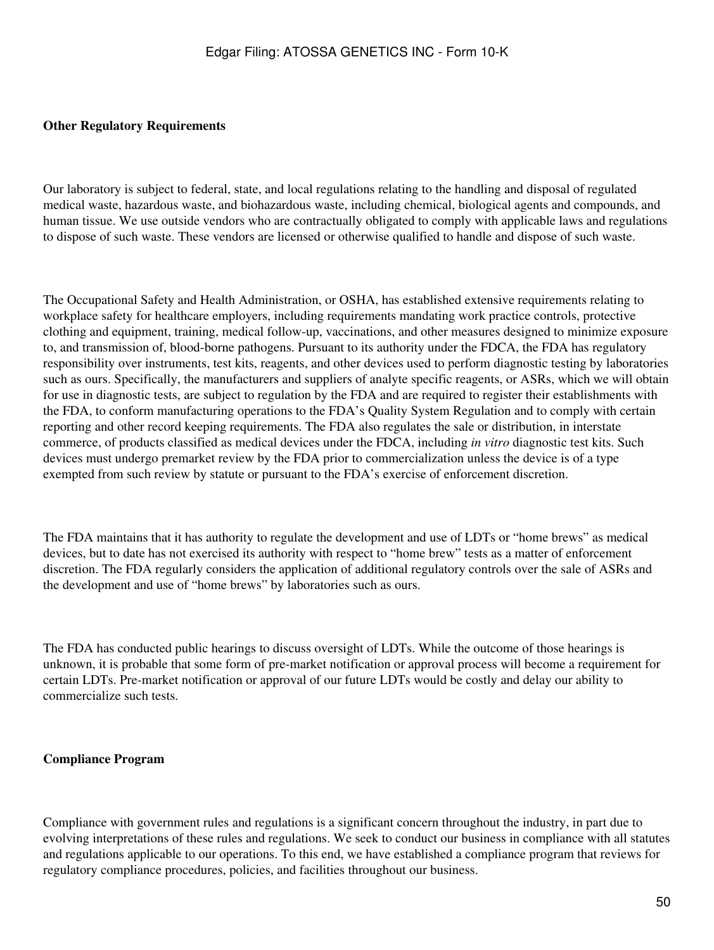#### **Other Regulatory Requirements**

Our laboratory is subject to federal, state, and local regulations relating to the handling and disposal of regulated medical waste, hazardous waste, and biohazardous waste, including chemical, biological agents and compounds, and human tissue. We use outside vendors who are contractually obligated to comply with applicable laws and regulations to dispose of such waste. These vendors are licensed or otherwise qualified to handle and dispose of such waste.

The Occupational Safety and Health Administration, or OSHA, has established extensive requirements relating to workplace safety for healthcare employers, including requirements mandating work practice controls, protective clothing and equipment, training, medical follow-up, vaccinations, and other measures designed to minimize exposure to, and transmission of, blood-borne pathogens. Pursuant to its authority under the FDCA, the FDA has regulatory responsibility over instruments, test kits, reagents, and other devices used to perform diagnostic testing by laboratories such as ours. Specifically, the manufacturers and suppliers of analyte specific reagents, or ASRs, which we will obtain for use in diagnostic tests, are subject to regulation by the FDA and are required to register their establishments with the FDA, to conform manufacturing operations to the FDA's Quality System Regulation and to comply with certain reporting and other record keeping requirements. The FDA also regulates the sale or distribution, in interstate commerce, of products classified as medical devices under the FDCA, including *in vitro* diagnostic test kits. Such devices must undergo premarket review by the FDA prior to commercialization unless the device is of a type exempted from such review by statute or pursuant to the FDA's exercise of enforcement discretion.

The FDA maintains that it has authority to regulate the development and use of LDTs or "home brews" as medical devices, but to date has not exercised its authority with respect to "home brew" tests as a matter of enforcement discretion. The FDA regularly considers the application of additional regulatory controls over the sale of ASRs and the development and use of "home brews" by laboratories such as ours.

The FDA has conducted public hearings to discuss oversight of LDTs. While the outcome of those hearings is unknown, it is probable that some form of pre-market notification or approval process will become a requirement for certain LDTs. Pre-market notification or approval of our future LDTs would be costly and delay our ability to commercialize such tests.

#### **Compliance Program**

Compliance with government rules and regulations is a significant concern throughout the industry, in part due to evolving interpretations of these rules and regulations. We seek to conduct our business in compliance with all statutes and regulations applicable to our operations. To this end, we have established a compliance program that reviews for regulatory compliance procedures, policies, and facilities throughout our business.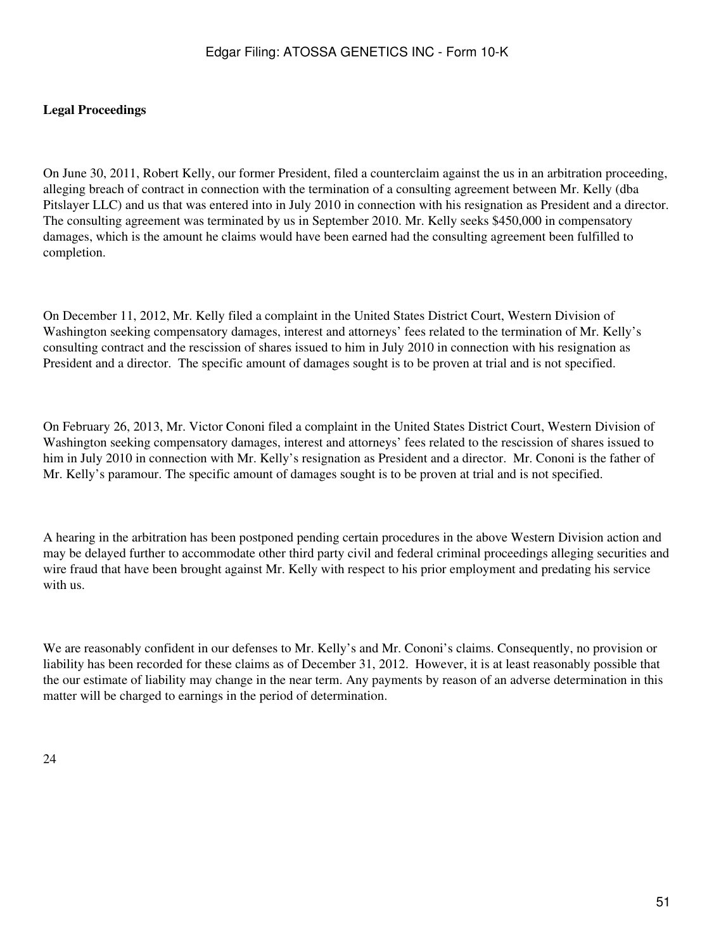## **Legal Proceedings**

On June 30, 2011, Robert Kelly, our former President, filed a counterclaim against the us in an arbitration proceeding, alleging breach of contract in connection with the termination of a consulting agreement between Mr. Kelly (dba Pitslayer LLC) and us that was entered into in July 2010 in connection with his resignation as President and a director. The consulting agreement was terminated by us in September 2010. Mr. Kelly seeks \$450,000 in compensatory damages, which is the amount he claims would have been earned had the consulting agreement been fulfilled to completion.

On December 11, 2012, Mr. Kelly filed a complaint in the United States District Court, Western Division of Washington seeking compensatory damages, interest and attorneys' fees related to the termination of Mr. Kelly's consulting contract and the rescission of shares issued to him in July 2010 in connection with his resignation as President and a director. The specific amount of damages sought is to be proven at trial and is not specified.

On February 26, 2013, Mr. Victor Cononi filed a complaint in the United States District Court, Western Division of Washington seeking compensatory damages, interest and attorneys' fees related to the rescission of shares issued to him in July 2010 in connection with Mr. Kelly's resignation as President and a director. Mr. Cononi is the father of Mr. Kelly's paramour. The specific amount of damages sought is to be proven at trial and is not specified.

A hearing in the arbitration has been postponed pending certain procedures in the above Western Division action and may be delayed further to accommodate other third party civil and federal criminal proceedings alleging securities and wire fraud that have been brought against Mr. Kelly with respect to his prior employment and predating his service with us.

We are reasonably confident in our defenses to Mr. Kelly's and Mr. Cononi's claims. Consequently, no provision or liability has been recorded for these claims as of December 31, 2012. However, it is at least reasonably possible that the our estimate of liability may change in the near term. Any payments by reason of an adverse determination in this matter will be charged to earnings in the period of determination.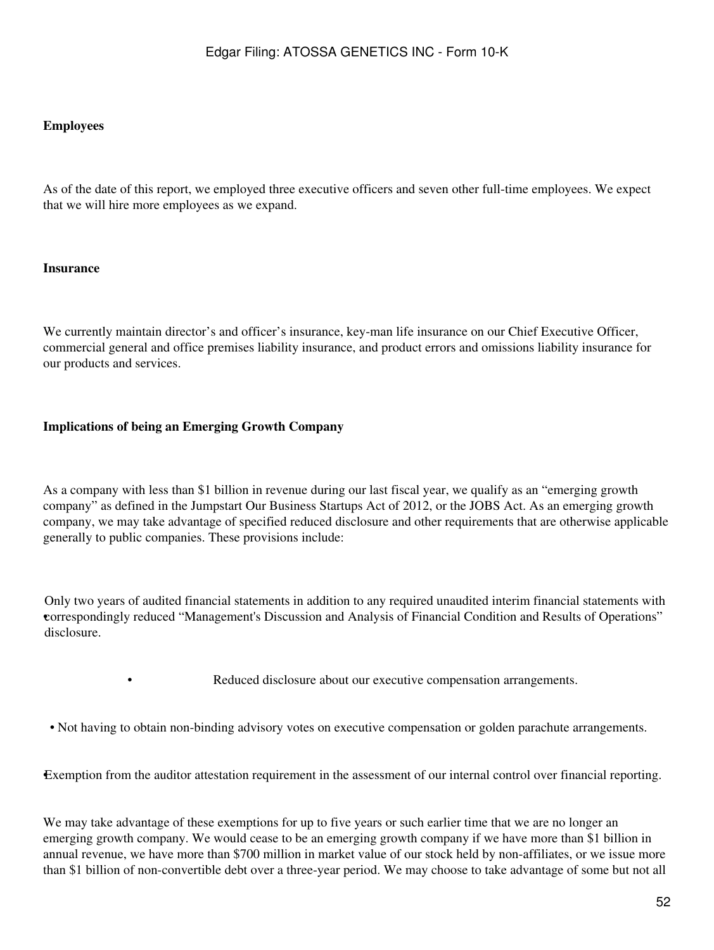#### **Employees**

As of the date of this report, we employed three executive officers and seven other full-time employees. We expect that we will hire more employees as we expand.

### **Insurance**

We currently maintain director's and officer's insurance, key-man life insurance on our Chief Executive Officer, commercial general and office premises liability insurance, and product errors and omissions liability insurance for our products and services.

### **Implications of being an Emerging Growth Company**

As a company with less than \$1 billion in revenue during our last fiscal year, we qualify as an "emerging growth company" as defined in the Jumpstart Our Business Startups Act of 2012, or the JOBS Act. As an emerging growth company, we may take advantage of specified reduced disclosure and other requirements that are otherwise applicable generally to public companies. These provisions include:

• correspondingly reduced "Management's Discussion and Analysis of Financial Condition and Results of Operations" Only two years of audited financial statements in addition to any required unaudited interim financial statements with disclosure.

Reduced disclosure about our executive compensation arrangements.

• Not having to obtain non-binding advisory votes on executive compensation or golden parachute arrangements.

•Exemption from the auditor attestation requirement in the assessment of our internal control over financial reporting.

We may take advantage of these exemptions for up to five years or such earlier time that we are no longer an emerging growth company. We would cease to be an emerging growth company if we have more than \$1 billion in annual revenue, we have more than \$700 million in market value of our stock held by non-affiliates, or we issue more than \$1 billion of non-convertible debt over a three-year period. We may choose to take advantage of some but not all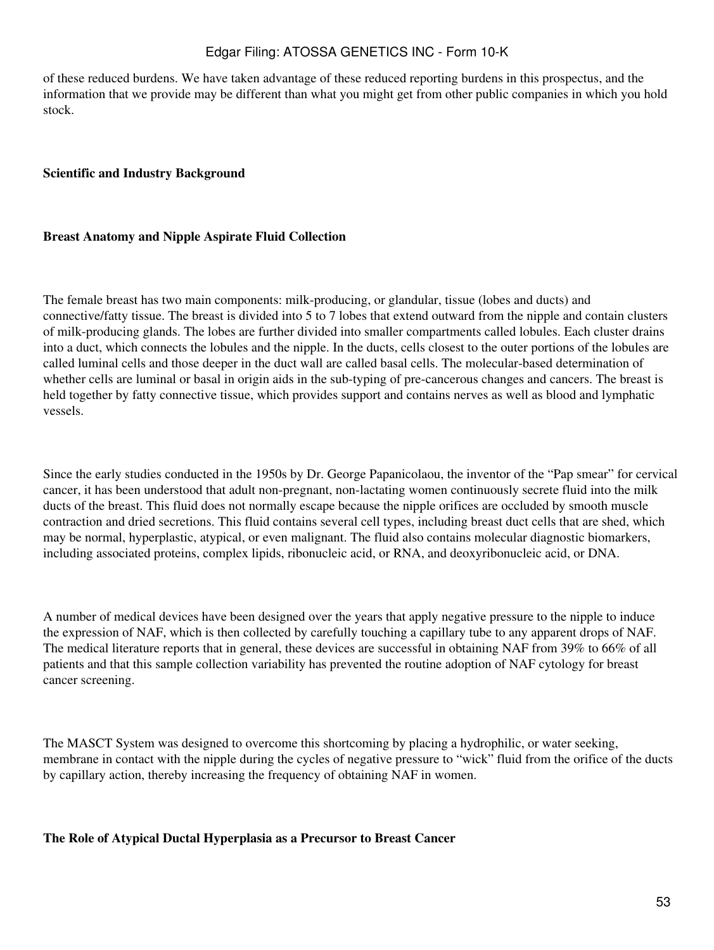of these reduced burdens. We have taken advantage of these reduced reporting burdens in this prospectus, and the information that we provide may be different than what you might get from other public companies in which you hold stock.

### **Scientific and Industry Background**

#### **Breast Anatomy and Nipple Aspirate Fluid Collection**

The female breast has two main components: milk-producing, or glandular, tissue (lobes and ducts) and connective/fatty tissue. The breast is divided into 5 to 7 lobes that extend outward from the nipple and contain clusters of milk-producing glands. The lobes are further divided into smaller compartments called lobules. Each cluster drains into a duct, which connects the lobules and the nipple. In the ducts, cells closest to the outer portions of the lobules are called luminal cells and those deeper in the duct wall are called basal cells. The molecular-based determination of whether cells are luminal or basal in origin aids in the sub-typing of pre-cancerous changes and cancers. The breast is held together by fatty connective tissue, which provides support and contains nerves as well as blood and lymphatic vessels.

Since the early studies conducted in the 1950s by Dr. George Papanicolaou, the inventor of the "Pap smear" for cervical cancer, it has been understood that adult non-pregnant, non-lactating women continuously secrete fluid into the milk ducts of the breast. This fluid does not normally escape because the nipple orifices are occluded by smooth muscle contraction and dried secretions. This fluid contains several cell types, including breast duct cells that are shed, which may be normal, hyperplastic, atypical, or even malignant. The fluid also contains molecular diagnostic biomarkers, including associated proteins, complex lipids, ribonucleic acid, or RNA, and deoxyribonucleic acid, or DNA.

A number of medical devices have been designed over the years that apply negative pressure to the nipple to induce the expression of NAF, which is then collected by carefully touching a capillary tube to any apparent drops of NAF. The medical literature reports that in general, these devices are successful in obtaining NAF from 39% to 66% of all patients and that this sample collection variability has prevented the routine adoption of NAF cytology for breast cancer screening.

The MASCT System was designed to overcome this shortcoming by placing a hydrophilic, or water seeking, membrane in contact with the nipple during the cycles of negative pressure to "wick" fluid from the orifice of the ducts by capillary action, thereby increasing the frequency of obtaining NAF in women.

#### **The Role of Atypical Ductal Hyperplasia as a Precursor to Breast Cancer**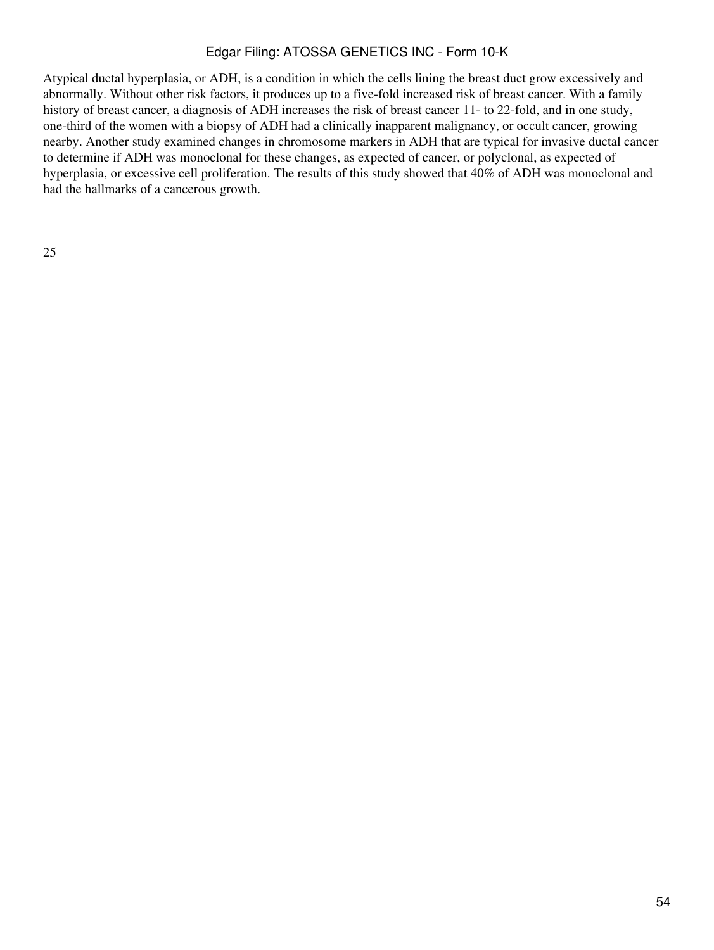Atypical ductal hyperplasia, or ADH, is a condition in which the cells lining the breast duct grow excessively and abnormally. Without other risk factors, it produces up to a five-fold increased risk of breast cancer. With a family history of breast cancer, a diagnosis of ADH increases the risk of breast cancer 11- to 22-fold, and in one study, one-third of the women with a biopsy of ADH had a clinically inapparent malignancy, or occult cancer, growing nearby. Another study examined changes in chromosome markers in ADH that are typical for invasive ductal cancer to determine if ADH was monoclonal for these changes, as expected of cancer, or polyclonal, as expected of hyperplasia, or excessive cell proliferation. The results of this study showed that 40% of ADH was monoclonal and had the hallmarks of a cancerous growth.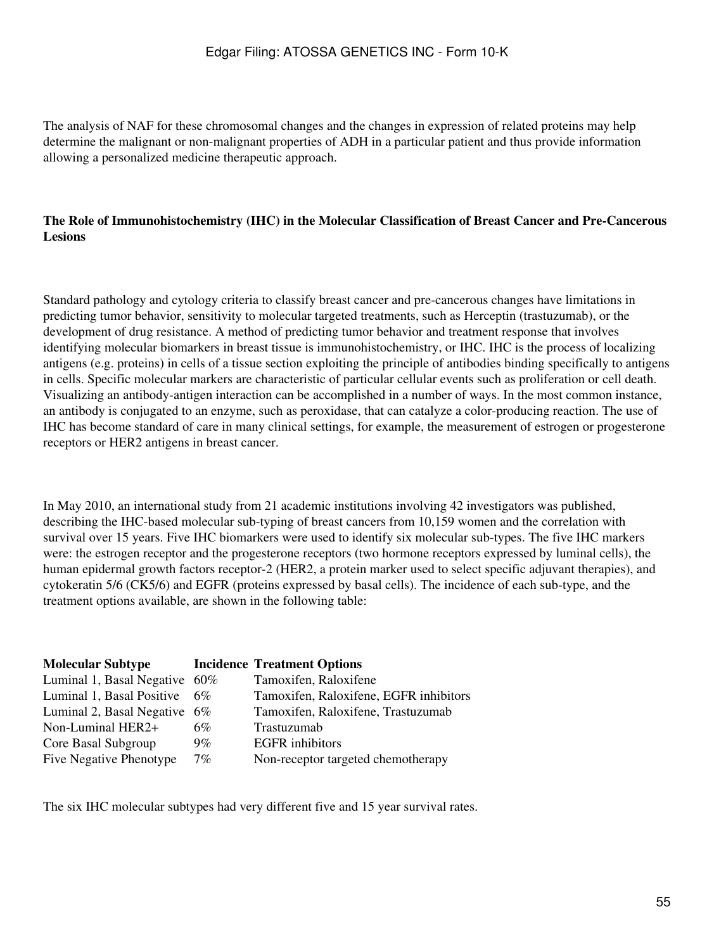The analysis of NAF for these chromosomal changes and the changes in expression of related proteins may help determine the malignant or non-malignant properties of ADH in a particular patient and thus provide information allowing a personalized medicine therapeutic approach.

## **The Role of Immunohistochemistry (IHC) in the Molecular Classification of Breast Cancer and Pre-Cancerous Lesions**

Standard pathology and cytology criteria to classify breast cancer and pre-cancerous changes have limitations in predicting tumor behavior, sensitivity to molecular targeted treatments, such as Herceptin (trastuzumab), or the development of drug resistance. A method of predicting tumor behavior and treatment response that involves identifying molecular biomarkers in breast tissue is immunohistochemistry, or IHC. IHC is the process of localizing antigens (e.g. proteins) in cells of a tissue section exploiting the principle of antibodies binding specifically to antigens in cells. Specific molecular markers are characteristic of particular cellular events such as proliferation or cell death. Visualizing an antibody-antigen interaction can be accomplished in a number of ways. In the most common instance, an antibody is conjugated to an enzyme, such as peroxidase, that can catalyze a color-producing reaction. The use of IHC has become standard of care in many clinical settings, for example, the measurement of estrogen or progesterone receptors or HER2 antigens in breast cancer.

In May 2010, an international study from 21 academic institutions involving 42 investigators was published, describing the IHC-based molecular sub-typing of breast cancers from 10,159 women and the correlation with survival over 15 years. Five IHC biomarkers were used to identify six molecular sub-types. The five IHC markers were: the estrogen receptor and the progesterone receptors (two hormone receptors expressed by luminal cells), the human epidermal growth factors receptor-2 (HER2, a protein marker used to select specific adjuvant therapies), and cytokeratin 5/6 (CK5/6) and EGFR (proteins expressed by basal cells). The incidence of each sub-type, and the treatment options available, are shown in the following table:

| <b>Molecular Subtype</b>        |       | <b>Incidence Treatment Options</b>     |
|---------------------------------|-------|----------------------------------------|
| Luminal 1, Basal Negative 60%   |       | Tamoxifen, Raloxifene                  |
| Luminal 1, Basal Positive       | 6%    | Tamoxifen, Raloxifene, EGFR inhibitors |
| Luminal 2, Basal Negative $6\%$ |       | Tamoxifen, Raloxifene, Trastuzumab     |
| Non-Luminal HER2+               | 6%    | Trastuzumab                            |
| Core Basal Subgroup             | $9\%$ | <b>EGFR</b> inhibitors                 |
| Five Negative Phenotype         | $7\%$ | Non-receptor targeted chemotherapy     |

The six IHC molecular subtypes had very different five and 15 year survival rates.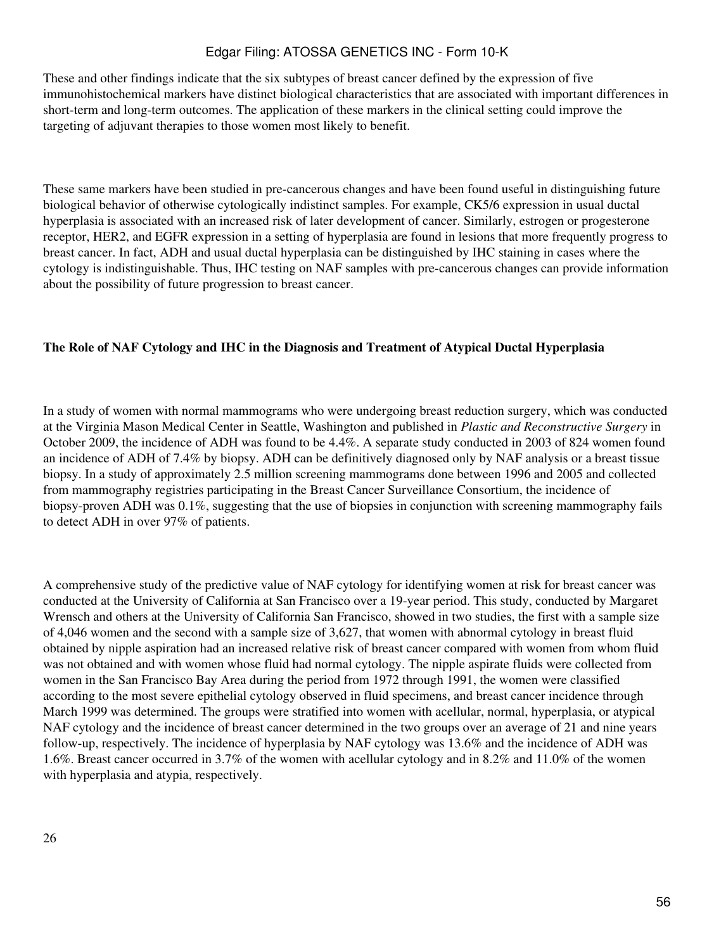These and other findings indicate that the six subtypes of breast cancer defined by the expression of five immunohistochemical markers have distinct biological characteristics that are associated with important differences in short-term and long-term outcomes. The application of these markers in the clinical setting could improve the targeting of adjuvant therapies to those women most likely to benefit.

These same markers have been studied in pre-cancerous changes and have been found useful in distinguishing future biological behavior of otherwise cytologically indistinct samples. For example, CK5/6 expression in usual ductal hyperplasia is associated with an increased risk of later development of cancer. Similarly, estrogen or progesterone receptor, HER2, and EGFR expression in a setting of hyperplasia are found in lesions that more frequently progress to breast cancer. In fact, ADH and usual ductal hyperplasia can be distinguished by IHC staining in cases where the cytology is indistinguishable. Thus, IHC testing on NAF samples with pre-cancerous changes can provide information about the possibility of future progression to breast cancer.

### **The Role of NAF Cytology and IHC in the Diagnosis and Treatment of Atypical Ductal Hyperplasia**

In a study of women with normal mammograms who were undergoing breast reduction surgery, which was conducted at the Virginia Mason Medical Center in Seattle, Washington and published in *Plastic and Reconstructive Surgery* in October 2009, the incidence of ADH was found to be 4.4%. A separate study conducted in 2003 of 824 women found an incidence of ADH of 7.4% by biopsy. ADH can be definitively diagnosed only by NAF analysis or a breast tissue biopsy. In a study of approximately 2.5 million screening mammograms done between 1996 and 2005 and collected from mammography registries participating in the Breast Cancer Surveillance Consortium, the incidence of biopsy-proven ADH was 0.1%, suggesting that the use of biopsies in conjunction with screening mammography fails to detect ADH in over 97% of patients.

A comprehensive study of the predictive value of NAF cytology for identifying women at risk for breast cancer was conducted at the University of California at San Francisco over a 19-year period. This study, conducted by Margaret Wrensch and others at the University of California San Francisco, showed in two studies, the first with a sample size of 4,046 women and the second with a sample size of 3,627, that women with abnormal cytology in breast fluid obtained by nipple aspiration had an increased relative risk of breast cancer compared with women from whom fluid was not obtained and with women whose fluid had normal cytology. The nipple aspirate fluids were collected from women in the San Francisco Bay Area during the period from 1972 through 1991, the women were classified according to the most severe epithelial cytology observed in fluid specimens, and breast cancer incidence through March 1999 was determined. The groups were stratified into women with acellular, normal, hyperplasia, or atypical NAF cytology and the incidence of breast cancer determined in the two groups over an average of 21 and nine years follow-up, respectively. The incidence of hyperplasia by NAF cytology was 13.6% and the incidence of ADH was 1.6%. Breast cancer occurred in 3.7% of the women with acellular cytology and in 8.2% and 11.0% of the women with hyperplasia and atypia, respectively.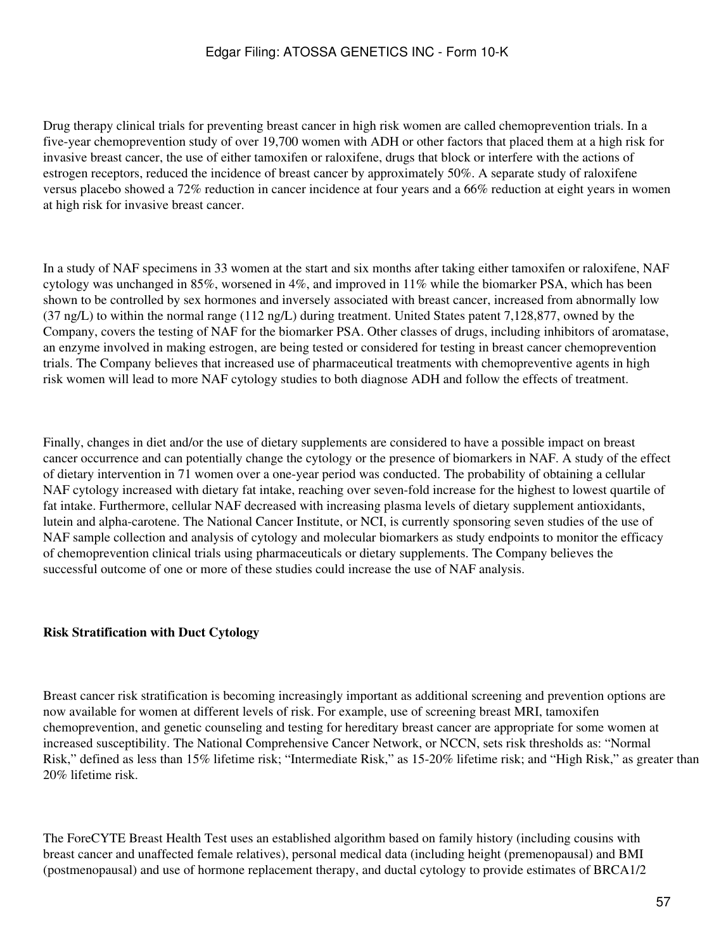Drug therapy clinical trials for preventing breast cancer in high risk women are called chemoprevention trials. In a five-year chemoprevention study of over 19,700 women with ADH or other factors that placed them at a high risk for invasive breast cancer, the use of either tamoxifen or raloxifene, drugs that block or interfere with the actions of estrogen receptors, reduced the incidence of breast cancer by approximately 50%. A separate study of raloxifene versus placebo showed a 72% reduction in cancer incidence at four years and a 66% reduction at eight years in women at high risk for invasive breast cancer.

In a study of NAF specimens in 33 women at the start and six months after taking either tamoxifen or raloxifene, NAF cytology was unchanged in 85%, worsened in 4%, and improved in 11% while the biomarker PSA, which has been shown to be controlled by sex hormones and inversely associated with breast cancer, increased from abnormally low (37 ng/L) to within the normal range (112 ng/L) during treatment. United States patent 7,128,877, owned by the Company, covers the testing of NAF for the biomarker PSA. Other classes of drugs, including inhibitors of aromatase, an enzyme involved in making estrogen, are being tested or considered for testing in breast cancer chemoprevention trials. The Company believes that increased use of pharmaceutical treatments with chemopreventive agents in high risk women will lead to more NAF cytology studies to both diagnose ADH and follow the effects of treatment.

Finally, changes in diet and/or the use of dietary supplements are considered to have a possible impact on breast cancer occurrence and can potentially change the cytology or the presence of biomarkers in NAF. A study of the effect of dietary intervention in 71 women over a one-year period was conducted. The probability of obtaining a cellular NAF cytology increased with dietary fat intake, reaching over seven-fold increase for the highest to lowest quartile of fat intake. Furthermore, cellular NAF decreased with increasing plasma levels of dietary supplement antioxidants, lutein and alpha-carotene. The National Cancer Institute, or NCI, is currently sponsoring seven studies of the use of NAF sample collection and analysis of cytology and molecular biomarkers as study endpoints to monitor the efficacy of chemoprevention clinical trials using pharmaceuticals or dietary supplements. The Company believes the successful outcome of one or more of these studies could increase the use of NAF analysis.

#### **Risk Stratification with Duct Cytology**

Breast cancer risk stratification is becoming increasingly important as additional screening and prevention options are now available for women at different levels of risk. For example, use of screening breast MRI, tamoxifen chemoprevention, and genetic counseling and testing for hereditary breast cancer are appropriate for some women at increased susceptibility. The National Comprehensive Cancer Network, or NCCN, sets risk thresholds as: "Normal Risk," defined as less than 15% lifetime risk; "Intermediate Risk," as 15-20% lifetime risk; and "High Risk," as greater than 20% lifetime risk.

The ForeCYTE Breast Health Test uses an established algorithm based on family history (including cousins with breast cancer and unaffected female relatives), personal medical data (including height (premenopausal) and BMI (postmenopausal) and use of hormone replacement therapy, and ductal cytology to provide estimates of BRCA1/2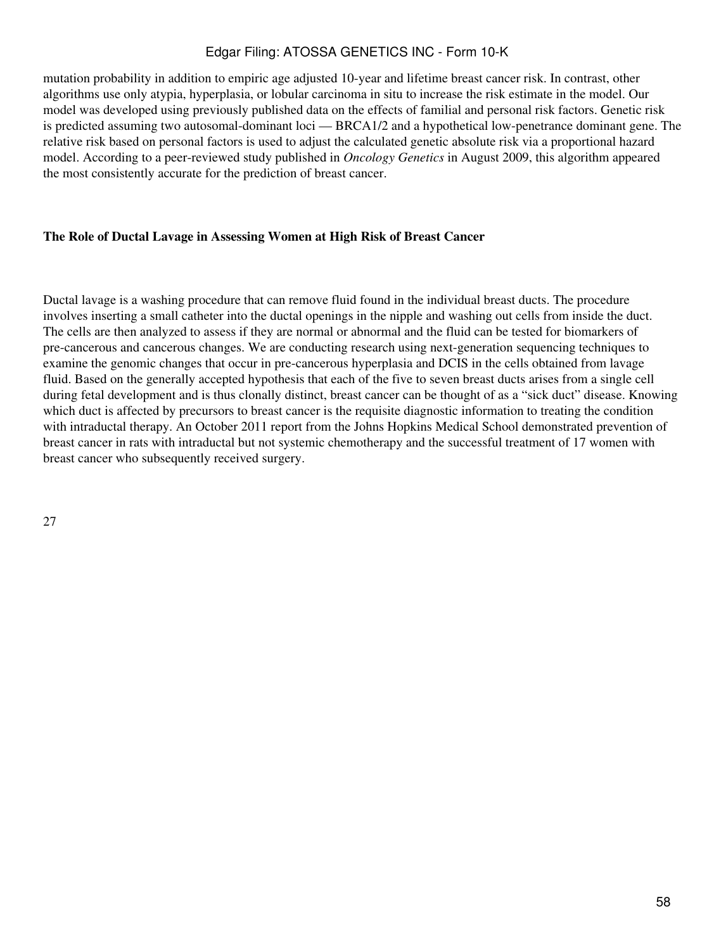mutation probability in addition to empiric age adjusted 10-year and lifetime breast cancer risk. In contrast, other algorithms use only atypia, hyperplasia, or lobular carcinoma in situ to increase the risk estimate in the model. Our model was developed using previously published data on the effects of familial and personal risk factors. Genetic risk is predicted assuming two autosomal-dominant loci — BRCA1/2 and a hypothetical low-penetrance dominant gene. The relative risk based on personal factors is used to adjust the calculated genetic absolute risk via a proportional hazard model. According to a peer-reviewed study published in *Oncology Genetics* in August 2009, this algorithm appeared the most consistently accurate for the prediction of breast cancer.

### **The Role of Ductal Lavage in Assessing Women at High Risk of Breast Cancer**

Ductal lavage is a washing procedure that can remove fluid found in the individual breast ducts. The procedure involves inserting a small catheter into the ductal openings in the nipple and washing out cells from inside the duct. The cells are then analyzed to assess if they are normal or abnormal and the fluid can be tested for biomarkers of pre-cancerous and cancerous changes. We are conducting research using next-generation sequencing techniques to examine the genomic changes that occur in pre-cancerous hyperplasia and DCIS in the cells obtained from lavage fluid. Based on the generally accepted hypothesis that each of the five to seven breast ducts arises from a single cell during fetal development and is thus clonally distinct, breast cancer can be thought of as a "sick duct" disease. Knowing which duct is affected by precursors to breast cancer is the requisite diagnostic information to treating the condition with intraductal therapy. An October 2011 report from the Johns Hopkins Medical School demonstrated prevention of breast cancer in rats with intraductal but not systemic chemotherapy and the successful treatment of 17 women with breast cancer who subsequently received surgery.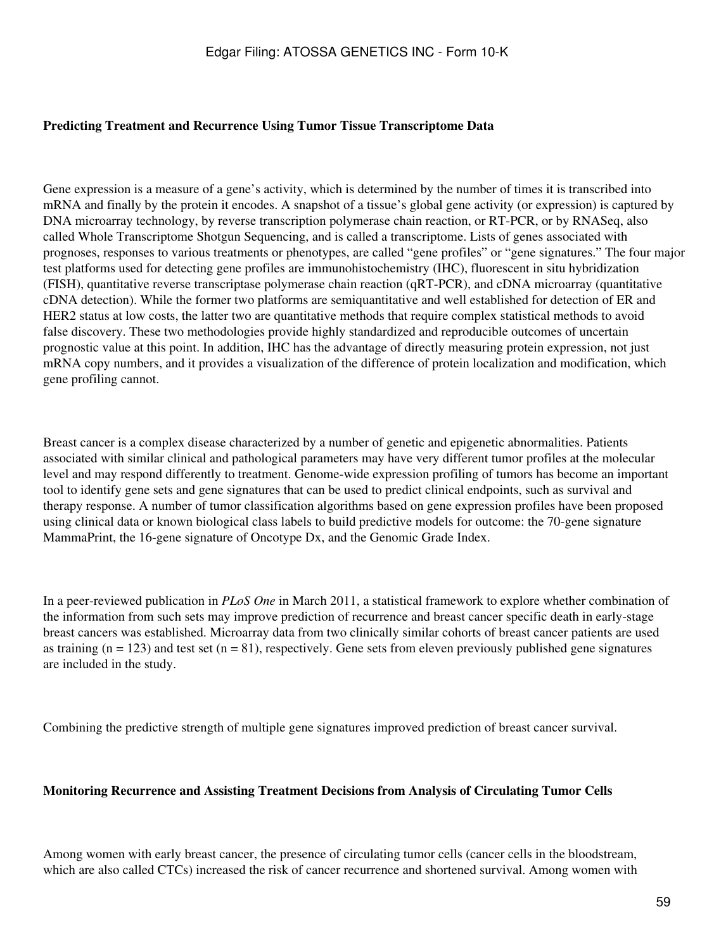#### **Predicting Treatment and Recurrence Using Tumor Tissue Transcriptome Data**

Gene expression is a measure of a gene's activity, which is determined by the number of times it is transcribed into mRNA and finally by the protein it encodes. A snapshot of a tissue's global gene activity (or expression) is captured by DNA microarray technology, by reverse transcription polymerase chain reaction, or RT-PCR, or by RNASeq, also called Whole Transcriptome Shotgun Sequencing, and is called a transcriptome. Lists of genes associated with prognoses, responses to various treatments or phenotypes, are called "gene profiles" or "gene signatures." The four major test platforms used for detecting gene profiles are immunohistochemistry (IHC), fluorescent in situ hybridization (FISH), quantitative reverse transcriptase polymerase chain reaction (qRT-PCR), and cDNA microarray (quantitative cDNA detection). While the former two platforms are semiquantitative and well established for detection of ER and HER2 status at low costs, the latter two are quantitative methods that require complex statistical methods to avoid false discovery. These two methodologies provide highly standardized and reproducible outcomes of uncertain prognostic value at this point. In addition, IHC has the advantage of directly measuring protein expression, not just mRNA copy numbers, and it provides a visualization of the difference of protein localization and modification, which gene profiling cannot.

Breast cancer is a complex disease characterized by a number of genetic and epigenetic abnormalities. Patients associated with similar clinical and pathological parameters may have very different tumor profiles at the molecular level and may respond differently to treatment. Genome-wide expression profiling of tumors has become an important tool to identify gene sets and gene signatures that can be used to predict clinical endpoints, such as survival and therapy response. A number of tumor classification algorithms based on gene expression profiles have been proposed using clinical data or known biological class labels to build predictive models for outcome: the 70-gene signature MammaPrint, the 16-gene signature of Oncotype Dx, and the Genomic Grade Index.

In a peer-reviewed publication in *PLoS One* in March 2011, a statistical framework to explore whether combination of the information from such sets may improve prediction of recurrence and breast cancer specific death in early-stage breast cancers was established. Microarray data from two clinically similar cohorts of breast cancer patients are used as training ( $n = 123$ ) and test set ( $n = 81$ ), respectively. Gene sets from eleven previously published gene signatures are included in the study.

Combining the predictive strength of multiple gene signatures improved prediction of breast cancer survival.

#### **Monitoring Recurrence and Assisting Treatment Decisions from Analysis of Circulating Tumor Cells**

Among women with early breast cancer, the presence of circulating tumor cells (cancer cells in the bloodstream, which are also called CTCs) increased the risk of cancer recurrence and shortened survival. Among women with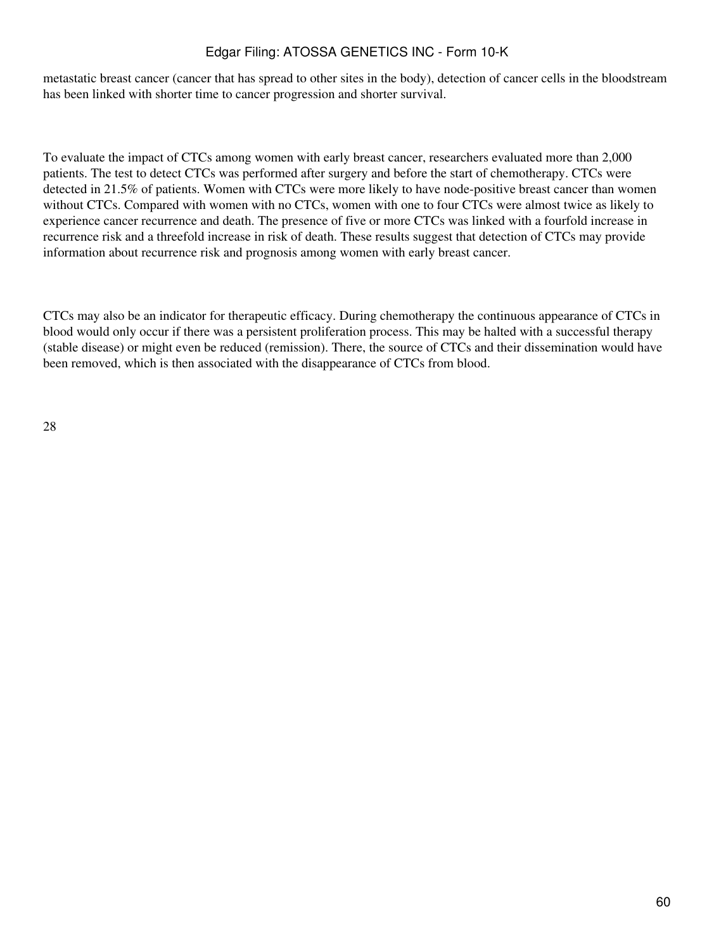metastatic breast cancer (cancer that has spread to other sites in the body), detection of cancer cells in the bloodstream has been linked with shorter time to cancer progression and shorter survival.

To evaluate the impact of CTCs among women with early breast cancer, researchers evaluated more than 2,000 patients. The test to detect CTCs was performed after surgery and before the start of chemotherapy. CTCs were detected in 21.5% of patients. Women with CTCs were more likely to have node-positive breast cancer than women without CTCs. Compared with women with no CTCs, women with one to four CTCs were almost twice as likely to experience cancer recurrence and death. The presence of five or more CTCs was linked with a fourfold increase in recurrence risk and a threefold increase in risk of death. These results suggest that detection of CTCs may provide information about recurrence risk and prognosis among women with early breast cancer.

CTCs may also be an indicator for therapeutic efficacy. During chemotherapy the continuous appearance of CTCs in blood would only occur if there was a persistent proliferation process. This may be halted with a successful therapy (stable disease) or might even be reduced (remission). There, the source of CTCs and their dissemination would have been removed, which is then associated with the disappearance of CTCs from blood.

28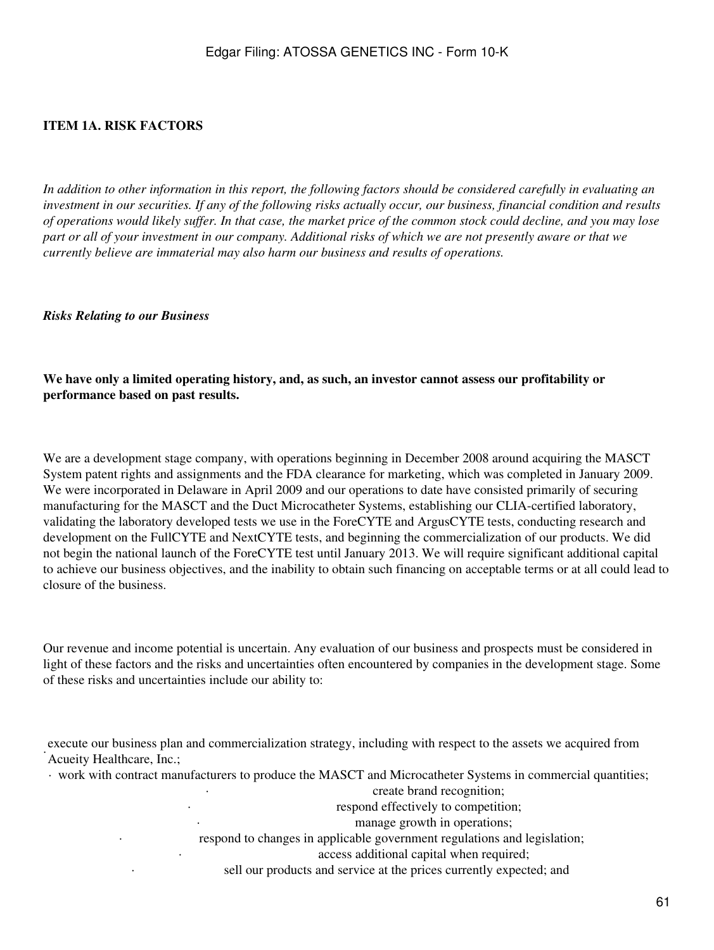### **ITEM 1A. RISK FACTORS**

*In addition to other information in this report, the following factors should be considered carefully in evaluating an investment in our securities. If any of the following risks actually occur, our business, financial condition and results of operations would likely suffer. In that case, the market price of the common stock could decline, and you may lose part or all of your investment in our company. Additional risks of which we are not presently aware or that we currently believe are immaterial may also harm our business and results of operations.*

*Risks Relating to our Business*

#### **We have only a limited operating history, and, as such, an investor cannot assess our profitability or performance based on past results.**

We are a development stage company, with operations beginning in December 2008 around acquiring the MASCT System patent rights and assignments and the FDA clearance for marketing, which was completed in January 2009. We were incorporated in Delaware in April 2009 and our operations to date have consisted primarily of securing manufacturing for the MASCT and the Duct Microcatheter Systems, establishing our CLIA-certified laboratory, validating the laboratory developed tests we use in the ForeCYTE and ArgusCYTE tests, conducting research and development on the FullCYTE and NextCYTE tests, and beginning the commercialization of our products. We did not begin the national launch of the ForeCYTE test until January 2013. We will require significant additional capital to achieve our business objectives, and the inability to obtain such financing on acceptable terms or at all could lead to closure of the business.

Our revenue and income potential is uncertain. Any evaluation of our business and prospects must be considered in light of these factors and the risks and uncertainties often encountered by companies in the development stage. Some of these risks and uncertainties include our ability to:

execute our business plan and commercialization strategy, including with respect to the assets we acquired from<br>Americal Healthcare Inc. Acueity Healthcare, Inc.;

· work with contract manufacturers to produce the MASCT and Microcatheter Systems in commercial quantities;

create brand recognition;

respond effectively to competition;

manage growth in operations;

respond to changes in applicable government regulations and legislation;

access additional capital when required;

sell our products and service at the prices currently expected; and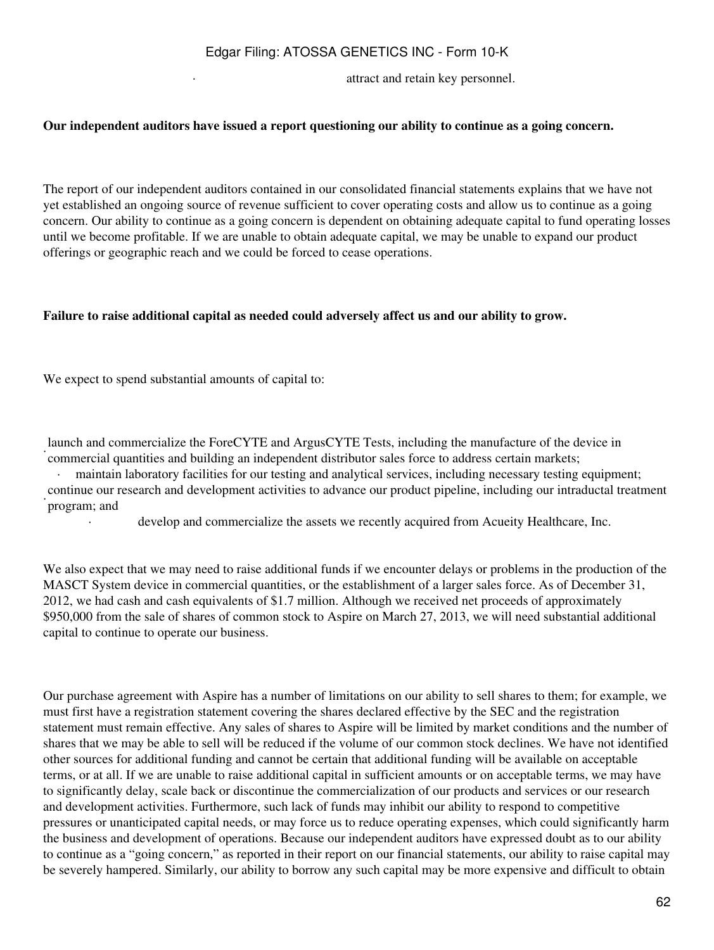attract and retain key personnel.

#### **Our independent auditors have issued a report questioning our ability to continue as a going concern.**

The report of our independent auditors contained in our consolidated financial statements explains that we have not yet established an ongoing source of revenue sufficient to cover operating costs and allow us to continue as a going concern. Our ability to continue as a going concern is dependent on obtaining adequate capital to fund operating losses until we become profitable. If we are unable to obtain adequate capital, we may be unable to expand our product offerings or geographic reach and we could be forced to cease operations.

#### **Failure to raise additional capital as needed could adversely affect us and our ability to grow.**

We expect to spend substantial amounts of capital to:

· commercial quantities and building an independent distributor sales force to address certain markets; launch and commercialize the ForeCYTE and ArgusCYTE Tests, including the manufacture of the device in

maintain laboratory facilities for our testing and analytical services, including necessary testing equipment; continue our research and development activities to advance our product pipeline, including our intraductal treatment program; and

develop and commercialize the assets we recently acquired from Acueity Healthcare, Inc.

We also expect that we may need to raise additional funds if we encounter delays or problems in the production of the MASCT System device in commercial quantities, or the establishment of a larger sales force. As of December 31, 2012, we had cash and cash equivalents of \$1.7 million. Although we received net proceeds of approximately \$950,000 from the sale of shares of common stock to Aspire on March 27, 2013, we will need substantial additional capital to continue to operate our business.

Our purchase agreement with Aspire has a number of limitations on our ability to sell shares to them; for example, we must first have a registration statement covering the shares declared effective by the SEC and the registration statement must remain effective. Any sales of shares to Aspire will be limited by market conditions and the number of shares that we may be able to sell will be reduced if the volume of our common stock declines. We have not identified other sources for additional funding and cannot be certain that additional funding will be available on acceptable terms, or at all. If we are unable to raise additional capital in sufficient amounts or on acceptable terms, we may have to significantly delay, scale back or discontinue the commercialization of our products and services or our research and development activities. Furthermore, such lack of funds may inhibit our ability to respond to competitive pressures or unanticipated capital needs, or may force us to reduce operating expenses, which could significantly harm the business and development of operations. Because our independent auditors have expressed doubt as to our ability to continue as a "going concern," as reported in their report on our financial statements, our ability to raise capital may be severely hampered. Similarly, our ability to borrow any such capital may be more expensive and difficult to obtain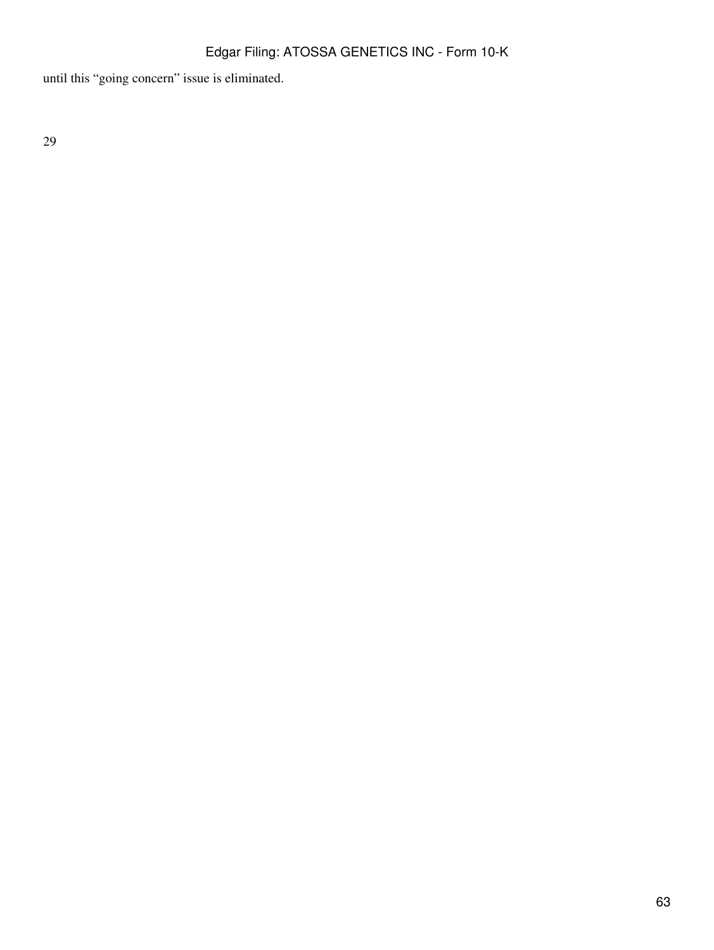until this "going concern" issue is eliminated.

29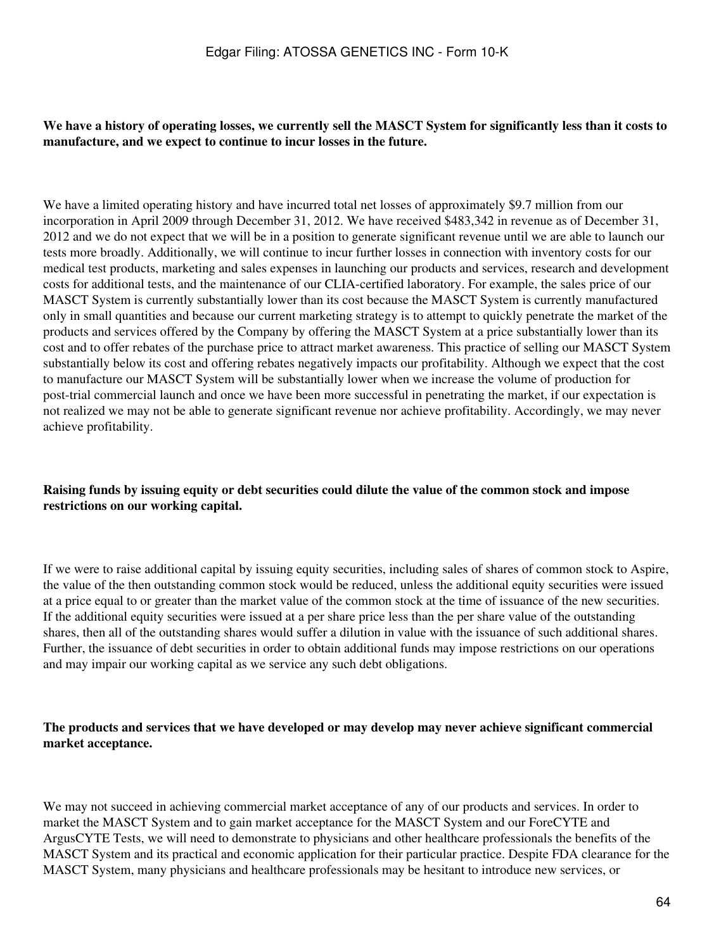#### **We have a history of operating losses, we currently sell the MASCT System for significantly less than it costs to manufacture, and we expect to continue to incur losses in the future.**

We have a limited operating history and have incurred total net losses of approximately \$9.7 million from our incorporation in April 2009 through December 31, 2012. We have received \$483,342 in revenue as of December 31, 2012 and we do not expect that we will be in a position to generate significant revenue until we are able to launch our tests more broadly. Additionally, we will continue to incur further losses in connection with inventory costs for our medical test products, marketing and sales expenses in launching our products and services, research and development costs for additional tests, and the maintenance of our CLIA-certified laboratory. For example, the sales price of our MASCT System is currently substantially lower than its cost because the MASCT System is currently manufactured only in small quantities and because our current marketing strategy is to attempt to quickly penetrate the market of the products and services offered by the Company by offering the MASCT System at a price substantially lower than its cost and to offer rebates of the purchase price to attract market awareness. This practice of selling our MASCT System substantially below its cost and offering rebates negatively impacts our profitability. Although we expect that the cost to manufacture our MASCT System will be substantially lower when we increase the volume of production for post-trial commercial launch and once we have been more successful in penetrating the market, if our expectation is not realized we may not be able to generate significant revenue nor achieve profitability. Accordingly, we may never achieve profitability.

#### **Raising funds by issuing equity or debt securities could dilute the value of the common stock and impose restrictions on our working capital.**

If we were to raise additional capital by issuing equity securities, including sales of shares of common stock to Aspire, the value of the then outstanding common stock would be reduced, unless the additional equity securities were issued at a price equal to or greater than the market value of the common stock at the time of issuance of the new securities. If the additional equity securities were issued at a per share price less than the per share value of the outstanding shares, then all of the outstanding shares would suffer a dilution in value with the issuance of such additional shares. Further, the issuance of debt securities in order to obtain additional funds may impose restrictions on our operations and may impair our working capital as we service any such debt obligations.

#### **The products and services that we have developed or may develop may never achieve significant commercial market acceptance.**

We may not succeed in achieving commercial market acceptance of any of our products and services. In order to market the MASCT System and to gain market acceptance for the MASCT System and our ForeCYTE and ArgusCYTE Tests, we will need to demonstrate to physicians and other healthcare professionals the benefits of the MASCT System and its practical and economic application for their particular practice. Despite FDA clearance for the MASCT System, many physicians and healthcare professionals may be hesitant to introduce new services, or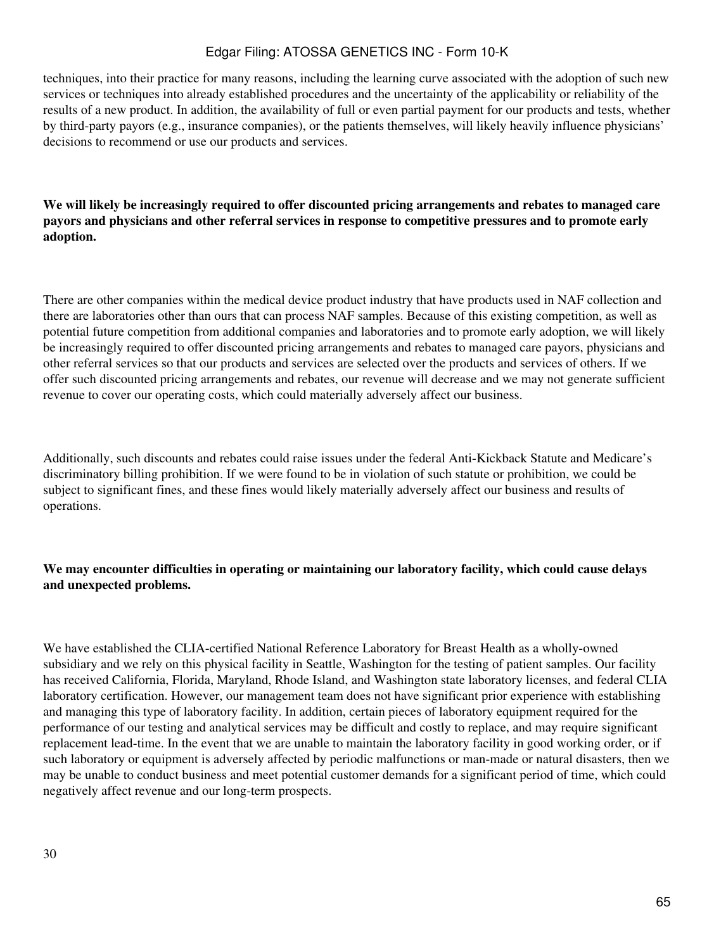techniques, into their practice for many reasons, including the learning curve associated with the adoption of such new services or techniques into already established procedures and the uncertainty of the applicability or reliability of the results of a new product. In addition, the availability of full or even partial payment for our products and tests, whether by third-party payors (e.g., insurance companies), or the patients themselves, will likely heavily influence physicians' decisions to recommend or use our products and services.

### **We will likely be increasingly required to offer discounted pricing arrangements and rebates to managed care payors and physicians and other referral services in response to competitive pressures and to promote early adoption.**

There are other companies within the medical device product industry that have products used in NAF collection and there are laboratories other than ours that can process NAF samples. Because of this existing competition, as well as potential future competition from additional companies and laboratories and to promote early adoption, we will likely be increasingly required to offer discounted pricing arrangements and rebates to managed care payors, physicians and other referral services so that our products and services are selected over the products and services of others. If we offer such discounted pricing arrangements and rebates, our revenue will decrease and we may not generate sufficient revenue to cover our operating costs, which could materially adversely affect our business.

Additionally, such discounts and rebates could raise issues under the federal Anti-Kickback Statute and Medicare's discriminatory billing prohibition. If we were found to be in violation of such statute or prohibition, we could be subject to significant fines, and these fines would likely materially adversely affect our business and results of operations.

### **We may encounter difficulties in operating or maintaining our laboratory facility, which could cause delays and unexpected problems.**

We have established the CLIA-certified National Reference Laboratory for Breast Health as a wholly-owned subsidiary and we rely on this physical facility in Seattle, Washington for the testing of patient samples. Our facility has received California, Florida, Maryland, Rhode Island, and Washington state laboratory licenses, and federal CLIA laboratory certification. However, our management team does not have significant prior experience with establishing and managing this type of laboratory facility. In addition, certain pieces of laboratory equipment required for the performance of our testing and analytical services may be difficult and costly to replace, and may require significant replacement lead-time. In the event that we are unable to maintain the laboratory facility in good working order, or if such laboratory or equipment is adversely affected by periodic malfunctions or man-made or natural disasters, then we may be unable to conduct business and meet potential customer demands for a significant period of time, which could negatively affect revenue and our long-term prospects.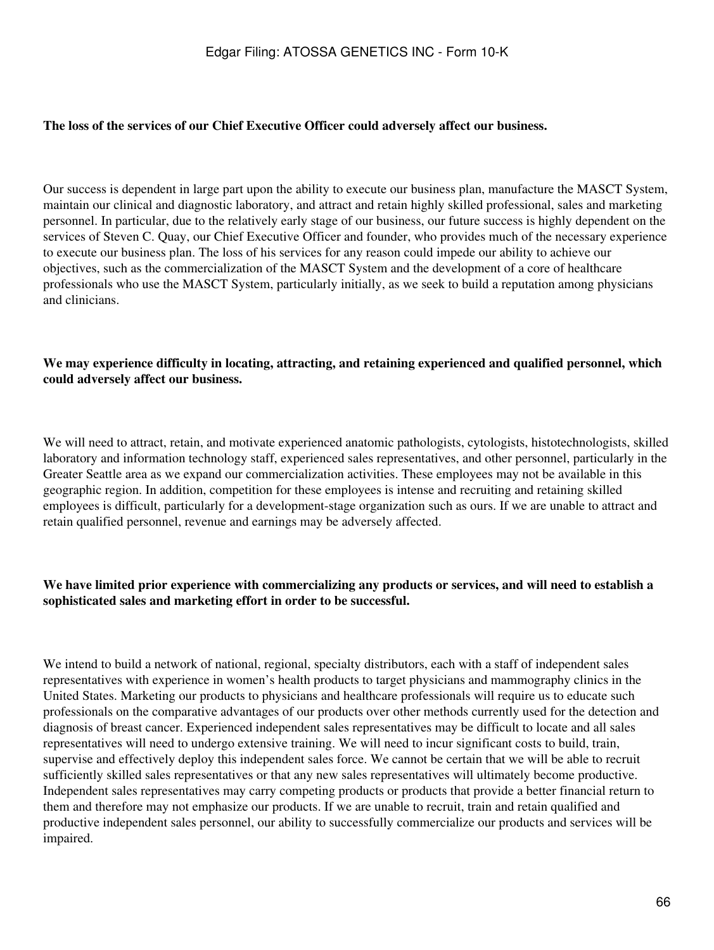#### **The loss of the services of our Chief Executive Officer could adversely affect our business.**

Our success is dependent in large part upon the ability to execute our business plan, manufacture the MASCT System, maintain our clinical and diagnostic laboratory, and attract and retain highly skilled professional, sales and marketing personnel. In particular, due to the relatively early stage of our business, our future success is highly dependent on the services of Steven C. Quay, our Chief Executive Officer and founder, who provides much of the necessary experience to execute our business plan. The loss of his services for any reason could impede our ability to achieve our objectives, such as the commercialization of the MASCT System and the development of a core of healthcare professionals who use the MASCT System, particularly initially, as we seek to build a reputation among physicians and clinicians.

#### **We may experience difficulty in locating, attracting, and retaining experienced and qualified personnel, which could adversely affect our business.**

We will need to attract, retain, and motivate experienced anatomic pathologists, cytologists, histotechnologists, skilled laboratory and information technology staff, experienced sales representatives, and other personnel, particularly in the Greater Seattle area as we expand our commercialization activities. These employees may not be available in this geographic region. In addition, competition for these employees is intense and recruiting and retaining skilled employees is difficult, particularly for a development-stage organization such as ours. If we are unable to attract and retain qualified personnel, revenue and earnings may be adversely affected.

### **We have limited prior experience with commercializing any products or services, and will need to establish a sophisticated sales and marketing effort in order to be successful.**

We intend to build a network of national, regional, specialty distributors, each with a staff of independent sales representatives with experience in women's health products to target physicians and mammography clinics in the United States. Marketing our products to physicians and healthcare professionals will require us to educate such professionals on the comparative advantages of our products over other methods currently used for the detection and diagnosis of breast cancer. Experienced independent sales representatives may be difficult to locate and all sales representatives will need to undergo extensive training. We will need to incur significant costs to build, train, supervise and effectively deploy this independent sales force. We cannot be certain that we will be able to recruit sufficiently skilled sales representatives or that any new sales representatives will ultimately become productive. Independent sales representatives may carry competing products or products that provide a better financial return to them and therefore may not emphasize our products. If we are unable to recruit, train and retain qualified and productive independent sales personnel, our ability to successfully commercialize our products and services will be impaired.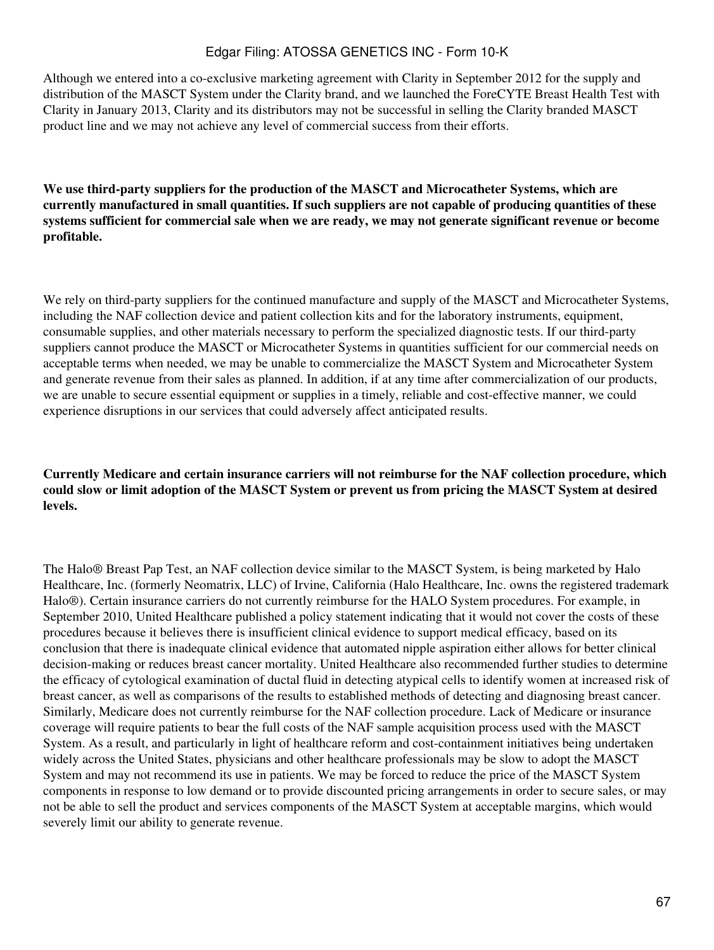Although we entered into a co-exclusive marketing agreement with Clarity in September 2012 for the supply and distribution of the MASCT System under the Clarity brand, and we launched the ForeCYTE Breast Health Test with Clarity in January 2013, Clarity and its distributors may not be successful in selling the Clarity branded MASCT product line and we may not achieve any level of commercial success from their efforts.

**We use third-party suppliers for the production of the MASCT and Microcatheter Systems, which are currently manufactured in small quantities. If such suppliers are not capable of producing quantities of these systems sufficient for commercial sale when we are ready, we may not generate significant revenue or become profitable.**

We rely on third-party suppliers for the continued manufacture and supply of the MASCT and Microcatheter Systems, including the NAF collection device and patient collection kits and for the laboratory instruments, equipment, consumable supplies, and other materials necessary to perform the specialized diagnostic tests. If our third-party suppliers cannot produce the MASCT or Microcatheter Systems in quantities sufficient for our commercial needs on acceptable terms when needed, we may be unable to commercialize the MASCT System and Microcatheter System and generate revenue from their sales as planned. In addition, if at any time after commercialization of our products, we are unable to secure essential equipment or supplies in a timely, reliable and cost-effective manner, we could experience disruptions in our services that could adversely affect anticipated results.

**Currently Medicare and certain insurance carriers will not reimburse for the NAF collection procedure, which could slow or limit adoption of the MASCT System or prevent us from pricing the MASCT System at desired levels.**

The Halo® Breast Pap Test, an NAF collection device similar to the MASCT System, is being marketed by Halo Healthcare, Inc. (formerly Neomatrix, LLC) of Irvine, California (Halo Healthcare, Inc. owns the registered trademark Halo®). Certain insurance carriers do not currently reimburse for the HALO System procedures. For example, in September 2010, United Healthcare published a policy statement indicating that it would not cover the costs of these procedures because it believes there is insufficient clinical evidence to support medical efficacy, based on its conclusion that there is inadequate clinical evidence that automated nipple aspiration either allows for better clinical decision-making or reduces breast cancer mortality. United Healthcare also recommended further studies to determine the efficacy of cytological examination of ductal fluid in detecting atypical cells to identify women at increased risk of breast cancer, as well as comparisons of the results to established methods of detecting and diagnosing breast cancer. Similarly, Medicare does not currently reimburse for the NAF collection procedure. Lack of Medicare or insurance coverage will require patients to bear the full costs of the NAF sample acquisition process used with the MASCT System. As a result, and particularly in light of healthcare reform and cost-containment initiatives being undertaken widely across the United States, physicians and other healthcare professionals may be slow to adopt the MASCT System and may not recommend its use in patients. We may be forced to reduce the price of the MASCT System components in response to low demand or to provide discounted pricing arrangements in order to secure sales, or may not be able to sell the product and services components of the MASCT System at acceptable margins, which would severely limit our ability to generate revenue.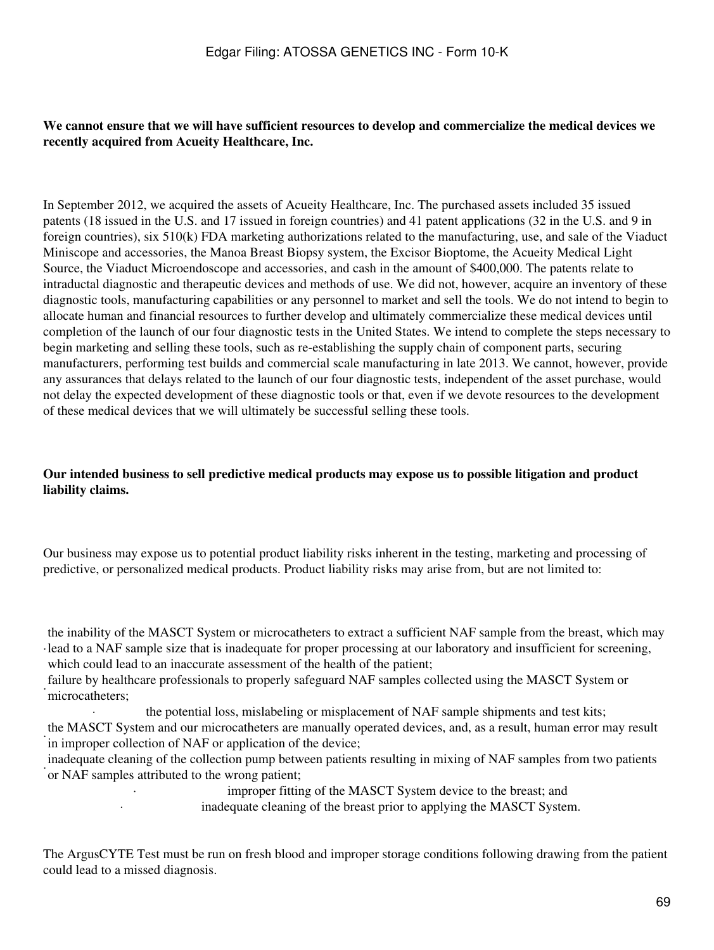### **We cannot ensure that we will have sufficient resources to develop and commercialize the medical devices we recently acquired from Acueity Healthcare, Inc.**

In September 2012, we acquired the assets of Acueity Healthcare, Inc. The purchased assets included 35 issued patents (18 issued in the U.S. and 17 issued in foreign countries) and 41 patent applications (32 in the U.S. and 9 in foreign countries), six 510(k) FDA marketing authorizations related to the manufacturing, use, and sale of the Viaduct Miniscope and accessories, the Manoa Breast Biopsy system, the Excisor Bioptome, the Acueity Medical Light Source, the Viaduct Microendoscope and accessories, and cash in the amount of \$400,000. The patents relate to intraductal diagnostic and therapeutic devices and methods of use. We did not, however, acquire an inventory of these diagnostic tools, manufacturing capabilities or any personnel to market and sell the tools. We do not intend to begin to allocate human and financial resources to further develop and ultimately commercialize these medical devices until completion of the launch of our four diagnostic tests in the United States. We intend to complete the steps necessary to begin marketing and selling these tools, such as re-establishing the supply chain of component parts, securing manufacturers, performing test builds and commercial scale manufacturing in late 2013. We cannot, however, provide any assurances that delays related to the launch of our four diagnostic tests, independent of the asset purchase, would not delay the expected development of these diagnostic tools or that, even if we devote resources to the development of these medical devices that we will ultimately be successful selling these tools.

### **Our intended business to sell predictive medical products may expose us to possible litigation and product liability claims.**

Our business may expose us to potential product liability risks inherent in the testing, marketing and processing of predictive, or personalized medical products. Product liability risks may arise from, but are not limited to:

· lead to a NAF sample size that is inadequate for proper processing at our laboratory and insufficient for screening, the inability of the MASCT System or microcatheters to extract a sufficient NAF sample from the breast, which may which could lead to an inaccurate assessment of the health of the patient;

failure by healthcare professionals to properly safeguard NAF samples collected using the MASCT System or microcatheters;

the potential loss, mislabeling or misplacement of NAF sample shipments and test kits; · the MASCT System and our microcatheters are manually operated devices, and, as a result, human error may result in improper collection of NAF or application of the device;

· or NAF samples attributed to the wrong patient; inadequate cleaning of the collection pump between patients resulting in mixing of NAF samples from two patients

> improper fitting of the MASCT System device to the breast; and · inadequate cleaning of the breast prior to applying the MASCT System.

The ArgusCYTE Test must be run on fresh blood and improper storage conditions following drawing from the patient could lead to a missed diagnosis.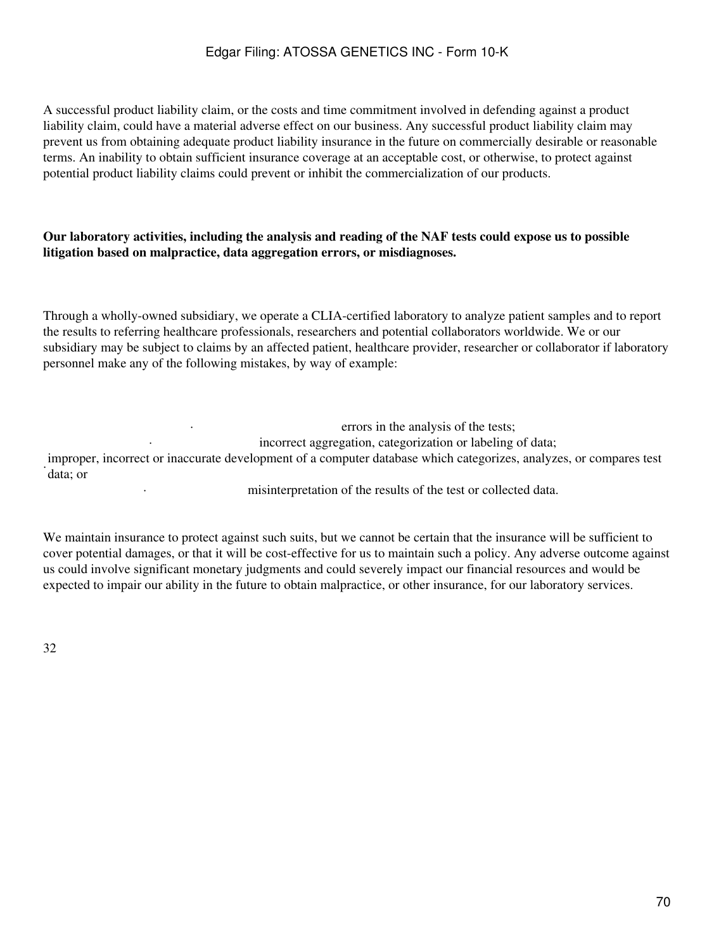A successful product liability claim, or the costs and time commitment involved in defending against a product liability claim, could have a material adverse effect on our business. Any successful product liability claim may prevent us from obtaining adequate product liability insurance in the future on commercially desirable or reasonable terms. An inability to obtain sufficient insurance coverage at an acceptable cost, or otherwise, to protect against potential product liability claims could prevent or inhibit the commercialization of our products.

#### **Our laboratory activities, including the analysis and reading of the NAF tests could expose us to possible litigation based on malpractice, data aggregation errors, or misdiagnoses.**

Through a wholly-owned subsidiary, we operate a CLIA-certified laboratory to analyze patient samples and to report the results to referring healthcare professionals, researchers and potential collaborators worldwide. We or our subsidiary may be subject to claims by an affected patient, healthcare provider, researcher or collaborator if laboratory personnel make any of the following mistakes, by way of example:

· errors in the analysis of the tests; incorrect aggregation, categorization or labeling of data; · data; or improper, incorrect or inaccurate development of a computer database which categorizes, analyzes, or compares test

misinterpretation of the results of the test or collected data.

We maintain insurance to protect against such suits, but we cannot be certain that the insurance will be sufficient to cover potential damages, or that it will be cost-effective for us to maintain such a policy. Any adverse outcome against us could involve significant monetary judgments and could severely impact our financial resources and would be expected to impair our ability in the future to obtain malpractice, or other insurance, for our laboratory services.

32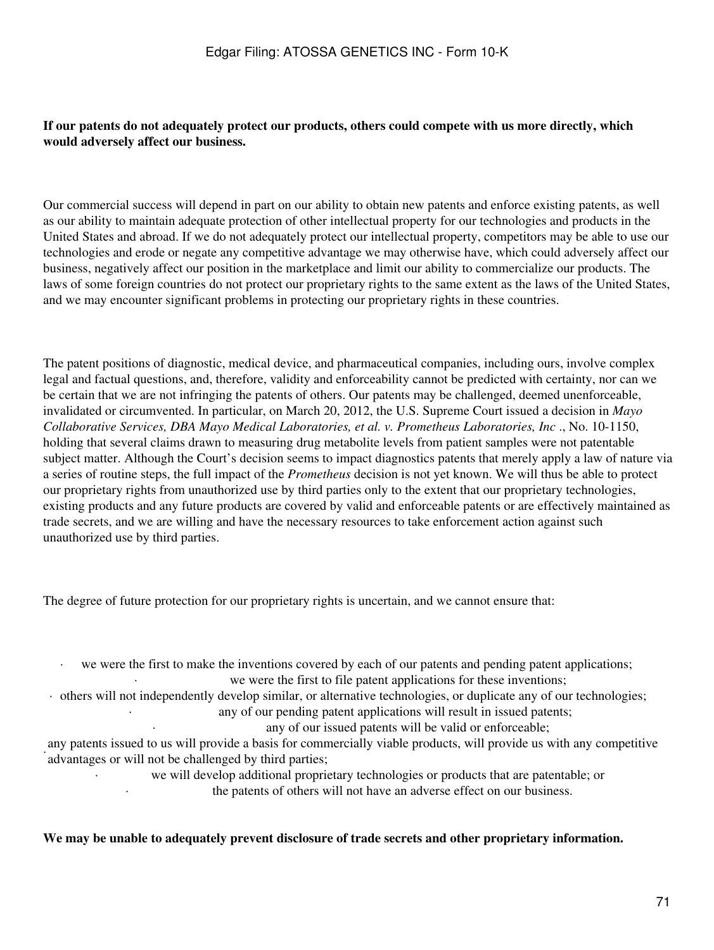### **If our patents do not adequately protect our products, others could compete with us more directly, which would adversely affect our business.**

Our commercial success will depend in part on our ability to obtain new patents and enforce existing patents, as well as our ability to maintain adequate protection of other intellectual property for our technologies and products in the United States and abroad. If we do not adequately protect our intellectual property, competitors may be able to use our technologies and erode or negate any competitive advantage we may otherwise have, which could adversely affect our business, negatively affect our position in the marketplace and limit our ability to commercialize our products. The laws of some foreign countries do not protect our proprietary rights to the same extent as the laws of the United States, and we may encounter significant problems in protecting our proprietary rights in these countries.

The patent positions of diagnostic, medical device, and pharmaceutical companies, including ours, involve complex legal and factual questions, and, therefore, validity and enforceability cannot be predicted with certainty, nor can we be certain that we are not infringing the patents of others. Our patents may be challenged, deemed unenforceable, invalidated or circumvented. In particular, on March 20, 2012, the U.S. Supreme Court issued a decision in *Mayo Collaborative Services, DBA Mayo Medical Laboratories, et al. v. Prometheus Laboratories, Inc* ., No. 10-1150, holding that several claims drawn to measuring drug metabolite levels from patient samples were not patentable subject matter. Although the Court's decision seems to impact diagnostics patents that merely apply a law of nature via a series of routine steps, the full impact of the *Prometheus* decision is not yet known. We will thus be able to protect our proprietary rights from unauthorized use by third parties only to the extent that our proprietary technologies, existing products and any future products are covered by valid and enforceable patents or are effectively maintained as trade secrets, and we are willing and have the necessary resources to take enforcement action against such unauthorized use by third parties.

The degree of future protection for our proprietary rights is uncertain, and we cannot ensure that:

we were the first to make the inventions covered by each of our patents and pending patent applications; we were the first to file patent applications for these inventions;

· others will not independently develop similar, or alternative technologies, or duplicate any of our technologies;

any of our pending patent applications will result in issued patents; any of our issued patents will be valid or enforceable;

any patents issued to us will provide a basis for comany patents issued to us will provide a basis for commercially viable products, will provide us with any competitive

· we will develop additional proprietary technologies or products that are patentable; or the patents of others will not have an adverse effect on our business.

#### **We may be unable to adequately prevent disclosure of trade secrets and other proprietary information.**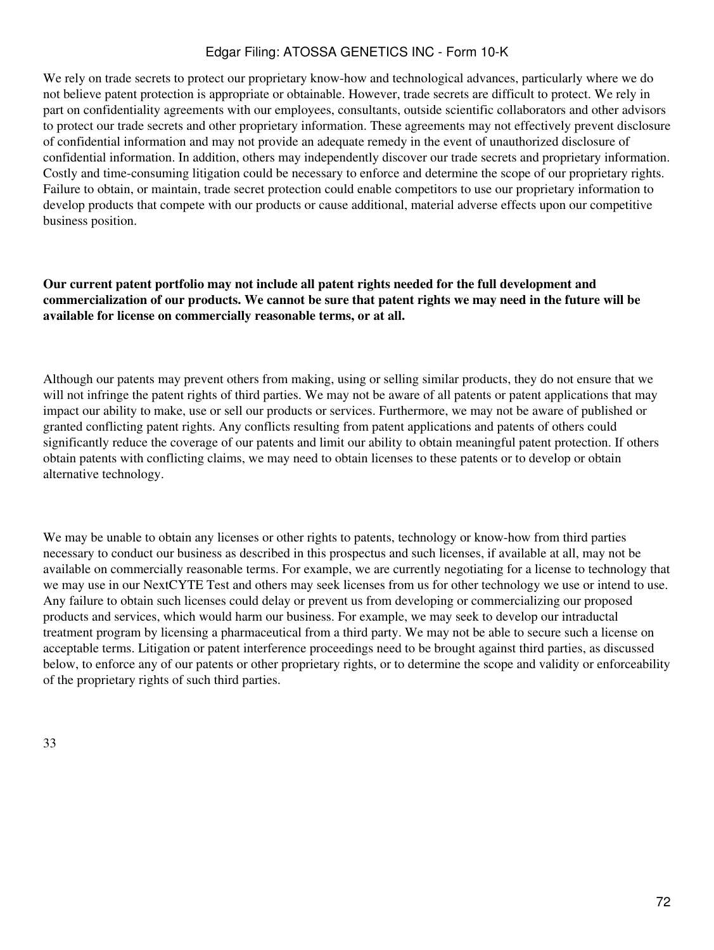We rely on trade secrets to protect our proprietary know-how and technological advances, particularly where we do not believe patent protection is appropriate or obtainable. However, trade secrets are difficult to protect. We rely in part on confidentiality agreements with our employees, consultants, outside scientific collaborators and other advisors to protect our trade secrets and other proprietary information. These agreements may not effectively prevent disclosure of confidential information and may not provide an adequate remedy in the event of unauthorized disclosure of confidential information. In addition, others may independently discover our trade secrets and proprietary information. Costly and time-consuming litigation could be necessary to enforce and determine the scope of our proprietary rights. Failure to obtain, or maintain, trade secret protection could enable competitors to use our proprietary information to develop products that compete with our products or cause additional, material adverse effects upon our competitive business position.

### **Our current patent portfolio may not include all patent rights needed for the full development and commercialization of our products. We cannot be sure that patent rights we may need in the future will be available for license on commercially reasonable terms, or at all.**

Although our patents may prevent others from making, using or selling similar products, they do not ensure that we will not infringe the patent rights of third parties. We may not be aware of all patents or patent applications that may impact our ability to make, use or sell our products or services. Furthermore, we may not be aware of published or granted conflicting patent rights. Any conflicts resulting from patent applications and patents of others could significantly reduce the coverage of our patents and limit our ability to obtain meaningful patent protection. If others obtain patents with conflicting claims, we may need to obtain licenses to these patents or to develop or obtain alternative technology.

We may be unable to obtain any licenses or other rights to patents, technology or know-how from third parties necessary to conduct our business as described in this prospectus and such licenses, if available at all, may not be available on commercially reasonable terms. For example, we are currently negotiating for a license to technology that we may use in our NextCYTE Test and others may seek licenses from us for other technology we use or intend to use. Any failure to obtain such licenses could delay or prevent us from developing or commercializing our proposed products and services, which would harm our business. For example, we may seek to develop our intraductal treatment program by licensing a pharmaceutical from a third party. We may not be able to secure such a license on acceptable terms. Litigation or patent interference proceedings need to be brought against third parties, as discussed below, to enforce any of our patents or other proprietary rights, or to determine the scope and validity or enforceability of the proprietary rights of such third parties.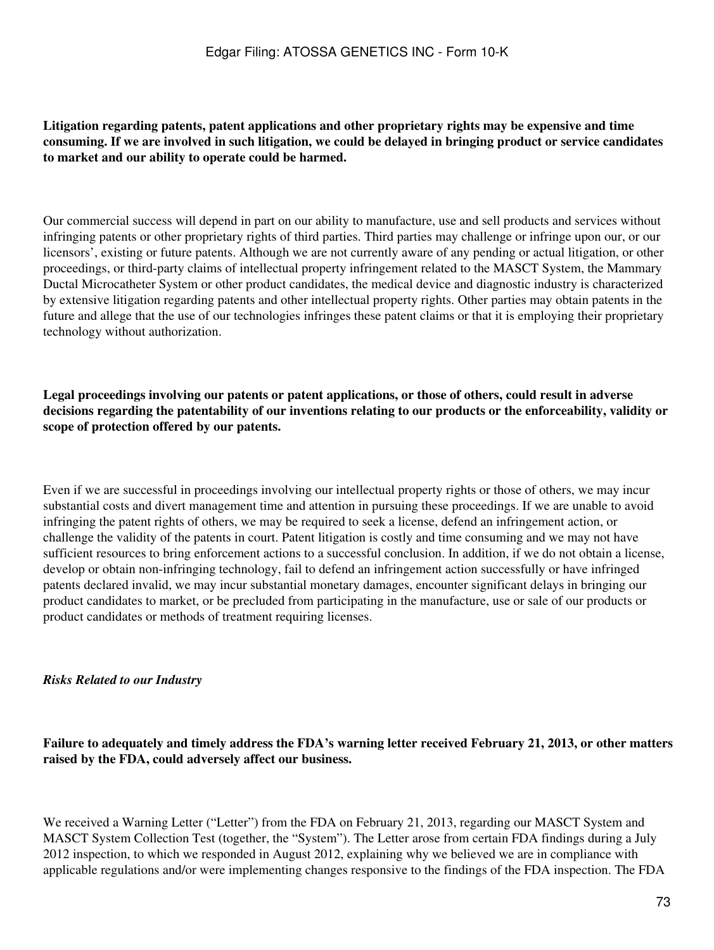## **Litigation regarding patents, patent applications and other proprietary rights may be expensive and time consuming. If we are involved in such litigation, we could be delayed in bringing product or service candidates to market and our ability to operate could be harmed.**

Our commercial success will depend in part on our ability to manufacture, use and sell products and services without infringing patents or other proprietary rights of third parties. Third parties may challenge or infringe upon our, or our licensors', existing or future patents. Although we are not currently aware of any pending or actual litigation, or other proceedings, or third-party claims of intellectual property infringement related to the MASCT System, the Mammary Ductal Microcatheter System or other product candidates, the medical device and diagnostic industry is characterized by extensive litigation regarding patents and other intellectual property rights. Other parties may obtain patents in the future and allege that the use of our technologies infringes these patent claims or that it is employing their proprietary technology without authorization.

**Legal proceedings involving our patents or patent applications, or those of others, could result in adverse decisions regarding the patentability of our inventions relating to our products or the enforceability, validity or scope of protection offered by our patents.**

Even if we are successful in proceedings involving our intellectual property rights or those of others, we may incur substantial costs and divert management time and attention in pursuing these proceedings. If we are unable to avoid infringing the patent rights of others, we may be required to seek a license, defend an infringement action, or challenge the validity of the patents in court. Patent litigation is costly and time consuming and we may not have sufficient resources to bring enforcement actions to a successful conclusion. In addition, if we do not obtain a license, develop or obtain non-infringing technology, fail to defend an infringement action successfully or have infringed patents declared invalid, we may incur substantial monetary damages, encounter significant delays in bringing our product candidates to market, or be precluded from participating in the manufacture, use or sale of our products or product candidates or methods of treatment requiring licenses.

#### *Risks Related to our Industry*

## **Failure to adequately and timely address the FDA's warning letter received February 21, 2013, or other matters raised by the FDA, could adversely affect our business.**

We received a Warning Letter ("Letter") from the FDA on February 21, 2013, regarding our MASCT System and MASCT System Collection Test (together, the "System"). The Letter arose from certain FDA findings during a July 2012 inspection, to which we responded in August 2012, explaining why we believed we are in compliance with applicable regulations and/or were implementing changes responsive to the findings of the FDA inspection. The FDA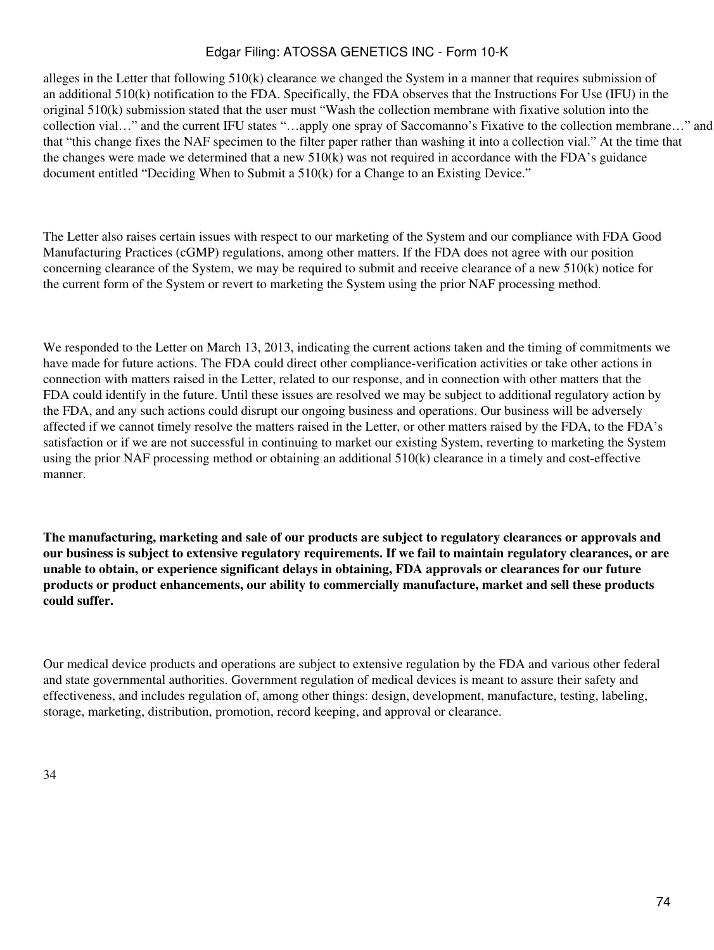alleges in the Letter that following 510(k) clearance we changed the System in a manner that requires submission of an additional 510(k) notification to the FDA. Specifically, the FDA observes that the Instructions For Use (IFU) in the original 510(k) submission stated that the user must "Wash the collection membrane with fixative solution into the collection vial…" and the current IFU states "…apply one spray of Saccomanno's Fixative to the collection membrane…" and that "this change fixes the NAF specimen to the filter paper rather than washing it into a collection vial." At the time that the changes were made we determined that a new  $510(k)$  was not required in accordance with the FDA's guidance document entitled "Deciding When to Submit a 510(k) for a Change to an Existing Device."

The Letter also raises certain issues with respect to our marketing of the System and our compliance with FDA Good Manufacturing Practices (cGMP) regulations, among other matters. If the FDA does not agree with our position concerning clearance of the System, we may be required to submit and receive clearance of a new 510(k) notice for the current form of the System or revert to marketing the System using the prior NAF processing method.

We responded to the Letter on March 13, 2013, indicating the current actions taken and the timing of commitments we have made for future actions. The FDA could direct other compliance-verification activities or take other actions in connection with matters raised in the Letter, related to our response, and in connection with other matters that the FDA could identify in the future. Until these issues are resolved we may be subject to additional regulatory action by the FDA, and any such actions could disrupt our ongoing business and operations. Our business will be adversely affected if we cannot timely resolve the matters raised in the Letter, or other matters raised by the FDA, to the FDA's satisfaction or if we are not successful in continuing to market our existing System, reverting to marketing the System using the prior NAF processing method or obtaining an additional 510(k) clearance in a timely and cost-effective manner.

**The manufacturing, marketing and sale of our products are subject to regulatory clearances or approvals and our business is subject to extensive regulatory requirements. If we fail to maintain regulatory clearances, or are unable to obtain, or experience significant delays in obtaining, FDA approvals or clearances for our future products or product enhancements, our ability to commercially manufacture, market and sell these products could suffer.**

Our medical device products and operations are subject to extensive regulation by the FDA and various other federal and state governmental authorities. Government regulation of medical devices is meant to assure their safety and effectiveness, and includes regulation of, among other things: design, development, manufacture, testing, labeling, storage, marketing, distribution, promotion, record keeping, and approval or clearance.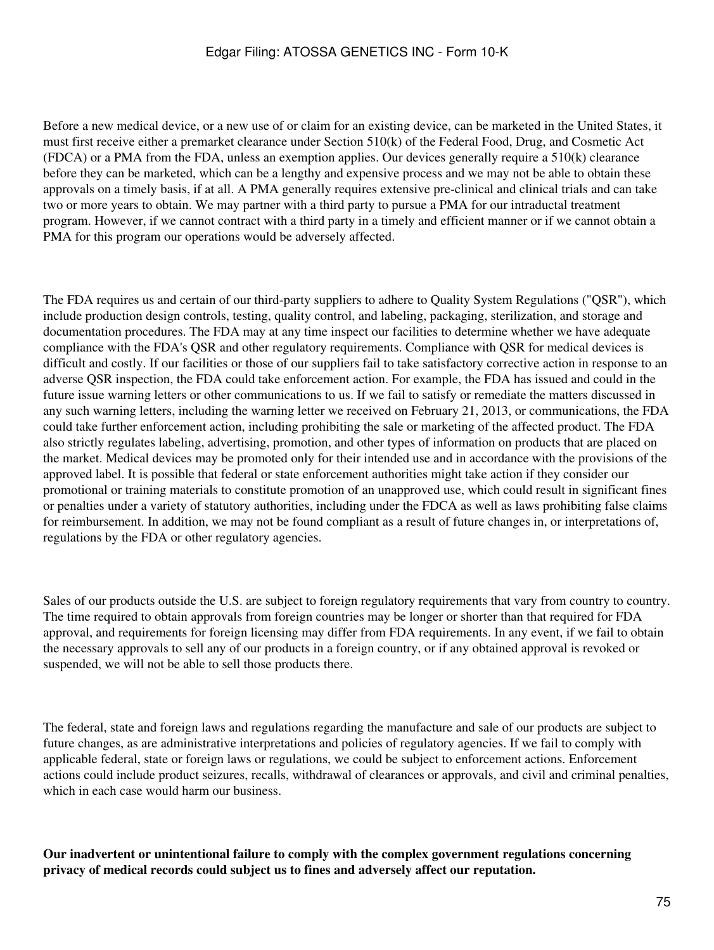Before a new medical device, or a new use of or claim for an existing device, can be marketed in the United States, it must first receive either a premarket clearance under Section 510(k) of the Federal Food, Drug, and Cosmetic Act (FDCA) or a PMA from the FDA, unless an exemption applies. Our devices generally require a 510(k) clearance before they can be marketed, which can be a lengthy and expensive process and we may not be able to obtain these approvals on a timely basis, if at all. A PMA generally requires extensive pre-clinical and clinical trials and can take two or more years to obtain. We may partner with a third party to pursue a PMA for our intraductal treatment program. However, if we cannot contract with a third party in a timely and efficient manner or if we cannot obtain a PMA for this program our operations would be adversely affected.

The FDA requires us and certain of our third-party suppliers to adhere to Quality System Regulations ("QSR"), which include production design controls, testing, quality control, and labeling, packaging, sterilization, and storage and documentation procedures. The FDA may at any time inspect our facilities to determine whether we have adequate compliance with the FDA's QSR and other regulatory requirements. Compliance with QSR for medical devices is difficult and costly. If our facilities or those of our suppliers fail to take satisfactory corrective action in response to an adverse QSR inspection, the FDA could take enforcement action. For example, the FDA has issued and could in the future issue warning letters or other communications to us. If we fail to satisfy or remediate the matters discussed in any such warning letters, including the warning letter we received on February 21, 2013, or communications, the FDA could take further enforcement action, including prohibiting the sale or marketing of the affected product. The FDA also strictly regulates labeling, advertising, promotion, and other types of information on products that are placed on the market. Medical devices may be promoted only for their intended use and in accordance with the provisions of the approved label. It is possible that federal or state enforcement authorities might take action if they consider our promotional or training materials to constitute promotion of an unapproved use, which could result in significant fines or penalties under a variety of statutory authorities, including under the FDCA as well as laws prohibiting false claims for reimbursement. In addition, we may not be found compliant as a result of future changes in, or interpretations of, regulations by the FDA or other regulatory agencies.

Sales of our products outside the U.S. are subject to foreign regulatory requirements that vary from country to country. The time required to obtain approvals from foreign countries may be longer or shorter than that required for FDA approval, and requirements for foreign licensing may differ from FDA requirements. In any event, if we fail to obtain the necessary approvals to sell any of our products in a foreign country, or if any obtained approval is revoked or suspended, we will not be able to sell those products there.

The federal, state and foreign laws and regulations regarding the manufacture and sale of our products are subject to future changes, as are administrative interpretations and policies of regulatory agencies. If we fail to comply with applicable federal, state or foreign laws or regulations, we could be subject to enforcement actions. Enforcement actions could include product seizures, recalls, withdrawal of clearances or approvals, and civil and criminal penalties, which in each case would harm our business.

**Our inadvertent or unintentional failure to comply with the complex government regulations concerning privacy of medical records could subject us to fines and adversely affect our reputation.**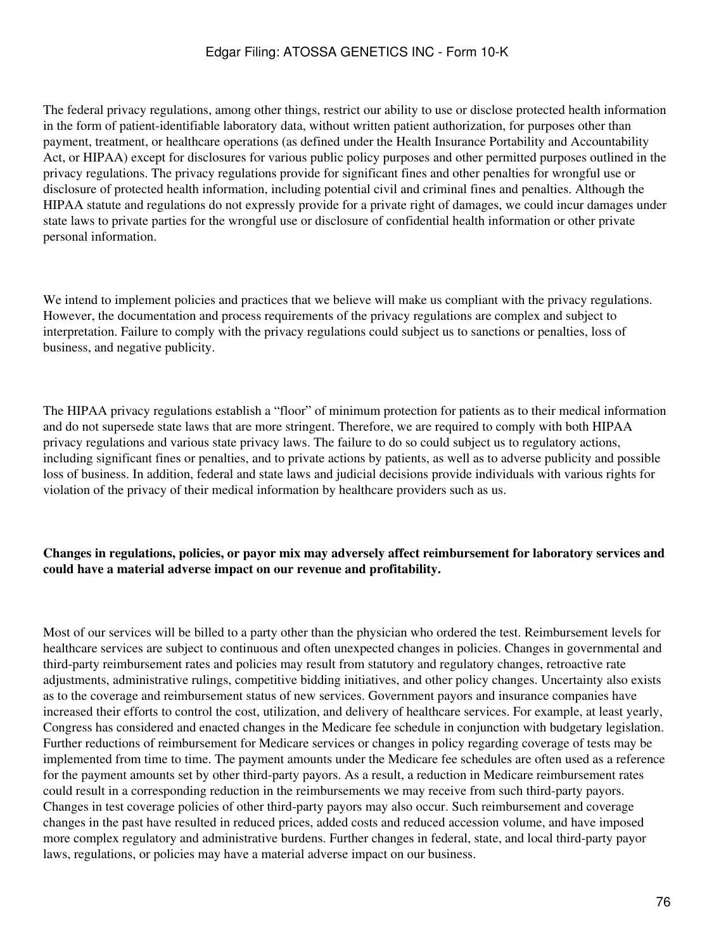The federal privacy regulations, among other things, restrict our ability to use or disclose protected health information in the form of patient-identifiable laboratory data, without written patient authorization, for purposes other than payment, treatment, or healthcare operations (as defined under the Health Insurance Portability and Accountability Act, or HIPAA) except for disclosures for various public policy purposes and other permitted purposes outlined in the privacy regulations. The privacy regulations provide for significant fines and other penalties for wrongful use or disclosure of protected health information, including potential civil and criminal fines and penalties. Although the HIPAA statute and regulations do not expressly provide for a private right of damages, we could incur damages under state laws to private parties for the wrongful use or disclosure of confidential health information or other private personal information.

We intend to implement policies and practices that we believe will make us compliant with the privacy regulations. However, the documentation and process requirements of the privacy regulations are complex and subject to interpretation. Failure to comply with the privacy regulations could subject us to sanctions or penalties, loss of business, and negative publicity.

The HIPAA privacy regulations establish a "floor" of minimum protection for patients as to their medical information and do not supersede state laws that are more stringent. Therefore, we are required to comply with both HIPAA privacy regulations and various state privacy laws. The failure to do so could subject us to regulatory actions, including significant fines or penalties, and to private actions by patients, as well as to adverse publicity and possible loss of business. In addition, federal and state laws and judicial decisions provide individuals with various rights for violation of the privacy of their medical information by healthcare providers such as us.

## **Changes in regulations, policies, or payor mix may adversely affect reimbursement for laboratory services and could have a material adverse impact on our revenue and profitability.**

Most of our services will be billed to a party other than the physician who ordered the test. Reimbursement levels for healthcare services are subject to continuous and often unexpected changes in policies. Changes in governmental and third-party reimbursement rates and policies may result from statutory and regulatory changes, retroactive rate adjustments, administrative rulings, competitive bidding initiatives, and other policy changes. Uncertainty also exists as to the coverage and reimbursement status of new services. Government payors and insurance companies have increased their efforts to control the cost, utilization, and delivery of healthcare services. For example, at least yearly, Congress has considered and enacted changes in the Medicare fee schedule in conjunction with budgetary legislation. Further reductions of reimbursement for Medicare services or changes in policy regarding coverage of tests may be implemented from time to time. The payment amounts under the Medicare fee schedules are often used as a reference for the payment amounts set by other third-party payors. As a result, a reduction in Medicare reimbursement rates could result in a corresponding reduction in the reimbursements we may receive from such third-party payors. Changes in test coverage policies of other third-party payors may also occur. Such reimbursement and coverage changes in the past have resulted in reduced prices, added costs and reduced accession volume, and have imposed more complex regulatory and administrative burdens. Further changes in federal, state, and local third-party payor laws, regulations, or policies may have a material adverse impact on our business.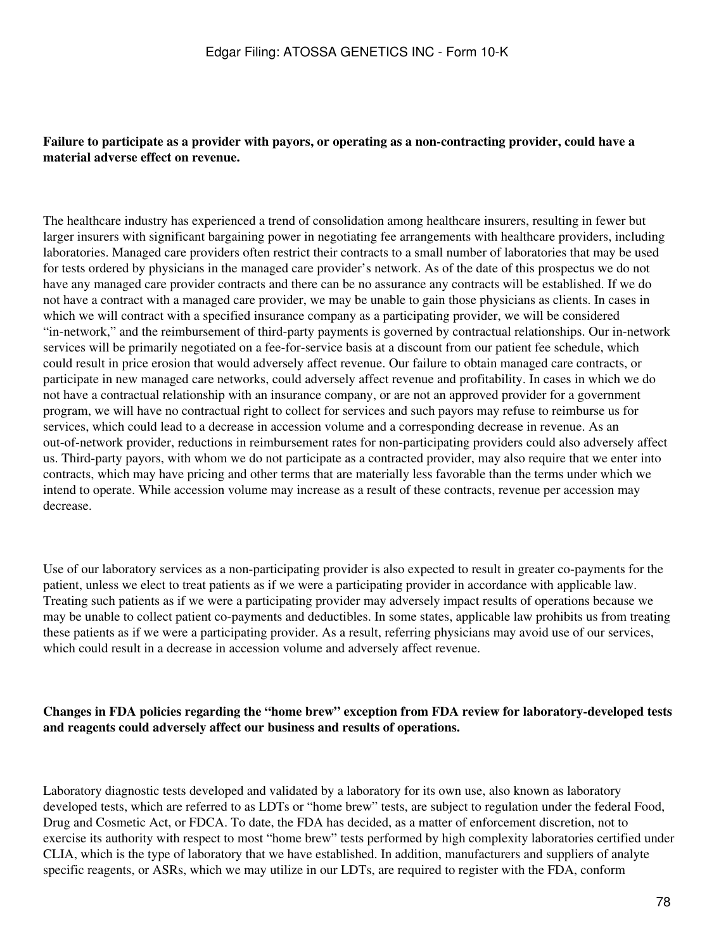## **Failure to participate as a provider with payors, or operating as a non-contracting provider, could have a material adverse effect on revenue.**

The healthcare industry has experienced a trend of consolidation among healthcare insurers, resulting in fewer but larger insurers with significant bargaining power in negotiating fee arrangements with healthcare providers, including laboratories. Managed care providers often restrict their contracts to a small number of laboratories that may be used for tests ordered by physicians in the managed care provider's network. As of the date of this prospectus we do not have any managed care provider contracts and there can be no assurance any contracts will be established. If we do not have a contract with a managed care provider, we may be unable to gain those physicians as clients. In cases in which we will contract with a specified insurance company as a participating provider, we will be considered "in-network," and the reimbursement of third-party payments is governed by contractual relationships. Our in-network services will be primarily negotiated on a fee-for-service basis at a discount from our patient fee schedule, which could result in price erosion that would adversely affect revenue. Our failure to obtain managed care contracts, or participate in new managed care networks, could adversely affect revenue and profitability. In cases in which we do not have a contractual relationship with an insurance company, or are not an approved provider for a government program, we will have no contractual right to collect for services and such payors may refuse to reimburse us for services, which could lead to a decrease in accession volume and a corresponding decrease in revenue. As an out-of-network provider, reductions in reimbursement rates for non-participating providers could also adversely affect us. Third-party payors, with whom we do not participate as a contracted provider, may also require that we enter into contracts, which may have pricing and other terms that are materially less favorable than the terms under which we intend to operate. While accession volume may increase as a result of these contracts, revenue per accession may decrease.

Use of our laboratory services as a non-participating provider is also expected to result in greater co-payments for the patient, unless we elect to treat patients as if we were a participating provider in accordance with applicable law. Treating such patients as if we were a participating provider may adversely impact results of operations because we may be unable to collect patient co-payments and deductibles. In some states, applicable law prohibits us from treating these patients as if we were a participating provider. As a result, referring physicians may avoid use of our services, which could result in a decrease in accession volume and adversely affect revenue.

## **Changes in FDA policies regarding the "home brew" exception from FDA review for laboratory-developed tests and reagents could adversely affect our business and results of operations.**

Laboratory diagnostic tests developed and validated by a laboratory for its own use, also known as laboratory developed tests, which are referred to as LDTs or "home brew" tests, are subject to regulation under the federal Food, Drug and Cosmetic Act, or FDCA. To date, the FDA has decided, as a matter of enforcement discretion, not to exercise its authority with respect to most "home brew" tests performed by high complexity laboratories certified under CLIA, which is the type of laboratory that we have established. In addition, manufacturers and suppliers of analyte specific reagents, or ASRs, which we may utilize in our LDTs, are required to register with the FDA, conform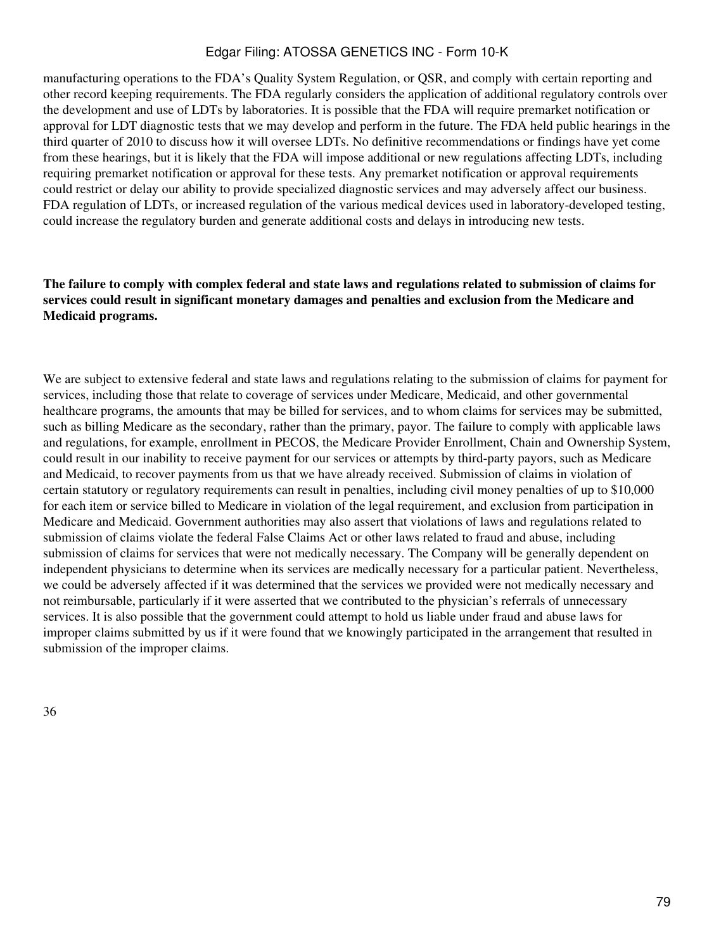manufacturing operations to the FDA's Quality System Regulation, or QSR, and comply with certain reporting and other record keeping requirements. The FDA regularly considers the application of additional regulatory controls over the development and use of LDTs by laboratories. It is possible that the FDA will require premarket notification or approval for LDT diagnostic tests that we may develop and perform in the future. The FDA held public hearings in the third quarter of 2010 to discuss how it will oversee LDTs. No definitive recommendations or findings have yet come from these hearings, but it is likely that the FDA will impose additional or new regulations affecting LDTs, including requiring premarket notification or approval for these tests. Any premarket notification or approval requirements could restrict or delay our ability to provide specialized diagnostic services and may adversely affect our business. FDA regulation of LDTs, or increased regulation of the various medical devices used in laboratory-developed testing, could increase the regulatory burden and generate additional costs and delays in introducing new tests.

## **The failure to comply with complex federal and state laws and regulations related to submission of claims for services could result in significant monetary damages and penalties and exclusion from the Medicare and Medicaid programs.**

We are subject to extensive federal and state laws and regulations relating to the submission of claims for payment for services, including those that relate to coverage of services under Medicare, Medicaid, and other governmental healthcare programs, the amounts that may be billed for services, and to whom claims for services may be submitted, such as billing Medicare as the secondary, rather than the primary, payor. The failure to comply with applicable laws and regulations, for example, enrollment in PECOS, the Medicare Provider Enrollment, Chain and Ownership System, could result in our inability to receive payment for our services or attempts by third-party payors, such as Medicare and Medicaid, to recover payments from us that we have already received. Submission of claims in violation of certain statutory or regulatory requirements can result in penalties, including civil money penalties of up to \$10,000 for each item or service billed to Medicare in violation of the legal requirement, and exclusion from participation in Medicare and Medicaid. Government authorities may also assert that violations of laws and regulations related to submission of claims violate the federal False Claims Act or other laws related to fraud and abuse, including submission of claims for services that were not medically necessary. The Company will be generally dependent on independent physicians to determine when its services are medically necessary for a particular patient. Nevertheless, we could be adversely affected if it was determined that the services we provided were not medically necessary and not reimbursable, particularly if it were asserted that we contributed to the physician's referrals of unnecessary services. It is also possible that the government could attempt to hold us liable under fraud and abuse laws for improper claims submitted by us if it were found that we knowingly participated in the arrangement that resulted in submission of the improper claims.

36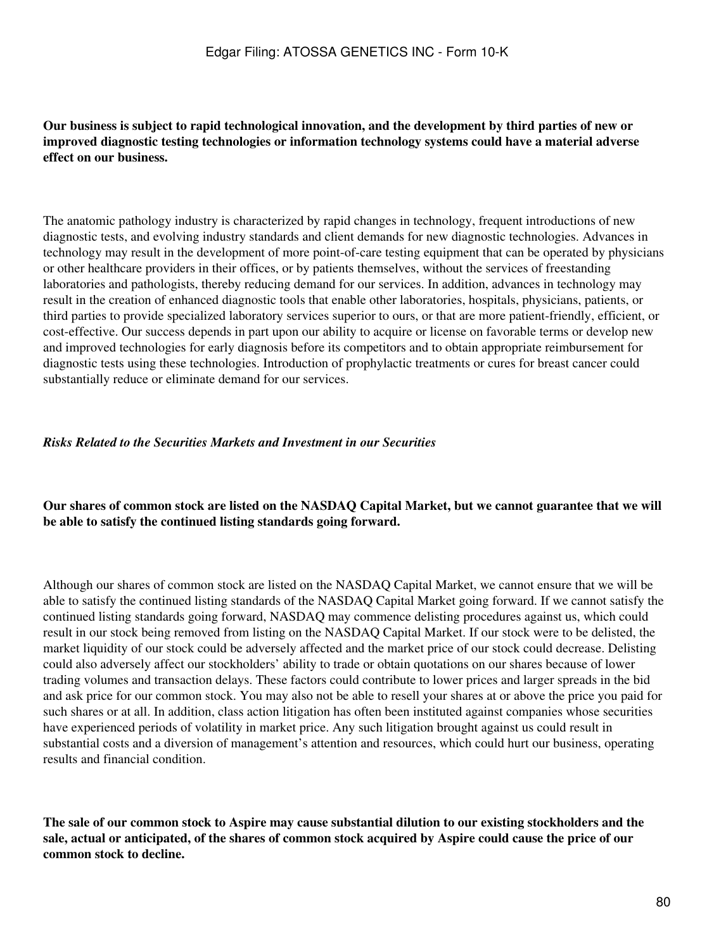## **Our business is subject to rapid technological innovation, and the development by third parties of new or improved diagnostic testing technologies or information technology systems could have a material adverse effect on our business.**

The anatomic pathology industry is characterized by rapid changes in technology, frequent introductions of new diagnostic tests, and evolving industry standards and client demands for new diagnostic technologies. Advances in technology may result in the development of more point-of-care testing equipment that can be operated by physicians or other healthcare providers in their offices, or by patients themselves, without the services of freestanding laboratories and pathologists, thereby reducing demand for our services. In addition, advances in technology may result in the creation of enhanced diagnostic tools that enable other laboratories, hospitals, physicians, patients, or third parties to provide specialized laboratory services superior to ours, or that are more patient-friendly, efficient, or cost-effective. Our success depends in part upon our ability to acquire or license on favorable terms or develop new and improved technologies for early diagnosis before its competitors and to obtain appropriate reimbursement for diagnostic tests using these technologies. Introduction of prophylactic treatments or cures for breast cancer could substantially reduce or eliminate demand for our services.

#### *Risks Related to the Securities Markets and Investment in our Securities*

## **Our shares of common stock are listed on the NASDAQ Capital Market, but we cannot guarantee that we will be able to satisfy the continued listing standards going forward.**

Although our shares of common stock are listed on the NASDAQ Capital Market, we cannot ensure that we will be able to satisfy the continued listing standards of the NASDAQ Capital Market going forward. If we cannot satisfy the continued listing standards going forward, NASDAQ may commence delisting procedures against us, which could result in our stock being removed from listing on the NASDAQ Capital Market. If our stock were to be delisted, the market liquidity of our stock could be adversely affected and the market price of our stock could decrease. Delisting could also adversely affect our stockholders' ability to trade or obtain quotations on our shares because of lower trading volumes and transaction delays. These factors could contribute to lower prices and larger spreads in the bid and ask price for our common stock. You may also not be able to resell your shares at or above the price you paid for such shares or at all. In addition, class action litigation has often been instituted against companies whose securities have experienced periods of volatility in market price. Any such litigation brought against us could result in substantial costs and a diversion of management's attention and resources, which could hurt our business, operating results and financial condition.

**The sale of our common stock to Aspire may cause substantial dilution to our existing stockholders and the sale, actual or anticipated, of the shares of common stock acquired by Aspire could cause the price of our common stock to decline.**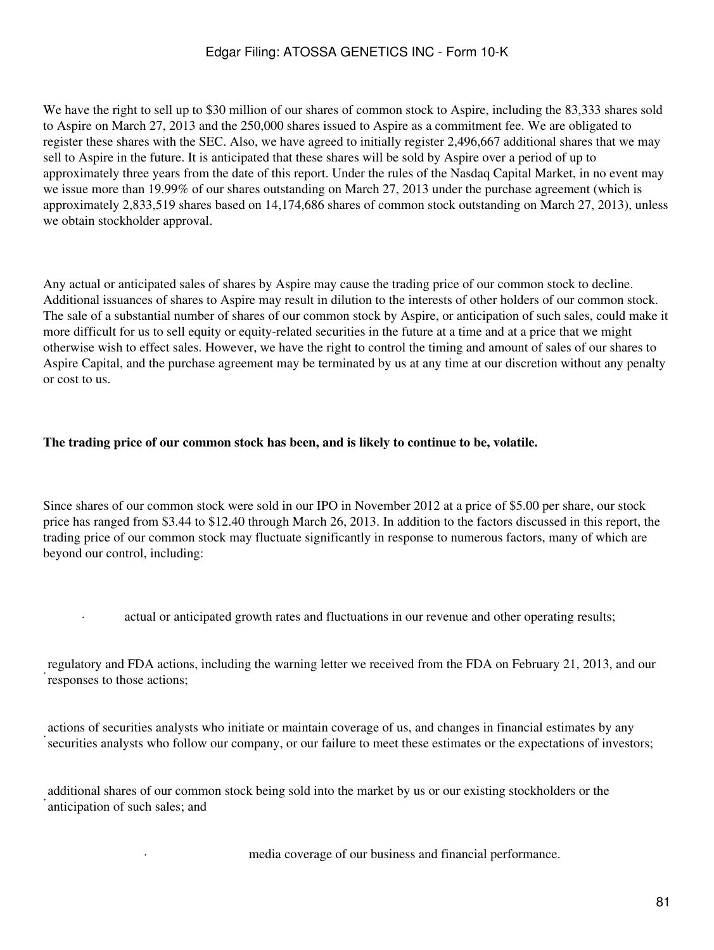We have the right to sell up to \$30 million of our shares of common stock to Aspire, including the 83,333 shares sold to Aspire on March 27, 2013 and the 250,000 shares issued to Aspire as a commitment fee. We are obligated to register these shares with the SEC. Also, we have agreed to initially register 2,496,667 additional shares that we may sell to Aspire in the future. It is anticipated that these shares will be sold by Aspire over a period of up to approximately three years from the date of this report. Under the rules of the Nasdaq Capital Market, in no event may we issue more than 19.99% of our shares outstanding on March 27, 2013 under the purchase agreement (which is approximately 2,833,519 shares based on 14,174,686 shares of common stock outstanding on March 27, 2013), unless we obtain stockholder approval.

Any actual or anticipated sales of shares by Aspire may cause the trading price of our common stock to decline. Additional issuances of shares to Aspire may result in dilution to the interests of other holders of our common stock. The sale of a substantial number of shares of our common stock by Aspire, or anticipation of such sales, could make it more difficult for us to sell equity or equity-related securities in the future at a time and at a price that we might otherwise wish to effect sales. However, we have the right to control the timing and amount of sales of our shares to Aspire Capital, and the purchase agreement may be terminated by us at any time at our discretion without any penalty or cost to us.

## **The trading price of our common stock has been, and is likely to continue to be, volatile.**

Since shares of our common stock were sold in our IPO in November 2012 at a price of \$5.00 per share, our stock price has ranged from \$3.44 to \$12.40 through March 26, 2013. In addition to the factors discussed in this report, the trading price of our common stock may fluctuate significantly in response to numerous factors, many of which are beyond our control, including:

· actual or anticipated growth rates and fluctuations in our revenue and other operating results;

· regulatory and FDA actions, including the warning letter we received from the FDA on February 21, 2013, and our responses to those actions;

· actions of securities analysts who initiate or maintain coverage of us, and changes in financial estimates by any securities analysts who follow our company, or our failure to meet these estimates or the expectations of investors;

· additional shares of our common stock being sold into the market by us or our existing stockholders or the anticipation of such sales; and

media coverage of our business and financial performance.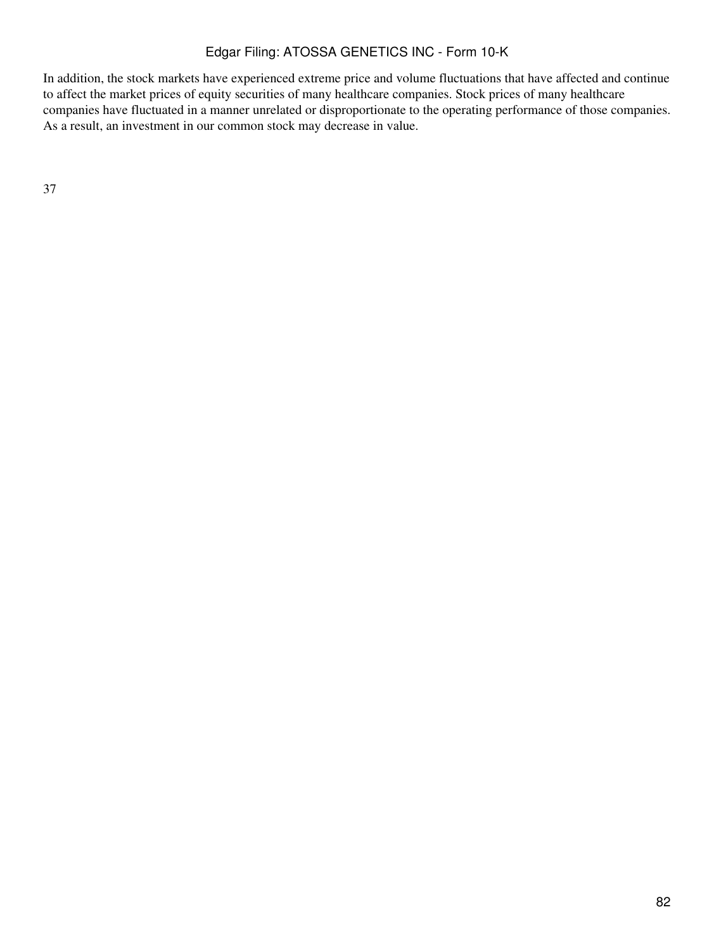In addition, the stock markets have experienced extreme price and volume fluctuations that have affected and continue to affect the market prices of equity securities of many healthcare companies. Stock prices of many healthcare companies have fluctuated in a manner unrelated or disproportionate to the operating performance of those companies. As a result, an investment in our common stock may decrease in value.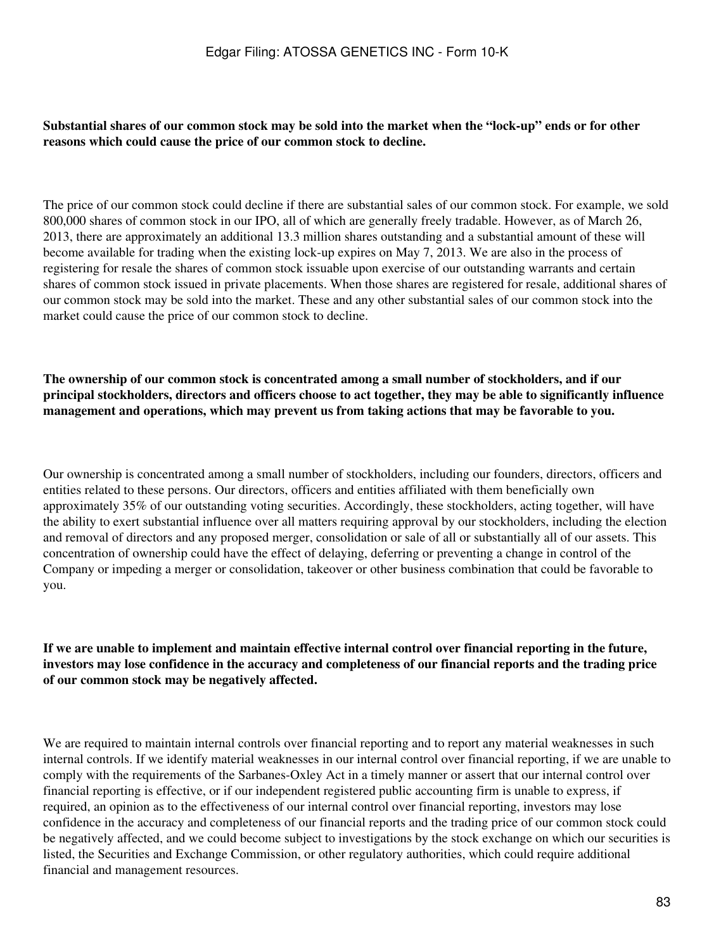#### **Substantial shares of our common stock may be sold into the market when the "lock-up" ends or for other reasons which could cause the price of our common stock to decline.**

The price of our common stock could decline if there are substantial sales of our common stock. For example, we sold 800,000 shares of common stock in our IPO, all of which are generally freely tradable. However, as of March 26, 2013, there are approximately an additional 13.3 million shares outstanding and a substantial amount of these will become available for trading when the existing lock-up expires on May 7, 2013. We are also in the process of registering for resale the shares of common stock issuable upon exercise of our outstanding warrants and certain shares of common stock issued in private placements. When those shares are registered for resale, additional shares of our common stock may be sold into the market. These and any other substantial sales of our common stock into the market could cause the price of our common stock to decline.

**The ownership of our common stock is concentrated among a small number of stockholders, and if our principal stockholders, directors and officers choose to act together, they may be able to significantly influence management and operations, which may prevent us from taking actions that may be favorable to you.**

Our ownership is concentrated among a small number of stockholders, including our founders, directors, officers and entities related to these persons. Our directors, officers and entities affiliated with them beneficially own approximately 35% of our outstanding voting securities. Accordingly, these stockholders, acting together, will have the ability to exert substantial influence over all matters requiring approval by our stockholders, including the election and removal of directors and any proposed merger, consolidation or sale of all or substantially all of our assets. This concentration of ownership could have the effect of delaying, deferring or preventing a change in control of the Company or impeding a merger or consolidation, takeover or other business combination that could be favorable to you.

**If we are unable to implement and maintain effective internal control over financial reporting in the future, investors may lose confidence in the accuracy and completeness of our financial reports and the trading price of our common stock may be negatively affected.**

We are required to maintain internal controls over financial reporting and to report any material weaknesses in such internal controls. If we identify material weaknesses in our internal control over financial reporting, if we are unable to comply with the requirements of the Sarbanes-Oxley Act in a timely manner or assert that our internal control over financial reporting is effective, or if our independent registered public accounting firm is unable to express, if required, an opinion as to the effectiveness of our internal control over financial reporting, investors may lose confidence in the accuracy and completeness of our financial reports and the trading price of our common stock could be negatively affected, and we could become subject to investigations by the stock exchange on which our securities is listed, the Securities and Exchange Commission, or other regulatory authorities, which could require additional financial and management resources.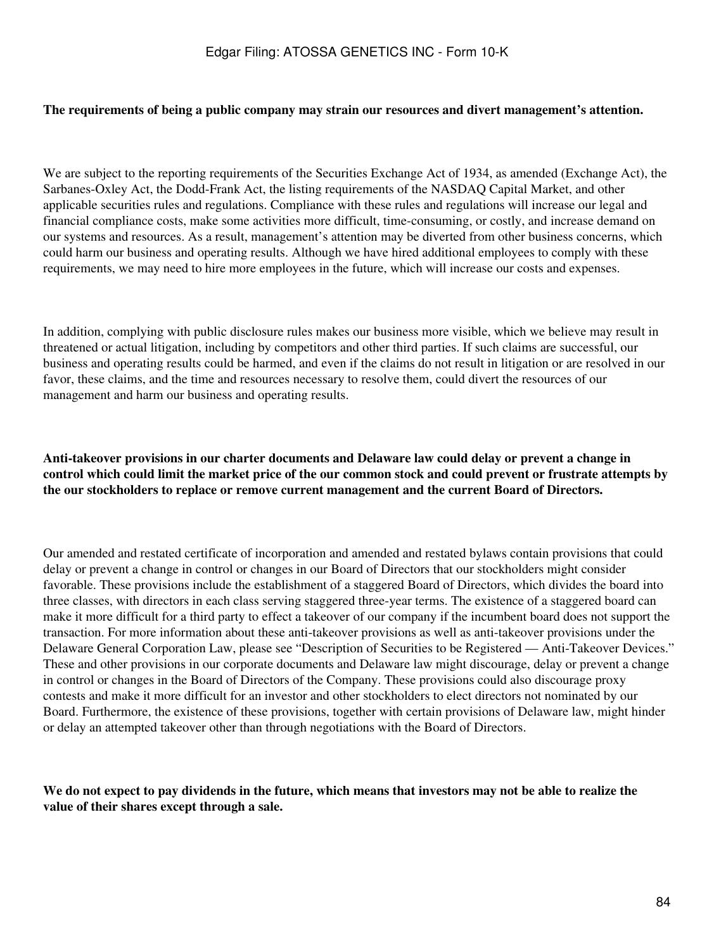#### **The requirements of being a public company may strain our resources and divert management's attention.**

We are subject to the reporting requirements of the Securities Exchange Act of 1934, as amended (Exchange Act), the Sarbanes-Oxley Act, the Dodd-Frank Act, the listing requirements of the NASDAQ Capital Market, and other applicable securities rules and regulations. Compliance with these rules and regulations will increase our legal and financial compliance costs, make some activities more difficult, time-consuming, or costly, and increase demand on our systems and resources. As a result, management's attention may be diverted from other business concerns, which could harm our business and operating results. Although we have hired additional employees to comply with these requirements, we may need to hire more employees in the future, which will increase our costs and expenses.

In addition, complying with public disclosure rules makes our business more visible, which we believe may result in threatened or actual litigation, including by competitors and other third parties. If such claims are successful, our business and operating results could be harmed, and even if the claims do not result in litigation or are resolved in our favor, these claims, and the time and resources necessary to resolve them, could divert the resources of our management and harm our business and operating results.

## **Anti-takeover provisions in our charter documents and Delaware law could delay or prevent a change in control which could limit the market price of the our common stock and could prevent or frustrate attempts by the our stockholders to replace or remove current management and the current Board of Directors.**

Our amended and restated certificate of incorporation and amended and restated bylaws contain provisions that could delay or prevent a change in control or changes in our Board of Directors that our stockholders might consider favorable. These provisions include the establishment of a staggered Board of Directors, which divides the board into three classes, with directors in each class serving staggered three-year terms. The existence of a staggered board can make it more difficult for a third party to effect a takeover of our company if the incumbent board does not support the transaction. For more information about these anti-takeover provisions as well as anti-takeover provisions under the Delaware General Corporation Law, please see "Description of Securities to be Registered — Anti-Takeover Devices." These and other provisions in our corporate documents and Delaware law might discourage, delay or prevent a change in control or changes in the Board of Directors of the Company. These provisions could also discourage proxy contests and make it more difficult for an investor and other stockholders to elect directors not nominated by our Board. Furthermore, the existence of these provisions, together with certain provisions of Delaware law, might hinder or delay an attempted takeover other than through negotiations with the Board of Directors.

## **We do not expect to pay dividends in the future, which means that investors may not be able to realize the value of their shares except through a sale.**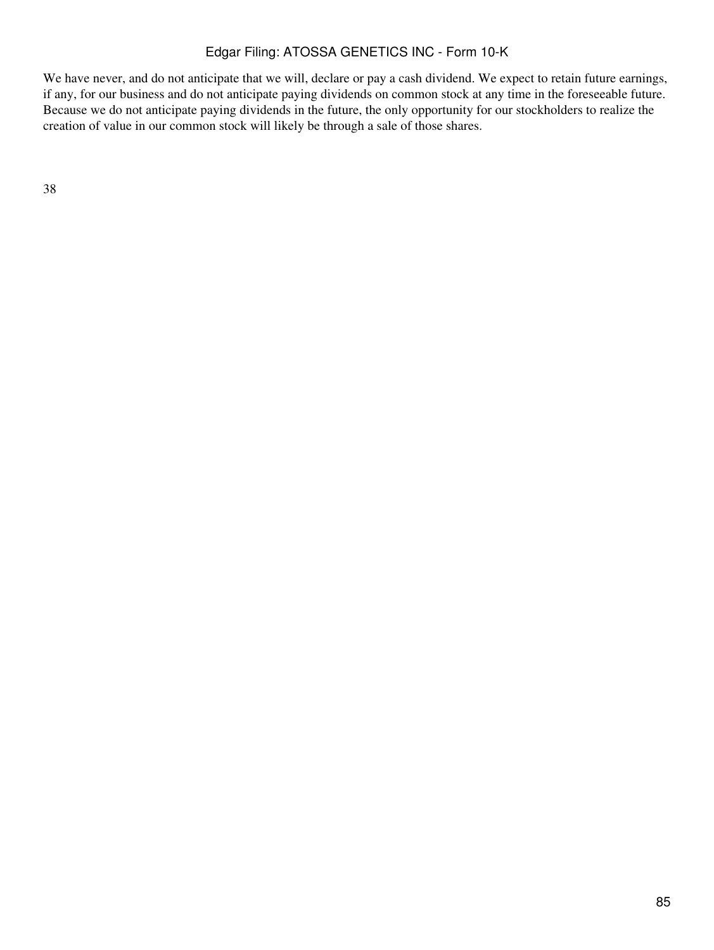We have never, and do not anticipate that we will, declare or pay a cash dividend. We expect to retain future earnings, if any, for our business and do not anticipate paying dividends on common stock at any time in the foreseeable future. Because we do not anticipate paying dividends in the future, the only opportunity for our stockholders to realize the creation of value in our common stock will likely be through a sale of those shares.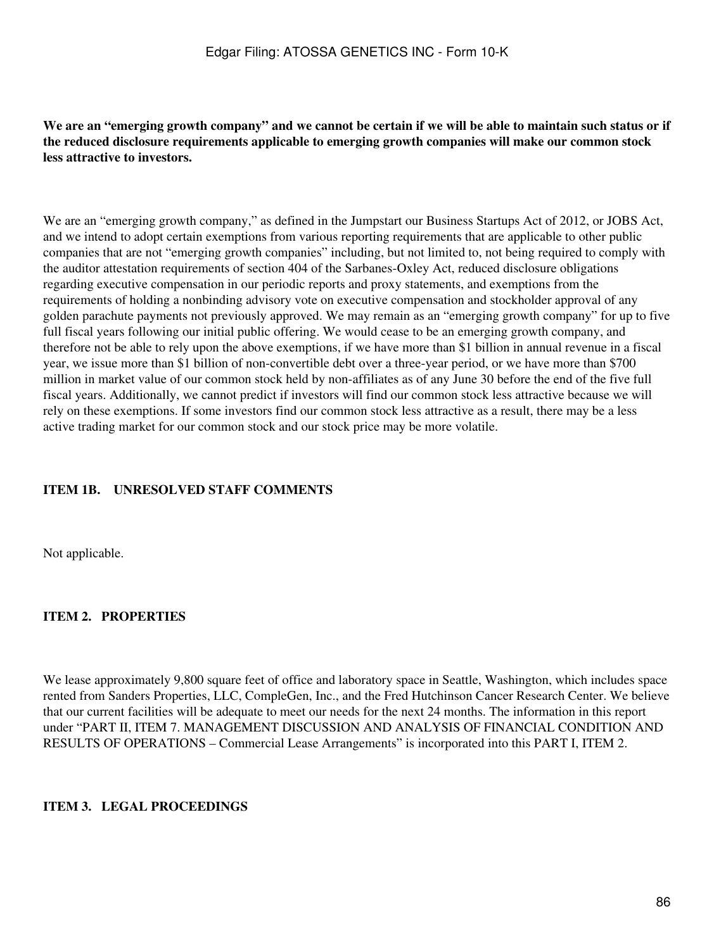**We are an "emerging growth company" and we cannot be certain if we will be able to maintain such status or if the reduced disclosure requirements applicable to emerging growth companies will make our common stock less attractive to investors.**

We are an "emerging growth company," as defined in the Jumpstart our Business Startups Act of 2012, or JOBS Act, and we intend to adopt certain exemptions from various reporting requirements that are applicable to other public companies that are not "emerging growth companies" including, but not limited to, not being required to comply with the auditor attestation requirements of section 404 of the Sarbanes-Oxley Act, reduced disclosure obligations regarding executive compensation in our periodic reports and proxy statements, and exemptions from the requirements of holding a nonbinding advisory vote on executive compensation and stockholder approval of any golden parachute payments not previously approved. We may remain as an "emerging growth company" for up to five full fiscal years following our initial public offering. We would cease to be an emerging growth company, and therefore not be able to rely upon the above exemptions, if we have more than \$1 billion in annual revenue in a fiscal year, we issue more than \$1 billion of non-convertible debt over a three-year period, or we have more than \$700 million in market value of our common stock held by non-affiliates as of any June 30 before the end of the five full fiscal years. Additionally, we cannot predict if investors will find our common stock less attractive because we will rely on these exemptions. If some investors find our common stock less attractive as a result, there may be a less active trading market for our common stock and our stock price may be more volatile.

## **ITEM 1B. UNRESOLVED STAFF COMMENTS**

Not applicable.

## **ITEM 2. PROPERTIES**

We lease approximately 9,800 square feet of office and laboratory space in Seattle, Washington, which includes space rented from Sanders Properties, LLC, CompleGen, Inc., and the Fred Hutchinson Cancer Research Center. We believe that our current facilities will be adequate to meet our needs for the next 24 months. The information in this report under "PART II, ITEM 7. MANAGEMENT DISCUSSION AND ANALYSIS OF FINANCIAL CONDITION AND RESULTS OF OPERATIONS – Commercial Lease Arrangements" is incorporated into this PART I, ITEM 2.

#### **ITEM 3. LEGAL PROCEEDINGS**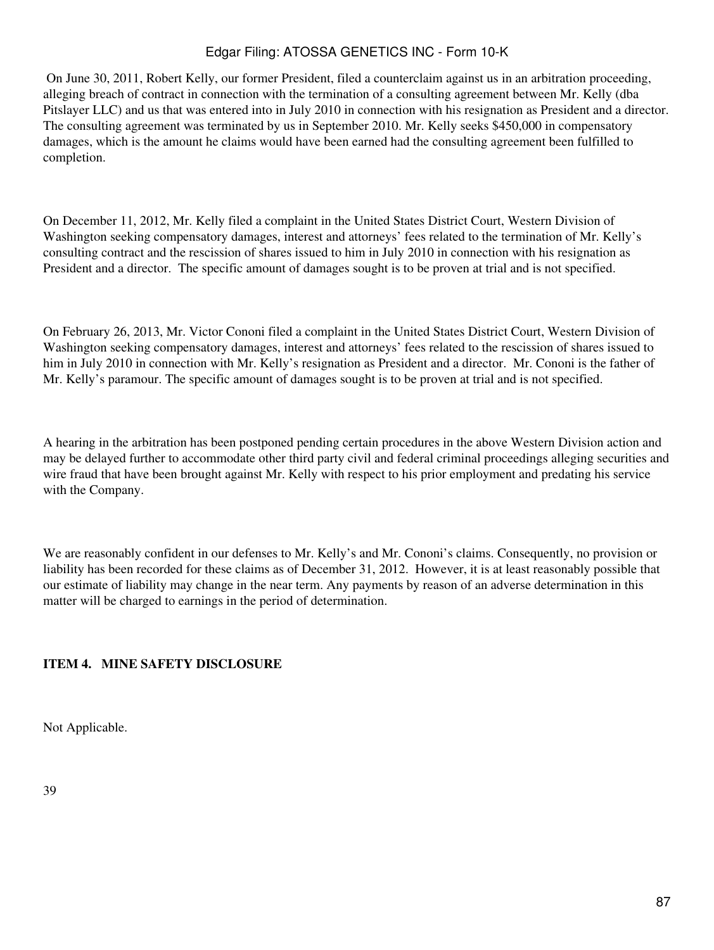On June 30, 2011, Robert Kelly, our former President, filed a counterclaim against us in an arbitration proceeding, alleging breach of contract in connection with the termination of a consulting agreement between Mr. Kelly (dba Pitslayer LLC) and us that was entered into in July 2010 in connection with his resignation as President and a director. The consulting agreement was terminated by us in September 2010. Mr. Kelly seeks \$450,000 in compensatory damages, which is the amount he claims would have been earned had the consulting agreement been fulfilled to completion.

On December 11, 2012, Mr. Kelly filed a complaint in the United States District Court, Western Division of Washington seeking compensatory damages, interest and attorneys' fees related to the termination of Mr. Kelly's consulting contract and the rescission of shares issued to him in July 2010 in connection with his resignation as President and a director. The specific amount of damages sought is to be proven at trial and is not specified.

On February 26, 2013, Mr. Victor Cononi filed a complaint in the United States District Court, Western Division of Washington seeking compensatory damages, interest and attorneys' fees related to the rescission of shares issued to him in July 2010 in connection with Mr. Kelly's resignation as President and a director. Mr. Cononi is the father of Mr. Kelly's paramour. The specific amount of damages sought is to be proven at trial and is not specified.

A hearing in the arbitration has been postponed pending certain procedures in the above Western Division action and may be delayed further to accommodate other third party civil and federal criminal proceedings alleging securities and wire fraud that have been brought against Mr. Kelly with respect to his prior employment and predating his service with the Company.

We are reasonably confident in our defenses to Mr. Kelly's and Mr. Cononi's claims. Consequently, no provision or liability has been recorded for these claims as of December 31, 2012. However, it is at least reasonably possible that our estimate of liability may change in the near term. Any payments by reason of an adverse determination in this matter will be charged to earnings in the period of determination.

## **ITEM 4. MINE SAFETY DISCLOSURE**

Not Applicable.

39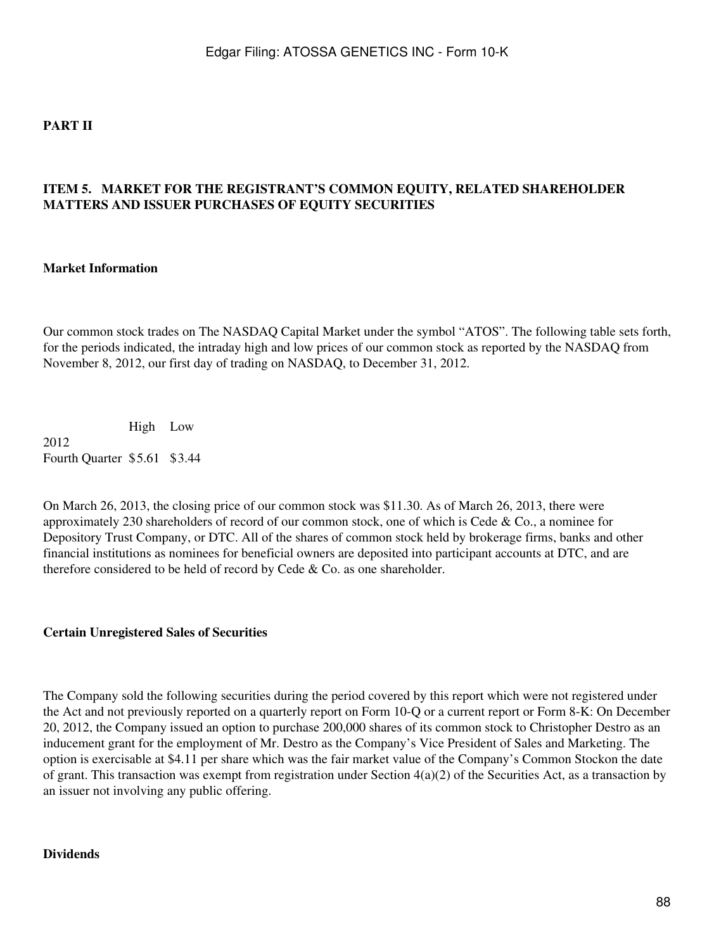## **PART II**

## **ITEM 5. MARKET FOR THE REGISTRANT'S COMMON EQUITY, RELATED SHAREHOLDER MATTERS AND ISSUER PURCHASES OF EQUITY SECURITIES**

#### **Market Information**

Our common stock trades on The NASDAQ Capital Market under the symbol "ATOS". The following table sets forth, for the periods indicated, the intraday high and low prices of our common stock as reported by the NASDAQ from November 8, 2012, our first day of trading on NASDAQ, to December 31, 2012.

High Low 2012 Fourth Quarter \$5.61 \$3.44

On March 26, 2013, the closing price of our common stock was \$11.30. As of March 26, 2013, there were approximately 230 shareholders of record of our common stock, one of which is Cede & Co., a nominee for Depository Trust Company, or DTC. All of the shares of common stock held by brokerage firms, banks and other financial institutions as nominees for beneficial owners are deposited into participant accounts at DTC, and are therefore considered to be held of record by Cede & Co. as one shareholder.

#### **Certain Unregistered Sales of Securities**

The Company sold the following securities during the period covered by this report which were not registered under the Act and not previously reported on a quarterly report on Form 10-Q or a current report or Form 8-K: On December 20, 2012, the Company issued an option to purchase 200,000 shares of its common stock to Christopher Destro as an inducement grant for the employment of Mr. Destro as the Company's Vice President of Sales and Marketing. The option is exercisable at \$4.11 per share which was the fair market value of the Company's Common Stockon the date of grant. This transaction was exempt from registration under Section  $4(a)(2)$  of the Securities Act, as a transaction by an issuer not involving any public offering.

#### **Dividends**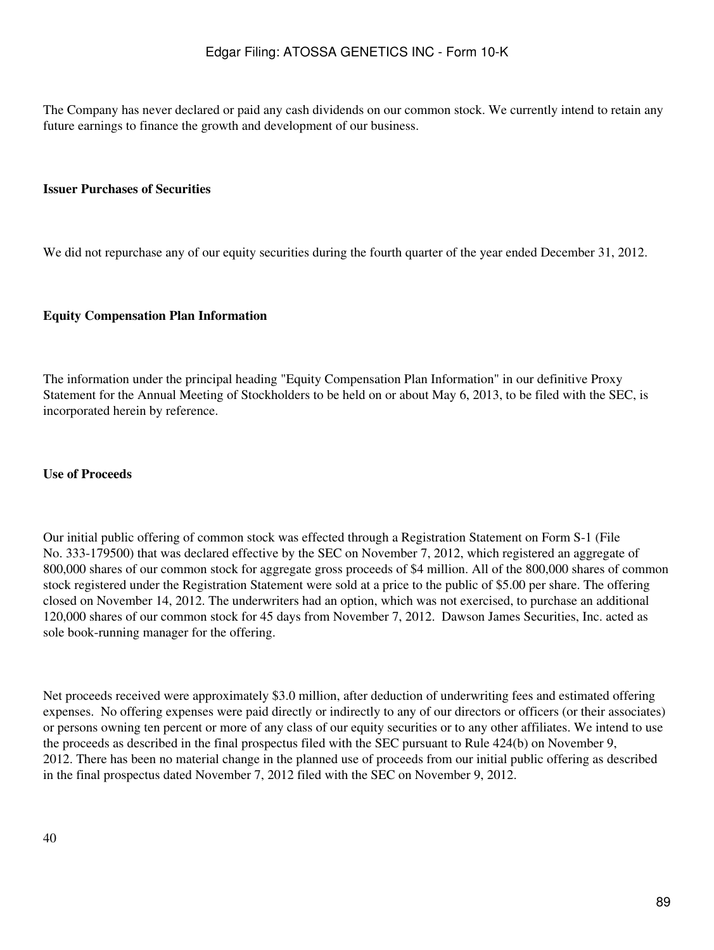The Company has never declared or paid any cash dividends on our common stock. We currently intend to retain any future earnings to finance the growth and development of our business.

#### **Issuer Purchases of Securities**

We did not repurchase any of our equity securities during the fourth quarter of the year ended December 31, 2012.

#### **Equity Compensation Plan Information**

The information under the principal heading "Equity Compensation Plan Information" in our definitive Proxy Statement for the Annual Meeting of Stockholders to be held on or about May 6, 2013, to be filed with the SEC, is incorporated herein by reference.

#### **Use of Proceeds**

Our initial public offering of common stock was effected through a Registration Statement on Form S-1 (File No. 333-179500) that was declared effective by the SEC on November 7, 2012, which registered an aggregate of 800,000 shares of our common stock for aggregate gross proceeds of \$4 million. All of the 800,000 shares of common stock registered under the Registration Statement were sold at a price to the public of \$5.00 per share. The offering closed on November 14, 2012. The underwriters had an option, which was not exercised, to purchase an additional 120,000 shares of our common stock for 45 days from November 7, 2012. Dawson James Securities, Inc. acted as sole book-running manager for the offering.

Net proceeds received were approximately \$3.0 million, after deduction of underwriting fees and estimated offering expenses. No offering expenses were paid directly or indirectly to any of our directors or officers (or their associates) or persons owning ten percent or more of any class of our equity securities or to any other affiliates. We intend to use the proceeds as described in the final prospectus filed with the SEC pursuant to Rule 424(b) on November 9, 2012. There has been no material change in the planned use of proceeds from our initial public offering as described in the final prospectus dated November 7, 2012 filed with the SEC on November 9, 2012.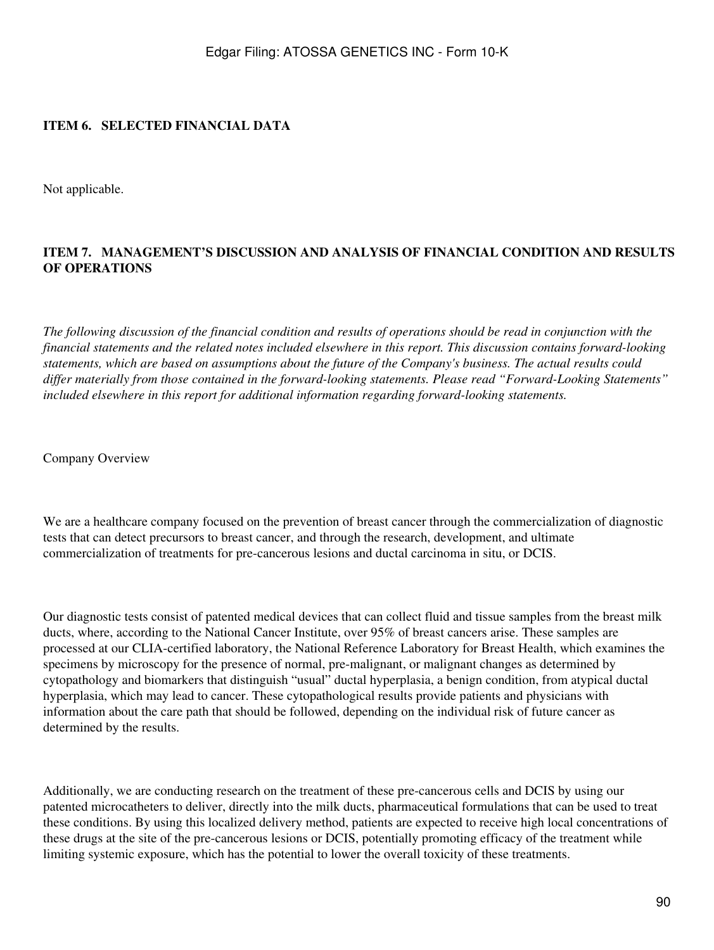## **ITEM 6. SELECTED FINANCIAL DATA**

Not applicable.

## **ITEM 7. MANAGEMENT'S DISCUSSION AND ANALYSIS OF FINANCIAL CONDITION AND RESULTS OF OPERATIONS**

*The following discussion of the financial condition and results of operations should be read in conjunction with the financial statements and the related notes included elsewhere in this report. This discussion contains forward-looking statements, which are based on assumptions about the future of the Company's business. The actual results could differ materially from those contained in the forward-looking statements. Please read "Forward-Looking Statements" included elsewhere in this report for additional information regarding forward-looking statements.*

Company Overview

We are a healthcare company focused on the prevention of breast cancer through the commercialization of diagnostic tests that can detect precursors to breast cancer, and through the research, development, and ultimate commercialization of treatments for pre-cancerous lesions and ductal carcinoma in situ, or DCIS.

Our diagnostic tests consist of patented medical devices that can collect fluid and tissue samples from the breast milk ducts, where, according to the National Cancer Institute, over 95% of breast cancers arise. These samples are processed at our CLIA-certified laboratory, the National Reference Laboratory for Breast Health, which examines the specimens by microscopy for the presence of normal, pre-malignant, or malignant changes as determined by cytopathology and biomarkers that distinguish "usual" ductal hyperplasia, a benign condition, from atypical ductal hyperplasia, which may lead to cancer. These cytopathological results provide patients and physicians with information about the care path that should be followed, depending on the individual risk of future cancer as determined by the results.

Additionally, we are conducting research on the treatment of these pre-cancerous cells and DCIS by using our patented microcatheters to deliver, directly into the milk ducts, pharmaceutical formulations that can be used to treat these conditions. By using this localized delivery method, patients are expected to receive high local concentrations of these drugs at the site of the pre-cancerous lesions or DCIS, potentially promoting efficacy of the treatment while limiting systemic exposure, which has the potential to lower the overall toxicity of these treatments.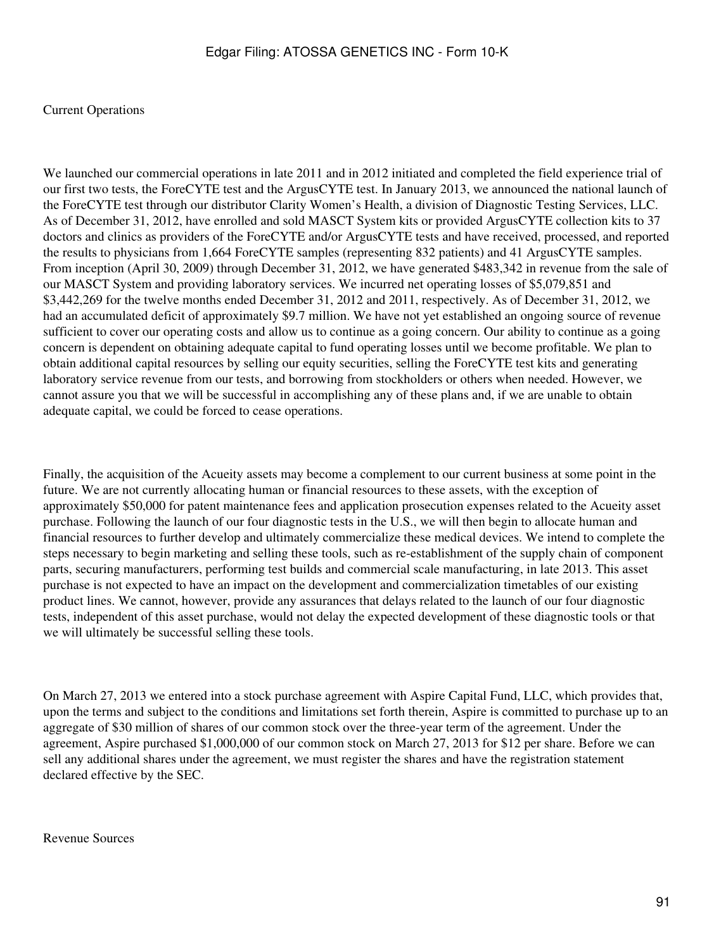### Current Operations

We launched our commercial operations in late 2011 and in 2012 initiated and completed the field experience trial of our first two tests, the ForeCYTE test and the ArgusCYTE test. In January 2013, we announced the national launch of the ForeCYTE test through our distributor Clarity Women's Health, a division of Diagnostic Testing Services, LLC. As of December 31, 2012, have enrolled and sold MASCT System kits or provided ArgusCYTE collection kits to 37 doctors and clinics as providers of the ForeCYTE and/or ArgusCYTE tests and have received, processed, and reported the results to physicians from 1,664 ForeCYTE samples (representing 832 patients) and 41 ArgusCYTE samples. From inception (April 30, 2009) through December 31, 2012, we have generated \$483,342 in revenue from the sale of our MASCT System and providing laboratory services. We incurred net operating losses of \$5,079,851 and \$3,442,269 for the twelve months ended December 31, 2012 and 2011, respectively. As of December 31, 2012, we had an accumulated deficit of approximately \$9.7 million. We have not yet established an ongoing source of revenue sufficient to cover our operating costs and allow us to continue as a going concern. Our ability to continue as a going concern is dependent on obtaining adequate capital to fund operating losses until we become profitable. We plan to obtain additional capital resources by selling our equity securities, selling the ForeCYTE test kits and generating laboratory service revenue from our tests, and borrowing from stockholders or others when needed. However, we cannot assure you that we will be successful in accomplishing any of these plans and, if we are unable to obtain adequate capital, we could be forced to cease operations.

Finally, the acquisition of the Acueity assets may become a complement to our current business at some point in the future. We are not currently allocating human or financial resources to these assets, with the exception of approximately \$50,000 for patent maintenance fees and application prosecution expenses related to the Acueity asset purchase. Following the launch of our four diagnostic tests in the U.S., we will then begin to allocate human and financial resources to further develop and ultimately commercialize these medical devices. We intend to complete the steps necessary to begin marketing and selling these tools, such as re-establishment of the supply chain of component parts, securing manufacturers, performing test builds and commercial scale manufacturing, in late 2013. This asset purchase is not expected to have an impact on the development and commercialization timetables of our existing product lines. We cannot, however, provide any assurances that delays related to the launch of our four diagnostic tests, independent of this asset purchase, would not delay the expected development of these diagnostic tools or that we will ultimately be successful selling these tools.

On March 27, 2013 we entered into a stock purchase agreement with Aspire Capital Fund, LLC, which provides that, upon the terms and subject to the conditions and limitations set forth therein, Aspire is committed to purchase up to an aggregate of \$30 million of shares of our common stock over the three-year term of the agreement. Under the agreement, Aspire purchased \$1,000,000 of our common stock on March 27, 2013 for \$12 per share. Before we can sell any additional shares under the agreement, we must register the shares and have the registration statement declared effective by the SEC.

Revenue Sources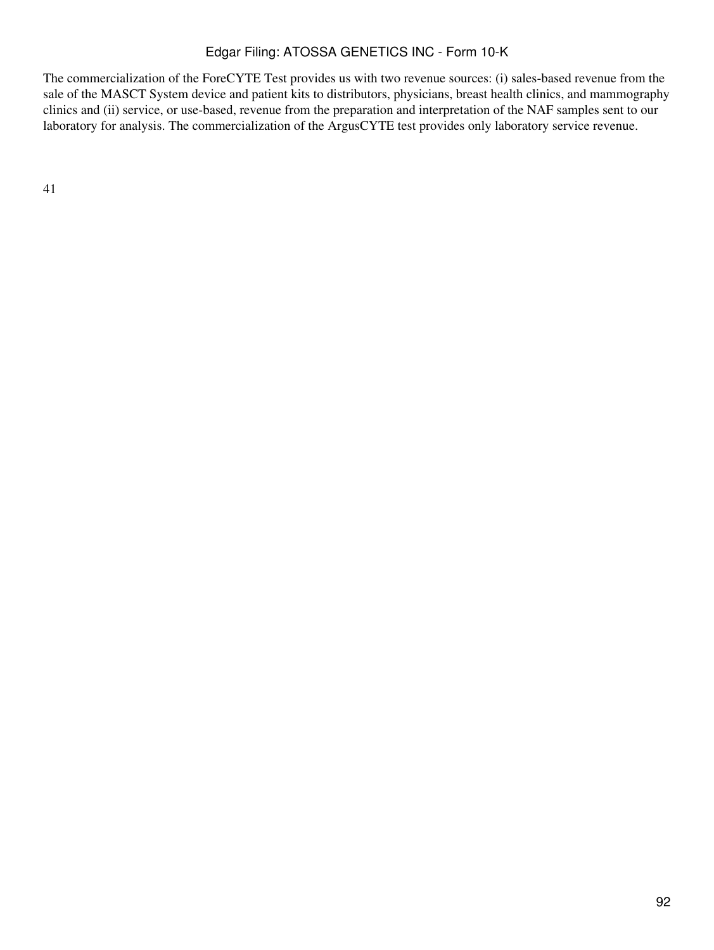The commercialization of the ForeCYTE Test provides us with two revenue sources: (i) sales-based revenue from the sale of the MASCT System device and patient kits to distributors, physicians, breast health clinics, and mammography clinics and (ii) service, or use-based, revenue from the preparation and interpretation of the NAF samples sent to our laboratory for analysis. The commercialization of the ArgusCYTE test provides only laboratory service revenue.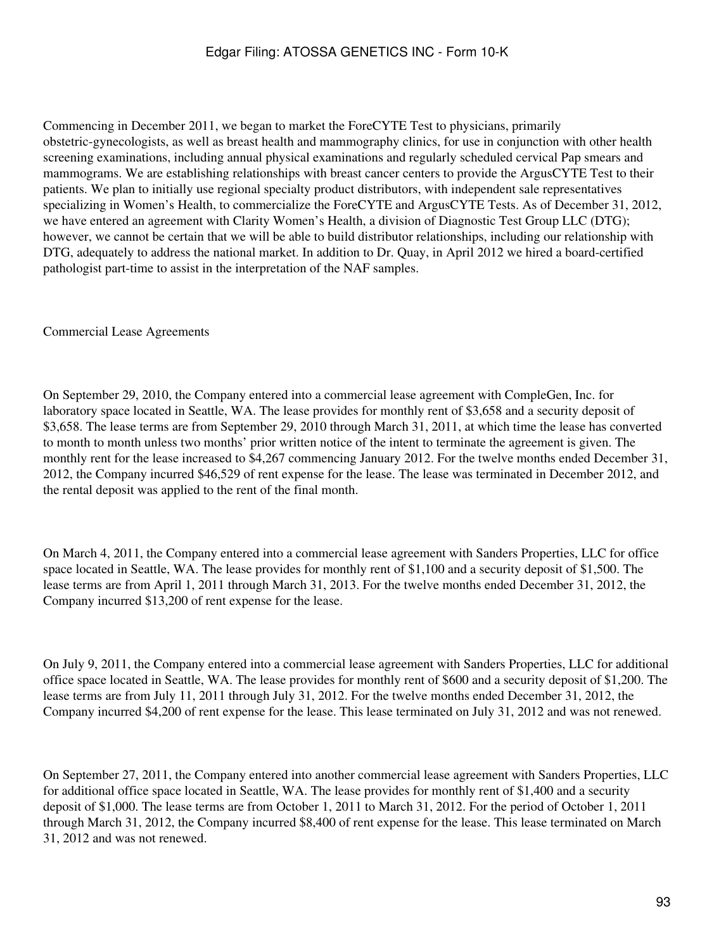Commencing in December 2011, we began to market the ForeCYTE Test to physicians, primarily obstetric-gynecologists, as well as breast health and mammography clinics, for use in conjunction with other health screening examinations, including annual physical examinations and regularly scheduled cervical Pap smears and mammograms. We are establishing relationships with breast cancer centers to provide the ArgusCYTE Test to their patients. We plan to initially use regional specialty product distributors, with independent sale representatives specializing in Women's Health, to commercialize the ForeCYTE and ArgusCYTE Tests. As of December 31, 2012, we have entered an agreement with Clarity Women's Health, a division of Diagnostic Test Group LLC (DTG); however, we cannot be certain that we will be able to build distributor relationships, including our relationship with DTG, adequately to address the national market. In addition to Dr. Quay, in April 2012 we hired a board-certified pathologist part-time to assist in the interpretation of the NAF samples.

Commercial Lease Agreements

On September 29, 2010, the Company entered into a commercial lease agreement with CompleGen, Inc. for laboratory space located in Seattle, WA. The lease provides for monthly rent of \$3,658 and a security deposit of \$3,658. The lease terms are from September 29, 2010 through March 31, 2011, at which time the lease has converted to month to month unless two months' prior written notice of the intent to terminate the agreement is given. The monthly rent for the lease increased to \$4,267 commencing January 2012. For the twelve months ended December 31, 2012, the Company incurred \$46,529 of rent expense for the lease. The lease was terminated in December 2012, and the rental deposit was applied to the rent of the final month.

On March 4, 2011, the Company entered into a commercial lease agreement with Sanders Properties, LLC for office space located in Seattle, WA. The lease provides for monthly rent of \$1,100 and a security deposit of \$1,500. The lease terms are from April 1, 2011 through March 31, 2013. For the twelve months ended December 31, 2012, the Company incurred \$13,200 of rent expense for the lease.

On July 9, 2011, the Company entered into a commercial lease agreement with Sanders Properties, LLC for additional office space located in Seattle, WA. The lease provides for monthly rent of \$600 and a security deposit of \$1,200. The lease terms are from July 11, 2011 through July 31, 2012. For the twelve months ended December 31, 2012, the Company incurred \$4,200 of rent expense for the lease. This lease terminated on July 31, 2012 and was not renewed.

On September 27, 2011, the Company entered into another commercial lease agreement with Sanders Properties, LLC for additional office space located in Seattle, WA. The lease provides for monthly rent of \$1,400 and a security deposit of \$1,000. The lease terms are from October 1, 2011 to March 31, 2012. For the period of October 1, 2011 through March 31, 2012, the Company incurred \$8,400 of rent expense for the lease. This lease terminated on March 31, 2012 and was not renewed.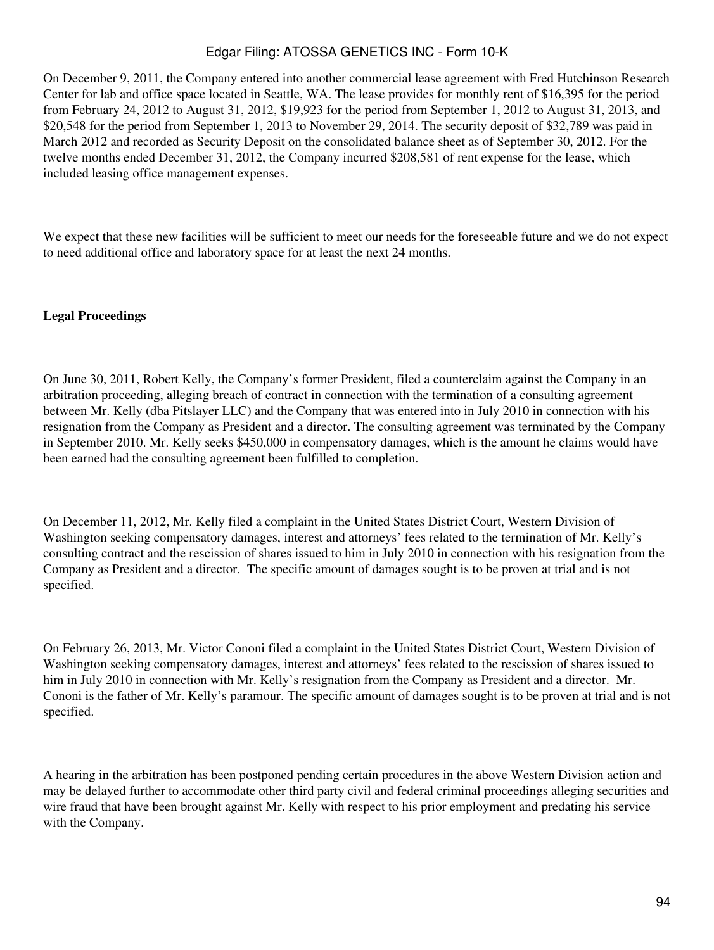On December 9, 2011, the Company entered into another commercial lease agreement with Fred Hutchinson Research Center for lab and office space located in Seattle, WA. The lease provides for monthly rent of \$16,395 for the period from February 24, 2012 to August 31, 2012, \$19,923 for the period from September 1, 2012 to August 31, 2013, and \$20,548 for the period from September 1, 2013 to November 29, 2014. The security deposit of \$32,789 was paid in March 2012 and recorded as Security Deposit on the consolidated balance sheet as of September 30, 2012. For the twelve months ended December 31, 2012, the Company incurred \$208,581 of rent expense for the lease, which included leasing office management expenses.

We expect that these new facilities will be sufficient to meet our needs for the foreseeable future and we do not expect to need additional office and laboratory space for at least the next 24 months.

## **Legal Proceedings**

On June 30, 2011, Robert Kelly, the Company's former President, filed a counterclaim against the Company in an arbitration proceeding, alleging breach of contract in connection with the termination of a consulting agreement between Mr. Kelly (dba Pitslayer LLC) and the Company that was entered into in July 2010 in connection with his resignation from the Company as President and a director. The consulting agreement was terminated by the Company in September 2010. Mr. Kelly seeks \$450,000 in compensatory damages, which is the amount he claims would have been earned had the consulting agreement been fulfilled to completion.

On December 11, 2012, Mr. Kelly filed a complaint in the United States District Court, Western Division of Washington seeking compensatory damages, interest and attorneys' fees related to the termination of Mr. Kelly's consulting contract and the rescission of shares issued to him in July 2010 in connection with his resignation from the Company as President and a director. The specific amount of damages sought is to be proven at trial and is not specified.

On February 26, 2013, Mr. Victor Cononi filed a complaint in the United States District Court, Western Division of Washington seeking compensatory damages, interest and attorneys' fees related to the rescission of shares issued to him in July 2010 in connection with Mr. Kelly's resignation from the Company as President and a director. Mr. Cononi is the father of Mr. Kelly's paramour. The specific amount of damages sought is to be proven at trial and is not specified.

A hearing in the arbitration has been postponed pending certain procedures in the above Western Division action and may be delayed further to accommodate other third party civil and federal criminal proceedings alleging securities and wire fraud that have been brought against Mr. Kelly with respect to his prior employment and predating his service with the Company.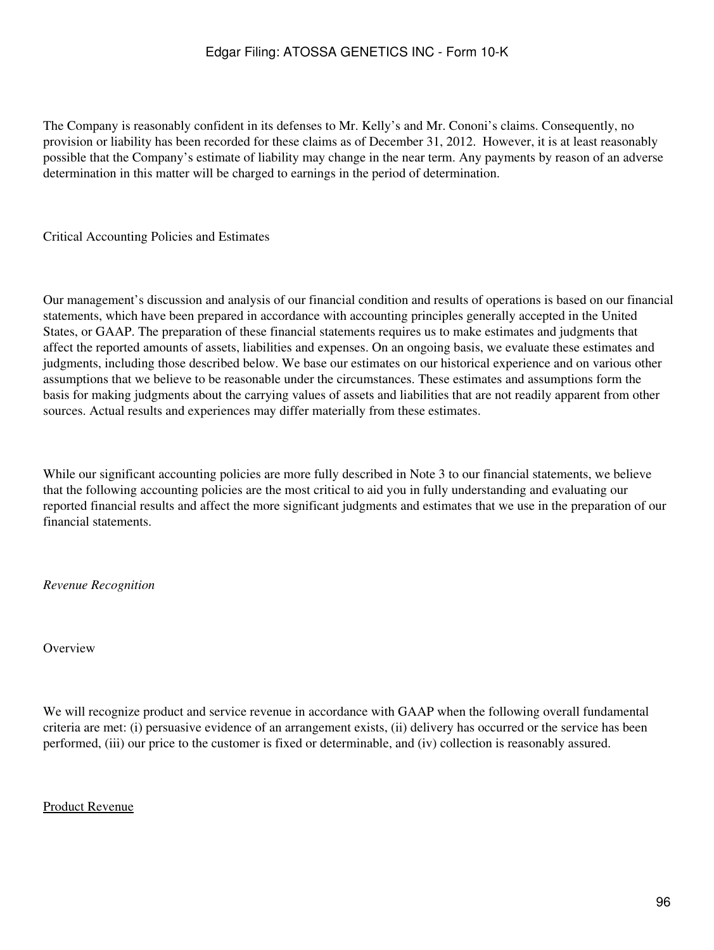The Company is reasonably confident in its defenses to Mr. Kelly's and Mr. Cononi's claims. Consequently, no provision or liability has been recorded for these claims as of December 31, 2012. However, it is at least reasonably possible that the Company's estimate of liability may change in the near term. Any payments by reason of an adverse determination in this matter will be charged to earnings in the period of determination.

Critical Accounting Policies and Estimates

Our management's discussion and analysis of our financial condition and results of operations is based on our financial statements, which have been prepared in accordance with accounting principles generally accepted in the United States, or GAAP. The preparation of these financial statements requires us to make estimates and judgments that affect the reported amounts of assets, liabilities and expenses. On an ongoing basis, we evaluate these estimates and judgments, including those described below. We base our estimates on our historical experience and on various other assumptions that we believe to be reasonable under the circumstances. These estimates and assumptions form the basis for making judgments about the carrying values of assets and liabilities that are not readily apparent from other sources. Actual results and experiences may differ materially from these estimates.

While our significant accounting policies are more fully described in Note 3 to our financial statements, we believe that the following accounting policies are the most critical to aid you in fully understanding and evaluating our reported financial results and affect the more significant judgments and estimates that we use in the preparation of our financial statements.

*Revenue Recognition*

#### **Overview**

We will recognize product and service revenue in accordance with GAAP when the following overall fundamental criteria are met: (i) persuasive evidence of an arrangement exists, (ii) delivery has occurred or the service has been performed, (iii) our price to the customer is fixed or determinable, and (iv) collection is reasonably assured.

#### Product Revenue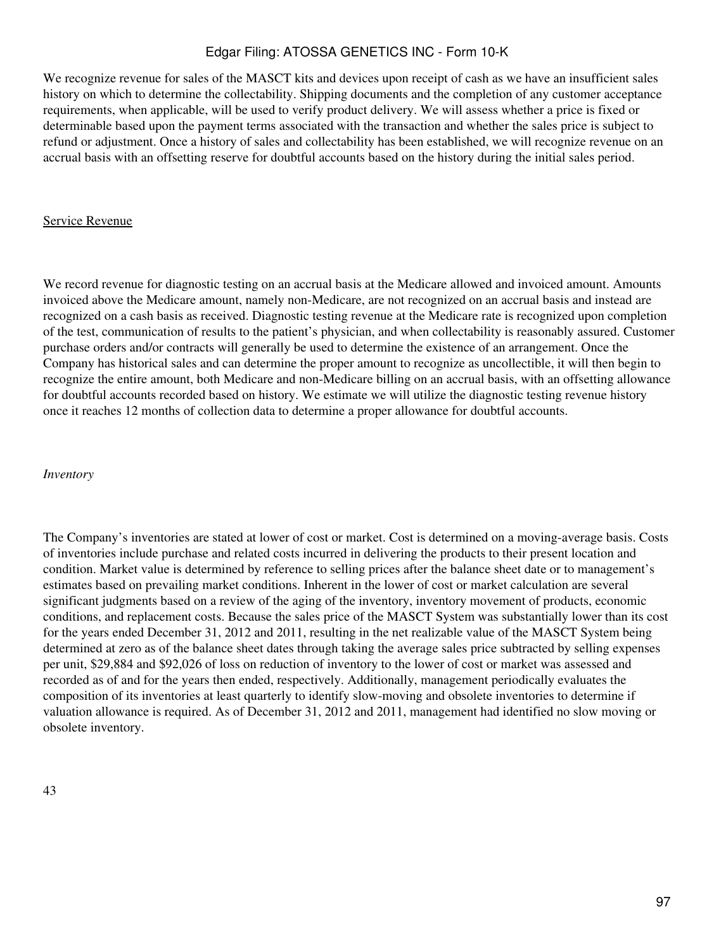We recognize revenue for sales of the MASCT kits and devices upon receipt of cash as we have an insufficient sales history on which to determine the collectability. Shipping documents and the completion of any customer acceptance requirements, when applicable, will be used to verify product delivery. We will assess whether a price is fixed or determinable based upon the payment terms associated with the transaction and whether the sales price is subject to refund or adjustment. Once a history of sales and collectability has been established, we will recognize revenue on an accrual basis with an offsetting reserve for doubtful accounts based on the history during the initial sales period.

#### Service Revenue

We record revenue for diagnostic testing on an accrual basis at the Medicare allowed and invoiced amount. Amounts invoiced above the Medicare amount, namely non-Medicare, are not recognized on an accrual basis and instead are recognized on a cash basis as received. Diagnostic testing revenue at the Medicare rate is recognized upon completion of the test, communication of results to the patient's physician, and when collectability is reasonably assured. Customer purchase orders and/or contracts will generally be used to determine the existence of an arrangement. Once the Company has historical sales and can determine the proper amount to recognize as uncollectible, it will then begin to recognize the entire amount, both Medicare and non-Medicare billing on an accrual basis, with an offsetting allowance for doubtful accounts recorded based on history. We estimate we will utilize the diagnostic testing revenue history once it reaches 12 months of collection data to determine a proper allowance for doubtful accounts.

#### *Inventory*

The Company's inventories are stated at lower of cost or market. Cost is determined on a moving-average basis. Costs of inventories include purchase and related costs incurred in delivering the products to their present location and condition. Market value is determined by reference to selling prices after the balance sheet date or to management's estimates based on prevailing market conditions. Inherent in the lower of cost or market calculation are several significant judgments based on a review of the aging of the inventory, inventory movement of products, economic conditions, and replacement costs. Because the sales price of the MASCT System was substantially lower than its cost for the years ended December 31, 2012 and 2011, resulting in the net realizable value of the MASCT System being determined at zero as of the balance sheet dates through taking the average sales price subtracted by selling expenses per unit, \$29,884 and \$92,026 of loss on reduction of inventory to the lower of cost or market was assessed and recorded as of and for the years then ended, respectively. Additionally, management periodically evaluates the composition of its inventories at least quarterly to identify slow-moving and obsolete inventories to determine if valuation allowance is required. As of December 31, 2012 and 2011, management had identified no slow moving or obsolete inventory.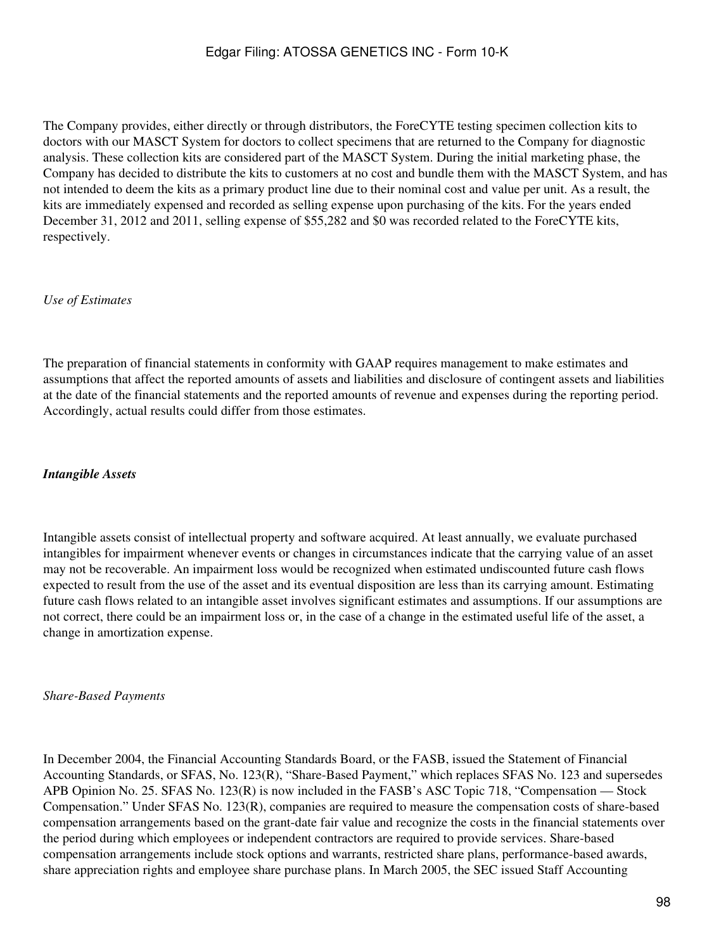The Company provides, either directly or through distributors, the ForeCYTE testing specimen collection kits to doctors with our MASCT System for doctors to collect specimens that are returned to the Company for diagnostic analysis. These collection kits are considered part of the MASCT System. During the initial marketing phase, the Company has decided to distribute the kits to customers at no cost and bundle them with the MASCT System, and has not intended to deem the kits as a primary product line due to their nominal cost and value per unit. As a result, the kits are immediately expensed and recorded as selling expense upon purchasing of the kits. For the years ended December 31, 2012 and 2011, selling expense of \$55,282 and \$0 was recorded related to the ForeCYTE kits, respectively.

## *Use of Estimates*

The preparation of financial statements in conformity with GAAP requires management to make estimates and assumptions that affect the reported amounts of assets and liabilities and disclosure of contingent assets and liabilities at the date of the financial statements and the reported amounts of revenue and expenses during the reporting period. Accordingly, actual results could differ from those estimates.

#### *Intangible Assets*

Intangible assets consist of intellectual property and software acquired. At least annually, we evaluate purchased intangibles for impairment whenever events or changes in circumstances indicate that the carrying value of an asset may not be recoverable. An impairment loss would be recognized when estimated undiscounted future cash flows expected to result from the use of the asset and its eventual disposition are less than its carrying amount. Estimating future cash flows related to an intangible asset involves significant estimates and assumptions. If our assumptions are not correct, there could be an impairment loss or, in the case of a change in the estimated useful life of the asset, a change in amortization expense.

#### *Share-Based Payments*

In December 2004, the Financial Accounting Standards Board, or the FASB, issued the Statement of Financial Accounting Standards, or SFAS, No. 123(R), "Share-Based Payment," which replaces SFAS No. 123 and supersedes APB Opinion No. 25. SFAS No. 123(R) is now included in the FASB's ASC Topic 718, "Compensation — Stock Compensation." Under SFAS No. 123(R), companies are required to measure the compensation costs of share-based compensation arrangements based on the grant-date fair value and recognize the costs in the financial statements over the period during which employees or independent contractors are required to provide services. Share-based compensation arrangements include stock options and warrants, restricted share plans, performance-based awards, share appreciation rights and employee share purchase plans. In March 2005, the SEC issued Staff Accounting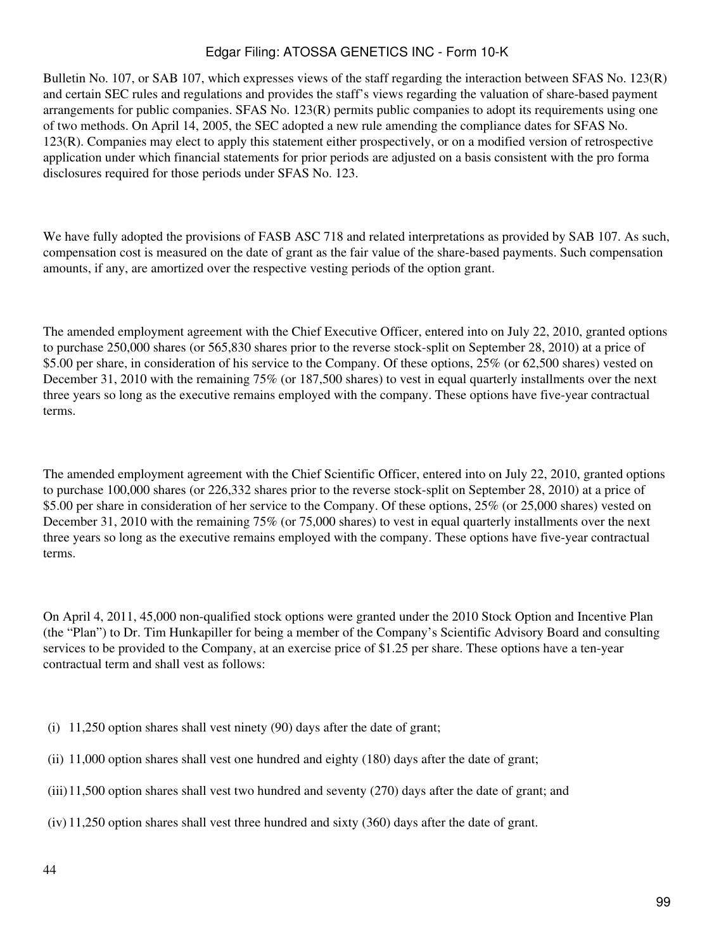Bulletin No. 107, or SAB 107, which expresses views of the staff regarding the interaction between SFAS No. 123(R) and certain SEC rules and regulations and provides the staff's views regarding the valuation of share-based payment arrangements for public companies. SFAS No. 123(R) permits public companies to adopt its requirements using one of two methods. On April 14, 2005, the SEC adopted a new rule amending the compliance dates for SFAS No. 123(R). Companies may elect to apply this statement either prospectively, or on a modified version of retrospective application under which financial statements for prior periods are adjusted on a basis consistent with the pro forma disclosures required for those periods under SFAS No. 123.

We have fully adopted the provisions of FASB ASC 718 and related interpretations as provided by SAB 107. As such, compensation cost is measured on the date of grant as the fair value of the share-based payments. Such compensation amounts, if any, are amortized over the respective vesting periods of the option grant.

The amended employment agreement with the Chief Executive Officer, entered into on July 22, 2010, granted options to purchase 250,000 shares (or 565,830 shares prior to the reverse stock-split on September 28, 2010) at a price of \$5.00 per share, in consideration of his service to the Company. Of these options, 25% (or 62,500 shares) vested on December 31, 2010 with the remaining 75% (or 187,500 shares) to vest in equal quarterly installments over the next three years so long as the executive remains employed with the company. These options have five-year contractual terms.

The amended employment agreement with the Chief Scientific Officer, entered into on July 22, 2010, granted options to purchase 100,000 shares (or 226,332 shares prior to the reverse stock-split on September 28, 2010) at a price of \$5.00 per share in consideration of her service to the Company. Of these options, 25% (or 25,000 shares) vested on December 31, 2010 with the remaining 75% (or 75,000 shares) to vest in equal quarterly installments over the next three years so long as the executive remains employed with the company. These options have five-year contractual terms.

On April 4, 2011, 45,000 non-qualified stock options were granted under the 2010 Stock Option and Incentive Plan (the "Plan") to Dr. Tim Hunkapiller for being a member of the Company's Scientific Advisory Board and consulting services to be provided to the Company, at an exercise price of \$1.25 per share. These options have a ten-year contractual term and shall vest as follows:

- (i) 11,250 option shares shall vest ninety (90) days after the date of grant;
- (ii) 11,000 option shares shall vest one hundred and eighty (180) days after the date of grant;
- (iii)11,500 option shares shall vest two hundred and seventy (270) days after the date of grant; and
- (iv) 11,250 option shares shall vest three hundred and sixty (360) days after the date of grant.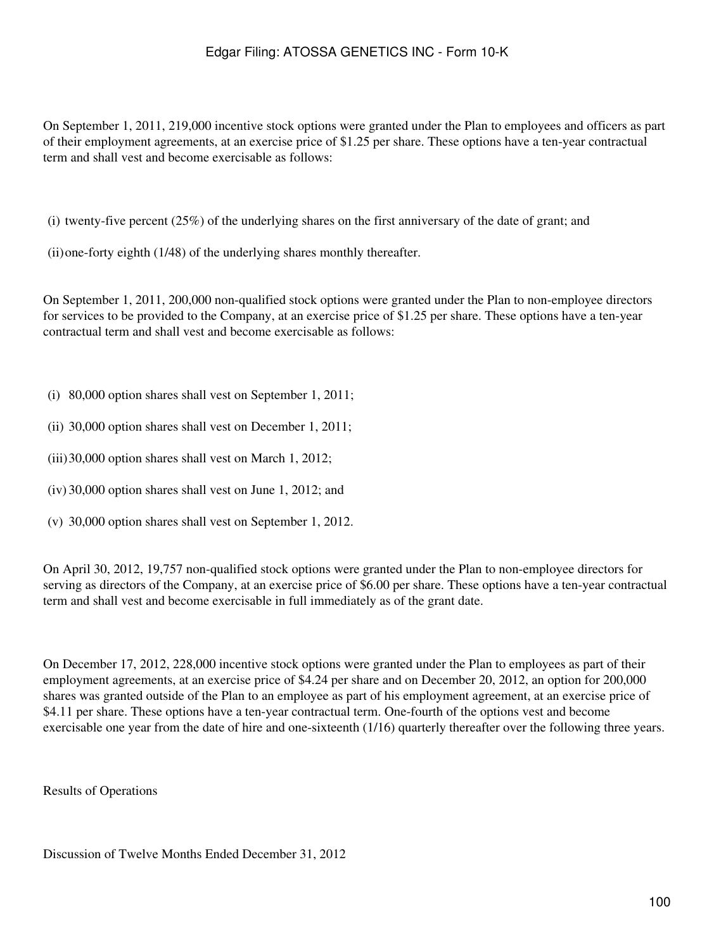On September 1, 2011, 219,000 incentive stock options were granted under the Plan to employees and officers as part of their employment agreements, at an exercise price of \$1.25 per share. These options have a ten-year contractual term and shall vest and become exercisable as follows:

(i) twenty-five percent  $(25%)$  of the underlying shares on the first anniversary of the date of grant; and

(ii)one-forty eighth (1/48) of the underlying shares monthly thereafter.

On September 1, 2011, 200,000 non-qualified stock options were granted under the Plan to non-employee directors for services to be provided to the Company, at an exercise price of \$1.25 per share. These options have a ten-year contractual term and shall vest and become exercisable as follows:

- (i) 80,000 option shares shall vest on September 1, 2011;
- (ii) 30,000 option shares shall vest on December 1, 2011;
- (iii)30,000 option shares shall vest on March 1, 2012;
- (iv) 30,000 option shares shall vest on June 1, 2012; and
- (v) 30,000 option shares shall vest on September 1, 2012.

On April 30, 2012, 19,757 non-qualified stock options were granted under the Plan to non-employee directors for serving as directors of the Company, at an exercise price of \$6.00 per share. These options have a ten-year contractual term and shall vest and become exercisable in full immediately as of the grant date.

On December 17, 2012, 228,000 incentive stock options were granted under the Plan to employees as part of their employment agreements, at an exercise price of \$4.24 per share and on December 20, 2012, an option for 200,000 shares was granted outside of the Plan to an employee as part of his employment agreement, at an exercise price of \$4.11 per share. These options have a ten-year contractual term. One-fourth of the options vest and become exercisable one year from the date of hire and one-sixteenth (1/16) quarterly thereafter over the following three years.

Results of Operations

Discussion of Twelve Months Ended December 31, 2012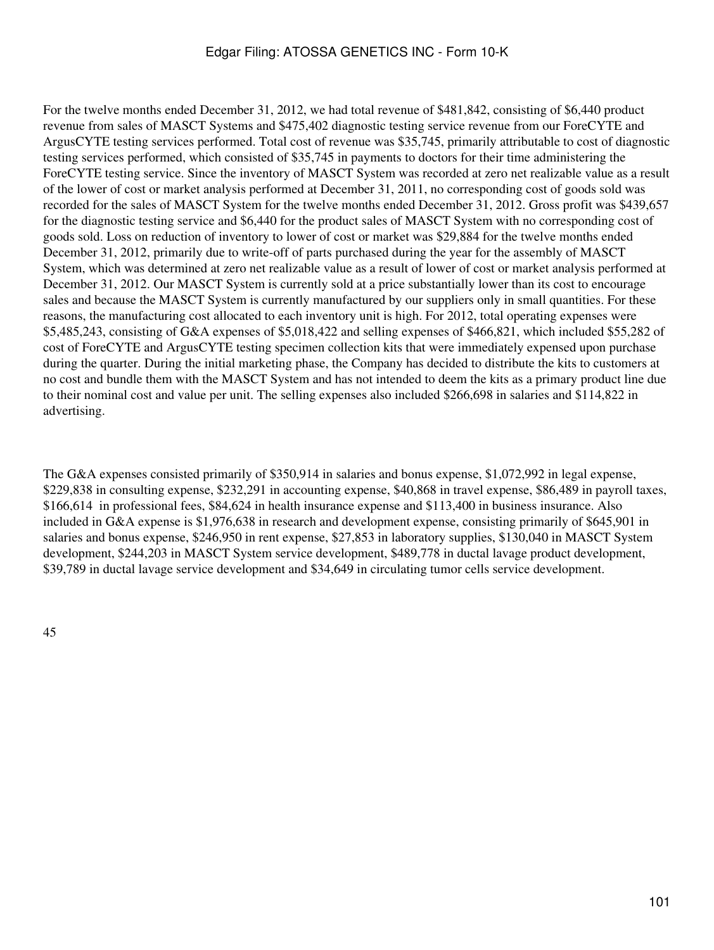For the twelve months ended December 31, 2012, we had total revenue of \$481,842, consisting of \$6,440 product revenue from sales of MASCT Systems and \$475,402 diagnostic testing service revenue from our ForeCYTE and ArgusCYTE testing services performed. Total cost of revenue was \$35,745, primarily attributable to cost of diagnostic testing services performed, which consisted of \$35,745 in payments to doctors for their time administering the ForeCYTE testing service. Since the inventory of MASCT System was recorded at zero net realizable value as a result of the lower of cost or market analysis performed at December 31, 2011, no corresponding cost of goods sold was recorded for the sales of MASCT System for the twelve months ended December 31, 2012. Gross profit was \$439,657 for the diagnostic testing service and \$6,440 for the product sales of MASCT System with no corresponding cost of goods sold. Loss on reduction of inventory to lower of cost or market was \$29,884 for the twelve months ended December 31, 2012, primarily due to write-off of parts purchased during the year for the assembly of MASCT System, which was determined at zero net realizable value as a result of lower of cost or market analysis performed at December 31, 2012. Our MASCT System is currently sold at a price substantially lower than its cost to encourage sales and because the MASCT System is currently manufactured by our suppliers only in small quantities. For these reasons, the manufacturing cost allocated to each inventory unit is high. For 2012, total operating expenses were \$5,485,243, consisting of G&A expenses of \$5,018,422 and selling expenses of \$466,821, which included \$55,282 of cost of ForeCYTE and ArgusCYTE testing specimen collection kits that were immediately expensed upon purchase during the quarter. During the initial marketing phase, the Company has decided to distribute the kits to customers at no cost and bundle them with the MASCT System and has not intended to deem the kits as a primary product line due to their nominal cost and value per unit. The selling expenses also included \$266,698 in salaries and \$114,822 in advertising.

The G&A expenses consisted primarily of \$350,914 in salaries and bonus expense, \$1,072,992 in legal expense, \$229,838 in consulting expense, \$232,291 in accounting expense, \$40,868 in travel expense, \$86,489 in payroll taxes, \$166,614 in professional fees, \$84,624 in health insurance expense and \$113,400 in business insurance. Also included in G&A expense is \$1,976,638 in research and development expense, consisting primarily of \$645,901 in salaries and bonus expense, \$246,950 in rent expense, \$27,853 in laboratory supplies, \$130,040 in MASCT System development, \$244,203 in MASCT System service development, \$489,778 in ductal lavage product development, \$39,789 in ductal lavage service development and \$34,649 in circulating tumor cells service development.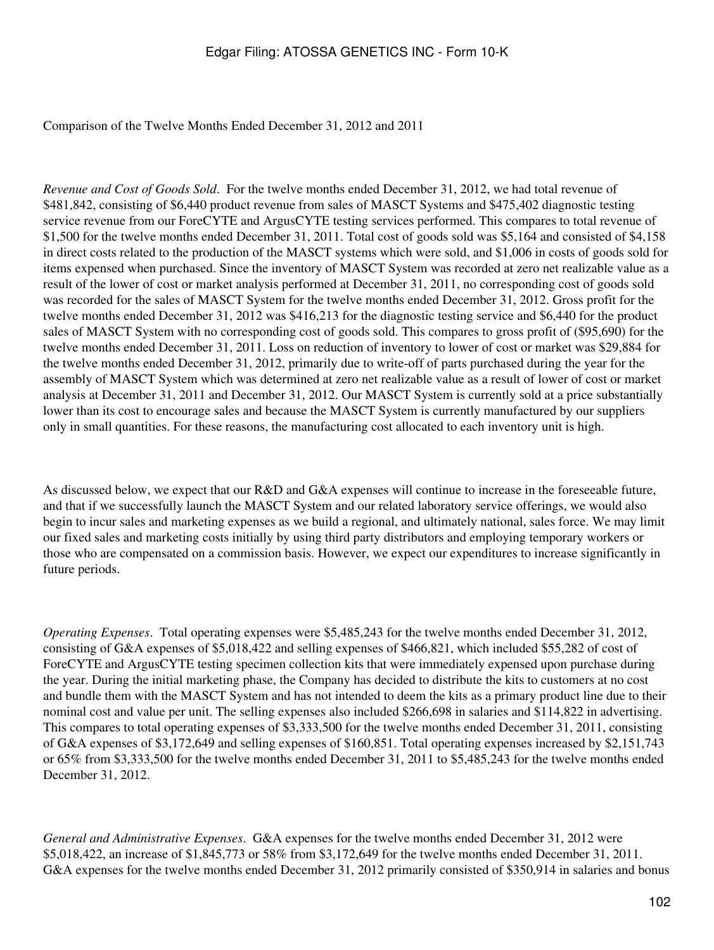#### Comparison of the Twelve Months Ended December 31, 2012 and 2011

*Revenue and Cost of Goods Sold*. For the twelve months ended December 31, 2012, we had total revenue of \$481,842, consisting of \$6,440 product revenue from sales of MASCT Systems and \$475,402 diagnostic testing service revenue from our ForeCYTE and ArgusCYTE testing services performed. This compares to total revenue of \$1,500 for the twelve months ended December 31, 2011. Total cost of goods sold was \$5,164 and consisted of \$4,158 in direct costs related to the production of the MASCT systems which were sold, and \$1,006 in costs of goods sold for items expensed when purchased. Since the inventory of MASCT System was recorded at zero net realizable value as a result of the lower of cost or market analysis performed at December 31, 2011, no corresponding cost of goods sold was recorded for the sales of MASCT System for the twelve months ended December 31, 2012. Gross profit for the twelve months ended December 31, 2012 was \$416,213 for the diagnostic testing service and \$6,440 for the product sales of MASCT System with no corresponding cost of goods sold. This compares to gross profit of (\$95,690) for the twelve months ended December 31, 2011. Loss on reduction of inventory to lower of cost or market was \$29,884 for the twelve months ended December 31, 2012, primarily due to write-off of parts purchased during the year for the assembly of MASCT System which was determined at zero net realizable value as a result of lower of cost or market analysis at December 31, 2011 and December 31, 2012. Our MASCT System is currently sold at a price substantially lower than its cost to encourage sales and because the MASCT System is currently manufactured by our suppliers only in small quantities. For these reasons, the manufacturing cost allocated to each inventory unit is high.

As discussed below, we expect that our R&D and G&A expenses will continue to increase in the foreseeable future, and that if we successfully launch the MASCT System and our related laboratory service offerings, we would also begin to incur sales and marketing expenses as we build a regional, and ultimately national, sales force. We may limit our fixed sales and marketing costs initially by using third party distributors and employing temporary workers or those who are compensated on a commission basis. However, we expect our expenditures to increase significantly in future periods.

*Operating Expenses*. Total operating expenses were \$5,485,243 for the twelve months ended December 31, 2012, consisting of G&A expenses of \$5,018,422 and selling expenses of \$466,821, which included \$55,282 of cost of ForeCYTE and ArgusCYTE testing specimen collection kits that were immediately expensed upon purchase during the year. During the initial marketing phase, the Company has decided to distribute the kits to customers at no cost and bundle them with the MASCT System and has not intended to deem the kits as a primary product line due to their nominal cost and value per unit. The selling expenses also included \$266,698 in salaries and \$114,822 in advertising. This compares to total operating expenses of \$3,333,500 for the twelve months ended December 31, 2011, consisting of G&A expenses of \$3,172,649 and selling expenses of \$160,851. Total operating expenses increased by \$2,151,743 or 65% from \$3,333,500 for the twelve months ended December 31, 2011 to \$5,485,243 for the twelve months ended December 31, 2012.

*General and Administrative Expenses*. G&A expenses for the twelve months ended December 31, 2012 were \$5,018,422, an increase of \$1,845,773 or 58% from \$3,172,649 for the twelve months ended December 31, 2011. G&A expenses for the twelve months ended December 31, 2012 primarily consisted of \$350,914 in salaries and bonus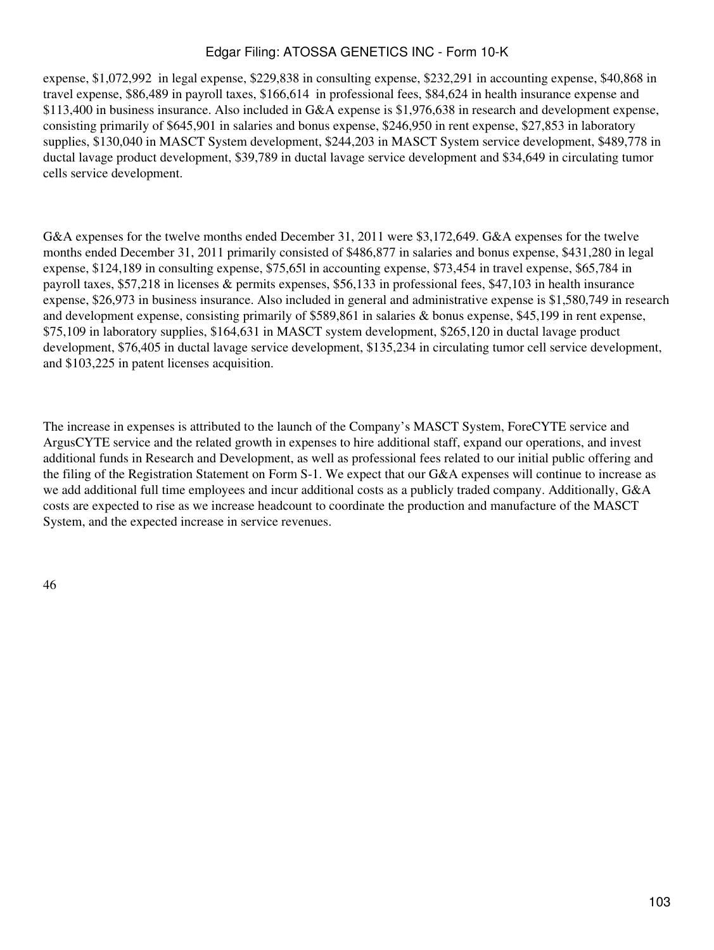expense, \$1,072,992 in legal expense, \$229,838 in consulting expense, \$232,291 in accounting expense, \$40,868 in travel expense, \$86,489 in payroll taxes, \$166,614 in professional fees, \$84,624 in health insurance expense and \$113,400 in business insurance. Also included in G&A expense is \$1,976,638 in research and development expense, consisting primarily of \$645,901 in salaries and bonus expense, \$246,950 in rent expense, \$27,853 in laboratory supplies, \$130,040 in MASCT System development, \$244,203 in MASCT System service development, \$489,778 in ductal lavage product development, \$39,789 in ductal lavage service development and \$34,649 in circulating tumor cells service development.

G&A expenses for the twelve months ended December 31, 2011 were \$3,172,649. G&A expenses for the twelve months ended December 31, 2011 primarily consisted of \$486,877 in salaries and bonus expense, \$431,280 in legal expense, \$124,189 in consulting expense, \$75,65l in accounting expense, \$73,454 in travel expense, \$65,784 in payroll taxes, \$57,218 in licenses & permits expenses, \$56,133 in professional fees, \$47,103 in health insurance expense, \$26,973 in business insurance. Also included in general and administrative expense is \$1,580,749 in research and development expense, consisting primarily of \$589,861 in salaries & bonus expense, \$45,199 in rent expense, \$75,109 in laboratory supplies, \$164,631 in MASCT system development, \$265,120 in ductal lavage product development, \$76,405 in ductal lavage service development, \$135,234 in circulating tumor cell service development, and \$103,225 in patent licenses acquisition.

The increase in expenses is attributed to the launch of the Company's MASCT System, ForeCYTE service and ArgusCYTE service and the related growth in expenses to hire additional staff, expand our operations, and invest additional funds in Research and Development, as well as professional fees related to our initial public offering and the filing of the Registration Statement on Form S-1. We expect that our G&A expenses will continue to increase as we add additional full time employees and incur additional costs as a publicly traded company. Additionally, G&A costs are expected to rise as we increase headcount to coordinate the production and manufacture of the MASCT System, and the expected increase in service revenues.

46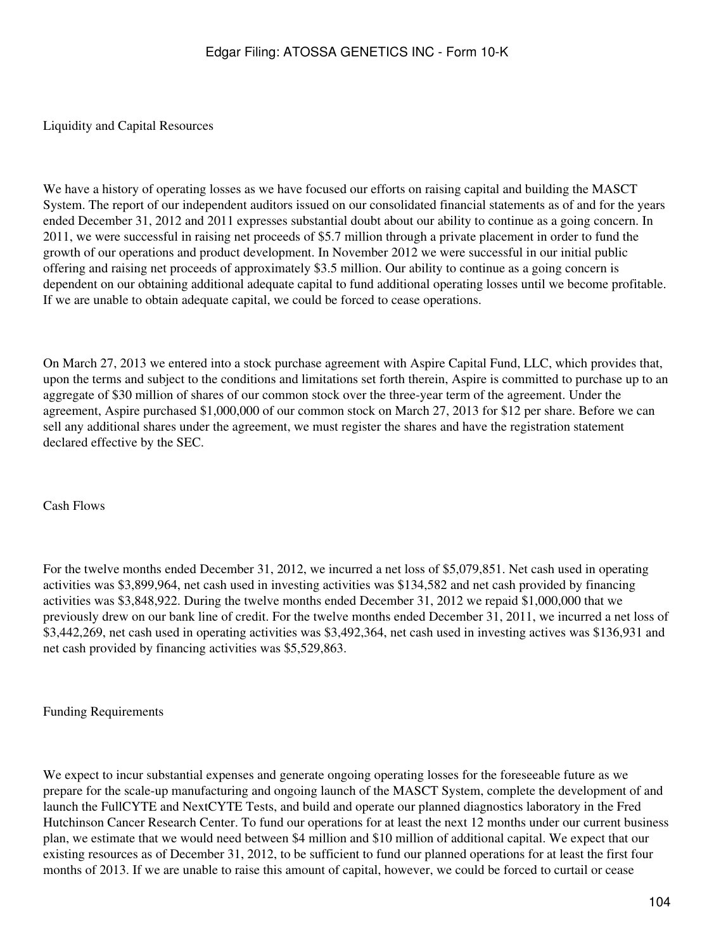#### Liquidity and Capital Resources

We have a history of operating losses as we have focused our efforts on raising capital and building the MASCT System. The report of our independent auditors issued on our consolidated financial statements as of and for the years ended December 31, 2012 and 2011 expresses substantial doubt about our ability to continue as a going concern. In 2011, we were successful in raising net proceeds of \$5.7 million through a private placement in order to fund the growth of our operations and product development. In November 2012 we were successful in our initial public offering and raising net proceeds of approximately \$3.5 million. Our ability to continue as a going concern is dependent on our obtaining additional adequate capital to fund additional operating losses until we become profitable. If we are unable to obtain adequate capital, we could be forced to cease operations.

On March 27, 2013 we entered into a stock purchase agreement with Aspire Capital Fund, LLC, which provides that, upon the terms and subject to the conditions and limitations set forth therein, Aspire is committed to purchase up to an aggregate of \$30 million of shares of our common stock over the three-year term of the agreement. Under the agreement, Aspire purchased \$1,000,000 of our common stock on March 27, 2013 for \$12 per share. Before we can sell any additional shares under the agreement, we must register the shares and have the registration statement declared effective by the SEC.

Cash Flows

For the twelve months ended December 31, 2012, we incurred a net loss of \$5,079,851. Net cash used in operating activities was \$3,899,964, net cash used in investing activities was \$134,582 and net cash provided by financing activities was \$3,848,922. During the twelve months ended December 31, 2012 we repaid \$1,000,000 that we previously drew on our bank line of credit. For the twelve months ended December 31, 2011, we incurred a net loss of \$3,442,269, net cash used in operating activities was \$3,492,364, net cash used in investing actives was \$136,931 and net cash provided by financing activities was \$5,529,863.

Funding Requirements

We expect to incur substantial expenses and generate ongoing operating losses for the foreseeable future as we prepare for the scale-up manufacturing and ongoing launch of the MASCT System, complete the development of and launch the FullCYTE and NextCYTE Tests, and build and operate our planned diagnostics laboratory in the Fred Hutchinson Cancer Research Center. To fund our operations for at least the next 12 months under our current business plan, we estimate that we would need between \$4 million and \$10 million of additional capital. We expect that our existing resources as of December 31, 2012, to be sufficient to fund our planned operations for at least the first four months of 2013. If we are unable to raise this amount of capital, however, we could be forced to curtail or cease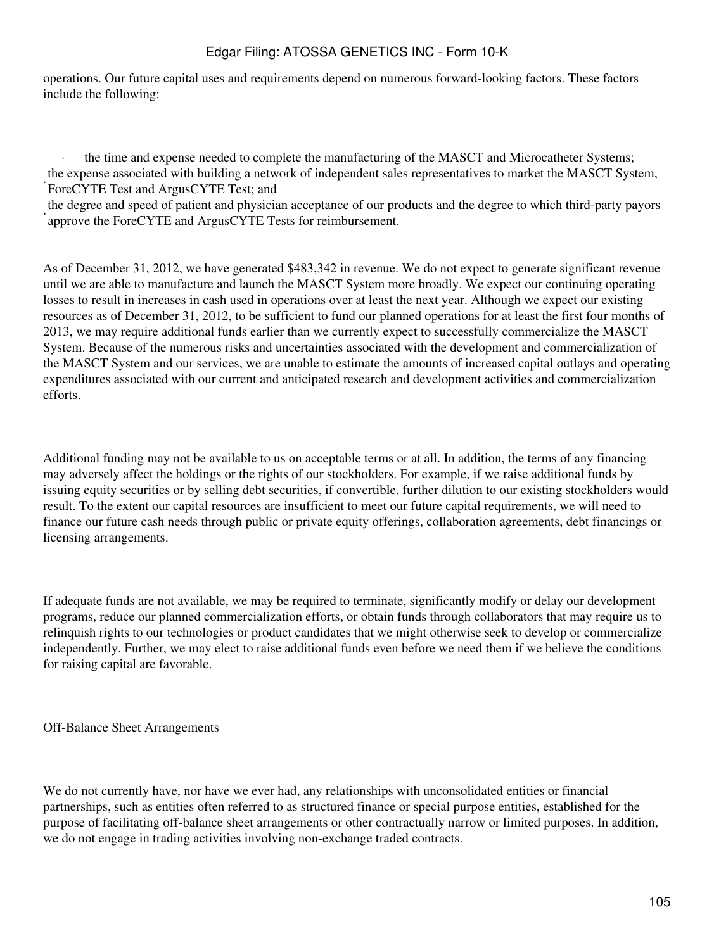operations. Our future capital uses and requirements depend on numerous forward-looking factors. These factors include the following:

the time and expense needed to complete the manufacturing of the MASCT and Microcatheter Systems; · ForeCYTE Test and ArgusCYTE Test; and the expense associated with building a network of independent sales representatives to market the MASCT System,

and approve the ForeCYTE and ArgusCYTE Tests for reimbursement. the degree and speed of patient and physician acceptance of our products and the degree to which third-party payors

As of December 31, 2012, we have generated \$483,342 in revenue. We do not expect to generate significant revenue until we are able to manufacture and launch the MASCT System more broadly. We expect our continuing operating losses to result in increases in cash used in operations over at least the next year. Although we expect our existing resources as of December 31, 2012, to be sufficient to fund our planned operations for at least the first four months of 2013, we may require additional funds earlier than we currently expect to successfully commercialize the MASCT System. Because of the numerous risks and uncertainties associated with the development and commercialization of the MASCT System and our services, we are unable to estimate the amounts of increased capital outlays and operating expenditures associated with our current and anticipated research and development activities and commercialization efforts.

Additional funding may not be available to us on acceptable terms or at all. In addition, the terms of any financing may adversely affect the holdings or the rights of our stockholders. For example, if we raise additional funds by issuing equity securities or by selling debt securities, if convertible, further dilution to our existing stockholders would result. To the extent our capital resources are insufficient to meet our future capital requirements, we will need to finance our future cash needs through public or private equity offerings, collaboration agreements, debt financings or licensing arrangements.

If adequate funds are not available, we may be required to terminate, significantly modify or delay our development programs, reduce our planned commercialization efforts, or obtain funds through collaborators that may require us to relinquish rights to our technologies or product candidates that we might otherwise seek to develop or commercialize independently. Further, we may elect to raise additional funds even before we need them if we believe the conditions for raising capital are favorable.

Off-Balance Sheet Arrangements

We do not currently have, nor have we ever had, any relationships with unconsolidated entities or financial partnerships, such as entities often referred to as structured finance or special purpose entities, established for the purpose of facilitating off-balance sheet arrangements or other contractually narrow or limited purposes. In addition, we do not engage in trading activities involving non-exchange traded contracts.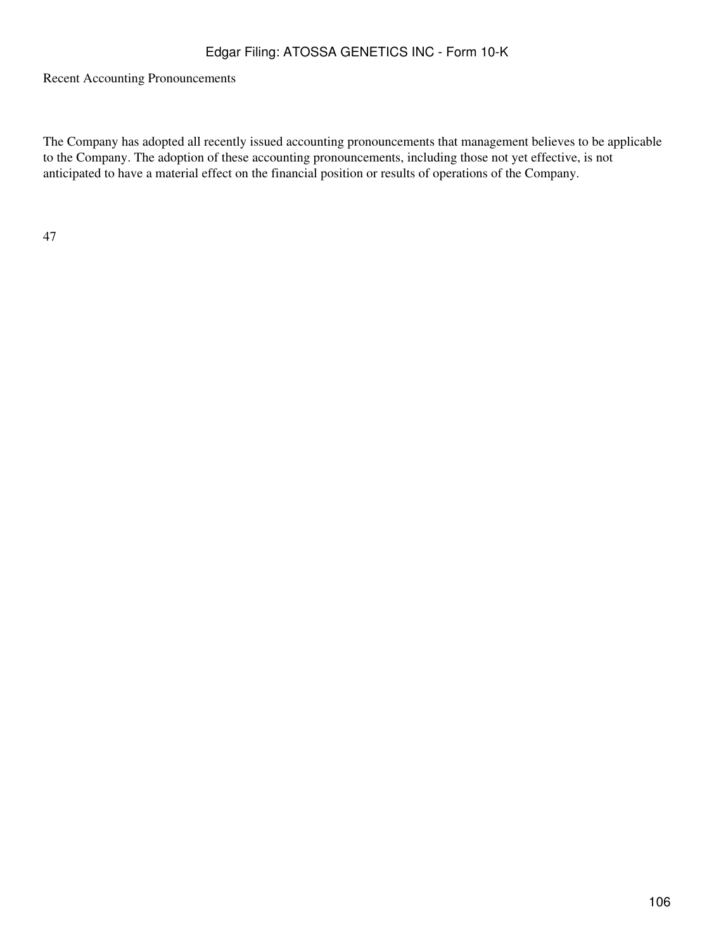Recent Accounting Pronouncements

The Company has adopted all recently issued accounting pronouncements that management believes to be applicable to the Company. The adoption of these accounting pronouncements, including those not yet effective, is not anticipated to have a material effect on the financial position or results of operations of the Company.

47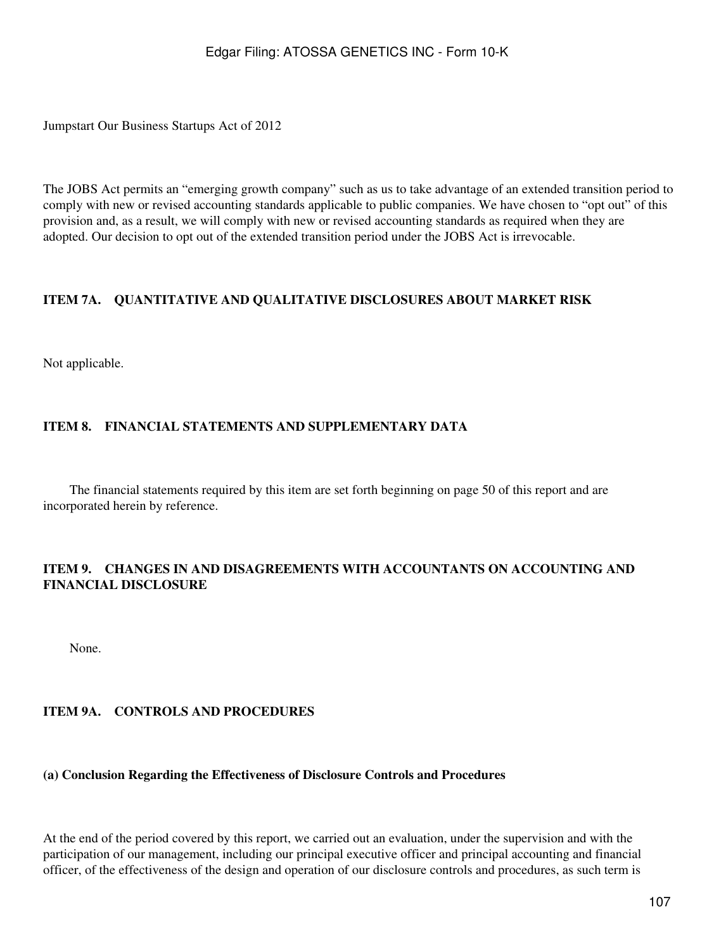Jumpstart Our Business Startups Act of 2012

The JOBS Act permits an "emerging growth company" such as us to take advantage of an extended transition period to comply with new or revised accounting standards applicable to public companies. We have chosen to "opt out" of this provision and, as a result, we will comply with new or revised accounting standards as required when they are adopted. Our decision to opt out of the extended transition period under the JOBS Act is irrevocable.

# **ITEM 7A. QUANTITATIVE AND QUALITATIVE DISCLOSURES ABOUT MARKET RISK**

Not applicable.

# **ITEM 8. FINANCIAL STATEMENTS AND SUPPLEMENTARY DATA**

 The financial statements required by this item are set forth beginning on page 50 of this report and are incorporated herein by reference.

## **ITEM 9. CHANGES IN AND DISAGREEMENTS WITH ACCOUNTANTS ON ACCOUNTING AND FINANCIAL DISCLOSURE**

None.

## **ITEM 9A. CONTROLS AND PROCEDURES**

#### **(a) Conclusion Regarding the Effectiveness of Disclosure Controls and Procedures**

At the end of the period covered by this report, we carried out an evaluation, under the supervision and with the participation of our management, including our principal executive officer and principal accounting and financial officer, of the effectiveness of the design and operation of our disclosure controls and procedures, as such term is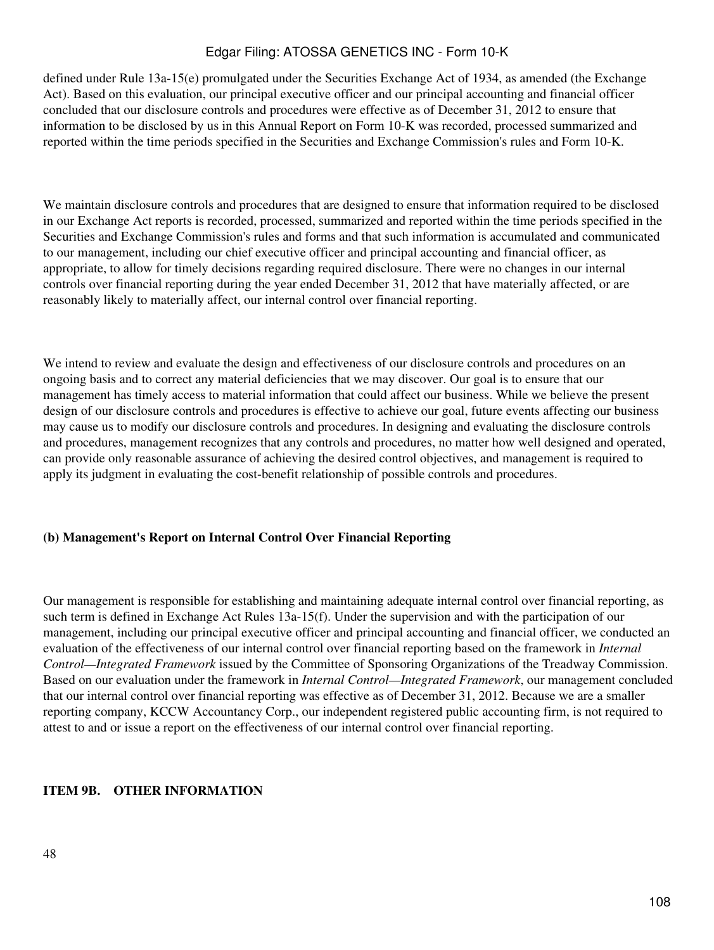defined under Rule 13a-15(e) promulgated under the Securities Exchange Act of 1934, as amended (the Exchange Act). Based on this evaluation, our principal executive officer and our principal accounting and financial officer concluded that our disclosure controls and procedures were effective as of December 31, 2012 to ensure that information to be disclosed by us in this Annual Report on Form 10-K was recorded, processed summarized and reported within the time periods specified in the Securities and Exchange Commission's rules and Form 10-K.

We maintain disclosure controls and procedures that are designed to ensure that information required to be disclosed in our Exchange Act reports is recorded, processed, summarized and reported within the time periods specified in the Securities and Exchange Commission's rules and forms and that such information is accumulated and communicated to our management, including our chief executive officer and principal accounting and financial officer, as appropriate, to allow for timely decisions regarding required disclosure. There were no changes in our internal controls over financial reporting during the year ended December 31, 2012 that have materially affected, or are reasonably likely to materially affect, our internal control over financial reporting.

We intend to review and evaluate the design and effectiveness of our disclosure controls and procedures on an ongoing basis and to correct any material deficiencies that we may discover. Our goal is to ensure that our management has timely access to material information that could affect our business. While we believe the present design of our disclosure controls and procedures is effective to achieve our goal, future events affecting our business may cause us to modify our disclosure controls and procedures. In designing and evaluating the disclosure controls and procedures, management recognizes that any controls and procedures, no matter how well designed and operated, can provide only reasonable assurance of achieving the desired control objectives, and management is required to apply its judgment in evaluating the cost-benefit relationship of possible controls and procedures.

## **(b) Management's Report on Internal Control Over Financial Reporting**

Our management is responsible for establishing and maintaining adequate internal control over financial reporting, as such term is defined in Exchange Act Rules 13a-15(f). Under the supervision and with the participation of our management, including our principal executive officer and principal accounting and financial officer, we conducted an evaluation of the effectiveness of our internal control over financial reporting based on the framework in *Internal Control—Integrated Framework* issued by the Committee of Sponsoring Organizations of the Treadway Commission. Based on our evaluation under the framework in *Internal Control—Integrated Framework*, our management concluded that our internal control over financial reporting was effective as of December 31, 2012. Because we are a smaller reporting company, KCCW Accountancy Corp., our independent registered public accounting firm, is not required to attest to and or issue a report on the effectiveness of our internal control over financial reporting.

## **ITEM 9B. OTHER INFORMATION**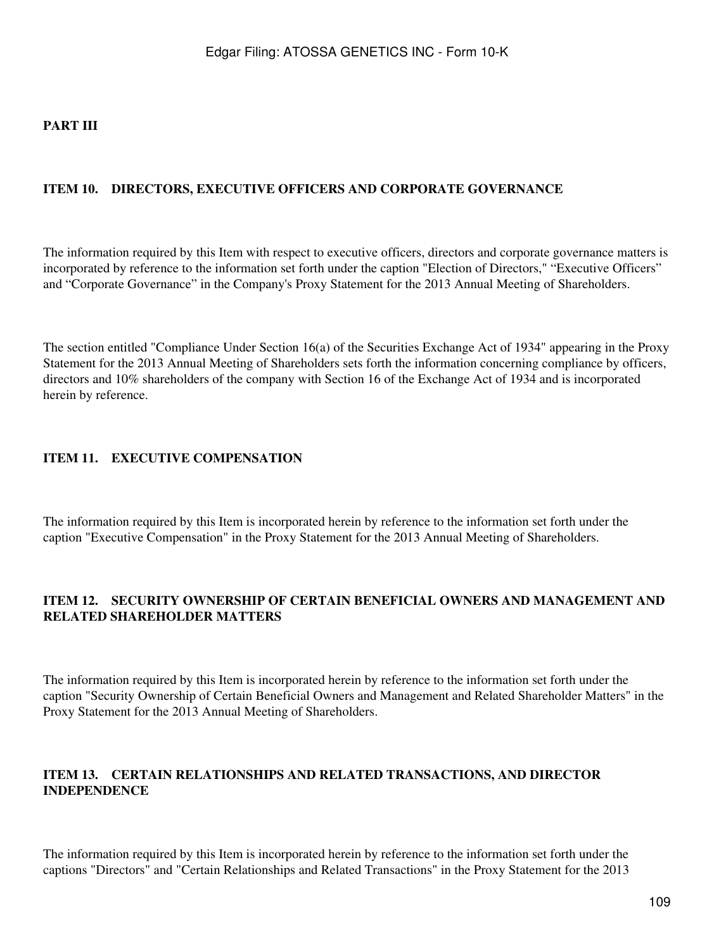### **PART III**

#### **ITEM 10. DIRECTORS, EXECUTIVE OFFICERS AND CORPORATE GOVERNANCE**

The information required by this Item with respect to executive officers, directors and corporate governance matters is incorporated by reference to the information set forth under the caption "Election of Directors," "Executive Officers" and "Corporate Governance" in the Company's Proxy Statement for the 2013 Annual Meeting of Shareholders.

The section entitled "Compliance Under Section 16(a) of the Securities Exchange Act of 1934" appearing in the Proxy Statement for the 2013 Annual Meeting of Shareholders sets forth the information concerning compliance by officers, directors and 10% shareholders of the company with Section 16 of the Exchange Act of 1934 and is incorporated herein by reference.

### **ITEM 11. EXECUTIVE COMPENSATION**

The information required by this Item is incorporated herein by reference to the information set forth under the caption "Executive Compensation" in the Proxy Statement for the 2013 Annual Meeting of Shareholders.

### **ITEM 12. SECURITY OWNERSHIP OF CERTAIN BENEFICIAL OWNERS AND MANAGEMENT AND RELATED SHAREHOLDER MATTERS**

The information required by this Item is incorporated herein by reference to the information set forth under the caption "Security Ownership of Certain Beneficial Owners and Management and Related Shareholder Matters" in the Proxy Statement for the 2013 Annual Meeting of Shareholders.

## **ITEM 13. CERTAIN RELATIONSHIPS AND RELATED TRANSACTIONS, AND DIRECTOR INDEPENDENCE**

The information required by this Item is incorporated herein by reference to the information set forth under the captions "Directors" and "Certain Relationships and Related Transactions" in the Proxy Statement for the 2013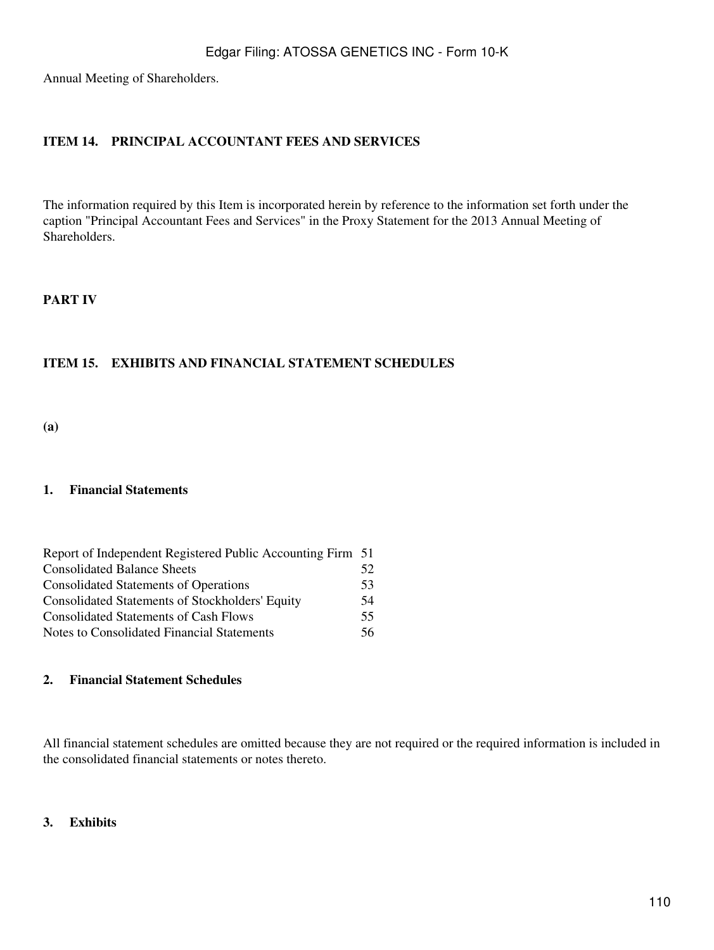Annual Meeting of Shareholders.

## **ITEM 14. PRINCIPAL ACCOUNTANT FEES AND SERVICES**

The information required by this Item is incorporated herein by reference to the information set forth under the caption "Principal Accountant Fees and Services" in the Proxy Statement for the 2013 Annual Meeting of Shareholders.

#### **PART IV**

### **ITEM 15. EXHIBITS AND FINANCIAL STATEMENT SCHEDULES**

**(a)**

#### **1. Financial Statements**

| Report of Independent Registered Public Accounting Firm 51 |     |
|------------------------------------------------------------|-----|
| <b>Consolidated Balance Sheets</b>                         | 52  |
| <b>Consolidated Statements of Operations</b>               | 53  |
| <b>Consolidated Statements of Stockholders' Equity</b>     | 54  |
| <b>Consolidated Statements of Cash Flows</b>               | 55  |
| Notes to Consolidated Financial Statements                 | 56. |

### **2. Financial Statement Schedules**

All financial statement schedules are omitted because they are not required or the required information is included in the consolidated financial statements or notes thereto.

#### **3. Exhibits**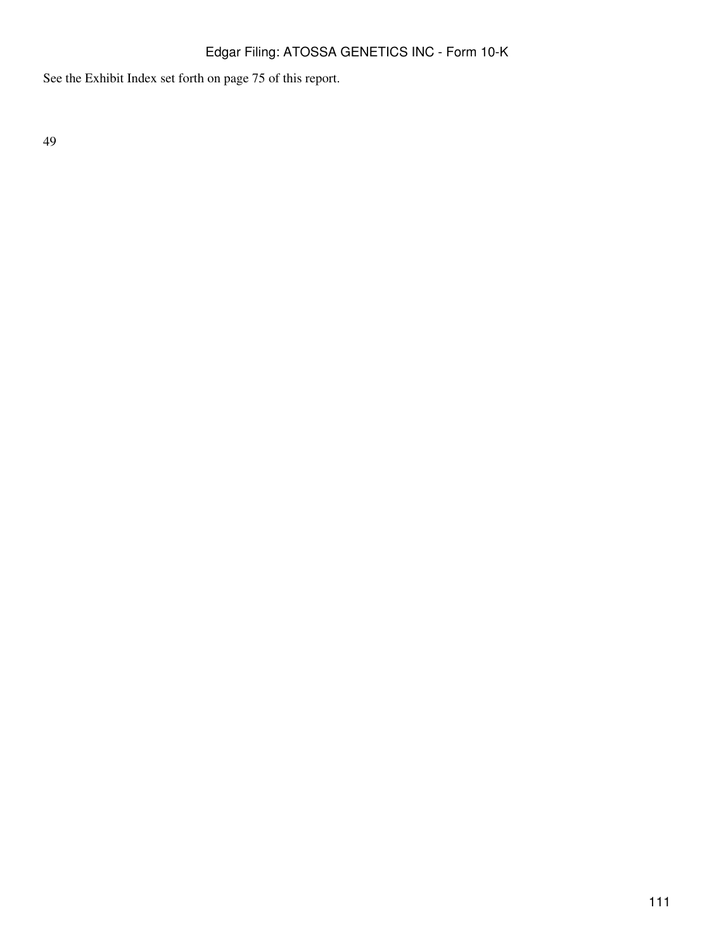See the Exhibit Index set forth on page 75 of this report.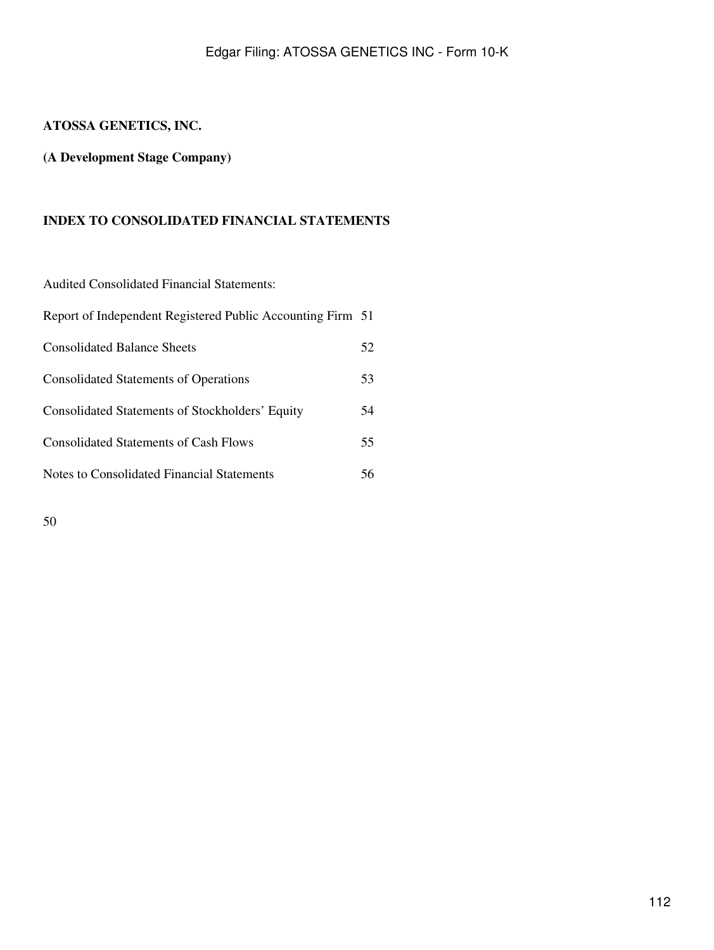## **ATOSSA GENETICS, INC.**

## **(A Development Stage Company)**

### **INDEX TO CONSOLIDATED FINANCIAL STATEMENTS**

Audited Consolidated Financial Statements:

| Report of Independent Registered Public Accounting Firm 51 |    |
|------------------------------------------------------------|----|
| <b>Consolidated Balance Sheets</b>                         | 52 |
| <b>Consolidated Statements of Operations</b>               | 53 |
| Consolidated Statements of Stockholders' Equity            | 54 |
| <b>Consolidated Statements of Cash Flows</b>               | 55 |
| Notes to Consolidated Financial Statements                 | 56 |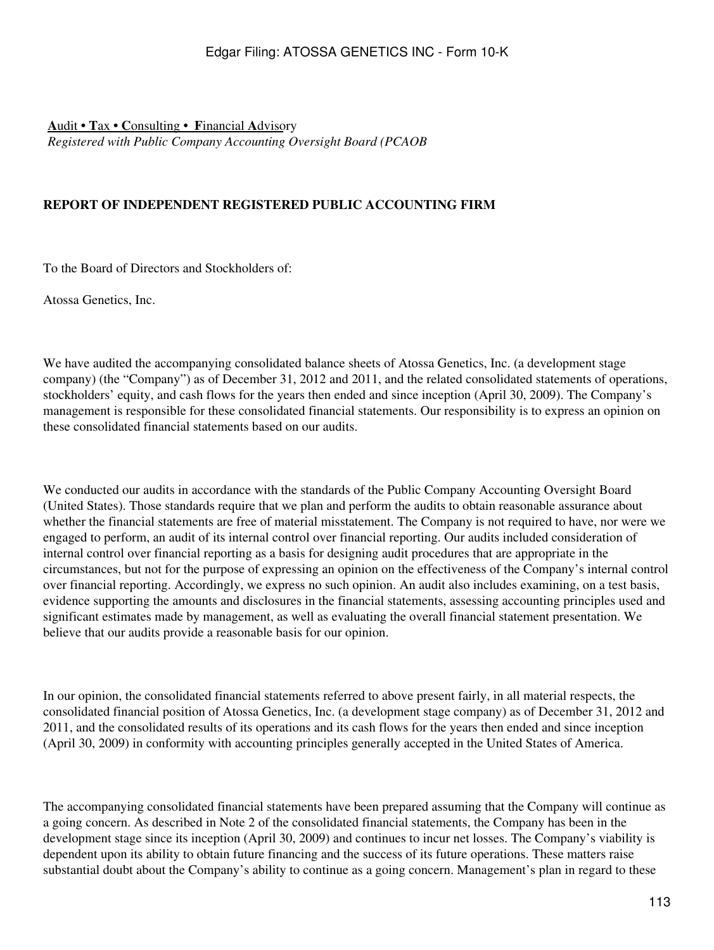**A**udit **• T**ax **• C**onsulting **• F**inancial **A**dvisory *Registered with Public Company Accounting Oversight Board (PCAOB*

## **REPORT OF INDEPENDENT REGISTERED PUBLIC ACCOUNTING FIRM**

To the Board of Directors and Stockholders of:

Atossa Genetics, Inc.

We have audited the accompanying consolidated balance sheets of Atossa Genetics, Inc. (a development stage company) (the "Company") as of December 31, 2012 and 2011, and the related consolidated statements of operations, stockholders' equity, and cash flows for the years then ended and since inception (April 30, 2009). The Company's management is responsible for these consolidated financial statements. Our responsibility is to express an opinion on these consolidated financial statements based on our audits.

We conducted our audits in accordance with the standards of the Public Company Accounting Oversight Board (United States). Those standards require that we plan and perform the audits to obtain reasonable assurance about whether the financial statements are free of material misstatement. The Company is not required to have, nor were we engaged to perform, an audit of its internal control over financial reporting. Our audits included consideration of internal control over financial reporting as a basis for designing audit procedures that are appropriate in the circumstances, but not for the purpose of expressing an opinion on the effectiveness of the Company's internal control over financial reporting. Accordingly, we express no such opinion. An audit also includes examining, on a test basis, evidence supporting the amounts and disclosures in the financial statements, assessing accounting principles used and significant estimates made by management, as well as evaluating the overall financial statement presentation. We believe that our audits provide a reasonable basis for our opinion.

In our opinion, the consolidated financial statements referred to above present fairly, in all material respects, the consolidated financial position of Atossa Genetics, Inc. (a development stage company) as of December 31, 2012 and 2011, and the consolidated results of its operations and its cash flows for the years then ended and since inception (April 30, 2009) in conformity with accounting principles generally accepted in the United States of America.

The accompanying consolidated financial statements have been prepared assuming that the Company will continue as a going concern. As described in Note 2 of the consolidated financial statements, the Company has been in the development stage since its inception (April 30, 2009) and continues to incur net losses. The Company's viability is dependent upon its ability to obtain future financing and the success of its future operations. These matters raise substantial doubt about the Company's ability to continue as a going concern. Management's plan in regard to these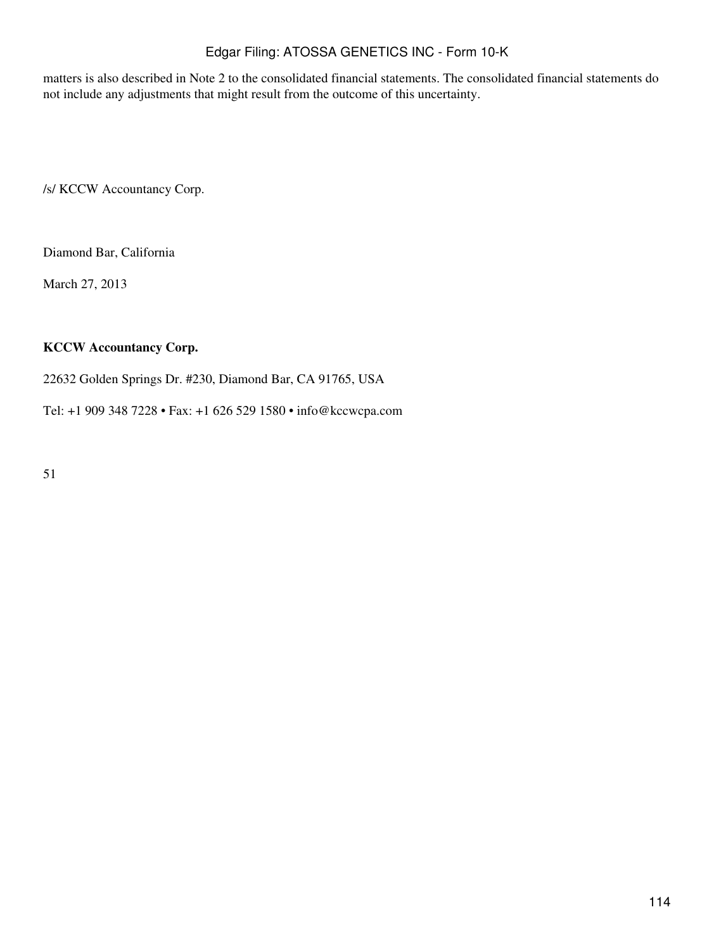matters is also described in Note 2 to the consolidated financial statements. The consolidated financial statements do not include any adjustments that might result from the outcome of this uncertainty.

/s/ KCCW Accountancy Corp.

Diamond Bar, California

March 27, 2013

#### **KCCW Accountancy Corp.**

22632 Golden Springs Dr. #230, Diamond Bar, CA 91765, USA

Tel: +1 909 348 7228 • Fax: +1 626 529 1580 • info@kccwcpa.com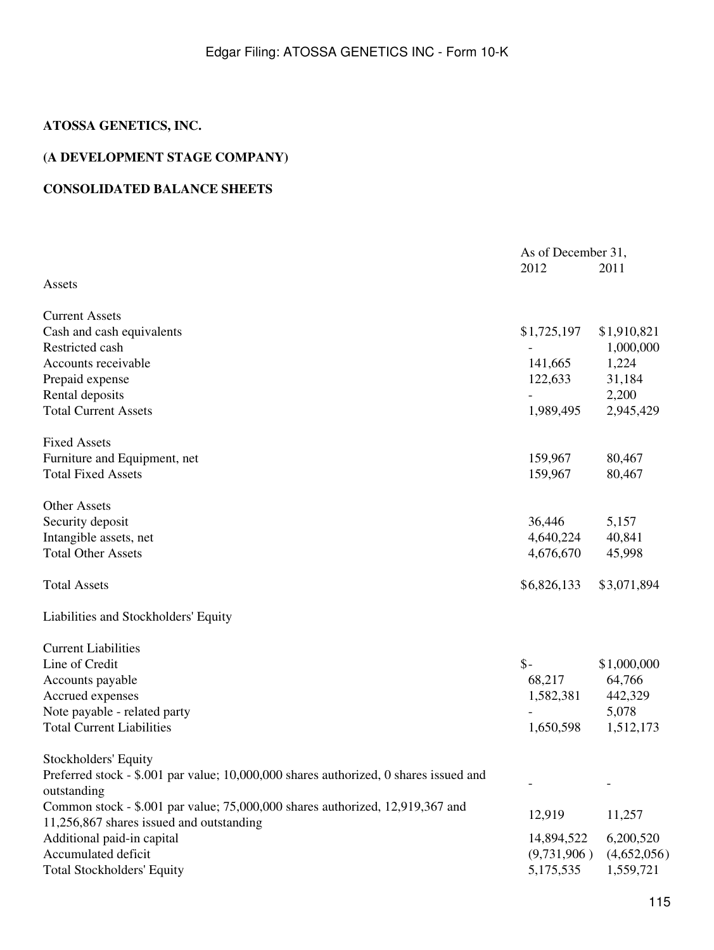## **ATOSSA GENETICS, INC.**

## **(A DEVELOPMENT STAGE COMPANY)**

## **CONSOLIDATED BALANCE SHEETS**

|                                                                                                      | As of December 31, |             |
|------------------------------------------------------------------------------------------------------|--------------------|-------------|
|                                                                                                      | 2012               | 2011        |
| Assets                                                                                               |                    |             |
| <b>Current Assets</b>                                                                                |                    |             |
| Cash and cash equivalents                                                                            | \$1,725,197        | \$1,910,821 |
| Restricted cash                                                                                      |                    | 1,000,000   |
| Accounts receivable                                                                                  | 141,665            | 1,224       |
| Prepaid expense                                                                                      | 122,633            | 31,184      |
| Rental deposits                                                                                      |                    | 2,200       |
| <b>Total Current Assets</b>                                                                          | 1,989,495          | 2,945,429   |
| <b>Fixed Assets</b>                                                                                  |                    |             |
| Furniture and Equipment, net                                                                         | 159,967            | 80,467      |
| <b>Total Fixed Assets</b>                                                                            | 159,967            | 80,467      |
| Other Assets                                                                                         |                    |             |
| Security deposit                                                                                     | 36,446             | 5,157       |
| Intangible assets, net                                                                               | 4,640,224          | 40,841      |
| <b>Total Other Assets</b>                                                                            | 4,676,670          | 45,998      |
| <b>Total Assets</b>                                                                                  | \$6,826,133        | \$3,071,894 |
| Liabilities and Stockholders' Equity                                                                 |                    |             |
| <b>Current Liabilities</b>                                                                           |                    |             |
| Line of Credit                                                                                       | $\mathsf{\$}$ -    | \$1,000,000 |
| Accounts payable                                                                                     | 68,217             | 64,766      |
| Accrued expenses                                                                                     | 1,582,381          | 442,329     |
| Note payable - related party                                                                         |                    | 5,078       |
| <b>Total Current Liabilities</b>                                                                     | 1,650,598          | 1,512,173   |
| Stockholders' Equity                                                                                 |                    |             |
| Preferred stock - \$.001 par value; 10,000,000 shares authorized, 0 shares issued and<br>outstanding |                    |             |
| Common stock - \$.001 par value; 75,000,000 shares authorized, 12,919,367 and                        |                    |             |
| 11,256,867 shares issued and outstanding                                                             | 12,919             | 11,257      |
| Additional paid-in capital                                                                           | 14,894,522         | 6,200,520   |
| Accumulated deficit                                                                                  | (9,731,906)        | (4,652,056) |
| <b>Total Stockholders' Equity</b>                                                                    | 5,175,535          | 1,559,721   |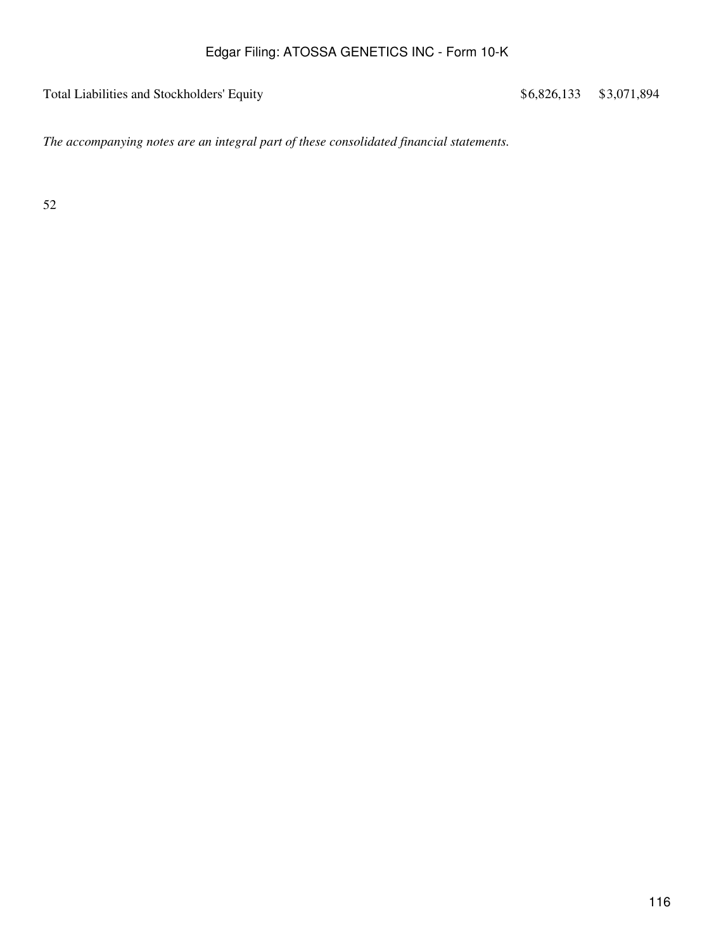Total Liabilities and Stockholders' Equity  $$6,826,133$  \$3,071,894

*The accompanying notes are an integral part of these consolidated financial statements.*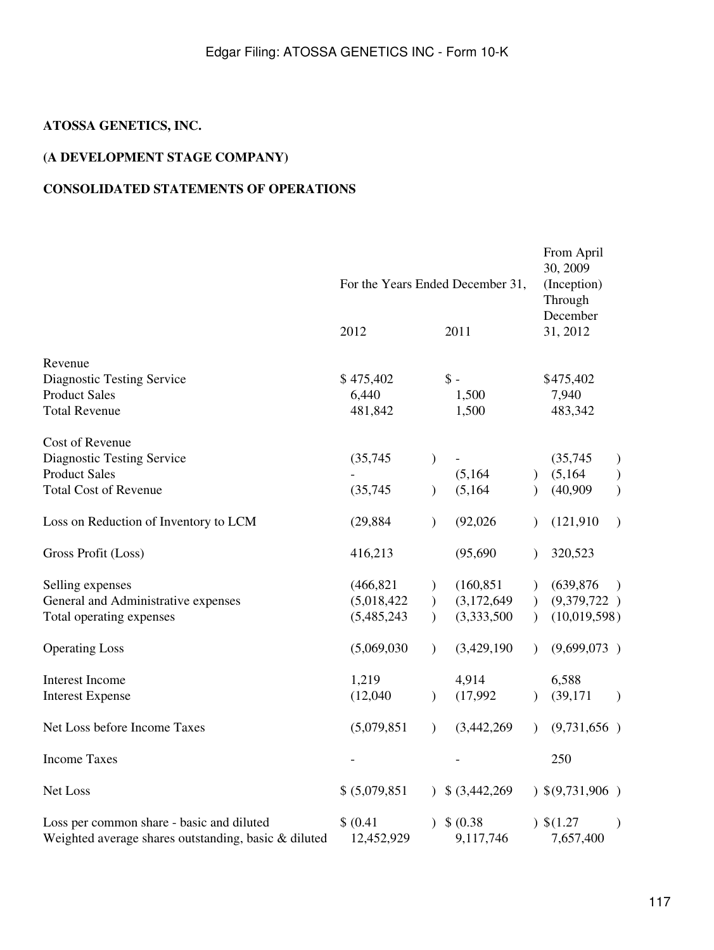## **ATOSSA GENETICS, INC.**

## **(A DEVELOPMENT STAGE COMPANY)**

## **CONSOLIDATED STATEMENTS OF OPERATIONS**

|                                                                                                              | For the Years Ended December 31,         |                                                 |                                          |                        | From April<br>30, 2009<br>(Inception)<br>Through |                                                 |
|--------------------------------------------------------------------------------------------------------------|------------------------------------------|-------------------------------------------------|------------------------------------------|------------------------|--------------------------------------------------|-------------------------------------------------|
|                                                                                                              | 2012                                     |                                                 | 2011                                     |                        | December<br>31, 2012                             |                                                 |
| Revenue<br>Diagnostic Testing Service<br><b>Product Sales</b><br><b>Total Revenue</b>                        | \$475,402<br>6,440<br>481,842            |                                                 | $\mathsf{\$}$ -<br>1,500<br>1,500        |                        | \$475,402<br>7,940<br>483,342                    |                                                 |
| Cost of Revenue<br><b>Diagnostic Testing Service</b><br><b>Product Sales</b><br><b>Total Cost of Revenue</b> | (35,745)<br>(35,745)                     | $\mathcal{E}$<br>$\mathcal{E}$                  | (5,164)<br>(5,164)                       | $\lambda$              | (35,745)<br>(5,164)<br>(40,909)                  | $\mathcal{E}$<br>$\mathcal{)}$<br>$\mathcal{E}$ |
| Loss on Reduction of Inventory to LCM                                                                        | (29, 884)                                | $\mathcal{E}$                                   | (92,026)                                 | $\lambda$              | (121, 910)                                       | $\mathcal{E}$                                   |
| Gross Profit (Loss)                                                                                          | 416,213                                  |                                                 | (95,690)                                 | $\lambda$              | 320,523                                          |                                                 |
| Selling expenses<br>General and Administrative expenses<br>Total operating expenses                          | (466, 821)<br>(5,018,422)<br>(5,485,243) | $\mathcal{F}$<br>$\mathcal{F}$<br>$\mathcal{L}$ | (160, 851)<br>(3,172,649)<br>(3,333,500) | $\lambda$<br>$\lambda$ | (639, 876)<br>(9,379,722)<br>(10,019,598)        | $\mathcal{L}$                                   |
| <b>Operating Loss</b>                                                                                        | (5,069,030)                              | $\lambda$                                       | (3,429,190)                              | $\lambda$              | (9,699,073)                                      |                                                 |
| <b>Interest Income</b><br><b>Interest Expense</b>                                                            | 1,219<br>(12,040)                        | $\mathcal{L}$                                   | 4,914<br>(17,992)                        |                        | 6,588<br>(39, 171)                               | $\mathcal{L}$                                   |
| Net Loss before Income Taxes                                                                                 | (5,079,851)                              | $\mathcal{L}$                                   | (3,442,269)                              | $\lambda$              | (9,731,656)                                      |                                                 |
| <b>Income Taxes</b>                                                                                          |                                          |                                                 |                                          |                        | 250                                              |                                                 |
| Net Loss                                                                                                     | \$ (5,079,851)                           |                                                 | $\frac{1}{2}$ \$ (3,442,269)             |                        | 9,9,731,906                                      |                                                 |
| Loss per common share - basic and diluted<br>Weighted average shares outstanding, basic & diluted            | \$ (0.41)<br>12,452,929                  |                                                 | \$ (0.38)<br>9,117,746                   |                        | $)$ \$(1.27)<br>7,657,400                        | $\mathcal{E}$                                   |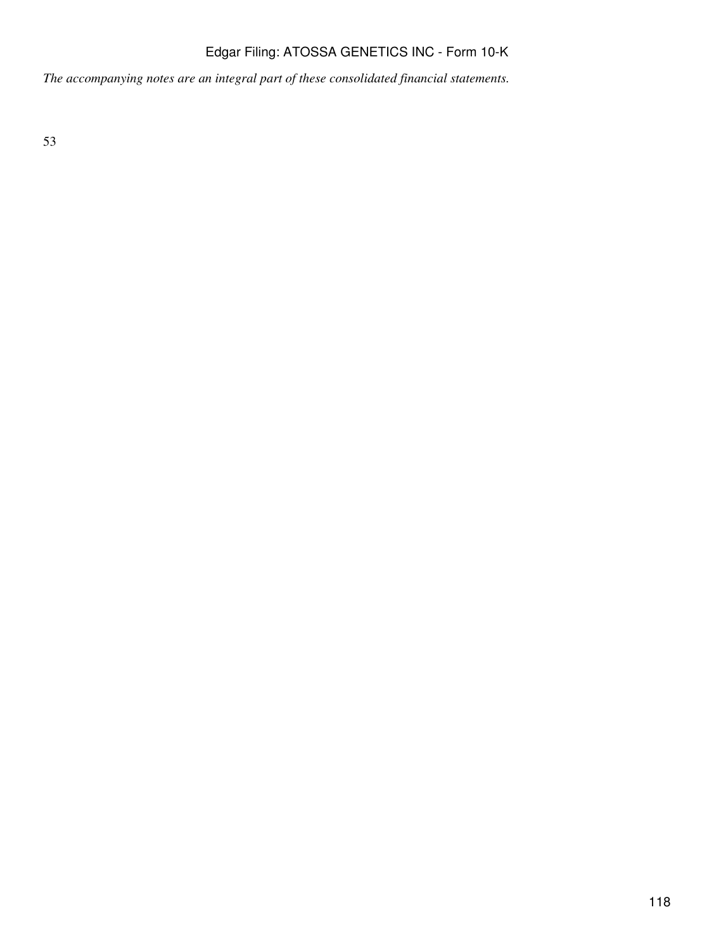*The accompanying notes are an integral part of these consolidated financial statements.*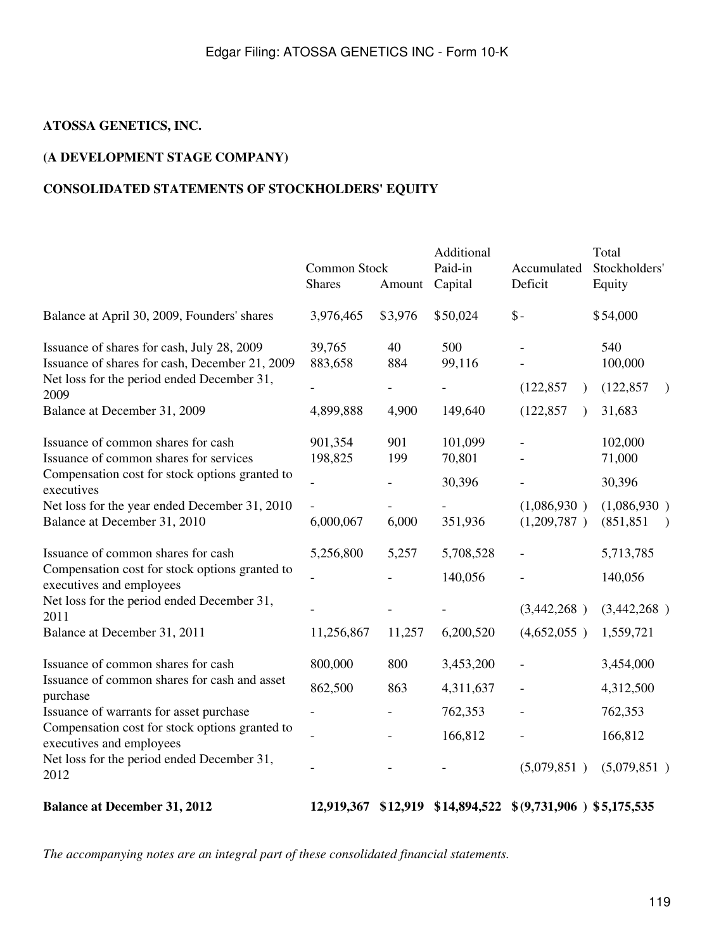## **ATOSSA GENETICS, INC.**

## **(A DEVELOPMENT STAGE COMPANY)**

## **CONSOLIDATED STATEMENTS OF STOCKHOLDERS' EQUITY**

|                                                                                                                                                    | Common Stock<br><b>Shares</b> | Amount     | Additional<br>Paid-in<br>Capital | Accumulated<br>Deficit                               | Total<br>Stockholders'<br>Equity          |
|----------------------------------------------------------------------------------------------------------------------------------------------------|-------------------------------|------------|----------------------------------|------------------------------------------------------|-------------------------------------------|
| Balance at April 30, 2009, Founders' shares                                                                                                        | 3,976,465                     | \$3,976    | \$50,024                         | $\$ -                                                | \$54,000                                  |
| Issuance of shares for cash, July 28, 2009<br>Issuance of shares for cash, December 21, 2009<br>Net loss for the period ended December 31,<br>2009 | 39,765<br>883,658             | 40<br>884  | 500<br>99,116                    | (122, 857)<br>$\lambda$                              | 540<br>100,000<br>(122, 857)<br>$\lambda$ |
| Balance at December 31, 2009                                                                                                                       | 4,899,888                     | 4,900      | 149,640                          | (122, 857)<br>$\lambda$                              | 31,683                                    |
| Issuance of common shares for cash<br>Issuance of common shares for services                                                                       | 901,354<br>198,825            | 901<br>199 | 101,099<br>70,801                |                                                      | 102,000<br>71,000                         |
| Compensation cost for stock options granted to<br>executives                                                                                       |                               |            | 30,396                           |                                                      | 30,396                                    |
| Net loss for the year ended December 31, 2010<br>Balance at December 31, 2010                                                                      | 6,000,067                     | 6,000      | 351,936                          | (1,086,930)<br>(1,209,787)                           | (1,086,930)<br>(851, 851)                 |
| Issuance of common shares for cash<br>Compensation cost for stock options granted to                                                               | 5,256,800                     | 5,257      | 5,708,528                        |                                                      | 5,713,785                                 |
| executives and employees                                                                                                                           |                               |            | 140,056                          |                                                      | 140,056                                   |
| Net loss for the period ended December 31,<br>2011                                                                                                 |                               |            |                                  | (3,442,268)                                          | (3,442,268)                               |
| Balance at December 31, 2011                                                                                                                       | 11,256,867                    | 11,257     | 6,200,520                        | (4,652,055)                                          | 1,559,721                                 |
| Issuance of common shares for cash                                                                                                                 | 800,000                       | 800        | 3,453,200                        |                                                      | 3,454,000                                 |
| Issuance of common shares for cash and asset<br>purchase                                                                                           | 862,500                       | 863        | 4,311,637                        |                                                      | 4,312,500                                 |
| Issuance of warrants for asset purchase                                                                                                            | $\overline{\phantom{0}}$      |            | 762,353                          |                                                      | 762,353                                   |
| Compensation cost for stock options granted to<br>executives and employees                                                                         |                               |            | 166,812                          |                                                      | 166,812                                   |
| Net loss for the period ended December 31,<br>2012                                                                                                 |                               |            |                                  | (5,079,851)                                          | (5,079,851)                               |
| <b>Balance at December 31, 2012</b>                                                                                                                | 12,919,367                    |            |                                  | $$12,919$ $$14,894,522$ $$ (9,731,906)$ $$5,175,535$ |                                           |

*The accompanying notes are an integral part of these consolidated financial statements.*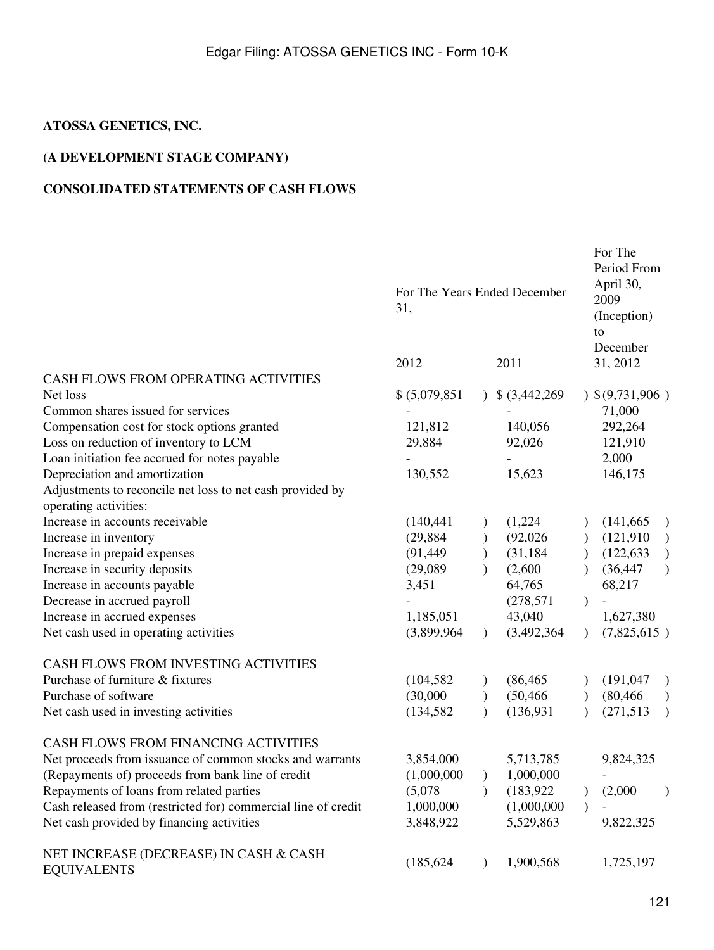## **ATOSSA GENETICS, INC.**

## **(A DEVELOPMENT STAGE COMPANY)**

## **CONSOLIDATED STATEMENTS OF CASH FLOWS**

|                                                                                    | For The Years Ended December<br>31, |               |                 |               | For The<br>Period From<br>April 30,<br>2009<br>(Inception)<br>to<br>December |               |
|------------------------------------------------------------------------------------|-------------------------------------|---------------|-----------------|---------------|------------------------------------------------------------------------------|---------------|
|                                                                                    | 2012                                |               | 2011            |               | 31, 2012                                                                     |               |
| CASH FLOWS FROM OPERATING ACTIVITIES                                               |                                     |               |                 |               |                                                                              |               |
| Net loss                                                                           | \$ (5,079,851)                      |               | $$$ (3,442,269) |               | 9,9,731,906                                                                  |               |
| Common shares issued for services                                                  |                                     |               |                 |               | 71,000                                                                       |               |
| Compensation cost for stock options granted                                        | 121,812                             |               | 140,056         |               | 292,264                                                                      |               |
| Loss on reduction of inventory to LCM                                              | 29,884                              |               | 92,026          |               | 121,910                                                                      |               |
| Loan initiation fee accrued for notes payable                                      |                                     |               |                 |               | 2,000                                                                        |               |
| Depreciation and amortization                                                      | 130,552                             |               | 15,623          |               | 146,175                                                                      |               |
| Adjustments to reconcile net loss to net cash provided by<br>operating activities: |                                     |               |                 |               |                                                                              |               |
| Increase in accounts receivable                                                    | (140, 441)                          |               | (1,224)         |               | (141, 665)                                                                   | $\mathcal{F}$ |
| Increase in inventory                                                              | (29, 884)                           |               | (92,026)        |               | (121, 910)                                                                   | $\rightarrow$ |
| Increase in prepaid expenses                                                       | (91, 449)                           | $\mathcal{E}$ | (31, 184)       | $\mathcal{E}$ | (122, 633)                                                                   | $\mathcal{L}$ |
| Increase in security deposits                                                      | (29,089)                            |               | (2,600)         |               | (36, 447)                                                                    | $\mathcal{L}$ |
| Increase in accounts payable                                                       | 3,451                               |               | 64,765          |               | 68,217                                                                       |               |
| Decrease in accrued payroll                                                        |                                     |               | (278, 571)      | $\lambda$     |                                                                              |               |
| Increase in accrued expenses                                                       | 1,185,051                           |               | 43,040          |               | 1,627,380                                                                    |               |
| Net cash used in operating activities                                              | (3,899,964)                         | $\lambda$     | (3,492,364)     | $\lambda$     | (7,825,615)                                                                  |               |
| CASH FLOWS FROM INVESTING ACTIVITIES                                               |                                     |               |                 |               |                                                                              |               |
| Purchase of furniture & fixtures                                                   | (104, 582)                          |               | (86, 465)       |               | (191, 047)                                                                   | $\mathcal{L}$ |
| Purchase of software                                                               | (30,000)                            | $\mathcal{E}$ | (50, 466)       | $\mathcal{E}$ | (80, 466)                                                                    | $\mathcal{L}$ |
| Net cash used in investing activities                                              | (134, 582)                          | $\lambda$     | (136, 931)      | $\lambda$     | (271, 513)                                                                   | $\lambda$     |
| <b>CASH FLOWS FROM FINANCING ACTIVITIES</b>                                        |                                     |               |                 |               |                                                                              |               |
| Net proceeds from issuance of common stocks and warrants                           | 3,854,000                           |               | 5,713,785       |               | 9,824,325                                                                    |               |
| (Repayments of) proceeds from bank line of credit                                  | (1,000,000)                         | $\mathcal{E}$ | 1,000,000       |               |                                                                              |               |
| Repayments of loans from related parties                                           | (5,078)                             | $\mathcal{E}$ | (183, 922)      |               | (2,000)                                                                      | $\lambda$     |
| Cash released from (restricted for) commercial line of credit                      | 1,000,000                           |               | (1,000,000)     |               |                                                                              |               |
| Net cash provided by financing activities                                          | 3,848,922                           |               | 5,529,863       |               | 9,822,325                                                                    |               |
| NET INCREASE (DECREASE) IN CASH & CASH<br><b>EQUIVALENTS</b>                       | (185, 624)                          | $\mathcal{F}$ | 1,900,568       |               | 1,725,197                                                                    |               |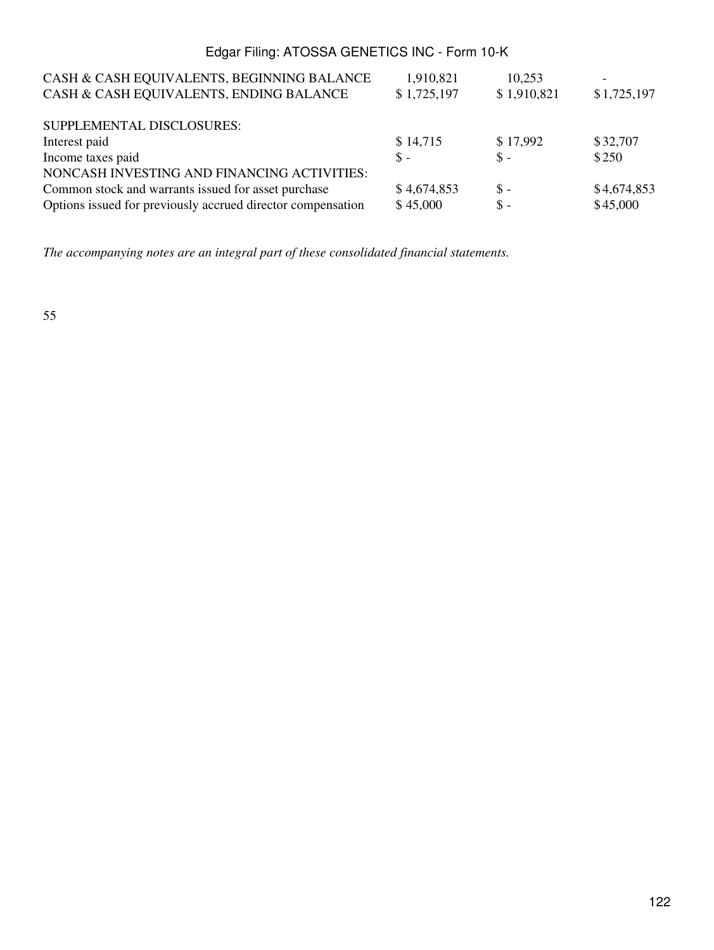| CASH & CASH EQUIVALENTS, BEGINNING BALANCE                  | 1,910,821   | 10,253         | $\overline{\phantom{a}}$ |
|-------------------------------------------------------------|-------------|----------------|--------------------------|
| CASH & CASH EQUIVALENTS, ENDING BALANCE                     | \$1,725,197 | \$1,910,821    | \$1,725,197              |
| SUPPLEMENTAL DISCLOSURES:                                   |             |                |                          |
| Interest paid                                               | \$14,715    | \$17,992       | \$32,707                 |
| Income taxes paid                                           | $S -$       | $S -$          | \$250                    |
| NONCASH INVESTING AND FINANCING ACTIVITIES:                 |             |                |                          |
| Common stock and warrants issued for asset purchase         | \$4,674,853 | $\mathsf S$ -  | \$4,674,853              |
| Options issued for previously accrued director compensation | \$45,000    | $\mathbb{S}$ - | \$45,000                 |

*The accompanying notes are an integral part of these consolidated financial statements.*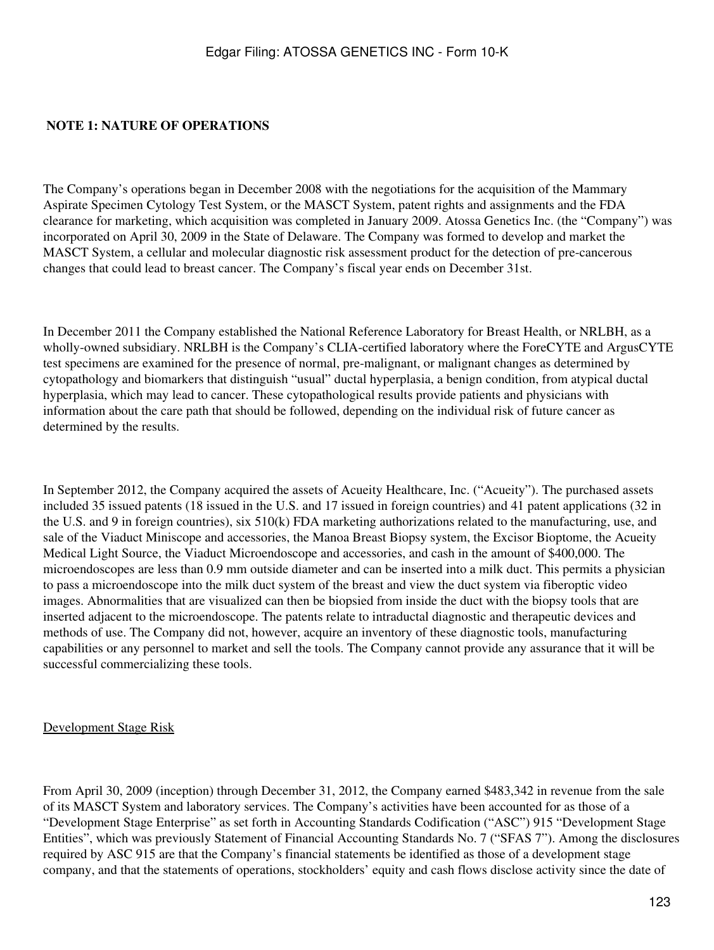#### **NOTE 1: NATURE OF OPERATIONS**

The Company's operations began in December 2008 with the negotiations for the acquisition of the Mammary Aspirate Specimen Cytology Test System, or the MASCT System, patent rights and assignments and the FDA clearance for marketing, which acquisition was completed in January 2009. Atossa Genetics Inc. (the "Company") was incorporated on April 30, 2009 in the State of Delaware. The Company was formed to develop and market the MASCT System, a cellular and molecular diagnostic risk assessment product for the detection of pre-cancerous changes that could lead to breast cancer. The Company's fiscal year ends on December 31st.

In December 2011 the Company established the National Reference Laboratory for Breast Health, or NRLBH, as a wholly-owned subsidiary. NRLBH is the Company's CLIA-certified laboratory where the ForeCYTE and ArgusCYTE test specimens are examined for the presence of normal, pre-malignant, or malignant changes as determined by cytopathology and biomarkers that distinguish "usual" ductal hyperplasia, a benign condition, from atypical ductal hyperplasia, which may lead to cancer. These cytopathological results provide patients and physicians with information about the care path that should be followed, depending on the individual risk of future cancer as determined by the results.

In September 2012, the Company acquired the assets of Acueity Healthcare, Inc. ("Acueity"). The purchased assets included 35 issued patents (18 issued in the U.S. and 17 issued in foreign countries) and 41 patent applications (32 in the U.S. and 9 in foreign countries), six 510(k) FDA marketing authorizations related to the manufacturing, use, and sale of the Viaduct Miniscope and accessories, the Manoa Breast Biopsy system, the Excisor Bioptome, the Acueity Medical Light Source, the Viaduct Microendoscope and accessories, and cash in the amount of \$400,000. The microendoscopes are less than 0.9 mm outside diameter and can be inserted into a milk duct. This permits a physician to pass a microendoscope into the milk duct system of the breast and view the duct system via fiberoptic video images. Abnormalities that are visualized can then be biopsied from inside the duct with the biopsy tools that are inserted adjacent to the microendoscope. The patents relate to intraductal diagnostic and therapeutic devices and methods of use. The Company did not, however, acquire an inventory of these diagnostic tools, manufacturing capabilities or any personnel to market and sell the tools. The Company cannot provide any assurance that it will be successful commercializing these tools.

#### Development Stage Risk

From April 30, 2009 (inception) through December 31, 2012, the Company earned \$483,342 in revenue from the sale of its MASCT System and laboratory services. The Company's activities have been accounted for as those of a "Development Stage Enterprise" as set forth in Accounting Standards Codification ("ASC") 915 "Development Stage Entities", which was previously Statement of Financial Accounting Standards No. 7 ("SFAS 7"). Among the disclosures required by ASC 915 are that the Company's financial statements be identified as those of a development stage company, and that the statements of operations, stockholders' equity and cash flows disclose activity since the date of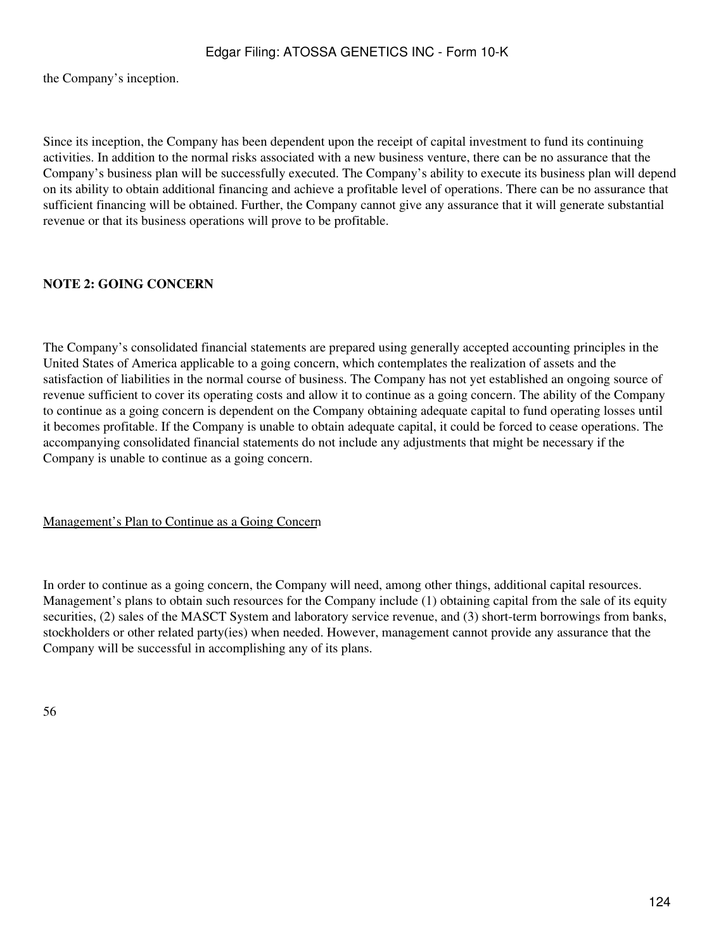the Company's inception.

Since its inception, the Company has been dependent upon the receipt of capital investment to fund its continuing activities. In addition to the normal risks associated with a new business venture, there can be no assurance that the Company's business plan will be successfully executed. The Company's ability to execute its business plan will depend on its ability to obtain additional financing and achieve a profitable level of operations. There can be no assurance that sufficient financing will be obtained. Further, the Company cannot give any assurance that it will generate substantial revenue or that its business operations will prove to be profitable.

## **NOTE 2: GOING CONCERN**

The Company's consolidated financial statements are prepared using generally accepted accounting principles in the United States of America applicable to a going concern, which contemplates the realization of assets and the satisfaction of liabilities in the normal course of business. The Company has not yet established an ongoing source of revenue sufficient to cover its operating costs and allow it to continue as a going concern. The ability of the Company to continue as a going concern is dependent on the Company obtaining adequate capital to fund operating losses until it becomes profitable. If the Company is unable to obtain adequate capital, it could be forced to cease operations. The accompanying consolidated financial statements do not include any adjustments that might be necessary if the Company is unable to continue as a going concern.

#### Management's Plan to Continue as a Going Concern

In order to continue as a going concern, the Company will need, among other things, additional capital resources. Management's plans to obtain such resources for the Company include (1) obtaining capital from the sale of its equity securities, (2) sales of the MASCT System and laboratory service revenue, and (3) short-term borrowings from banks, stockholders or other related party(ies) when needed. However, management cannot provide any assurance that the Company will be successful in accomplishing any of its plans.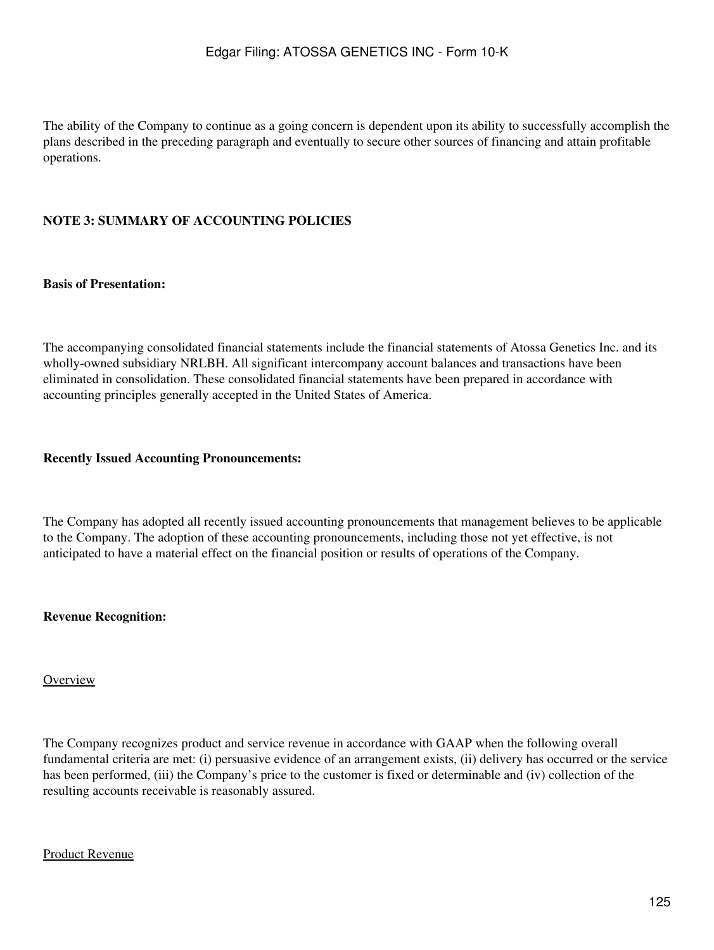The ability of the Company to continue as a going concern is dependent upon its ability to successfully accomplish the plans described in the preceding paragraph and eventually to secure other sources of financing and attain profitable operations.

## **NOTE 3: SUMMARY OF ACCOUNTING POLICIES**

### **Basis of Presentation:**

The accompanying consolidated financial statements include the financial statements of Atossa Genetics Inc. and its wholly-owned subsidiary NRLBH. All significant intercompany account balances and transactions have been eliminated in consolidation. These consolidated financial statements have been prepared in accordance with accounting principles generally accepted in the United States of America.

#### **Recently Issued Accounting Pronouncements:**

The Company has adopted all recently issued accounting pronouncements that management believes to be applicable to the Company. The adoption of these accounting pronouncements, including those not yet effective, is not anticipated to have a material effect on the financial position or results of operations of the Company.

#### **Revenue Recognition:**

#### **Overview**

The Company recognizes product and service revenue in accordance with GAAP when the following overall fundamental criteria are met: (i) persuasive evidence of an arrangement exists, (ii) delivery has occurred or the service has been performed, (iii) the Company's price to the customer is fixed or determinable and (iv) collection of the resulting accounts receivable is reasonably assured.

#### Product Revenue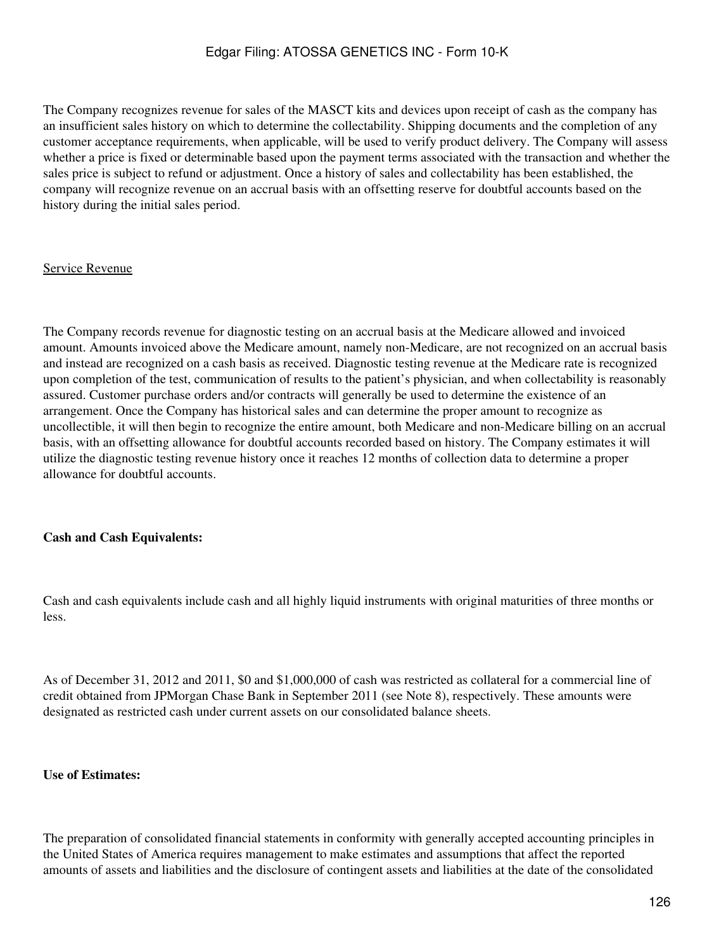The Company recognizes revenue for sales of the MASCT kits and devices upon receipt of cash as the company has an insufficient sales history on which to determine the collectability. Shipping documents and the completion of any customer acceptance requirements, when applicable, will be used to verify product delivery. The Company will assess whether a price is fixed or determinable based upon the payment terms associated with the transaction and whether the sales price is subject to refund or adjustment. Once a history of sales and collectability has been established, the company will recognize revenue on an accrual basis with an offsetting reserve for doubtful accounts based on the history during the initial sales period.

#### Service Revenue

The Company records revenue for diagnostic testing on an accrual basis at the Medicare allowed and invoiced amount. Amounts invoiced above the Medicare amount, namely non-Medicare, are not recognized on an accrual basis and instead are recognized on a cash basis as received. Diagnostic testing revenue at the Medicare rate is recognized upon completion of the test, communication of results to the patient's physician, and when collectability is reasonably assured. Customer purchase orders and/or contracts will generally be used to determine the existence of an arrangement. Once the Company has historical sales and can determine the proper amount to recognize as uncollectible, it will then begin to recognize the entire amount, both Medicare and non-Medicare billing on an accrual basis, with an offsetting allowance for doubtful accounts recorded based on history. The Company estimates it will utilize the diagnostic testing revenue history once it reaches 12 months of collection data to determine a proper allowance for doubtful accounts.

#### **Cash and Cash Equivalents:**

Cash and cash equivalents include cash and all highly liquid instruments with original maturities of three months or less.

As of December 31, 2012 and 2011, \$0 and \$1,000,000 of cash was restricted as collateral for a commercial line of credit obtained from JPMorgan Chase Bank in September 2011 (see Note 8), respectively. These amounts were designated as restricted cash under current assets on our consolidated balance sheets.

#### **Use of Estimates:**

The preparation of consolidated financial statements in conformity with generally accepted accounting principles in the United States of America requires management to make estimates and assumptions that affect the reported amounts of assets and liabilities and the disclosure of contingent assets and liabilities at the date of the consolidated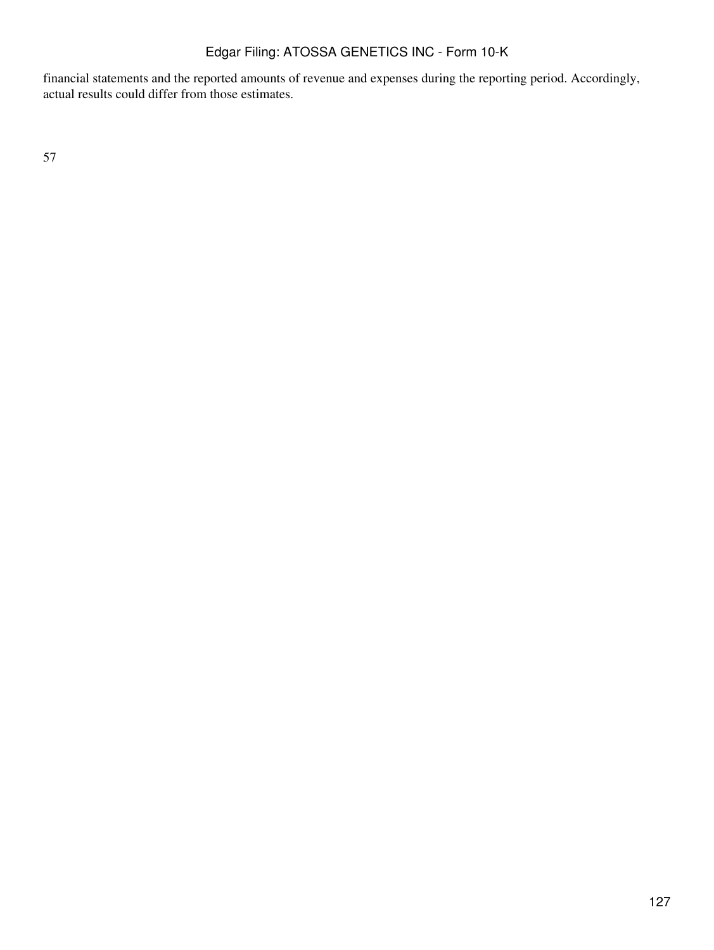financial statements and the reported amounts of revenue and expenses during the reporting period. Accordingly, actual results could differ from those estimates.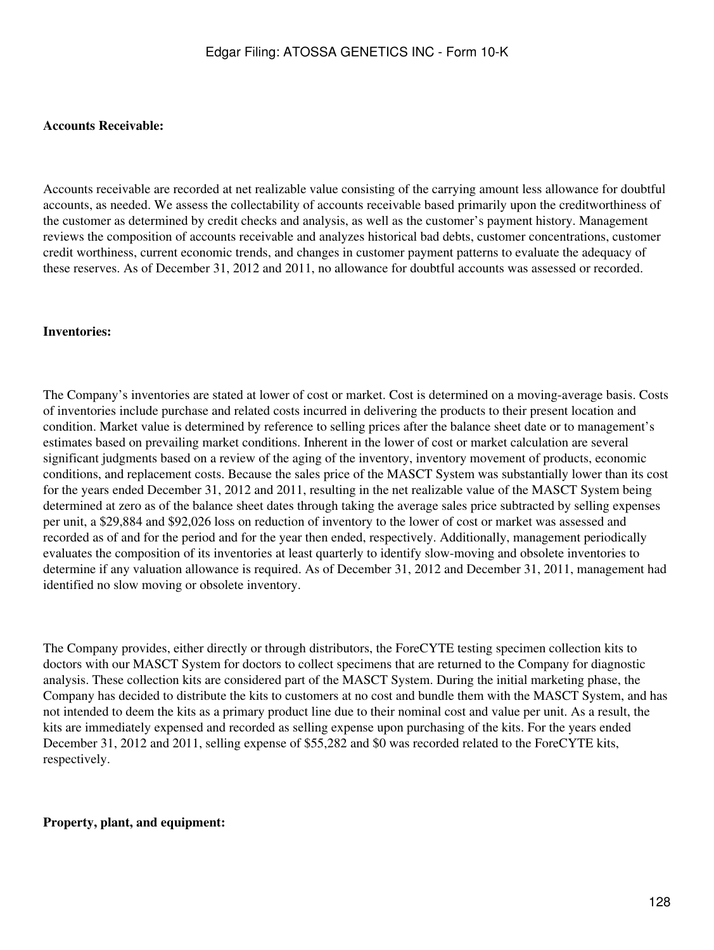#### **Accounts Receivable:**

Accounts receivable are recorded at net realizable value consisting of the carrying amount less allowance for doubtful accounts, as needed. We assess the collectability of accounts receivable based primarily upon the creditworthiness of the customer as determined by credit checks and analysis, as well as the customer's payment history. Management reviews the composition of accounts receivable and analyzes historical bad debts, customer concentrations, customer credit worthiness, current economic trends, and changes in customer payment patterns to evaluate the adequacy of these reserves. As of December 31, 2012 and 2011, no allowance for doubtful accounts was assessed or recorded.

#### **Inventories:**

The Company's inventories are stated at lower of cost or market. Cost is determined on a moving-average basis. Costs of inventories include purchase and related costs incurred in delivering the products to their present location and condition. Market value is determined by reference to selling prices after the balance sheet date or to management's estimates based on prevailing market conditions. Inherent in the lower of cost or market calculation are several significant judgments based on a review of the aging of the inventory, inventory movement of products, economic conditions, and replacement costs. Because the sales price of the MASCT System was substantially lower than its cost for the years ended December 31, 2012 and 2011, resulting in the net realizable value of the MASCT System being determined at zero as of the balance sheet dates through taking the average sales price subtracted by selling expenses per unit, a \$29,884 and \$92,026 loss on reduction of inventory to the lower of cost or market was assessed and recorded as of and for the period and for the year then ended, respectively. Additionally, management periodically evaluates the composition of its inventories at least quarterly to identify slow-moving and obsolete inventories to determine if any valuation allowance is required. As of December 31, 2012 and December 31, 2011, management had identified no slow moving or obsolete inventory.

The Company provides, either directly or through distributors, the ForeCYTE testing specimen collection kits to doctors with our MASCT System for doctors to collect specimens that are returned to the Company for diagnostic analysis. These collection kits are considered part of the MASCT System. During the initial marketing phase, the Company has decided to distribute the kits to customers at no cost and bundle them with the MASCT System, and has not intended to deem the kits as a primary product line due to their nominal cost and value per unit. As a result, the kits are immediately expensed and recorded as selling expense upon purchasing of the kits. For the years ended December 31, 2012 and 2011, selling expense of \$55,282 and \$0 was recorded related to the ForeCYTE kits, respectively.

#### **Property, plant, and equipment:**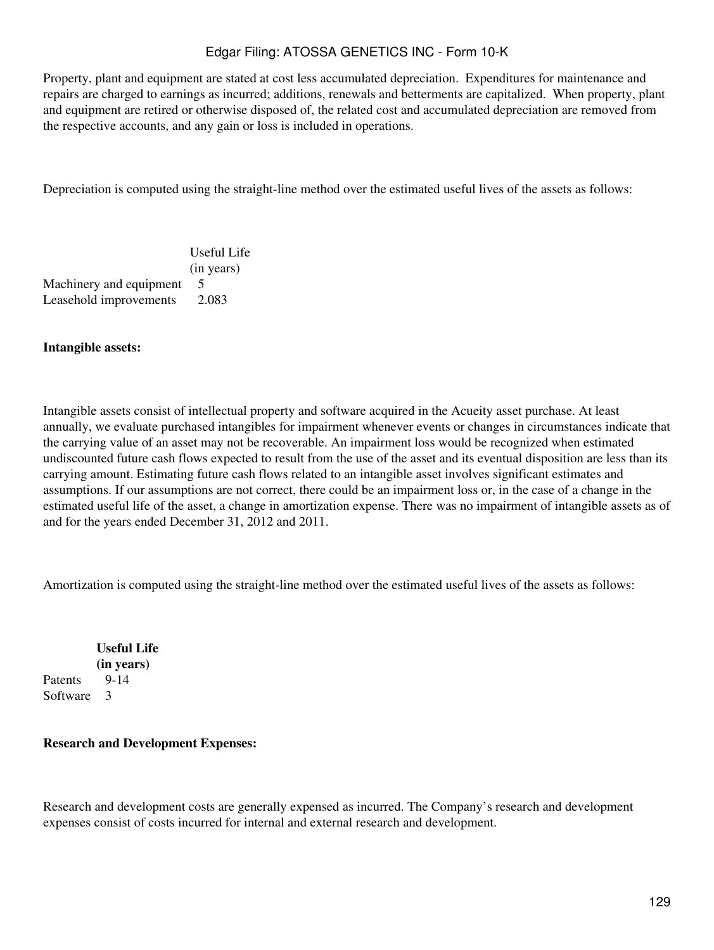Property, plant and equipment are stated at cost less accumulated depreciation. Expenditures for maintenance and repairs are charged to earnings as incurred; additions, renewals and betterments are capitalized. When property, plant and equipment are retired or otherwise disposed of, the related cost and accumulated depreciation are removed from the respective accounts, and any gain or loss is included in operations.

Depreciation is computed using the straight-line method over the estimated useful lives of the assets as follows:

|                         | Useful Life |
|-------------------------|-------------|
|                         | (in years)  |
| Machinery and equipment |             |
| Leasehold improvements  | 2.083       |

#### **Intangible assets:**

Intangible assets consist of intellectual property and software acquired in the Acueity asset purchase. At least annually, we evaluate purchased intangibles for impairment whenever events or changes in circumstances indicate that the carrying value of an asset may not be recoverable. An impairment loss would be recognized when estimated undiscounted future cash flows expected to result from the use of the asset and its eventual disposition are less than its carrying amount. Estimating future cash flows related to an intangible asset involves significant estimates and assumptions. If our assumptions are not correct, there could be an impairment loss or, in the case of a change in the estimated useful life of the asset, a change in amortization expense. There was no impairment of intangible assets as of and for the years ended December 31, 2012 and 2011.

Amortization is computed using the straight-line method over the estimated useful lives of the assets as follows:

**Useful Life (in years)** Patents 9-14 Software 3

#### **Research and Development Expenses:**

Research and development costs are generally expensed as incurred. The Company's research and development expenses consist of costs incurred for internal and external research and development.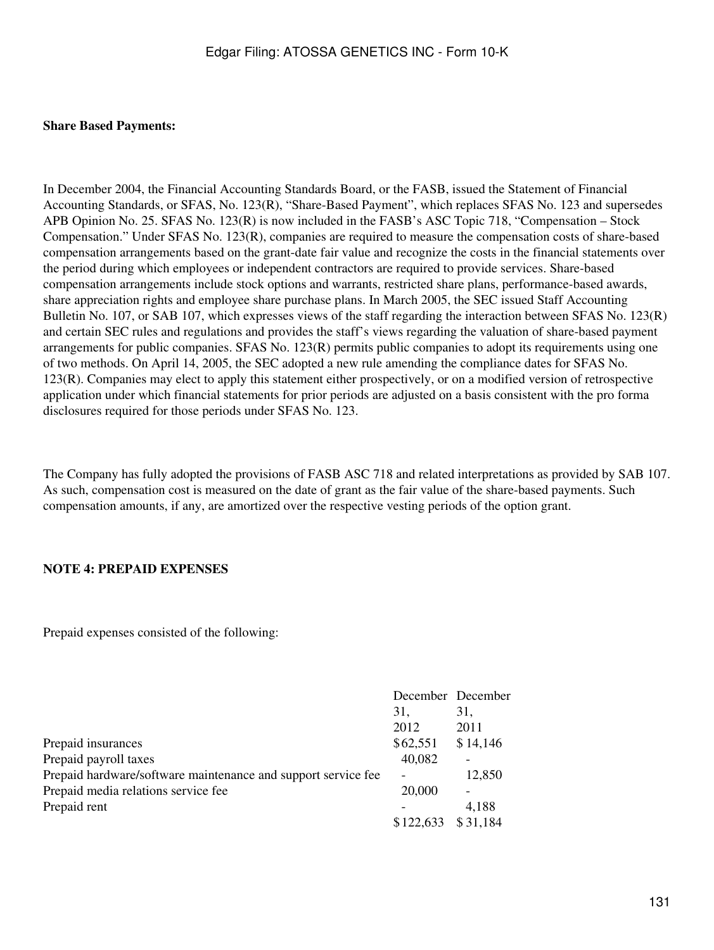#### **Share Based Payments:**

In December 2004, the Financial Accounting Standards Board, or the FASB, issued the Statement of Financial Accounting Standards, or SFAS, No. 123(R), "Share-Based Payment", which replaces SFAS No. 123 and supersedes APB Opinion No. 25. SFAS No. 123(R) is now included in the FASB's ASC Topic 718, "Compensation – Stock Compensation." Under SFAS No. 123(R), companies are required to measure the compensation costs of share-based compensation arrangements based on the grant-date fair value and recognize the costs in the financial statements over the period during which employees or independent contractors are required to provide services. Share-based compensation arrangements include stock options and warrants, restricted share plans, performance-based awards, share appreciation rights and employee share purchase plans. In March 2005, the SEC issued Staff Accounting Bulletin No. 107, or SAB 107, which expresses views of the staff regarding the interaction between SFAS No. 123(R) and certain SEC rules and regulations and provides the staff's views regarding the valuation of share-based payment arrangements for public companies. SFAS No. 123(R) permits public companies to adopt its requirements using one of two methods. On April 14, 2005, the SEC adopted a new rule amending the compliance dates for SFAS No. 123(R). Companies may elect to apply this statement either prospectively, or on a modified version of retrospective application under which financial statements for prior periods are adjusted on a basis consistent with the pro forma disclosures required for those periods under SFAS No. 123.

The Company has fully adopted the provisions of FASB ASC 718 and related interpretations as provided by SAB 107. As such, compensation cost is measured on the date of grant as the fair value of the share-based payments. Such compensation amounts, if any, are amortized over the respective vesting periods of the option grant.

#### **NOTE 4: PREPAID EXPENSES**

Prepaid expenses consisted of the following:

|                                                               |           | December December |
|---------------------------------------------------------------|-----------|-------------------|
|                                                               | 31,       | 31,               |
|                                                               | 2012      | 2011              |
| Prepaid insurances                                            | \$62,551  | \$14,146          |
| Prepaid payroll taxes                                         | 40,082    |                   |
| Prepaid hardware/software maintenance and support service fee |           | 12,850            |
| Prepaid media relations service fee                           | 20,000    |                   |
| Prepaid rent                                                  |           | 4,188             |
|                                                               | \$122,633 | \$31,184          |
|                                                               |           |                   |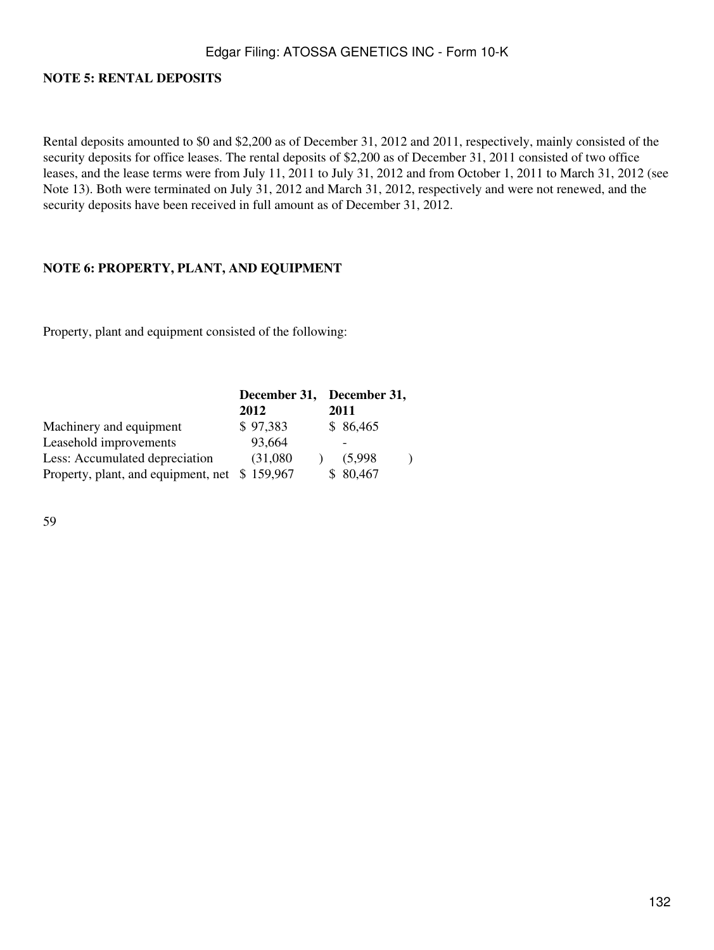## **NOTE 5: RENTAL DEPOSITS**

Rental deposits amounted to \$0 and \$2,200 as of December 31, 2012 and 2011, respectively, mainly consisted of the security deposits for office leases. The rental deposits of \$2,200 as of December 31, 2011 consisted of two office leases, and the lease terms were from July 11, 2011 to July 31, 2012 and from October 1, 2011 to March 31, 2012 (see Note 13). Both were terminated on July 31, 2012 and March 31, 2012, respectively and were not renewed, and the security deposits have been received in full amount as of December 31, 2012.

### **NOTE 6: PROPERTY, PLANT, AND EQUIPMENT**

Property, plant and equipment consisted of the following:

|                                     |           | December 31, December 31, |
|-------------------------------------|-----------|---------------------------|
|                                     | 2012      | 2011                      |
| Machinery and equipment             | \$97,383  | \$86,465                  |
| Leasehold improvements              | 93,664    |                           |
| Less: Accumulated depreciation      | (31,080)  | (5,998)                   |
| Property, plant, and equipment, net | \$159,967 | \$80,467                  |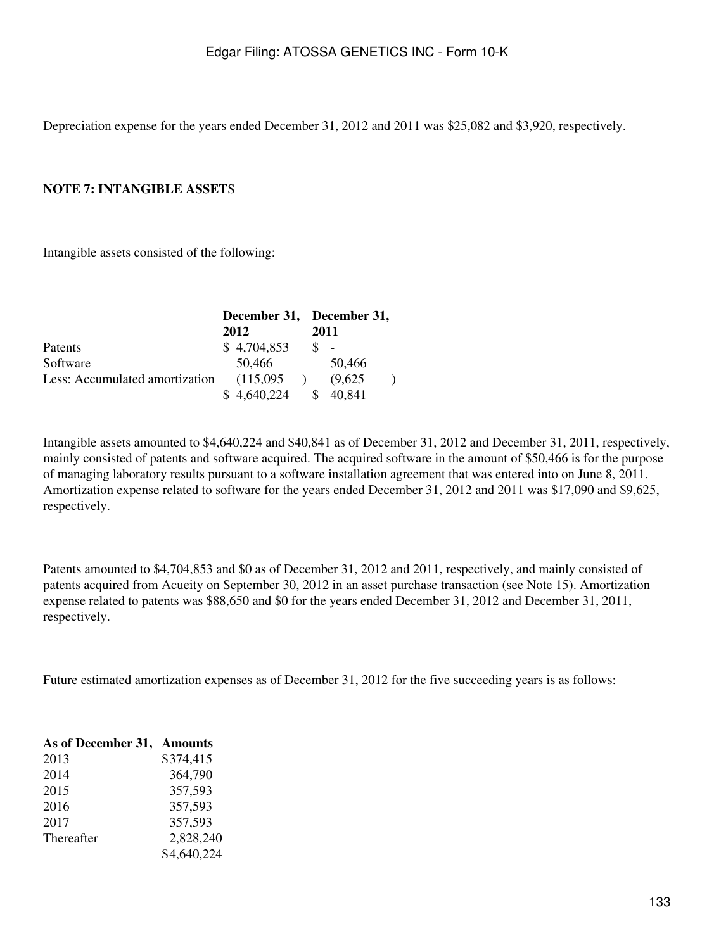Depreciation expense for the years ended December 31, 2012 and 2011 was \$25,082 and \$3,920, respectively.

#### **NOTE 7: INTANGIBLE ASSET**S

Intangible assets consisted of the following:

|                                | December 31, December 31, |         |
|--------------------------------|---------------------------|---------|
|                                | 2012                      | 2011    |
| Patents                        | \$4,704,853               |         |
| Software                       | 50,466                    | 50,466  |
| Less: Accumulated amortization | (115,095)                 | (9,625) |
|                                | \$4,640,224               | 40.841  |

Intangible assets amounted to \$4,640,224 and \$40,841 as of December 31, 2012 and December 31, 2011, respectively, mainly consisted of patents and software acquired. The acquired software in the amount of \$50,466 is for the purpose of managing laboratory results pursuant to a software installation agreement that was entered into on June 8, 2011. Amortization expense related to software for the years ended December 31, 2012 and 2011 was \$17,090 and \$9,625, respectively.

Patents amounted to \$4,704,853 and \$0 as of December 31, 2012 and 2011, respectively, and mainly consisted of patents acquired from Acueity on September 30, 2012 in an asset purchase transaction (see Note 15). Amortization expense related to patents was \$88,650 and \$0 for the years ended December 31, 2012 and December 31, 2011, respectively.

Future estimated amortization expenses as of December 31, 2012 for the five succeeding years is as follows:

| As of December 31, Amounts |             |
|----------------------------|-------------|
| 2013                       | \$374,415   |
| 2014                       | 364,790     |
| 2015                       | 357,593     |
| 2016                       | 357,593     |
| 2017                       | 357,593     |
| Thereafter                 | 2,828,240   |
|                            | \$4,640,224 |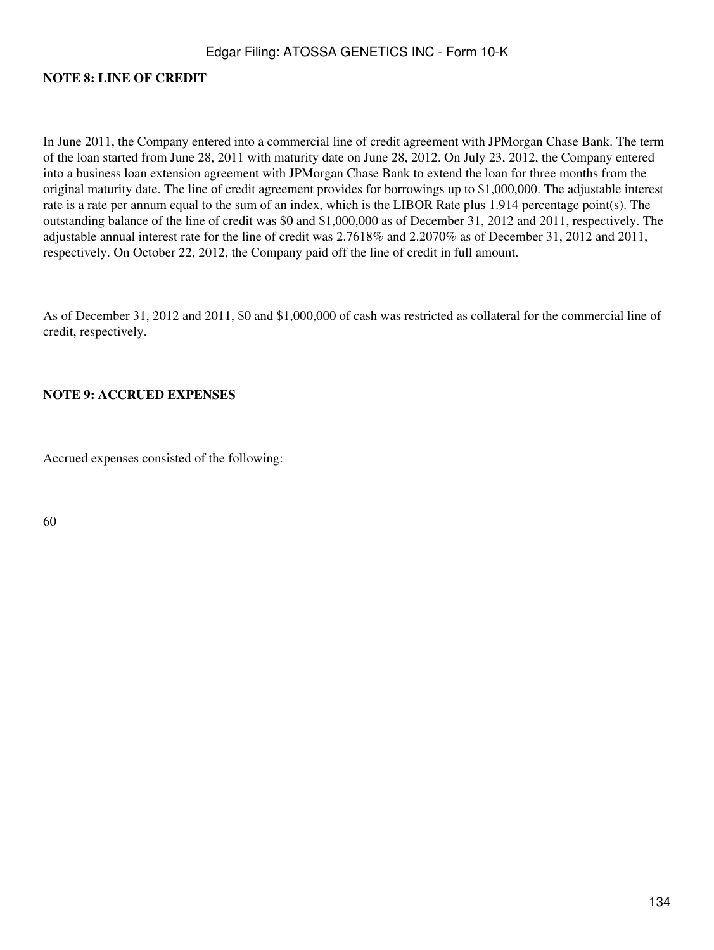#### **NOTE 8: LINE OF CREDIT**

In June 2011, the Company entered into a commercial line of credit agreement with JPMorgan Chase Bank. The term of the loan started from June 28, 2011 with maturity date on June 28, 2012. On July 23, 2012, the Company entered into a business loan extension agreement with JPMorgan Chase Bank to extend the loan for three months from the original maturity date. The line of credit agreement provides for borrowings up to \$1,000,000. The adjustable interest rate is a rate per annum equal to the sum of an index, which is the LIBOR Rate plus 1.914 percentage point(s). The outstanding balance of the line of credit was \$0 and \$1,000,000 as of December 31, 2012 and 2011, respectively. The adjustable annual interest rate for the line of credit was 2.7618% and 2.2070% as of December 31, 2012 and 2011, respectively. On October 22, 2012, the Company paid off the line of credit in full amount.

As of December 31, 2012 and 2011, \$0 and \$1,000,000 of cash was restricted as collateral for the commercial line of credit, respectively.

#### **NOTE 9: ACCRUED EXPENSES**

Accrued expenses consisted of the following: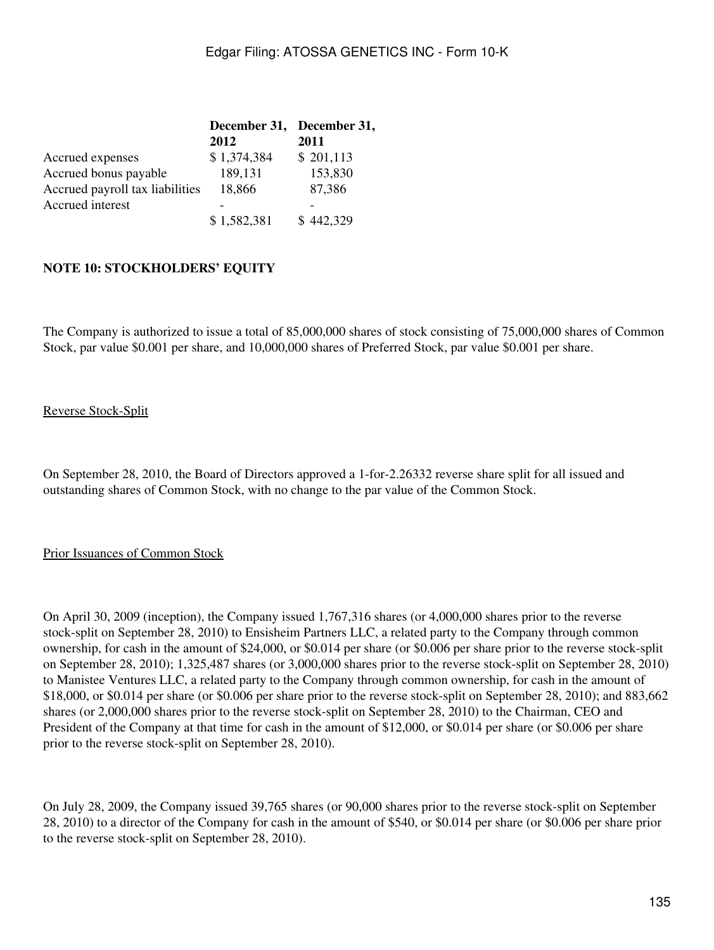| December 31, December 31, |           |
|---------------------------|-----------|
| 2012                      | 2011      |
| \$1,374,384               | \$201,113 |
| 189,131                   | 153,830   |
| 18,866                    | 87,386    |
|                           |           |
| \$1,582,381               | \$442,329 |
|                           |           |

### **NOTE 10: STOCKHOLDERS' EQUITY**

The Company is authorized to issue a total of 85,000,000 shares of stock consisting of 75,000,000 shares of Common Stock, par value \$0.001 per share, and 10,000,000 shares of Preferred Stock, par value \$0.001 per share.

#### Reverse Stock-Split

On September 28, 2010, the Board of Directors approved a 1-for-2.26332 reverse share split for all issued and outstanding shares of Common Stock, with no change to the par value of the Common Stock.

#### Prior Issuances of Common Stock

On April 30, 2009 (inception), the Company issued 1,767,316 shares (or 4,000,000 shares prior to the reverse stock-split on September 28, 2010) to Ensisheim Partners LLC, a related party to the Company through common ownership, for cash in the amount of \$24,000, or \$0.014 per share (or \$0.006 per share prior to the reverse stock-split on September 28, 2010); 1,325,487 shares (or 3,000,000 shares prior to the reverse stock-split on September 28, 2010) to Manistee Ventures LLC, a related party to the Company through common ownership, for cash in the amount of \$18,000, or \$0.014 per share (or \$0.006 per share prior to the reverse stock-split on September 28, 2010); and 883,662 shares (or 2,000,000 shares prior to the reverse stock-split on September 28, 2010) to the Chairman, CEO and President of the Company at that time for cash in the amount of \$12,000, or \$0.014 per share (or \$0.006 per share prior to the reverse stock-split on September 28, 2010).

On July 28, 2009, the Company issued 39,765 shares (or 90,000 shares prior to the reverse stock-split on September 28, 2010) to a director of the Company for cash in the amount of \$540, or \$0.014 per share (or \$0.006 per share prior to the reverse stock-split on September 28, 2010).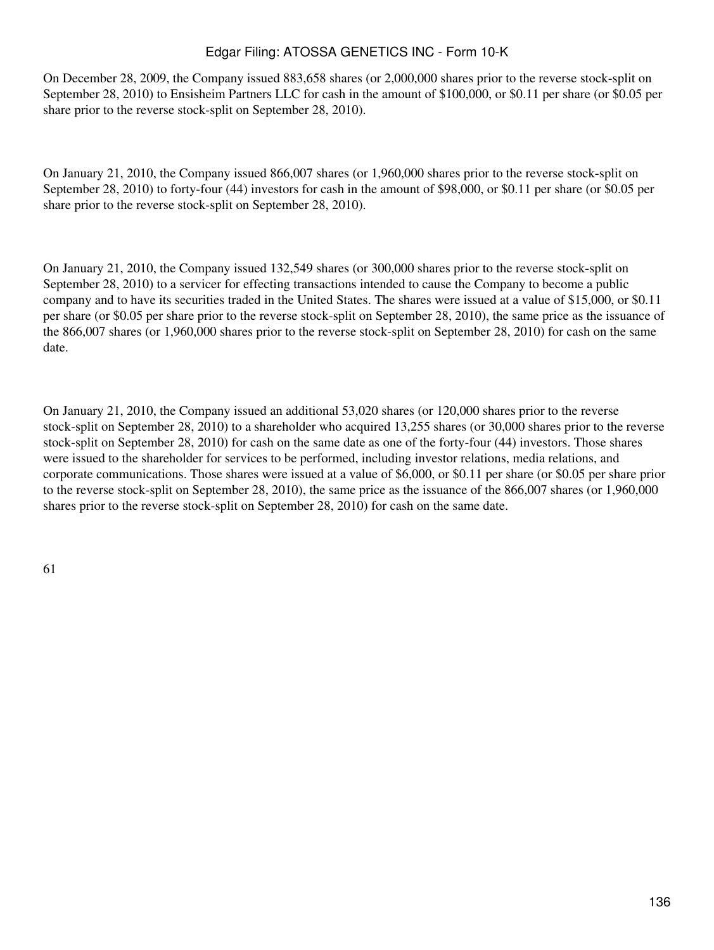On December 28, 2009, the Company issued 883,658 shares (or 2,000,000 shares prior to the reverse stock-split on September 28, 2010) to Ensisheim Partners LLC for cash in the amount of \$100,000, or \$0.11 per share (or \$0.05 per share prior to the reverse stock-split on September 28, 2010).

On January 21, 2010, the Company issued 866,007 shares (or 1,960,000 shares prior to the reverse stock-split on September 28, 2010) to forty-four (44) investors for cash in the amount of \$98,000, or \$0.11 per share (or \$0.05 per share prior to the reverse stock-split on September 28, 2010).

On January 21, 2010, the Company issued 132,549 shares (or 300,000 shares prior to the reverse stock-split on September 28, 2010) to a servicer for effecting transactions intended to cause the Company to become a public company and to have its securities traded in the United States. The shares were issued at a value of \$15,000, or \$0.11 per share (or \$0.05 per share prior to the reverse stock-split on September 28, 2010), the same price as the issuance of the 866,007 shares (or 1,960,000 shares prior to the reverse stock-split on September 28, 2010) for cash on the same date.

On January 21, 2010, the Company issued an additional 53,020 shares (or 120,000 shares prior to the reverse stock-split on September 28, 2010) to a shareholder who acquired 13,255 shares (or 30,000 shares prior to the reverse stock-split on September 28, 2010) for cash on the same date as one of the forty-four (44) investors. Those shares were issued to the shareholder for services to be performed, including investor relations, media relations, and corporate communications. Those shares were issued at a value of \$6,000, or \$0.11 per share (or \$0.05 per share prior to the reverse stock-split on September 28, 2010), the same price as the issuance of the 866,007 shares (or 1,960,000 shares prior to the reverse stock-split on September 28, 2010) for cash on the same date.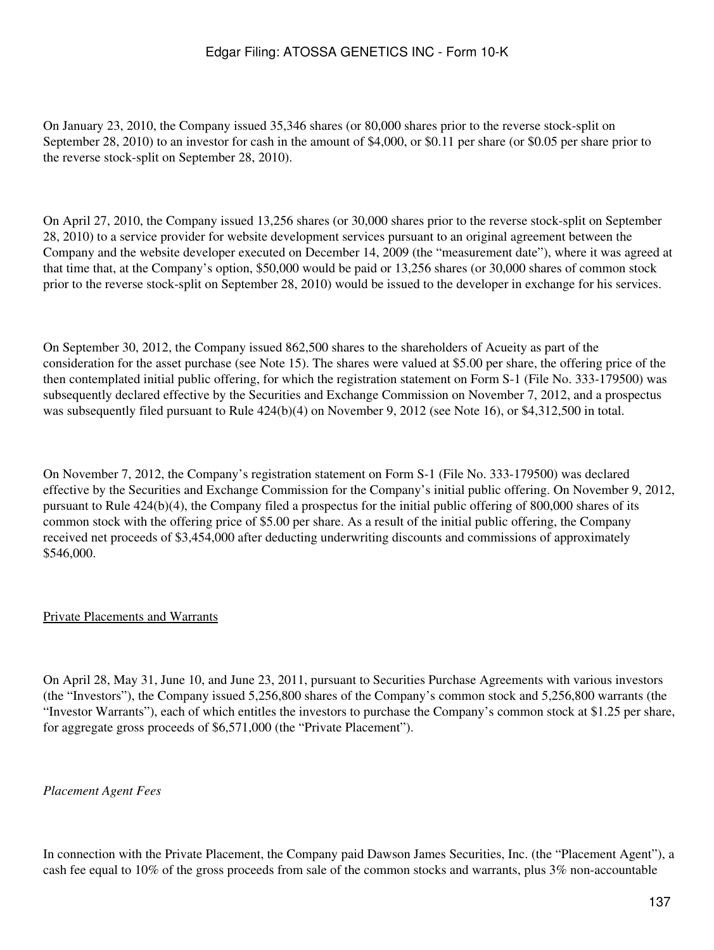On January 23, 2010, the Company issued 35,346 shares (or 80,000 shares prior to the reverse stock-split on September 28, 2010) to an investor for cash in the amount of \$4,000, or \$0.11 per share (or \$0.05 per share prior to the reverse stock-split on September 28, 2010).

On April 27, 2010, the Company issued 13,256 shares (or 30,000 shares prior to the reverse stock-split on September 28, 2010) to a service provider for website development services pursuant to an original agreement between the Company and the website developer executed on December 14, 2009 (the "measurement date"), where it was agreed at that time that, at the Company's option, \$50,000 would be paid or 13,256 shares (or 30,000 shares of common stock prior to the reverse stock-split on September 28, 2010) would be issued to the developer in exchange for his services.

On September 30, 2012, the Company issued 862,500 shares to the shareholders of Acueity as part of the consideration for the asset purchase (see Note 15). The shares were valued at \$5.00 per share, the offering price of the then contemplated initial public offering, for which the registration statement on Form S-1 (File No. 333-179500) was subsequently declared effective by the Securities and Exchange Commission on November 7, 2012, and a prospectus was subsequently filed pursuant to Rule  $424(b)(4)$  on November 9, 2012 (see Note 16), or \$4,312,500 in total.

On November 7, 2012, the Company's registration statement on Form S-1 (File No. 333-179500) was declared effective by the Securities and Exchange Commission for the Company's initial public offering. On November 9, 2012, pursuant to Rule 424(b)(4), the Company filed a prospectus for the initial public offering of 800,000 shares of its common stock with the offering price of \$5.00 per share. As a result of the initial public offering, the Company received net proceeds of \$3,454,000 after deducting underwriting discounts and commissions of approximately \$546,000.

### Private Placements and Warrants

On April 28, May 31, June 10, and June 23, 2011, pursuant to Securities Purchase Agreements with various investors (the "Investors"), the Company issued 5,256,800 shares of the Company's common stock and 5,256,800 warrants (the "Investor Warrants"), each of which entitles the investors to purchase the Company's common stock at \$1.25 per share, for aggregate gross proceeds of \$6,571,000 (the "Private Placement").

#### *Placement Agent Fees*

In connection with the Private Placement, the Company paid Dawson James Securities, Inc. (the "Placement Agent"), a cash fee equal to 10% of the gross proceeds from sale of the common stocks and warrants, plus 3% non-accountable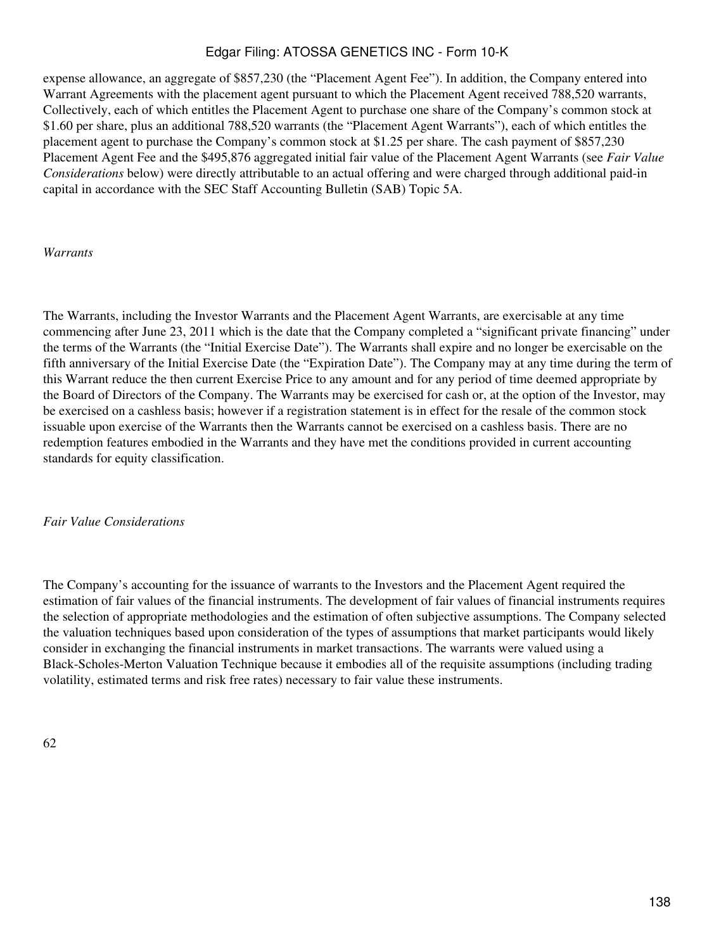expense allowance, an aggregate of \$857,230 (the "Placement Agent Fee"). In addition, the Company entered into Warrant Agreements with the placement agent pursuant to which the Placement Agent received 788,520 warrants, Collectively, each of which entitles the Placement Agent to purchase one share of the Company's common stock at \$1.60 per share, plus an additional 788,520 warrants (the "Placement Agent Warrants"), each of which entitles the placement agent to purchase the Company's common stock at \$1.25 per share. The cash payment of \$857,230 Placement Agent Fee and the \$495,876 aggregated initial fair value of the Placement Agent Warrants (see *Fair Value Considerations* below) were directly attributable to an actual offering and were charged through additional paid-in capital in accordance with the SEC Staff Accounting Bulletin (SAB) Topic 5A.

#### *Warrants*

The Warrants, including the Investor Warrants and the Placement Agent Warrants, are exercisable at any time commencing after June 23, 2011 which is the date that the Company completed a "significant private financing" under the terms of the Warrants (the "Initial Exercise Date"). The Warrants shall expire and no longer be exercisable on the fifth anniversary of the Initial Exercise Date (the "Expiration Date"). The Company may at any time during the term of this Warrant reduce the then current Exercise Price to any amount and for any period of time deemed appropriate by the Board of Directors of the Company. The Warrants may be exercised for cash or, at the option of the Investor, may be exercised on a cashless basis; however if a registration statement is in effect for the resale of the common stock issuable upon exercise of the Warrants then the Warrants cannot be exercised on a cashless basis. There are no redemption features embodied in the Warrants and they have met the conditions provided in current accounting standards for equity classification.

#### *Fair Value Considerations*

The Company's accounting for the issuance of warrants to the Investors and the Placement Agent required the estimation of fair values of the financial instruments. The development of fair values of financial instruments requires the selection of appropriate methodologies and the estimation of often subjective assumptions. The Company selected the valuation techniques based upon consideration of the types of assumptions that market participants would likely consider in exchanging the financial instruments in market transactions. The warrants were valued using a Black-Scholes-Merton Valuation Technique because it embodies all of the requisite assumptions (including trading volatility, estimated terms and risk free rates) necessary to fair value these instruments.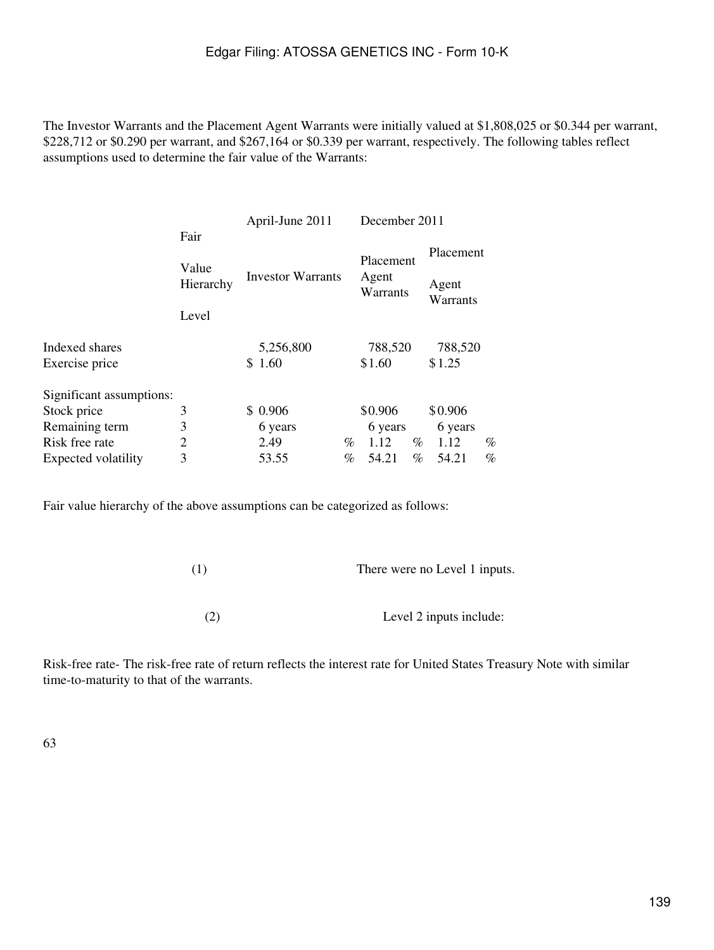The Investor Warrants and the Placement Agent Warrants were initially valued at \$1,808,025 or \$0.344 per warrant, \$228,712 or \$0.290 per warrant, and \$267,164 or \$0.339 per warrant, respectively. The following tables reflect assumptions used to determine the fair value of the Warrants:

| Placement          |
|--------------------|
| Agent<br>Warrants  |
| 788,520            |
| \$1.25             |
|                    |
| \$0.906            |
| 6 years            |
| $\%$<br>%<br>1.12  |
| $\%$<br>%<br>54.21 |
|                    |

Fair value hierarchy of the above assumptions can be categorized as follows:

| (1) | There were no Level 1 inputs. |
|-----|-------------------------------|
|     |                               |
| (2) | Level 2 inputs include:       |

Risk-free rate- The risk-free rate of return reflects the interest rate for United States Treasury Note with similar time-to-maturity to that of the warrants.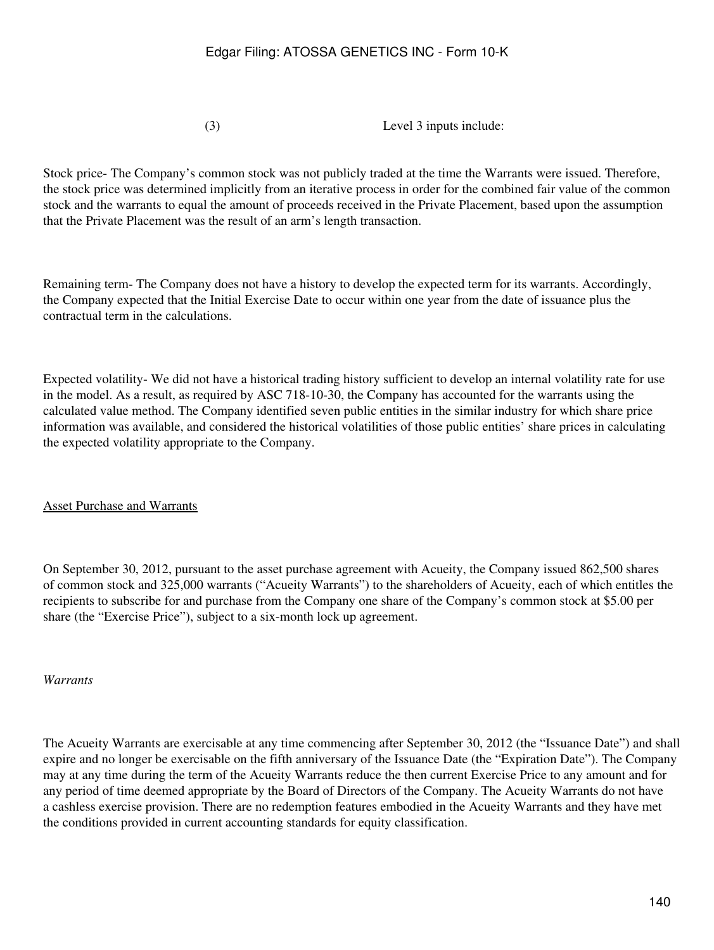(3) Level 3 inputs include:

Stock price- The Company's common stock was not publicly traded at the time the Warrants were issued. Therefore, the stock price was determined implicitly from an iterative process in order for the combined fair value of the common stock and the warrants to equal the amount of proceeds received in the Private Placement, based upon the assumption that the Private Placement was the result of an arm's length transaction.

Remaining term- The Company does not have a history to develop the expected term for its warrants. Accordingly, the Company expected that the Initial Exercise Date to occur within one year from the date of issuance plus the contractual term in the calculations.

Expected volatility- We did not have a historical trading history sufficient to develop an internal volatility rate for use in the model. As a result, as required by ASC 718-10-30, the Company has accounted for the warrants using the calculated value method. The Company identified seven public entities in the similar industry for which share price information was available, and considered the historical volatilities of those public entities' share prices in calculating the expected volatility appropriate to the Company.

Asset Purchase and Warrants

On September 30, 2012, pursuant to the asset purchase agreement with Acueity, the Company issued 862,500 shares of common stock and 325,000 warrants ("Acueity Warrants") to the shareholders of Acueity, each of which entitles the recipients to subscribe for and purchase from the Company one share of the Company's common stock at \$5.00 per share (the "Exercise Price"), subject to a six-month lock up agreement.

*Warrants*

The Acueity Warrants are exercisable at any time commencing after September 30, 2012 (the "Issuance Date") and shall expire and no longer be exercisable on the fifth anniversary of the Issuance Date (the "Expiration Date"). The Company may at any time during the term of the Acueity Warrants reduce the then current Exercise Price to any amount and for any period of time deemed appropriate by the Board of Directors of the Company. The Acueity Warrants do not have a cashless exercise provision. There are no redemption features embodied in the Acueity Warrants and they have met the conditions provided in current accounting standards for equity classification.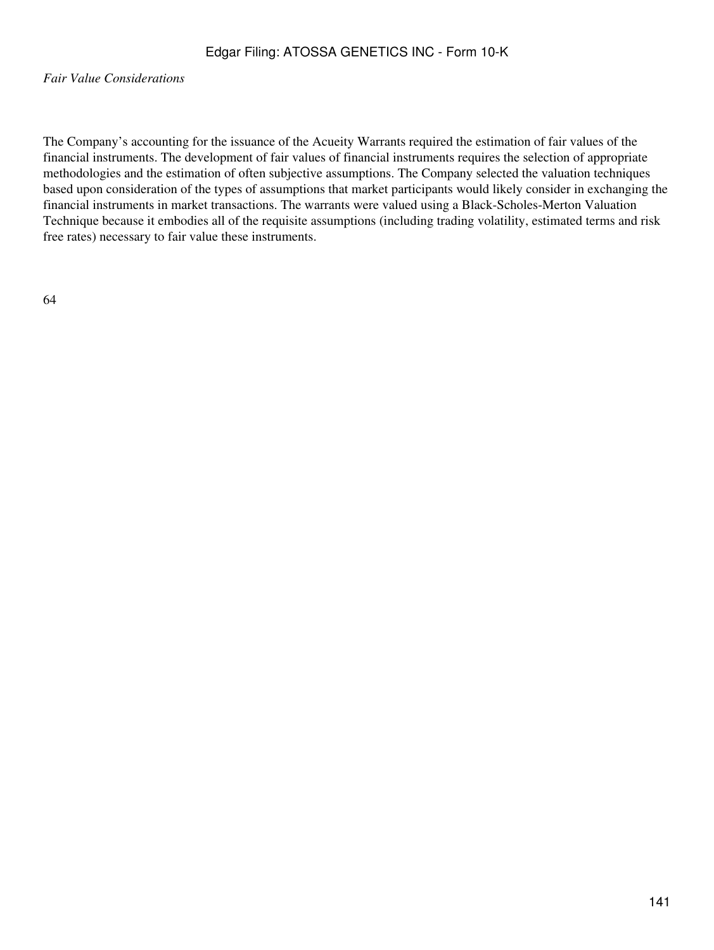*Fair Value Considerations*

The Company's accounting for the issuance of the Acueity Warrants required the estimation of fair values of the financial instruments. The development of fair values of financial instruments requires the selection of appropriate methodologies and the estimation of often subjective assumptions. The Company selected the valuation techniques based upon consideration of the types of assumptions that market participants would likely consider in exchanging the financial instruments in market transactions. The warrants were valued using a Black-Scholes-Merton Valuation Technique because it embodies all of the requisite assumptions (including trading volatility, estimated terms and risk free rates) necessary to fair value these instruments.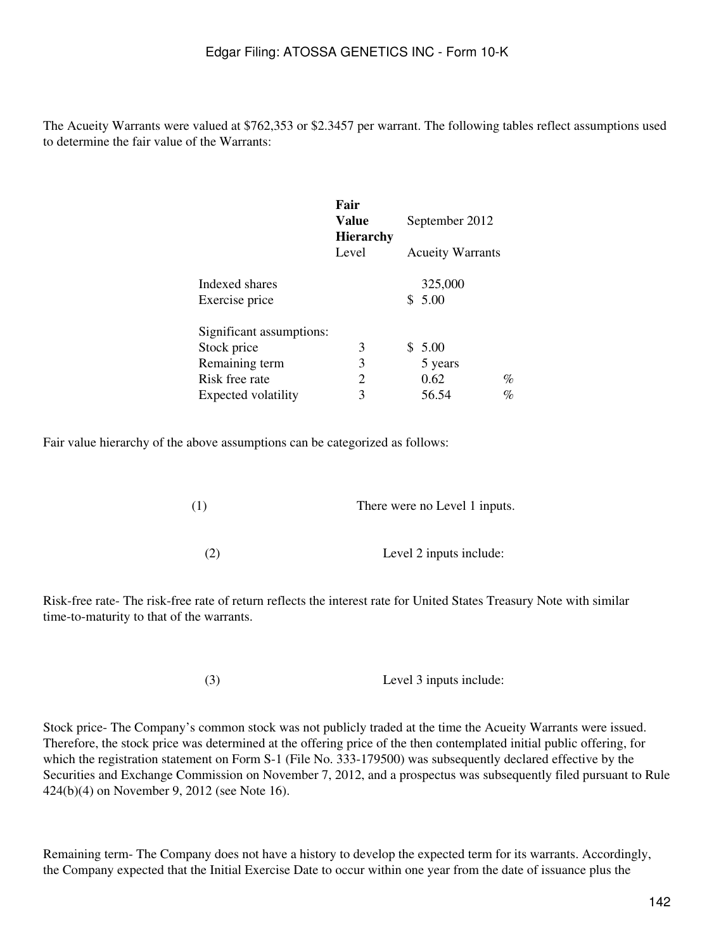The Acueity Warrants were valued at \$762,353 or \$2.3457 per warrant. The following tables reflect assumptions used to determine the fair value of the Warrants:

|                            | Fair<br>Value<br><b>Hierarchy</b> | September 2012          |      |
|----------------------------|-----------------------------------|-------------------------|------|
|                            | Level                             | <b>Acueity Warrants</b> |      |
| Indexed shares             |                                   | 325,000                 |      |
| Exercise price             |                                   | \$5.00                  |      |
| Significant assumptions:   |                                   |                         |      |
| Stock price                | 3                                 | \$5.00                  |      |
| Remaining term             | 3                                 | 5 years                 |      |
| Risk free rate             | 2                                 | 0.62                    | %    |
| <b>Expected volatility</b> | 3                                 | 56.54                   | $\%$ |

Fair value hierarchy of the above assumptions can be categorized as follows:

| (1) | There were no Level 1 inputs. |
|-----|-------------------------------|
|     |                               |
| (2) | Level 2 inputs include:       |

Risk-free rate- The risk-free rate of return reflects the interest rate for United States Treasury Note with similar time-to-maturity to that of the warrants.

(3) Level 3 inputs include:

Stock price- The Company's common stock was not publicly traded at the time the Acueity Warrants were issued. Therefore, the stock price was determined at the offering price of the then contemplated initial public offering, for which the registration statement on Form S-1 (File No. 333-179500) was subsequently declared effective by the Securities and Exchange Commission on November 7, 2012, and a prospectus was subsequently filed pursuant to Rule 424(b)(4) on November 9, 2012 (see Note 16).

Remaining term- The Company does not have a history to develop the expected term for its warrants. Accordingly, the Company expected that the Initial Exercise Date to occur within one year from the date of issuance plus the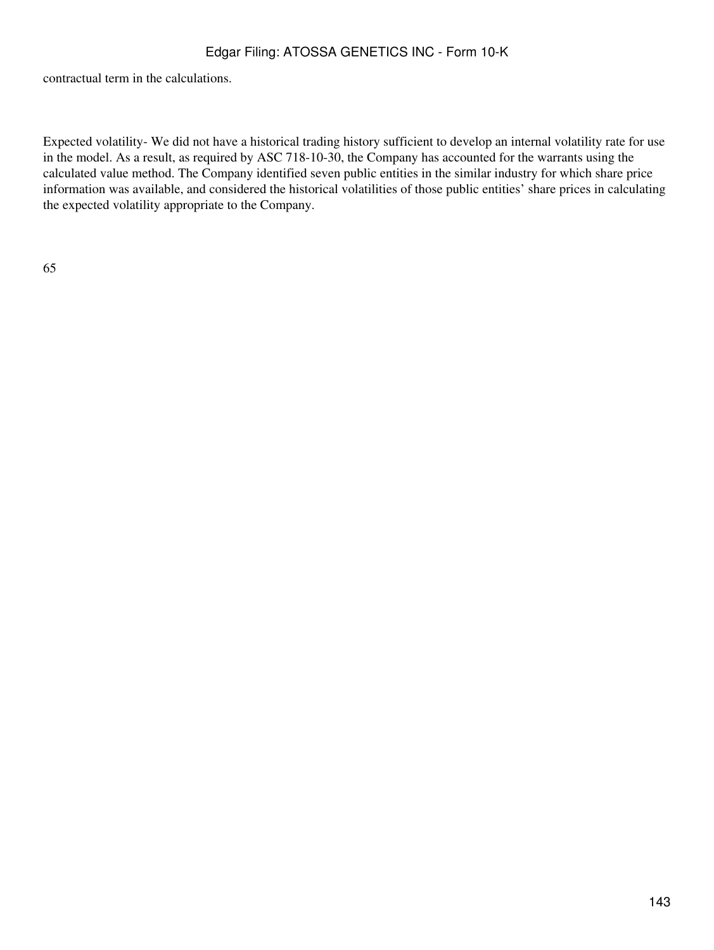contractual term in the calculations.

Expected volatility- We did not have a historical trading history sufficient to develop an internal volatility rate for use in the model. As a result, as required by ASC 718-10-30, the Company has accounted for the warrants using the calculated value method. The Company identified seven public entities in the similar industry for which share price information was available, and considered the historical volatilities of those public entities' share prices in calculating the expected volatility appropriate to the Company.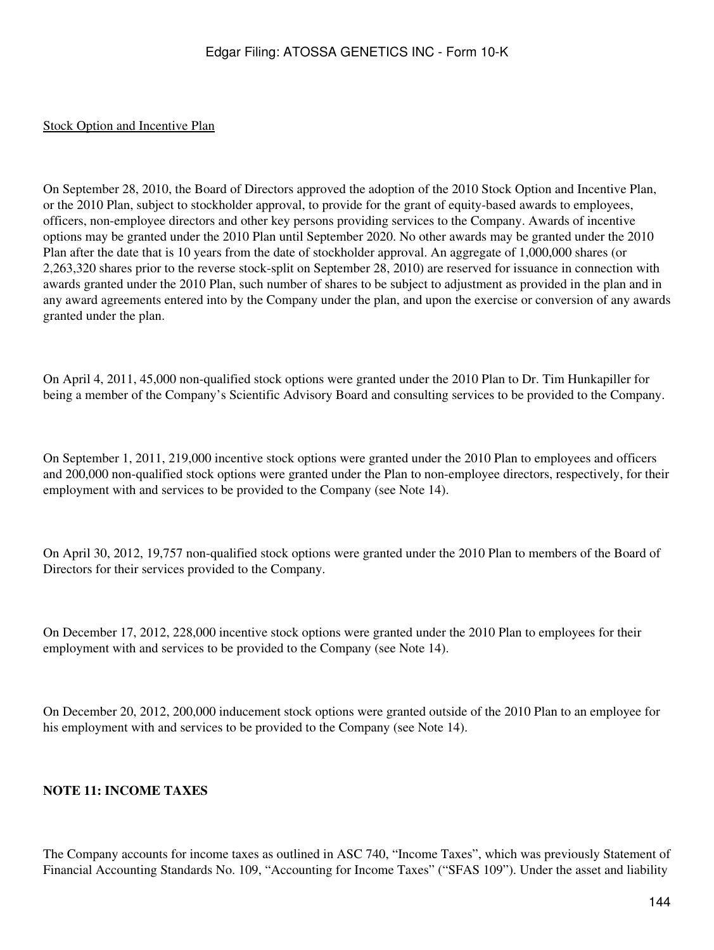#### Stock Option and Incentive Plan

On September 28, 2010, the Board of Directors approved the adoption of the 2010 Stock Option and Incentive Plan, or the 2010 Plan, subject to stockholder approval, to provide for the grant of equity-based awards to employees, officers, non-employee directors and other key persons providing services to the Company. Awards of incentive options may be granted under the 2010 Plan until September 2020. No other awards may be granted under the 2010 Plan after the date that is 10 years from the date of stockholder approval. An aggregate of 1,000,000 shares (or 2,263,320 shares prior to the reverse stock-split on September 28, 2010) are reserved for issuance in connection with awards granted under the 2010 Plan, such number of shares to be subject to adjustment as provided in the plan and in any award agreements entered into by the Company under the plan, and upon the exercise or conversion of any awards granted under the plan.

On April 4, 2011, 45,000 non-qualified stock options were granted under the 2010 Plan to Dr. Tim Hunkapiller for being a member of the Company's Scientific Advisory Board and consulting services to be provided to the Company.

On September 1, 2011, 219,000 incentive stock options were granted under the 2010 Plan to employees and officers and 200,000 non-qualified stock options were granted under the Plan to non-employee directors, respectively, for their employment with and services to be provided to the Company (see Note 14).

On April 30, 2012, 19,757 non-qualified stock options were granted under the 2010 Plan to members of the Board of Directors for their services provided to the Company.

On December 17, 2012, 228,000 incentive stock options were granted under the 2010 Plan to employees for their employment with and services to be provided to the Company (see Note 14).

On December 20, 2012, 200,000 inducement stock options were granted outside of the 2010 Plan to an employee for his employment with and services to be provided to the Company (see Note 14).

#### **NOTE 11: INCOME TAXES**

The Company accounts for income taxes as outlined in ASC 740, "Income Taxes", which was previously Statement of Financial Accounting Standards No. 109, "Accounting for Income Taxes" ("SFAS 109"). Under the asset and liability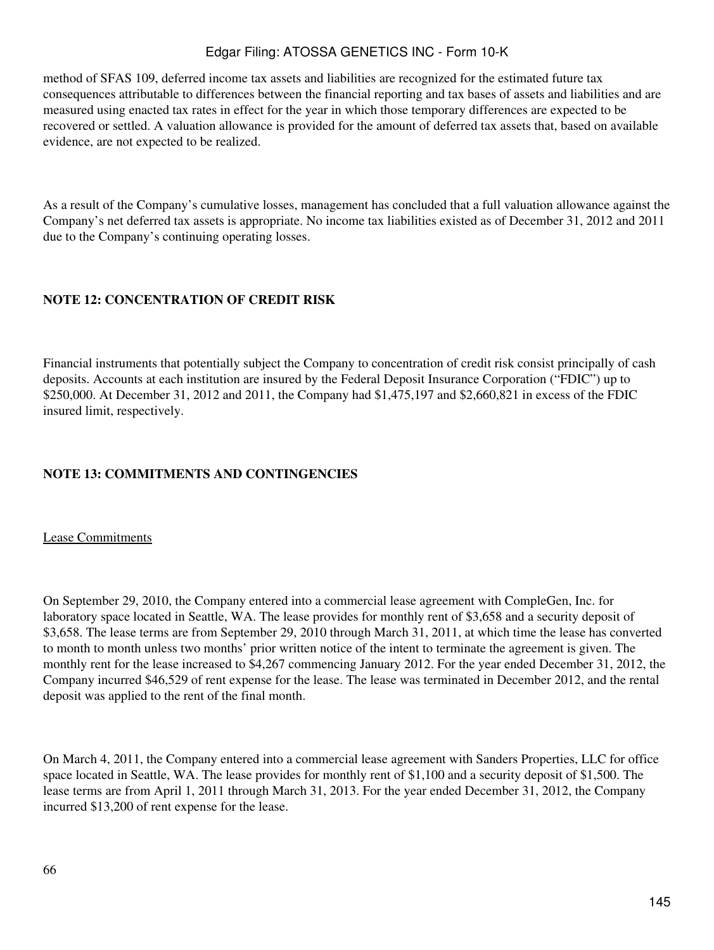method of SFAS 109, deferred income tax assets and liabilities are recognized for the estimated future tax consequences attributable to differences between the financial reporting and tax bases of assets and liabilities and are measured using enacted tax rates in effect for the year in which those temporary differences are expected to be recovered or settled. A valuation allowance is provided for the amount of deferred tax assets that, based on available evidence, are not expected to be realized.

As a result of the Company's cumulative losses, management has concluded that a full valuation allowance against the Company's net deferred tax assets is appropriate. No income tax liabilities existed as of December 31, 2012 and 2011 due to the Company's continuing operating losses.

### **NOTE 12: CONCENTRATION OF CREDIT RISK**

Financial instruments that potentially subject the Company to concentration of credit risk consist principally of cash deposits. Accounts at each institution are insured by the Federal Deposit Insurance Corporation ("FDIC") up to \$250,000. At December 31, 2012 and 2011, the Company had \$1,475,197 and \$2,660,821 in excess of the FDIC insured limit, respectively.

# **NOTE 13: COMMITMENTS AND CONTINGENCIES**

Lease Commitments

On September 29, 2010, the Company entered into a commercial lease agreement with CompleGen, Inc. for laboratory space located in Seattle, WA. The lease provides for monthly rent of \$3,658 and a security deposit of \$3,658. The lease terms are from September 29, 2010 through March 31, 2011, at which time the lease has converted to month to month unless two months' prior written notice of the intent to terminate the agreement is given. The monthly rent for the lease increased to \$4,267 commencing January 2012. For the year ended December 31, 2012, the Company incurred \$46,529 of rent expense for the lease. The lease was terminated in December 2012, and the rental deposit was applied to the rent of the final month.

On March 4, 2011, the Company entered into a commercial lease agreement with Sanders Properties, LLC for office space located in Seattle, WA. The lease provides for monthly rent of \$1,100 and a security deposit of \$1,500. The lease terms are from April 1, 2011 through March 31, 2013. For the year ended December 31, 2012, the Company incurred \$13,200 of rent expense for the lease.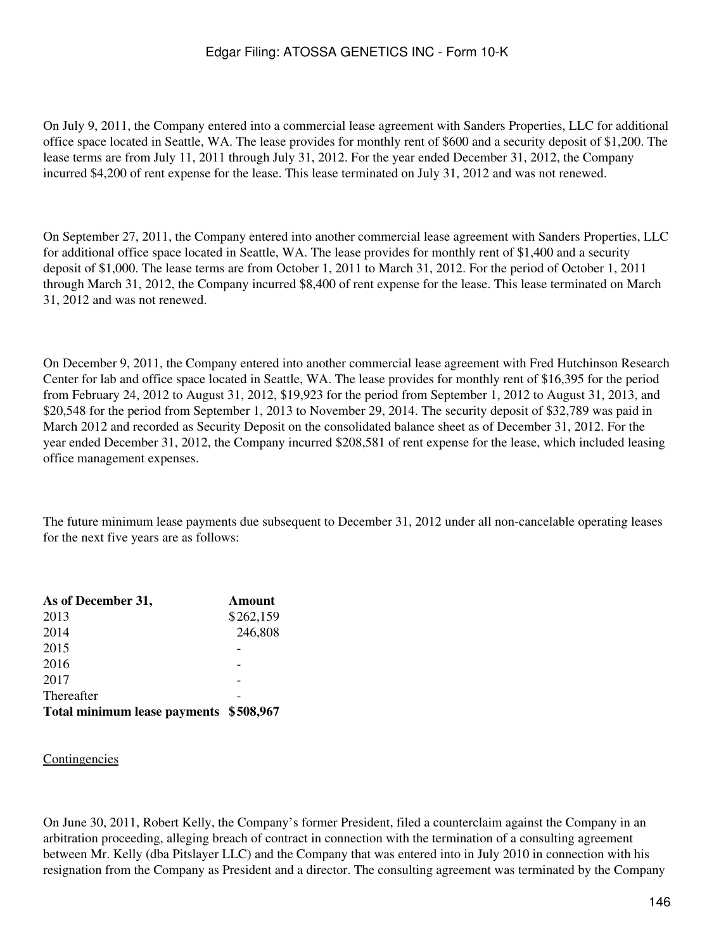On July 9, 2011, the Company entered into a commercial lease agreement with Sanders Properties, LLC for additional office space located in Seattle, WA. The lease provides for monthly rent of \$600 and a security deposit of \$1,200. The lease terms are from July 11, 2011 through July 31, 2012. For the year ended December 31, 2012, the Company incurred \$4,200 of rent expense for the lease. This lease terminated on July 31, 2012 and was not renewed.

On September 27, 2011, the Company entered into another commercial lease agreement with Sanders Properties, LLC for additional office space located in Seattle, WA. The lease provides for monthly rent of \$1,400 and a security deposit of \$1,000. The lease terms are from October 1, 2011 to March 31, 2012. For the period of October 1, 2011 through March 31, 2012, the Company incurred \$8,400 of rent expense for the lease. This lease terminated on March 31, 2012 and was not renewed.

On December 9, 2011, the Company entered into another commercial lease agreement with Fred Hutchinson Research Center for lab and office space located in Seattle, WA. The lease provides for monthly rent of \$16,395 for the period from February 24, 2012 to August 31, 2012, \$19,923 for the period from September 1, 2012 to August 31, 2013, and \$20,548 for the period from September 1, 2013 to November 29, 2014. The security deposit of \$32,789 was paid in March 2012 and recorded as Security Deposit on the consolidated balance sheet as of December 31, 2012. For the year ended December 31, 2012, the Company incurred \$208,581 of rent expense for the lease, which included leasing office management expenses.

The future minimum lease payments due subsequent to December 31, 2012 under all non-cancelable operating leases for the next five years are as follows:

| As of December 31,                     | Amount    |
|----------------------------------------|-----------|
| 2013                                   | \$262,159 |
| 2014                                   | 246,808   |
| 2015                                   |           |
| 2016                                   |           |
| 2017                                   |           |
| Thereafter                             |           |
| Total minimum lease payments \$508,967 |           |

#### **Contingencies**

On June 30, 2011, Robert Kelly, the Company's former President, filed a counterclaim against the Company in an arbitration proceeding, alleging breach of contract in connection with the termination of a consulting agreement between Mr. Kelly (dba Pitslayer LLC) and the Company that was entered into in July 2010 in connection with his resignation from the Company as President and a director. The consulting agreement was terminated by the Company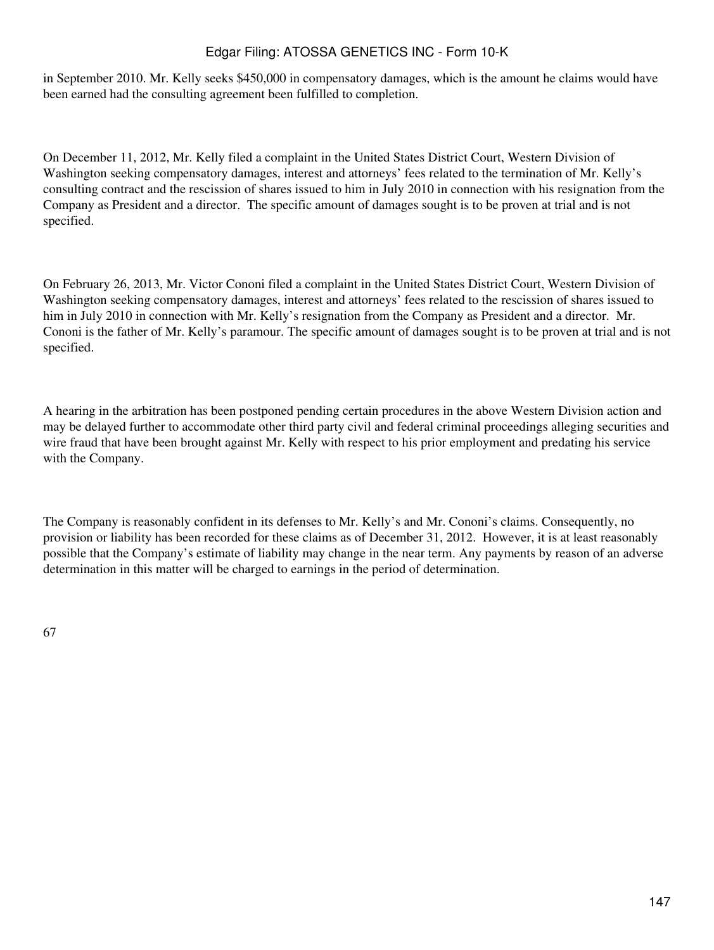in September 2010. Mr. Kelly seeks \$450,000 in compensatory damages, which is the amount he claims would have been earned had the consulting agreement been fulfilled to completion.

On December 11, 2012, Mr. Kelly filed a complaint in the United States District Court, Western Division of Washington seeking compensatory damages, interest and attorneys' fees related to the termination of Mr. Kelly's consulting contract and the rescission of shares issued to him in July 2010 in connection with his resignation from the Company as President and a director. The specific amount of damages sought is to be proven at trial and is not specified.

On February 26, 2013, Mr. Victor Cononi filed a complaint in the United States District Court, Western Division of Washington seeking compensatory damages, interest and attorneys' fees related to the rescission of shares issued to him in July 2010 in connection with Mr. Kelly's resignation from the Company as President and a director. Mr. Cononi is the father of Mr. Kelly's paramour. The specific amount of damages sought is to be proven at trial and is not specified.

A hearing in the arbitration has been postponed pending certain procedures in the above Western Division action and may be delayed further to accommodate other third party civil and federal criminal proceedings alleging securities and wire fraud that have been brought against Mr. Kelly with respect to his prior employment and predating his service with the Company. 

The Company is reasonably confident in its defenses to Mr. Kelly's and Mr. Cononi's claims. Consequently, no provision or liability has been recorded for these claims as of December 31, 2012. However, it is at least reasonably possible that the Company's estimate of liability may change in the near term. Any payments by reason of an adverse determination in this matter will be charged to earnings in the period of determination.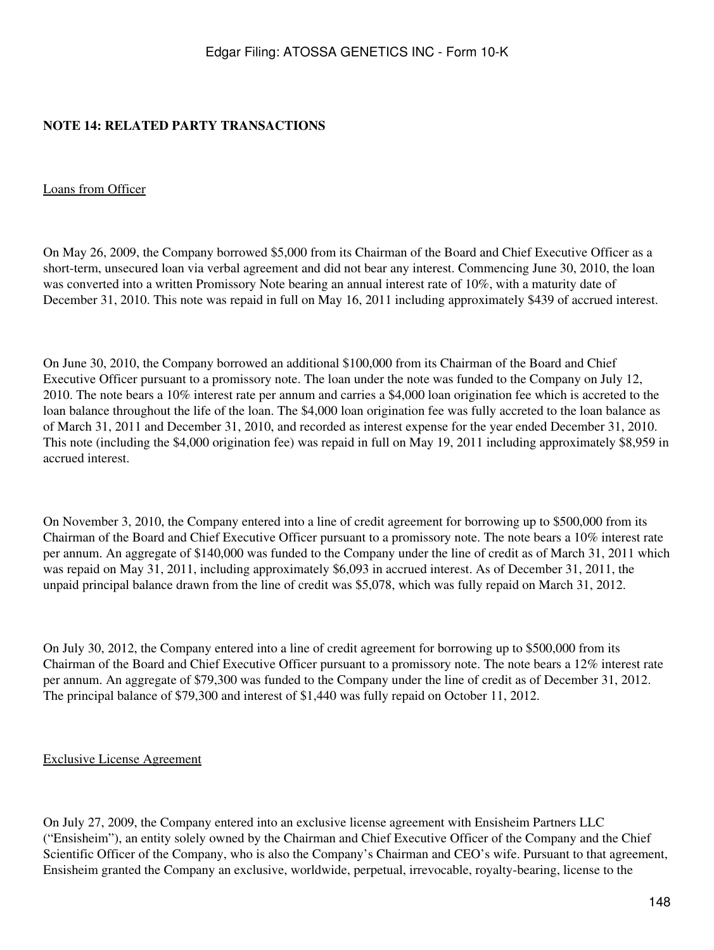### **NOTE 14: RELATED PARTY TRANSACTIONS**

### Loans from Officer

On May 26, 2009, the Company borrowed \$5,000 from its Chairman of the Board and Chief Executive Officer as a short-term, unsecured loan via verbal agreement and did not bear any interest. Commencing June 30, 2010, the loan was converted into a written Promissory Note bearing an annual interest rate of 10%, with a maturity date of December 31, 2010. This note was repaid in full on May 16, 2011 including approximately \$439 of accrued interest.

On June 30, 2010, the Company borrowed an additional \$100,000 from its Chairman of the Board and Chief Executive Officer pursuant to a promissory note. The loan under the note was funded to the Company on July 12, 2010. The note bears a 10% interest rate per annum and carries a \$4,000 loan origination fee which is accreted to the loan balance throughout the life of the loan. The \$4,000 loan origination fee was fully accreted to the loan balance as of March 31, 2011 and December 31, 2010, and recorded as interest expense for the year ended December 31, 2010. This note (including the \$4,000 origination fee) was repaid in full on May 19, 2011 including approximately \$8,959 in accrued interest.

On November 3, 2010, the Company entered into a line of credit agreement for borrowing up to \$500,000 from its Chairman of the Board and Chief Executive Officer pursuant to a promissory note. The note bears a 10% interest rate per annum. An aggregate of \$140,000 was funded to the Company under the line of credit as of March 31, 2011 which was repaid on May 31, 2011, including approximately \$6,093 in accrued interest. As of December 31, 2011, the unpaid principal balance drawn from the line of credit was \$5,078, which was fully repaid on March 31, 2012.

On July 30, 2012, the Company entered into a line of credit agreement for borrowing up to \$500,000 from its Chairman of the Board and Chief Executive Officer pursuant to a promissory note. The note bears a 12% interest rate per annum. An aggregate of \$79,300 was funded to the Company under the line of credit as of December 31, 2012. The principal balance of \$79,300 and interest of \$1,440 was fully repaid on October 11, 2012.

### Exclusive License Agreement

On July 27, 2009, the Company entered into an exclusive license agreement with Ensisheim Partners LLC ("Ensisheim"), an entity solely owned by the Chairman and Chief Executive Officer of the Company and the Chief Scientific Officer of the Company, who is also the Company's Chairman and CEO's wife. Pursuant to that agreement, Ensisheim granted the Company an exclusive, worldwide, perpetual, irrevocable, royalty-bearing, license to the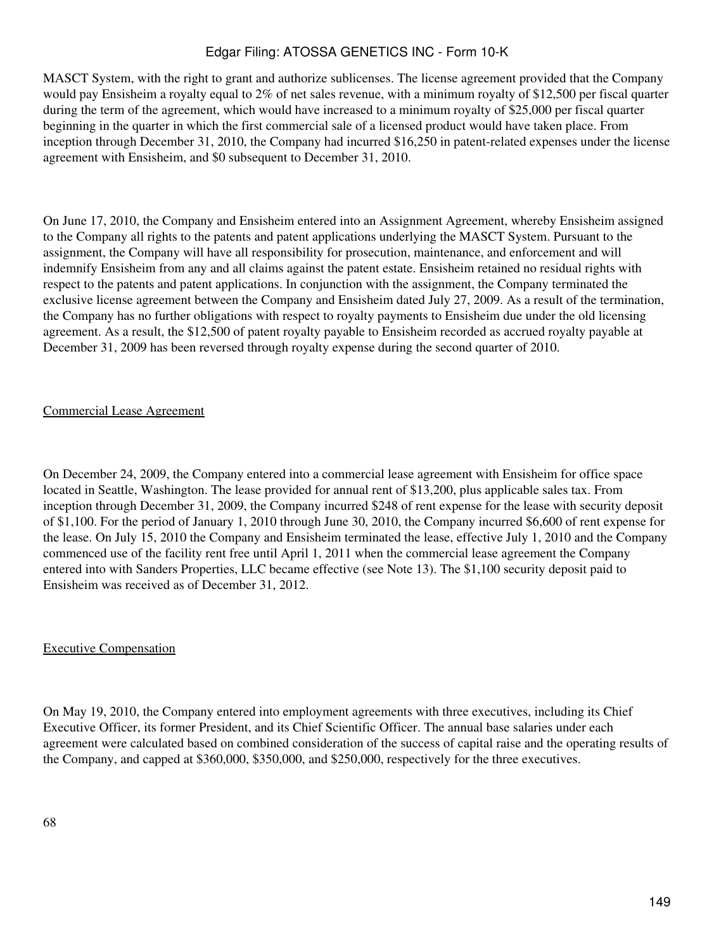MASCT System, with the right to grant and authorize sublicenses. The license agreement provided that the Company would pay Ensisheim a royalty equal to 2% of net sales revenue, with a minimum royalty of \$12,500 per fiscal quarter during the term of the agreement, which would have increased to a minimum royalty of \$25,000 per fiscal quarter beginning in the quarter in which the first commercial sale of a licensed product would have taken place. From inception through December 31, 2010, the Company had incurred \$16,250 in patent-related expenses under the license agreement with Ensisheim, and \$0 subsequent to December 31, 2010.

On June 17, 2010, the Company and Ensisheim entered into an Assignment Agreement, whereby Ensisheim assigned to the Company all rights to the patents and patent applications underlying the MASCT System. Pursuant to the assignment, the Company will have all responsibility for prosecution, maintenance, and enforcement and will indemnify Ensisheim from any and all claims against the patent estate. Ensisheim retained no residual rights with respect to the patents and patent applications. In conjunction with the assignment, the Company terminated the exclusive license agreement between the Company and Ensisheim dated July 27, 2009. As a result of the termination, the Company has no further obligations with respect to royalty payments to Ensisheim due under the old licensing agreement. As a result, the \$12,500 of patent royalty payable to Ensisheim recorded as accrued royalty payable at December 31, 2009 has been reversed through royalty expense during the second quarter of 2010.

### Commercial Lease Agreement

On December 24, 2009, the Company entered into a commercial lease agreement with Ensisheim for office space located in Seattle, Washington. The lease provided for annual rent of \$13,200, plus applicable sales tax. From inception through December 31, 2009, the Company incurred \$248 of rent expense for the lease with security deposit of \$1,100. For the period of January 1, 2010 through June 30, 2010, the Company incurred \$6,600 of rent expense for the lease. On July 15, 2010 the Company and Ensisheim terminated the lease, effective July 1, 2010 and the Company commenced use of the facility rent free until April 1, 2011 when the commercial lease agreement the Company entered into with Sanders Properties, LLC became effective (see Note 13). The \$1,100 security deposit paid to Ensisheim was received as of December 31, 2012.

### Executive Compensation

On May 19, 2010, the Company entered into employment agreements with three executives, including its Chief Executive Officer, its former President, and its Chief Scientific Officer. The annual base salaries under each agreement were calculated based on combined consideration of the success of capital raise and the operating results of the Company, and capped at \$360,000, \$350,000, and \$250,000, respectively for the three executives.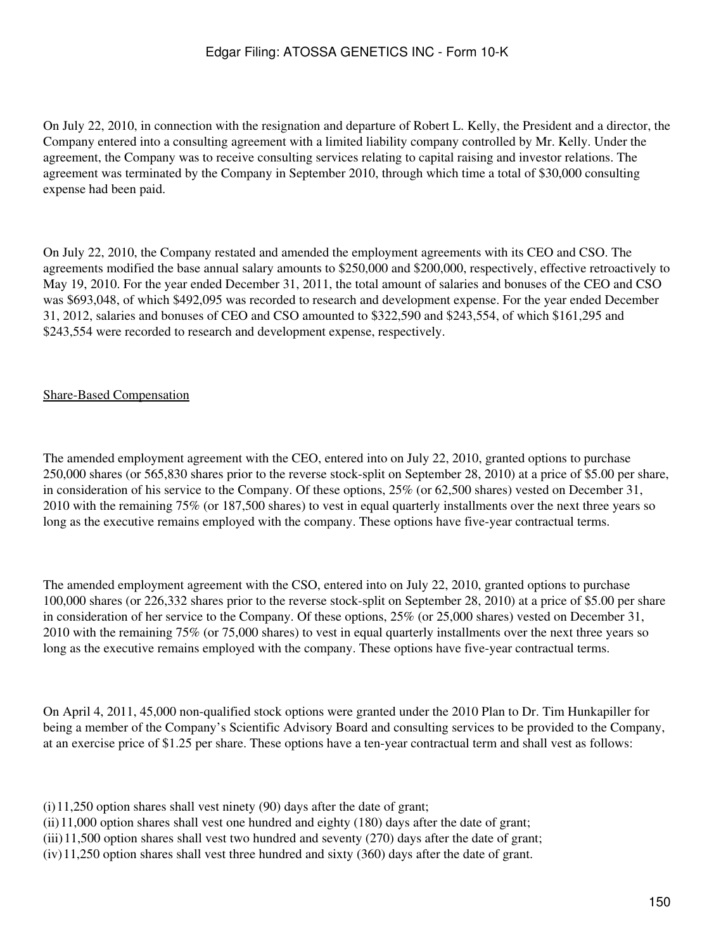On July 22, 2010, in connection with the resignation and departure of Robert L. Kelly, the President and a director, the Company entered into a consulting agreement with a limited liability company controlled by Mr. Kelly. Under the agreement, the Company was to receive consulting services relating to capital raising and investor relations. The agreement was terminated by the Company in September 2010, through which time a total of \$30,000 consulting expense had been paid.

On July 22, 2010, the Company restated and amended the employment agreements with its CEO and CSO. The agreements modified the base annual salary amounts to \$250,000 and \$200,000, respectively, effective retroactively to May 19, 2010. For the year ended December 31, 2011, the total amount of salaries and bonuses of the CEO and CSO was \$693,048, of which \$492,095 was recorded to research and development expense. For the year ended December 31, 2012, salaries and bonuses of CEO and CSO amounted to \$322,590 and \$243,554, of which \$161,295 and \$243,554 were recorded to research and development expense, respectively.

### Share-Based Compensation

The amended employment agreement with the CEO, entered into on July 22, 2010, granted options to purchase 250,000 shares (or 565,830 shares prior to the reverse stock-split on September 28, 2010) at a price of \$5.00 per share, in consideration of his service to the Company. Of these options, 25% (or 62,500 shares) vested on December 31, 2010 with the remaining 75% (or 187,500 shares) to vest in equal quarterly installments over the next three years so long as the executive remains employed with the company. These options have five-year contractual terms.

The amended employment agreement with the CSO, entered into on July 22, 2010, granted options to purchase 100,000 shares (or 226,332 shares prior to the reverse stock-split on September 28, 2010) at a price of \$5.00 per share in consideration of her service to the Company. Of these options, 25% (or 25,000 shares) vested on December 31, 2010 with the remaining 75% (or 75,000 shares) to vest in equal quarterly installments over the next three years so long as the executive remains employed with the company. These options have five-year contractual terms.

On April 4, 2011, 45,000 non-qualified stock options were granted under the 2010 Plan to Dr. Tim Hunkapiller for being a member of the Company's Scientific Advisory Board and consulting services to be provided to the Company, at an exercise price of \$1.25 per share. These options have a ten-year contractual term and shall vest as follows:

- (i)11,250 option shares shall vest ninety (90) days after the date of grant;
- (ii)11,000 option shares shall vest one hundred and eighty (180) days after the date of grant;
- $(iii)$ 11,500 option shares shall vest two hundred and seventy (270) days after the date of grant;
- (iv)11,250 option shares shall vest three hundred and sixty (360) days after the date of grant.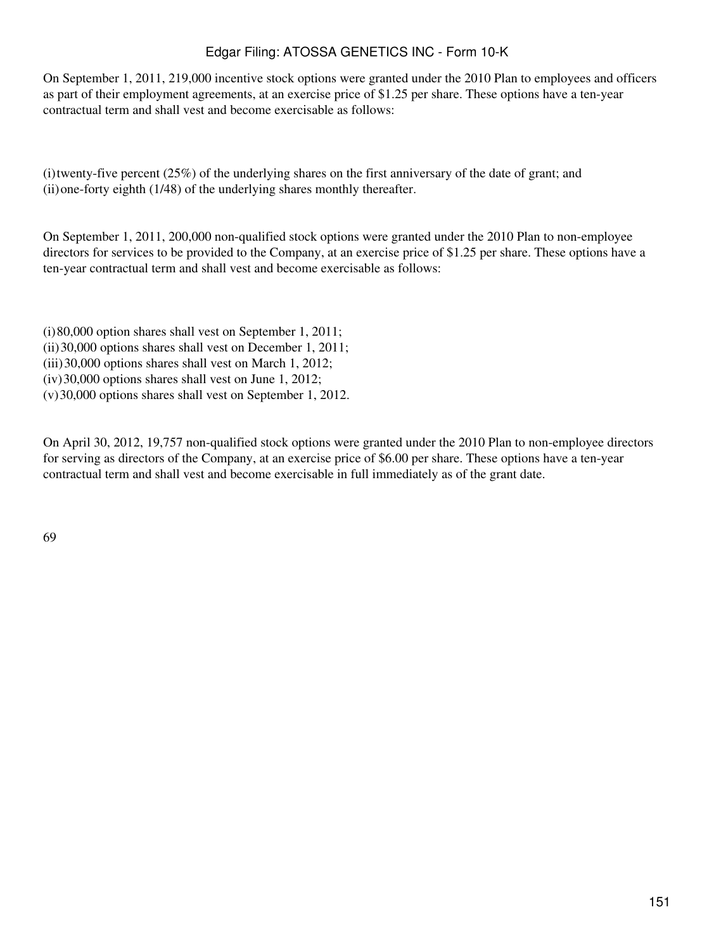On September 1, 2011, 219,000 incentive stock options were granted under the 2010 Plan to employees and officers as part of their employment agreements, at an exercise price of \$1.25 per share. These options have a ten-year contractual term and shall vest and become exercisable as follows:

(i)twenty-five percent (25%) of the underlying shares on the first anniversary of the date of grant; and (ii)one-forty eighth (1/48) of the underlying shares monthly thereafter.

On September 1, 2011, 200,000 non-qualified stock options were granted under the 2010 Plan to non-employee directors for services to be provided to the Company, at an exercise price of \$1.25 per share. These options have a ten-year contractual term and shall vest and become exercisable as follows:

(i)80,000 option shares shall vest on September 1, 2011; (ii)30,000 options shares shall vest on December 1, 2011; (iii)30,000 options shares shall vest on March 1, 2012; (iv)30,000 options shares shall vest on June 1, 2012; (v)30,000 options shares shall vest on September 1, 2012.

On April 30, 2012, 19,757 non-qualified stock options were granted under the 2010 Plan to non-employee directors for serving as directors of the Company, at an exercise price of \$6.00 per share. These options have a ten-year contractual term and shall vest and become exercisable in full immediately as of the grant date.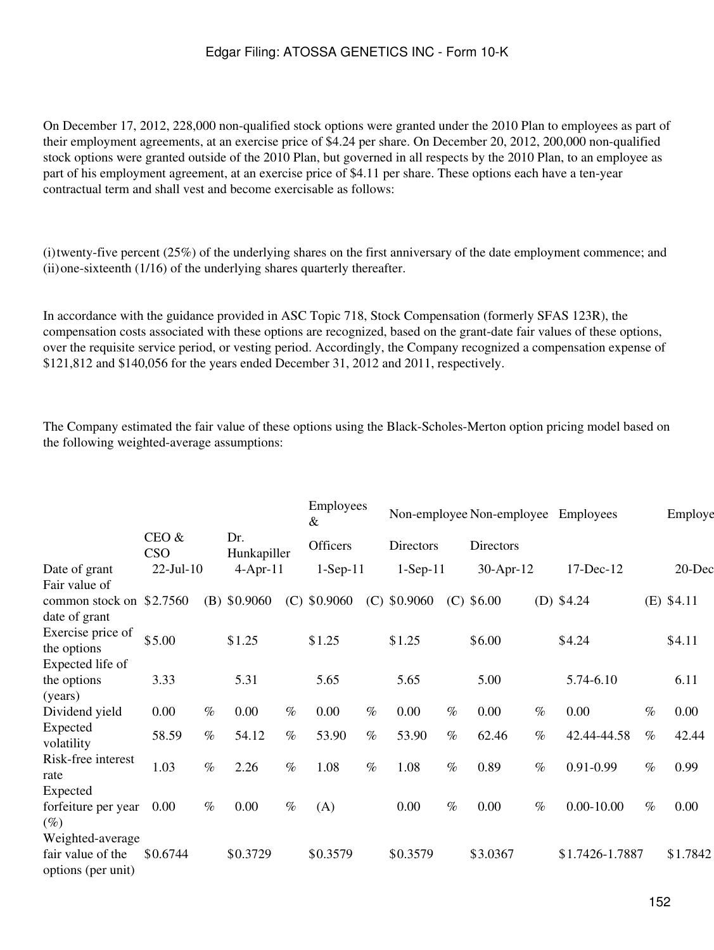On December 17, 2012, 228,000 non-qualified stock options were granted under the 2010 Plan to employees as part of their employment agreements, at an exercise price of \$4.24 per share. On December 20, 2012, 200,000 non-qualified stock options were granted outside of the 2010 Plan, but governed in all respects by the 2010 Plan, to an employee as part of his employment agreement, at an exercise price of \$4.11 per share. These options each have a ten-year contractual term and shall vest and become exercisable as follows:

(i)twenty-five percent (25%) of the underlying shares on the first anniversary of the date employment commence; and (ii)one-sixteenth (1/16) of the underlying shares quarterly thereafter.

In accordance with the guidance provided in ASC Topic 718, Stock Compensation (formerly SFAS 123R), the compensation costs associated with these options are recognized, based on the grant-date fair values of these options, over the requisite service period, or vesting period. Accordingly, the Company recognized a compensation expense of \$121,812 and \$140,056 for the years ended December 31, 2012 and 2011, respectively.

The Company estimated the fair value of these options using the Black-Scholes-Merton option pricing model based on the following weighted-average assumptions:

|                                                             |                     |      |                    |      | Employees<br>&  |      |                |      | Non-employee Non-employee |      | <b>Employees</b> |      | Employe      |
|-------------------------------------------------------------|---------------------|------|--------------------|------|-----------------|------|----------------|------|---------------------------|------|------------------|------|--------------|
|                                                             | CEO &<br><b>CSO</b> |      | Dr.<br>Hunkapiller |      | <b>Officers</b> |      | Directors      |      | Directors                 |      |                  |      |              |
| Date of grant<br>Fair value of                              | $22$ -Jul-10        |      | $4$ -Apr-11        |      | $1-Sep-11$      |      | $1-Sep-11$     |      | $30-Apr-12$               |      | 17-Dec-12        |      | 20-Dec       |
| common stock on<br>date of grant                            | \$2.7560            |      | $(B)$ \$0.9060     |      | $(C)$ \$0.9060  |      | $(C)$ \$0.9060 |      | $(C)$ \$6.00              |      | (D) $$4.24$      |      | $(E)$ \$4.11 |
| Exercise price of<br>the options                            | \$5.00              |      | \$1.25             |      | \$1.25          |      | \$1.25         |      | \$6.00                    |      | \$4.24           |      | \$4.11       |
| Expected life of<br>the options<br>(years)                  | 3.33                |      | 5.31               |      | 5.65            |      | 5.65           |      | 5.00                      |      | 5.74-6.10        |      | 6.11         |
| Dividend yield                                              | 0.00                | $\%$ | 0.00               | $\%$ | 0.00            | $\%$ | 0.00           | $\%$ | 0.00                      | $\%$ | 0.00             | $\%$ | 0.00         |
| Expected<br>volatility                                      | 58.59               | $\%$ | 54.12              | $\%$ | 53.90           | $\%$ | 53.90          | $\%$ | 62.46                     | $\%$ | 42.44-44.58      | $\%$ | 42.44        |
| Risk-free interest<br>rate                                  | 1.03                | $\%$ | 2.26               | $\%$ | 1.08            | $\%$ | 1.08           | $\%$ | 0.89                      | $\%$ | $0.91 - 0.99$    | $\%$ | 0.99         |
| Expected<br>forfeiture per year<br>$(\%)$                   | 0.00                | $\%$ | 0.00               | $\%$ | (A)             |      | 0.00           | $\%$ | 0.00                      | $\%$ | $0.00 - 10.00$   | $\%$ | 0.00         |
| Weighted-average<br>fair value of the<br>options (per unit) | \$0.6744            |      | \$0.3729           |      | \$0.3579        |      | \$0.3579       |      | \$3.0367                  |      | \$1.7426-1.7887  |      | \$1.7842     |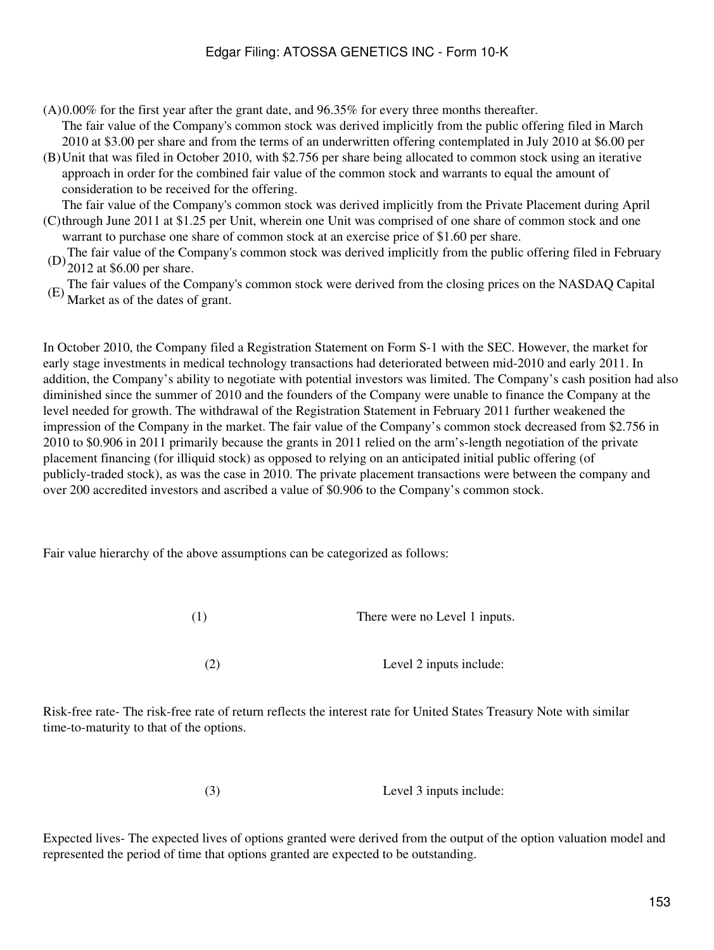- (A)0.00% for the first year after the grant date, and 96.35% for every three months thereafter. The fair value of the Company's common stock was derived implicitly from the public offering filed in March 2010 at \$3.00 per share and from the terms of an underwritten offering contemplated in July 2010 at \$6.00 per
- (B) Unit that was filed in October 2010, with \$2.756 per share being allocated to common stock using an iterative approach in order for the combined fair value of the common stock and warrants to equal the amount of consideration to be received for the offering.

(C) through June 2011 at \$1.25 per Unit, wherein one Unit was comprised of one share of common stock and one The fair value of the Company's common stock was derived implicitly from the Private Placement during April

- warrant to purchase one share of common stock at an exercise price of \$1.60 per share.
- (D) The fair value of the Company's common stock was derived implicitly from the public offering filed in February 2012 at \$6.00 per share.
- The fair values of the Company's common stock were derived from the closing prices on the NASDAQ Capital Market as of the dates of grant.

In October 2010, the Company filed a Registration Statement on Form S-1 with the SEC. However, the market for early stage investments in medical technology transactions had deteriorated between mid-2010 and early 2011. In addition, the Company's ability to negotiate with potential investors was limited. The Company's cash position had also diminished since the summer of 2010 and the founders of the Company were unable to finance the Company at the level needed for growth. The withdrawal of the Registration Statement in February 2011 further weakened the impression of the Company in the market. The fair value of the Company's common stock decreased from \$2.756 in 2010 to \$0.906 in 2011 primarily because the grants in 2011 relied on the arm's-length negotiation of the private placement financing (for illiquid stock) as opposed to relying on an anticipated initial public offering (of publicly-traded stock), as was the case in 2010. The private placement transactions were between the company and over 200 accredited investors and ascribed a value of \$0.906 to the Company's common stock.

Fair value hierarchy of the above assumptions can be categorized as follows:

(1) There were no Level 1 inputs.

(2) Level 2 inputs include:

Risk-free rate- The risk-free rate of return reflects the interest rate for United States Treasury Note with similar time-to-maturity to that of the options.

(3) Level 3 inputs include:

Expected lives- The expected lives of options granted were derived from the output of the option valuation model and represented the period of time that options granted are expected to be outstanding.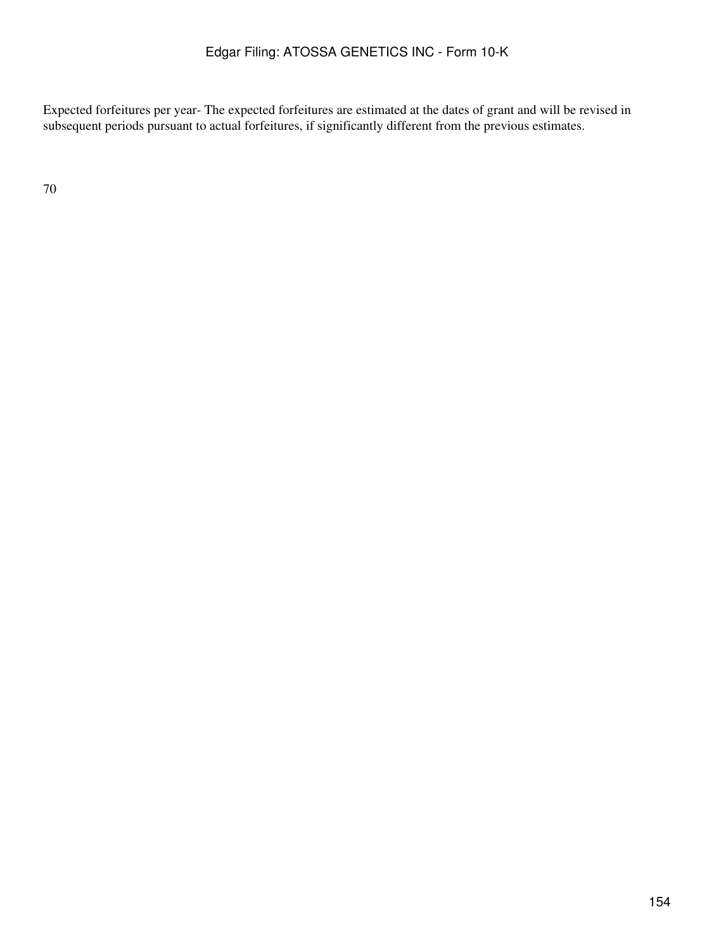Expected forfeitures per year- The expected forfeitures are estimated at the dates of grant and will be revised in subsequent periods pursuant to actual forfeitures, if significantly different from the previous estimates.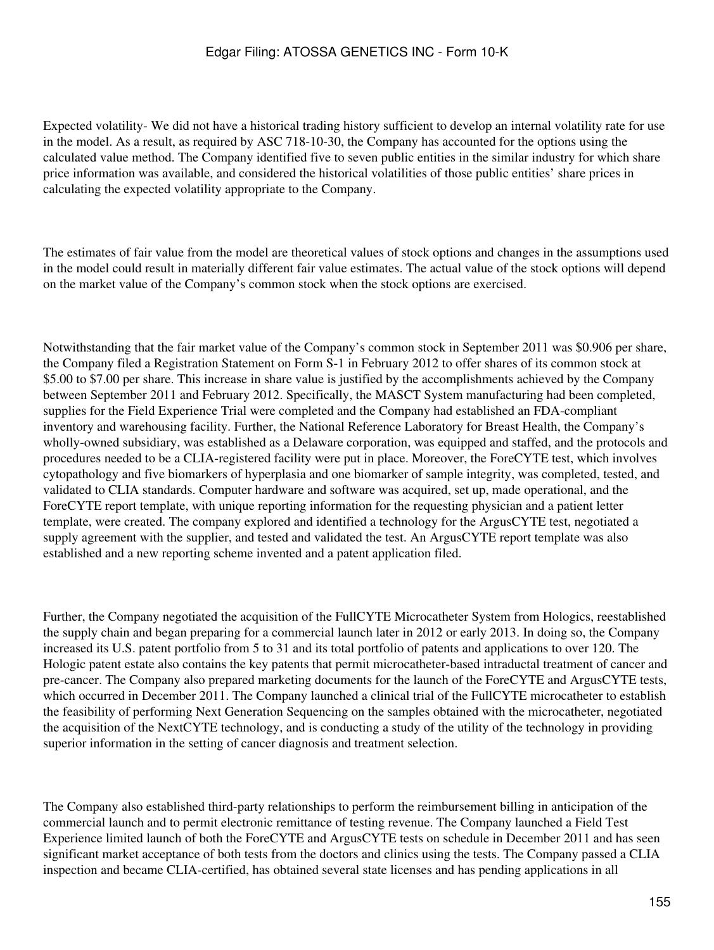Expected volatility- We did not have a historical trading history sufficient to develop an internal volatility rate for use in the model. As a result, as required by ASC 718-10-30, the Company has accounted for the options using the calculated value method. The Company identified five to seven public entities in the similar industry for which share price information was available, and considered the historical volatilities of those public entities' share prices in calculating the expected volatility appropriate to the Company.

The estimates of fair value from the model are theoretical values of stock options and changes in the assumptions used in the model could result in materially different fair value estimates. The actual value of the stock options will depend on the market value of the Company's common stock when the stock options are exercised.

Notwithstanding that the fair market value of the Company's common stock in September 2011 was \$0.906 per share, the Company filed a Registration Statement on Form S-1 in February 2012 to offer shares of its common stock at \$5.00 to \$7.00 per share. This increase in share value is justified by the accomplishments achieved by the Company between September 2011 and February 2012. Specifically, the MASCT System manufacturing had been completed, supplies for the Field Experience Trial were completed and the Company had established an FDA-compliant inventory and warehousing facility. Further, the National Reference Laboratory for Breast Health, the Company's wholly-owned subsidiary, was established as a Delaware corporation, was equipped and staffed, and the protocols and procedures needed to be a CLIA-registered facility were put in place. Moreover, the ForeCYTE test, which involves cytopathology and five biomarkers of hyperplasia and one biomarker of sample integrity, was completed, tested, and validated to CLIA standards. Computer hardware and software was acquired, set up, made operational, and the ForeCYTE report template, with unique reporting information for the requesting physician and a patient letter template, were created. The company explored and identified a technology for the ArgusCYTE test, negotiated a supply agreement with the supplier, and tested and validated the test. An ArgusCYTE report template was also established and a new reporting scheme invented and a patent application filed.

Further, the Company negotiated the acquisition of the FullCYTE Microcatheter System from Hologics, reestablished the supply chain and began preparing for a commercial launch later in 2012 or early 2013. In doing so, the Company increased its U.S. patent portfolio from 5 to 31 and its total portfolio of patents and applications to over 120. The Hologic patent estate also contains the key patents that permit microcatheter-based intraductal treatment of cancer and pre-cancer. The Company also prepared marketing documents for the launch of the ForeCYTE and ArgusCYTE tests, which occurred in December 2011. The Company launched a clinical trial of the FullCYTE microcatheter to establish the feasibility of performing Next Generation Sequencing on the samples obtained with the microcatheter, negotiated the acquisition of the NextCYTE technology, and is conducting a study of the utility of the technology in providing superior information in the setting of cancer diagnosis and treatment selection.

The Company also established third-party relationships to perform the reimbursement billing in anticipation of the commercial launch and to permit electronic remittance of testing revenue. The Company launched a Field Test Experience limited launch of both the ForeCYTE and ArgusCYTE tests on schedule in December 2011 and has seen significant market acceptance of both tests from the doctors and clinics using the tests. The Company passed a CLIA inspection and became CLIA-certified, has obtained several state licenses and has pending applications in all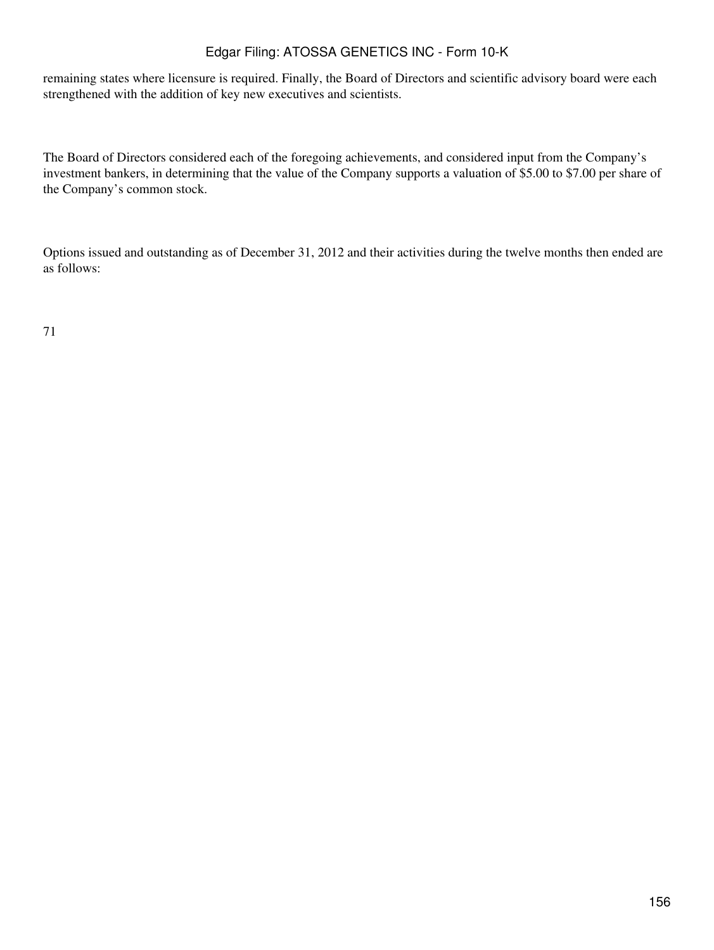remaining states where licensure is required. Finally, the Board of Directors and scientific advisory board were each strengthened with the addition of key new executives and scientists.

The Board of Directors considered each of the foregoing achievements, and considered input from the Company's investment bankers, in determining that the value of the Company supports a valuation of \$5.00 to \$7.00 per share of the Company's common stock.

Options issued and outstanding as of December 31, 2012 and their activities during the twelve months then ended are as follows: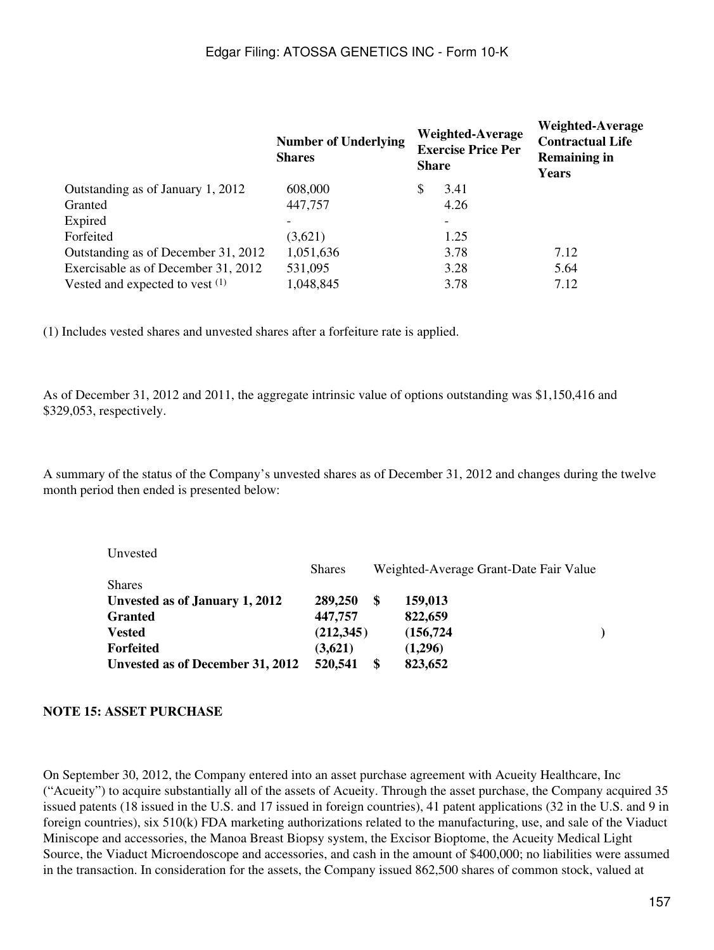|                                     | <b>Number of Underlying</b><br><b>Shares</b> | <b>Share</b> | <b>Weighted-Average</b><br><b>Exercise Price Per</b> | Weighted-Average<br><b>Contractual Life</b><br><b>Remaining in</b><br>Years |
|-------------------------------------|----------------------------------------------|--------------|------------------------------------------------------|-----------------------------------------------------------------------------|
| Outstanding as of January 1, 2012   | 608,000                                      | \$           | 3.41                                                 |                                                                             |
| Granted                             | 447,757                                      |              | 4.26                                                 |                                                                             |
| Expired                             |                                              |              |                                                      |                                                                             |
| Forfeited                           | (3,621)                                      |              | 1.25                                                 |                                                                             |
| Outstanding as of December 31, 2012 | 1,051,636                                    |              | 3.78                                                 | 7.12                                                                        |
| Exercisable as of December 31, 2012 | 531,095                                      |              | 3.28                                                 | 5.64                                                                        |
| Vested and expected to vest $(1)$   | 1,048,845                                    |              | 3.78                                                 | 7.12                                                                        |

(1) Includes vested shares and unvested shares after a forfeiture rate is applied.

As of December 31, 2012 and 2011, the aggregate intrinsic value of options outstanding was \$1,150,416 and \$329,053, respectively.

A summary of the status of the Company's unvested shares as of December 31, 2012 and changes during the twelve month period then ended is presented below:

| Unvested                         |               |                                        |            |  |
|----------------------------------|---------------|----------------------------------------|------------|--|
|                                  | <b>Shares</b> | Weighted-Average Grant-Date Fair Value |            |  |
| <b>Shares</b>                    |               |                                        |            |  |
| Unvested as of January 1, 2012   | 289,250       | S                                      | 159,013    |  |
| <b>Granted</b>                   | 447,757       |                                        | 822,659    |  |
| <b>Vested</b>                    | (212, 345)    |                                        | (156, 724) |  |
| <b>Forfeited</b>                 | (3,621)       |                                        | (1,296)    |  |
| Unvested as of December 31, 2012 | 520,541       | \$                                     | 823,652    |  |

#### **NOTE 15: ASSET PURCHASE**

On September 30, 2012, the Company entered into an asset purchase agreement with Acueity Healthcare, Inc ("Acueity") to acquire substantially all of the assets of Acueity. Through the asset purchase, the Company acquired 35 issued patents (18 issued in the U.S. and 17 issued in foreign countries), 41 patent applications (32 in the U.S. and 9 in foreign countries), six 510(k) FDA marketing authorizations related to the manufacturing, use, and sale of the Viaduct Miniscope and accessories, the Manoa Breast Biopsy system, the Excisor Bioptome, the Acueity Medical Light Source, the Viaduct Microendoscope and accessories, and cash in the amount of \$400,000; no liabilities were assumed in the transaction. In consideration for the assets, the Company issued 862,500 shares of common stock, valued at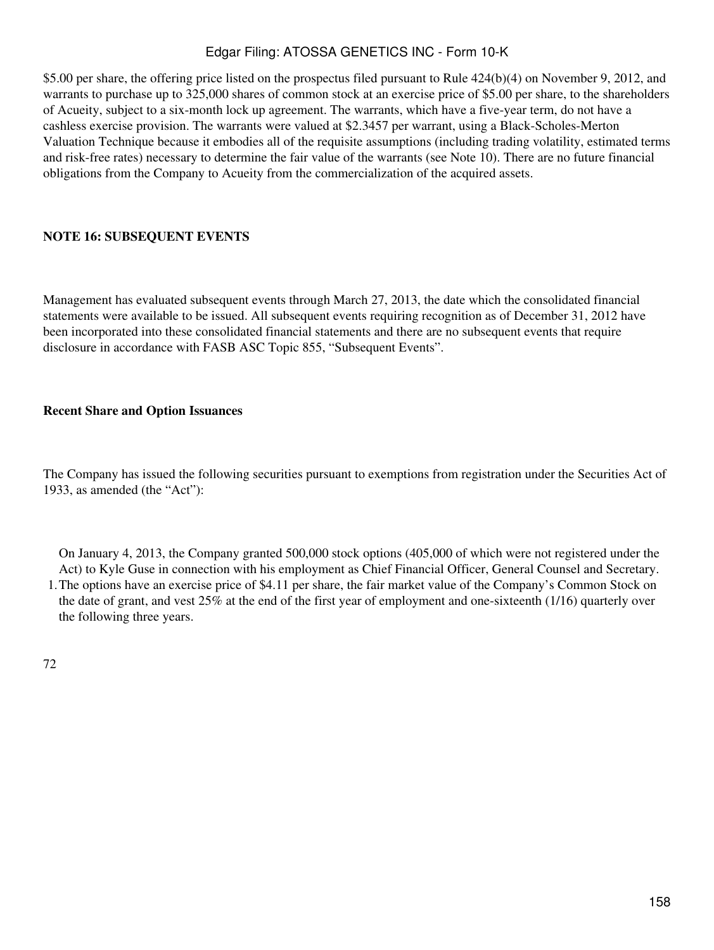\$5.00 per share, the offering price listed on the prospectus filed pursuant to Rule 424(b)(4) on November 9, 2012, and warrants to purchase up to 325,000 shares of common stock at an exercise price of \$5.00 per share, to the shareholders of Acueity, subject to a six-month lock up agreement. The warrants, which have a five-year term, do not have a cashless exercise provision. The warrants were valued at \$2.3457 per warrant, using a Black-Scholes-Merton Valuation Technique because it embodies all of the requisite assumptions (including trading volatility, estimated terms and risk-free rates) necessary to determine the fair value of the warrants (see Note 10). There are no future financial obligations from the Company to Acueity from the commercialization of the acquired assets.

### **NOTE 16: SUBSEQUENT EVENTS**

Management has evaluated subsequent events through March 27, 2013, the date which the consolidated financial statements were available to be issued. All subsequent events requiring recognition as of December 31, 2012 have been incorporated into these consolidated financial statements and there are no subsequent events that require disclosure in accordance with FASB ASC Topic 855, "Subsequent Events".

### **Recent Share and Option Issuances**

The Company has issued the following securities pursuant to exemptions from registration under the Securities Act of 1933, as amended (the "Act"):

1. The options have an exercise price of \$4.11 per share, the fair market value of the Company's Common Stock on On January 4, 2013, the Company granted 500,000 stock options (405,000 of which were not registered under the Act) to Kyle Guse in connection with his employment as Chief Financial Officer, General Counsel and Secretary. the date of grant, and vest 25% at the end of the first year of employment and one-sixteenth (1/16) quarterly over the following three years.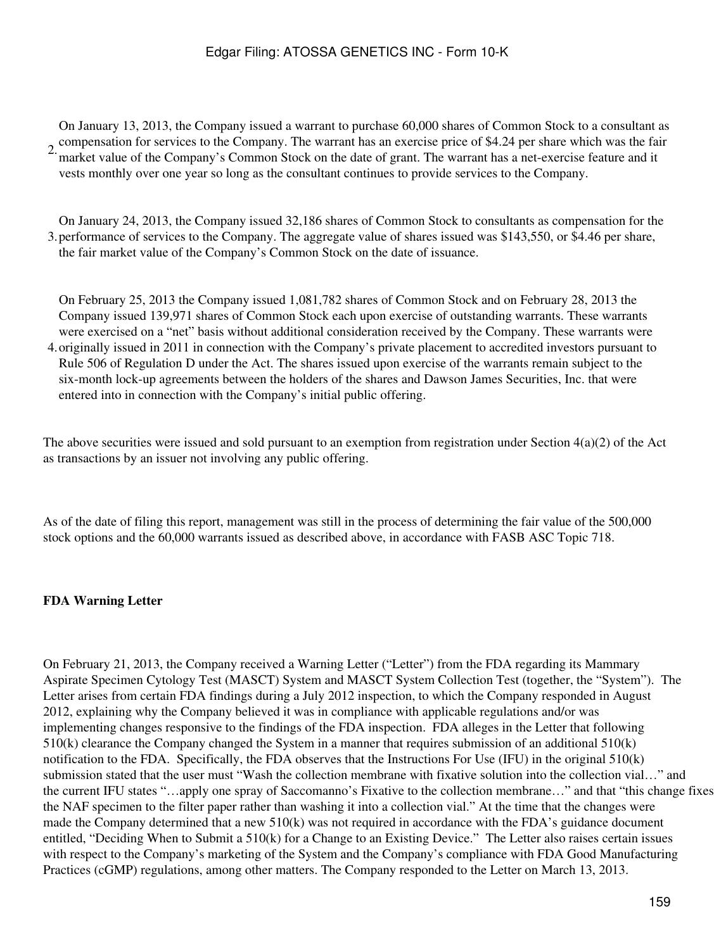2. compensation for services to the Company. The warrant has an exercise price of \$4.24 per share which was the fair On January 13, 2013, the Company issued a warrant to purchase 60,000 shares of Common Stock to a consultant as market value of the Company's Common Stock on the date of grant. The warrant has a net-exercise feature and it vests monthly over one year so long as the consultant continues to provide services to the Company.

3. performance of services to the Company. The aggregate value of shares issued was \$143,550, or \$4.46 per share, On January 24, 2013, the Company issued 32,186 shares of Common Stock to consultants as compensation for the the fair market value of the Company's Common Stock on the date of issuance.

4. originally issued in 2011 in connection with the Company's private placement to accredited investors pursuant to On February 25, 2013 the Company issued 1,081,782 shares of Common Stock and on February 28, 2013 the Company issued 139,971 shares of Common Stock each upon exercise of outstanding warrants. These warrants were exercised on a "net" basis without additional consideration received by the Company. These warrants were Rule 506 of Regulation D under the Act. The shares issued upon exercise of the warrants remain subject to the six-month lock-up agreements between the holders of the shares and Dawson James Securities, Inc. that were entered into in connection with the Company's initial public offering.

The above securities were issued and sold pursuant to an exemption from registration under Section 4(a)(2) of the Act as transactions by an issuer not involving any public offering.

As of the date of filing this report, management was still in the process of determining the fair value of the 500,000 stock options and the 60,000 warrants issued as described above, in accordance with FASB ASC Topic 718.

### **FDA Warning Letter**

On February 21, 2013, the Company received a Warning Letter ("Letter") from the FDA regarding its Mammary Aspirate Specimen Cytology Test (MASCT) System and MASCT System Collection Test (together, the "System"). The Letter arises from certain FDA findings during a July 2012 inspection, to which the Company responded in August 2012, explaining why the Company believed it was in compliance with applicable regulations and/or was implementing changes responsive to the findings of the FDA inspection. FDA alleges in the Letter that following 510(k) clearance the Company changed the System in a manner that requires submission of an additional 510(k) notification to the FDA. Specifically, the FDA observes that the Instructions For Use (IFU) in the original 510(k) submission stated that the user must "Wash the collection membrane with fixative solution into the collection vial…" and the current IFU states "…apply one spray of Saccomanno's Fixative to the collection membrane…" and that "this change fixes the NAF specimen to the filter paper rather than washing it into a collection vial." At the time that the changes were made the Company determined that a new 510(k) was not required in accordance with the FDA's guidance document entitled, "Deciding When to Submit a 510(k) for a Change to an Existing Device." The Letter also raises certain issues with respect to the Company's marketing of the System and the Company's compliance with FDA Good Manufacturing Practices (cGMP) regulations, among other matters. The Company responded to the Letter on March 13, 2013.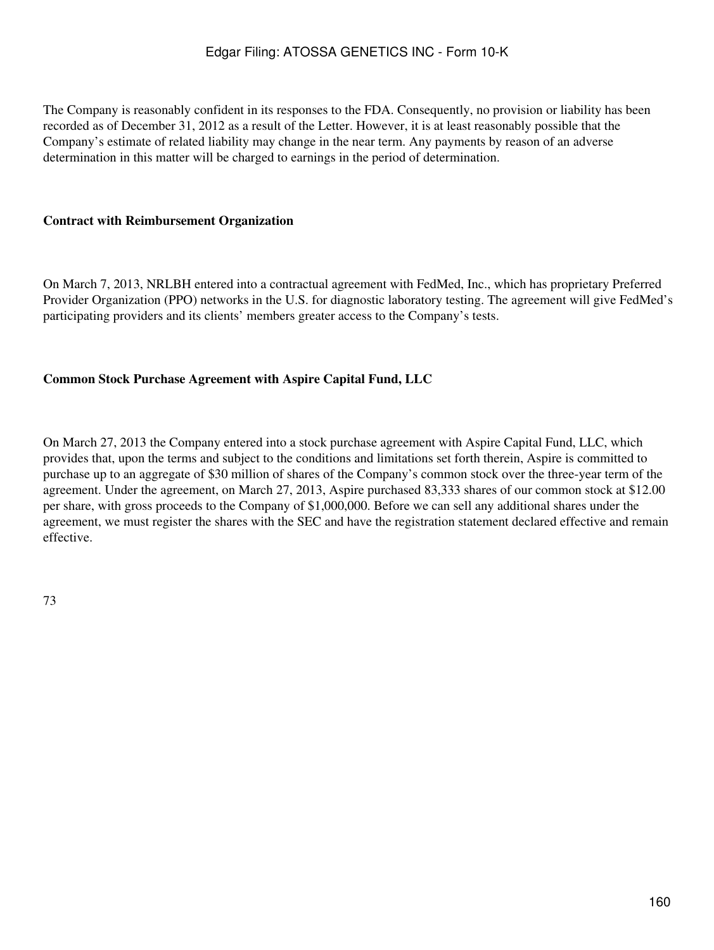The Company is reasonably confident in its responses to the FDA. Consequently, no provision or liability has been recorded as of December 31, 2012 as a result of the Letter. However, it is at least reasonably possible that the Company's estimate of related liability may change in the near term. Any payments by reason of an adverse determination in this matter will be charged to earnings in the period of determination.

### **Contract with Reimbursement Organization**

On March 7, 2013, NRLBH entered into a contractual agreement with FedMed, Inc., which has proprietary Preferred Provider Organization (PPO) networks in the U.S. for diagnostic laboratory testing. The agreement will give FedMed's participating providers and its clients' members greater access to the Company's tests.

### **Common Stock Purchase Agreement with Aspire Capital Fund, LLC**

On March 27, 2013 the Company entered into a stock purchase agreement with Aspire Capital Fund, LLC, which provides that, upon the terms and subject to the conditions and limitations set forth therein, Aspire is committed to purchase up to an aggregate of \$30 million of shares of the Company's common stock over the three-year term of the agreement. Under the agreement, on March 27, 2013, Aspire purchased 83,333 shares of our common stock at \$12.00 per share, with gross proceeds to the Company of \$1,000,000. Before we can sell any additional shares under the agreement, we must register the shares with the SEC and have the registration statement declared effective and remain effective.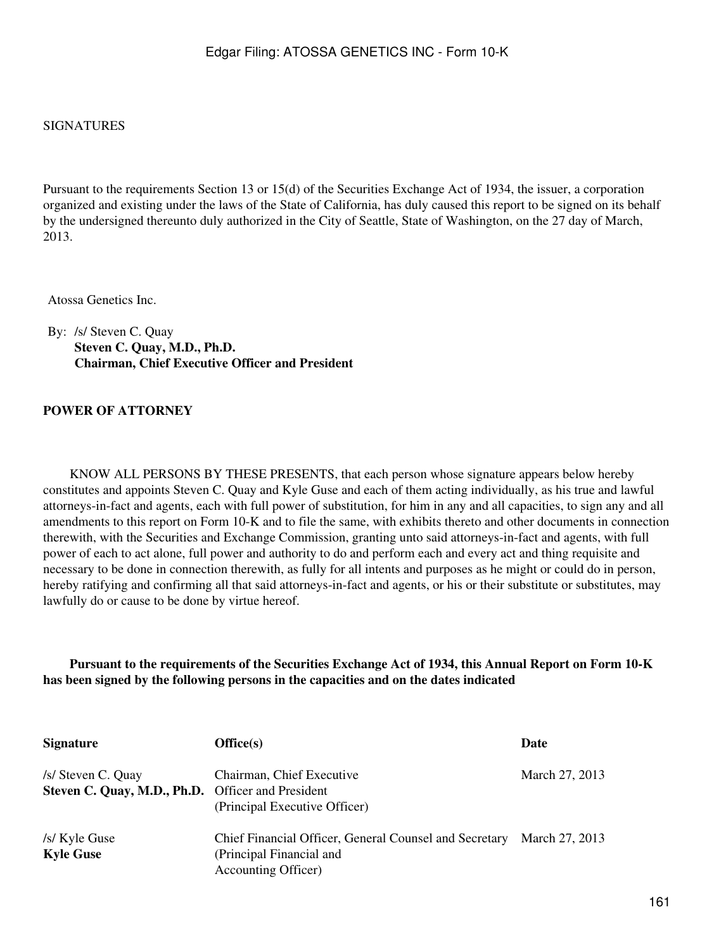### SIGNATURES

Pursuant to the requirements Section 13 or 15(d) of the Securities Exchange Act of 1934, the issuer, a corporation organized and existing under the laws of the State of California, has duly caused this report to be signed on its behalf by the undersigned thereunto duly authorized in the City of Seattle, State of Washington, on the 27 day of March, 2013.

Atossa Genetics Inc.

By: /s/ Steven C. Quay **Steven C. Quay, M.D., Ph.D. Chairman, Chief Executive Officer and President**

### **POWER OF ATTORNEY**

 KNOW ALL PERSONS BY THESE PRESENTS, that each person whose signature appears below hereby constitutes and appoints Steven C. Quay and Kyle Guse and each of them acting individually, as his true and lawful attorneys-in-fact and agents, each with full power of substitution, for him in any and all capacities, to sign any and all amendments to this report on Form 10-K and to file the same, with exhibits thereto and other documents in connection therewith, with the Securities and Exchange Commission, granting unto said attorneys-in-fact and agents, with full power of each to act alone, full power and authority to do and perform each and every act and thing requisite and necessary to be done in connection therewith, as fully for all intents and purposes as he might or could do in person, hereby ratifying and confirming all that said attorneys-in-fact and agents, or his or their substitute or substitutes, may lawfully do or cause to be done by virtue hereof.

**Pursuant to the requirements of the Securities Exchange Act of 1934, this Annual Report on Form 10-K has been signed by the following persons in the capacities and on the dates indicated**

| <b>Signature</b>                                                        | Office(s)                                                                                                 | Date           |
|-------------------------------------------------------------------------|-----------------------------------------------------------------------------------------------------------|----------------|
| /s/ Steven C. Quay<br>Steven C. Quay, M.D., Ph.D. Officer and President | Chairman, Chief Executive<br>(Principal Executive Officer)                                                | March 27, 2013 |
| /s/ Kyle Guse<br><b>Kyle Guse</b>                                       | Chief Financial Officer, General Counsel and Secretary<br>(Principal Financial and<br>Accounting Officer) | March 27, 2013 |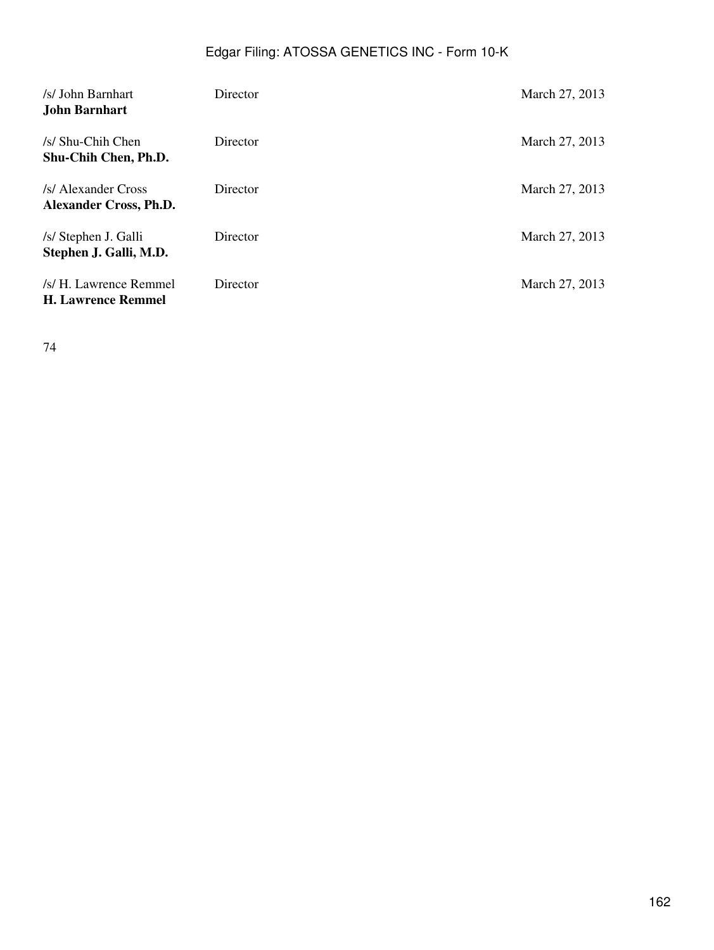| /s/ John Barnhart<br>John Barnhart                   | Director | March 27, 2013 |
|------------------------------------------------------|----------|----------------|
| /s/ Shu-Chih Chen<br>Shu-Chih Chen, Ph.D.            | Director | March 27, 2013 |
| /s/ Alexander Cross<br><b>Alexander Cross, Ph.D.</b> | Director | March 27, 2013 |
| /s/ Stephen J. Galli<br>Stephen J. Galli, M.D.       | Director | March 27, 2013 |
| /s/ H. Lawrence Remmel<br><b>H. Lawrence Remmel</b>  | Director | March 27, 2013 |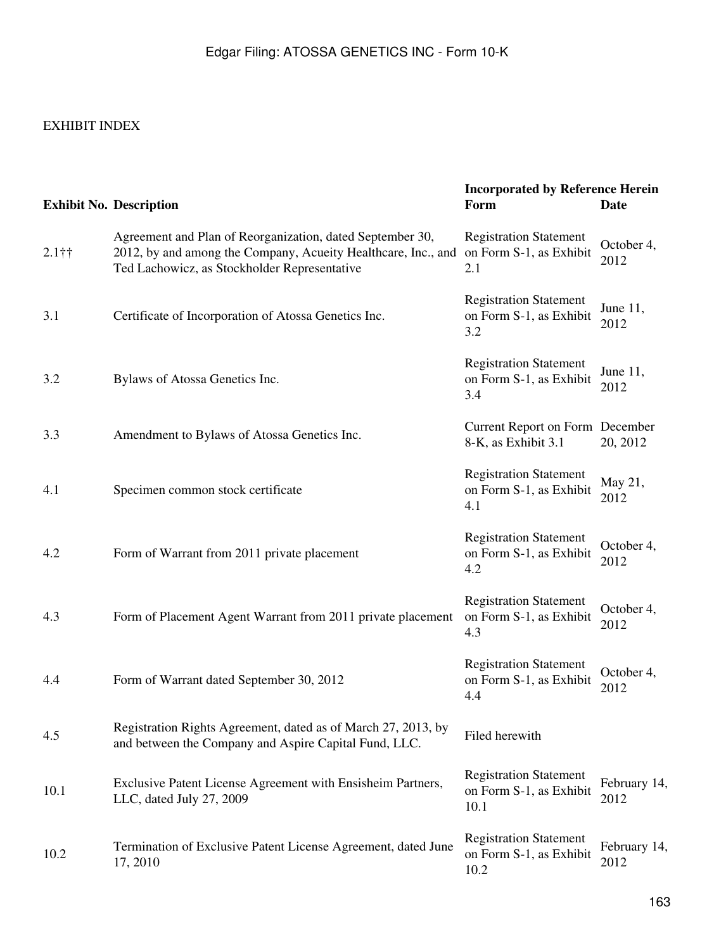# EXHIBIT INDEX

|                     | <b>Exhibit No. Description</b>                                                                                                                                             | <b>Incorporated by Reference Herein</b><br>Form                  | <b>Date</b>          |
|---------------------|----------------------------------------------------------------------------------------------------------------------------------------------------------------------------|------------------------------------------------------------------|----------------------|
| $2.1\dagger\dagger$ | Agreement and Plan of Reorganization, dated September 30,<br>2012, by and among the Company, Acueity Healthcare, Inc., and<br>Ted Lachowicz, as Stockholder Representative | <b>Registration Statement</b><br>on Form S-1, as Exhibit<br>2.1  | October 4,<br>2012   |
| 3.1                 | Certificate of Incorporation of Atossa Genetics Inc.                                                                                                                       | <b>Registration Statement</b><br>on Form S-1, as Exhibit<br>3.2  | June $11$ ,<br>2012  |
| 3.2                 | Bylaws of Atossa Genetics Inc.                                                                                                                                             | <b>Registration Statement</b><br>on Form S-1, as Exhibit<br>3.4  | June $11$ ,<br>2012  |
| 3.3                 | Amendment to Bylaws of Atossa Genetics Inc.                                                                                                                                | Current Report on Form December<br>8-K, as Exhibit 3.1           | 20, 2012             |
| 4.1                 | Specimen common stock certificate                                                                                                                                          | <b>Registration Statement</b><br>on Form S-1, as Exhibit<br>4.1  | May 21,<br>2012      |
| 4.2                 | Form of Warrant from 2011 private placement                                                                                                                                | <b>Registration Statement</b><br>on Form S-1, as Exhibit<br>4.2  | October 4,<br>2012   |
| 4.3                 | Form of Placement Agent Warrant from 2011 private placement                                                                                                                | <b>Registration Statement</b><br>on Form S-1, as Exhibit<br>4.3  | October 4,<br>2012   |
| 4.4                 | Form of Warrant dated September 30, 2012                                                                                                                                   | <b>Registration Statement</b><br>on Form S-1, as Exhibit<br>4.4  | October 4,<br>2012   |
| 4.5                 | Registration Rights Agreement, dated as of March 27, 2013, by<br>and between the Company and Aspire Capital Fund, LLC.                                                     | Filed herewith                                                   |                      |
| 10.1                | Exclusive Patent License Agreement with Ensisheim Partners,<br>LLC, dated July 27, 2009                                                                                    | <b>Registration Statement</b><br>on Form S-1, as Exhibit<br>10.1 | February 14,<br>2012 |
| 10.2                | Termination of Exclusive Patent License Agreement, dated June<br>17, 2010                                                                                                  | <b>Registration Statement</b><br>on Form S-1, as Exhibit<br>10.2 | February 14,<br>2012 |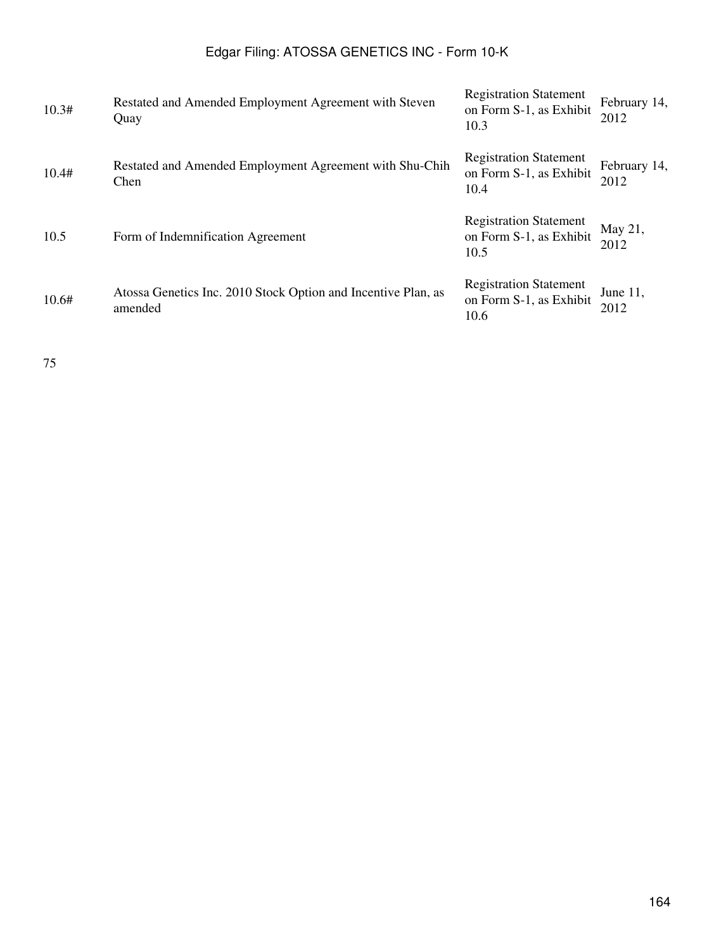| 10.3# | Restated and Amended Employment Agreement with Steven<br>Quay            | <b>Registration Statement</b><br>on Form S-1, as Exhibit<br>10.3 | February 14,<br>2012 |
|-------|--------------------------------------------------------------------------|------------------------------------------------------------------|----------------------|
| 10.4# | Restated and Amended Employment Agreement with Shu-Chih<br>Chen          | <b>Registration Statement</b><br>on Form S-1, as Exhibit<br>10.4 | February 14,<br>2012 |
| 10.5  | Form of Indemnification Agreement                                        | <b>Registration Statement</b><br>on Form S-1, as Exhibit<br>10.5 | May 21,<br>2012      |
| 10.6# | Atossa Genetics Inc. 2010 Stock Option and Incentive Plan, as<br>amended | <b>Registration Statement</b><br>on Form S-1, as Exhibit<br>10.6 | June $11$ ,<br>2012  |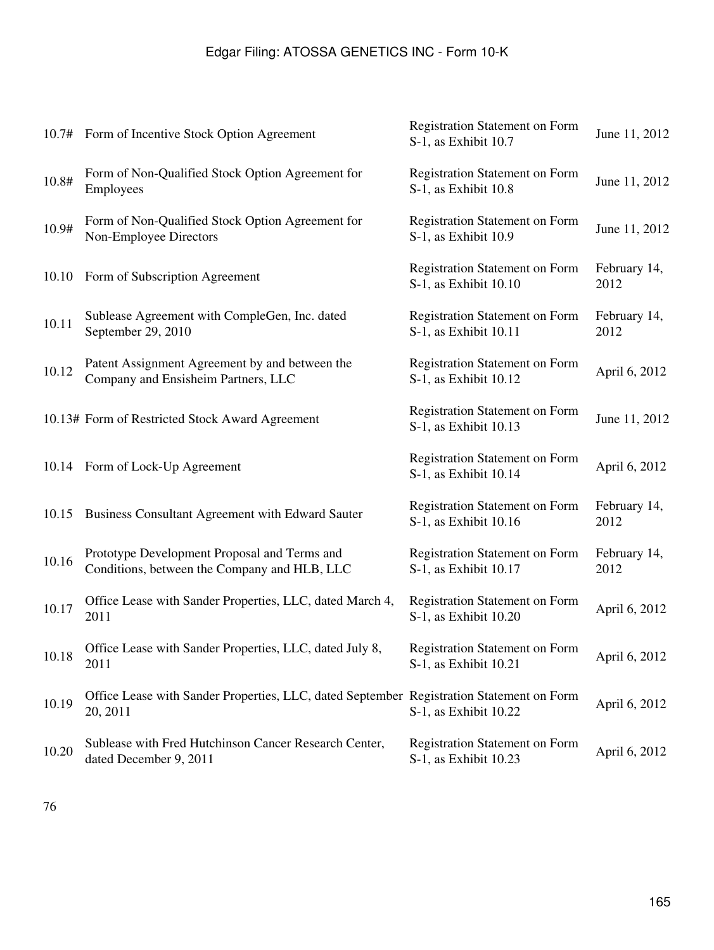|       | 10.7# Form of Incentive Stock Option Agreement                                                       | <b>Registration Statement on Form</b><br>S-1, as Exhibit 10.7  | June 11, 2012        |
|-------|------------------------------------------------------------------------------------------------------|----------------------------------------------------------------|----------------------|
| 10.8# | Form of Non-Qualified Stock Option Agreement for<br>Employees                                        | <b>Registration Statement on Form</b><br>S-1, as Exhibit 10.8  | June 11, 2012        |
| 10.9# | Form of Non-Qualified Stock Option Agreement for<br>Non-Employee Directors                           | <b>Registration Statement on Form</b><br>S-1, as Exhibit 10.9  | June 11, 2012        |
| 10.10 | Form of Subscription Agreement                                                                       | <b>Registration Statement on Form</b><br>S-1, as Exhibit 10.10 | February 14,<br>2012 |
| 10.11 | Sublease Agreement with CompleGen, Inc. dated<br>September 29, 2010                                  | <b>Registration Statement on Form</b><br>S-1, as Exhibit 10.11 | February 14,<br>2012 |
| 10.12 | Patent Assignment Agreement by and between the<br>Company and Ensisheim Partners, LLC                | <b>Registration Statement on Form</b><br>S-1, as Exhibit 10.12 | April 6, 2012        |
|       | 10.13# Form of Restricted Stock Award Agreement                                                      | <b>Registration Statement on Form</b><br>S-1, as Exhibit 10.13 | June 11, 2012        |
|       | 10.14 Form of Lock-Up Agreement                                                                      | <b>Registration Statement on Form</b><br>S-1, as Exhibit 10.14 | April 6, 2012        |
| 10.15 | Business Consultant Agreement with Edward Sauter                                                     | <b>Registration Statement on Form</b><br>S-1, as Exhibit 10.16 | February 14,<br>2012 |
| 10.16 | Prototype Development Proposal and Terms and<br>Conditions, between the Company and HLB, LLC         | <b>Registration Statement on Form</b><br>S-1, as Exhibit 10.17 | February 14,<br>2012 |
| 10.17 | Office Lease with Sander Properties, LLC, dated March 4,<br>2011                                     | <b>Registration Statement on Form</b><br>S-1, as Exhibit 10.20 | April 6, 2012        |
| 10.18 | Office Lease with Sander Properties, LLC, dated July 8,<br>2011                                      | <b>Registration Statement on Form</b><br>S-1, as Exhibit 10.21 | April 6, 2012        |
| 10.19 | Office Lease with Sander Properties, LLC, dated September Registration Statement on Form<br>20, 2011 | S-1, as Exhibit 10.22                                          | April 6, 2012        |
| 10.20 | Sublease with Fred Hutchinson Cancer Research Center,<br>dated December 9, 2011                      | <b>Registration Statement on Form</b><br>S-1, as Exhibit 10.23 | April 6, 2012        |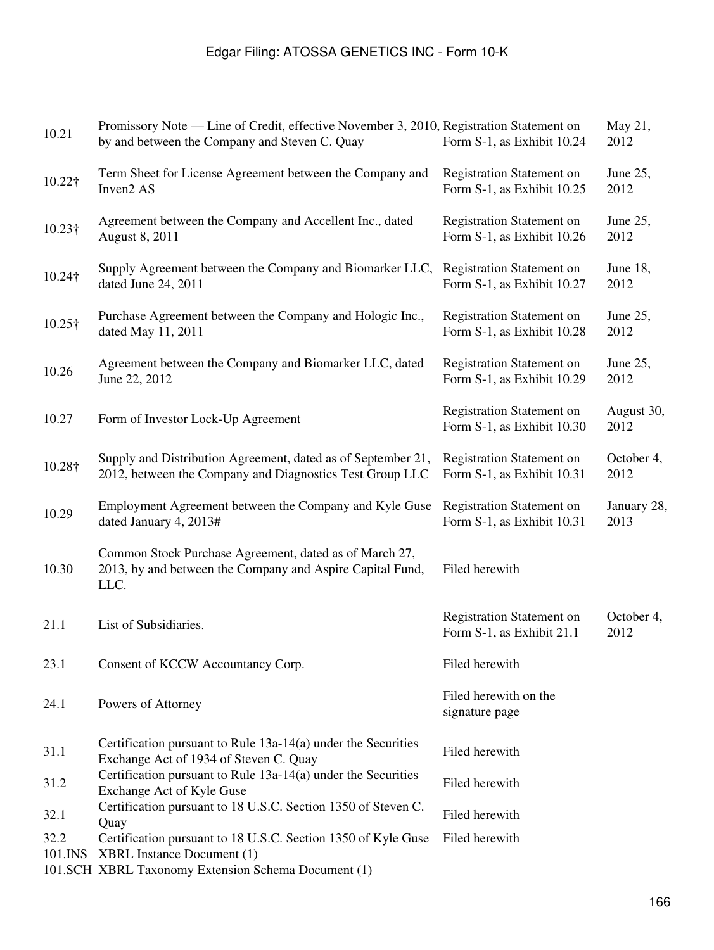| 10.21           | Promissory Note — Line of Credit, effective November 3, 2010, Registration Statement on<br>by and between the Company and Steven C. Quay                  | Form S-1, as Exhibit 10.24                                     | May 21,<br>2012     |
|-----------------|-----------------------------------------------------------------------------------------------------------------------------------------------------------|----------------------------------------------------------------|---------------------|
| 10.22†          | Term Sheet for License Agreement between the Company and<br>Inven2 AS                                                                                     | <b>Registration Statement on</b><br>Form S-1, as Exhibit 10.25 | June 25,<br>2012    |
| 10.23†          | Agreement between the Company and Accellent Inc., dated<br>August 8, 2011                                                                                 | <b>Registration Statement on</b><br>Form S-1, as Exhibit 10.26 | June 25,<br>2012    |
| 10.24†          | Supply Agreement between the Company and Biomarker LLC,<br>dated June 24, 2011                                                                            | <b>Registration Statement on</b><br>Form S-1, as Exhibit 10.27 | June 18,<br>2012    |
| 10.25†          | Purchase Agreement between the Company and Hologic Inc.,<br>dated May 11, 2011                                                                            | <b>Registration Statement on</b><br>Form S-1, as Exhibit 10.28 | June 25,<br>2012    |
| 10.26           | Agreement between the Company and Biomarker LLC, dated<br>June 22, 2012                                                                                   | <b>Registration Statement on</b><br>Form S-1, as Exhibit 10.29 | June 25,<br>2012    |
| 10.27           | Form of Investor Lock-Up Agreement                                                                                                                        | <b>Registration Statement on</b><br>Form S-1, as Exhibit 10.30 | August 30,<br>2012  |
| 10.28†          | Supply and Distribution Agreement, dated as of September 21,<br>2012, between the Company and Diagnostics Test Group LLC                                  | <b>Registration Statement on</b><br>Form S-1, as Exhibit 10.31 | October 4,<br>2012  |
| 10.29           | Employment Agreement between the Company and Kyle Guse<br>dated January 4, 2013#                                                                          | <b>Registration Statement on</b><br>Form S-1, as Exhibit 10.31 | January 28,<br>2013 |
| 10.30           | Common Stock Purchase Agreement, dated as of March 27,<br>2013, by and between the Company and Aspire Capital Fund,<br>LLC.                               | Filed herewith                                                 |                     |
| 21.1            | List of Subsidiaries.                                                                                                                                     | <b>Registration Statement on</b><br>Form S-1, as Exhibit 21.1  | October 4,<br>2012  |
| 23.1            | Consent of KCCW Accountancy Corp.                                                                                                                         | Filed herewith                                                 |                     |
| 24.1            | Powers of Attorney                                                                                                                                        | Filed herewith on the<br>signature page                        |                     |
| 31.1            | Certification pursuant to Rule 13a-14(a) under the Securities<br>Exchange Act of 1934 of Steven C. Quay                                                   | Filed herewith                                                 |                     |
| 31.2            | Certification pursuant to Rule 13a-14(a) under the Securities<br>Exchange Act of Kyle Guse                                                                | Filed herewith                                                 |                     |
| 32.1            | Certification pursuant to 18 U.S.C. Section 1350 of Steven C.<br>Quay                                                                                     | Filed herewith                                                 |                     |
| 32.2<br>101.INS | Certification pursuant to 18 U.S.C. Section 1350 of Kyle Guse<br><b>XBRL Instance Document (1)</b><br>101.SCH XBRL Taxonomy Extension Schema Document (1) | Filed herewith                                                 |                     |